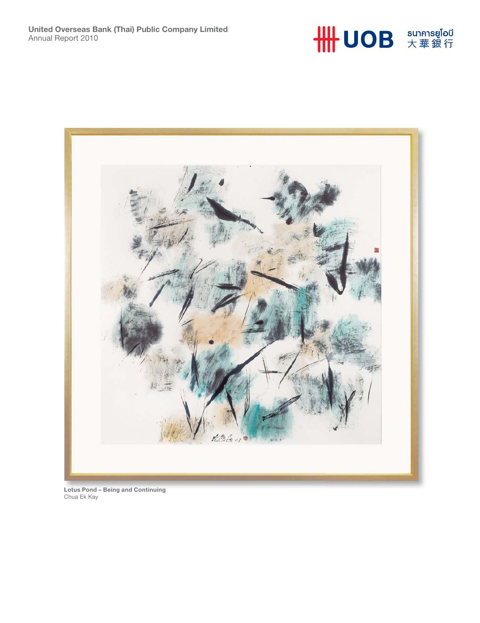

**HI UOB** Sunansglou

**Lotus Pond – Being and Continuing** Chua Ek Kay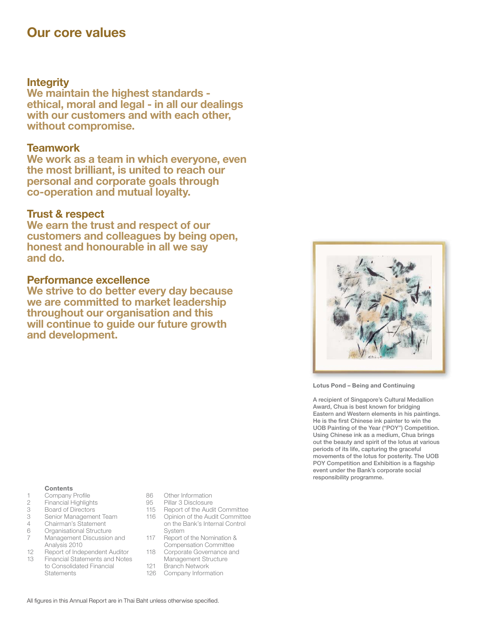# **Our core values**

# **Integrity**

**We maintain the highest standards ethical, moral and legal - in all our dealings with our customers and with each other, without compromise.**

# **Teamwork**

**We work as a team in which everyone, even the most brilliant, is united to reach our personal and corporate goals through co-operation and mutual loyalty.**

# **Trust & respect**

**We earn the trust and respect of our customers and colleagues by being open, honest and honourable in all we say and do.**

# **Performance excellence**

**We strive to do better every day because we are committed to market leadership throughout our organisation and this will continue to guide our future growth and development.**



**Lotus Pond - Being and Continuing** 

**A recipient of Singapore's Cultural Medallion Award, Chua is best known for bridging Eastern and Western elements in his paintings.**  He is the first Chinese ink painter to win the **UOB Painting of the Year ("POY") Competition. Using Chinese ink as a medium, Chua brings out the beauty and spirit of the lotus at various periods of its life, capturing the graceful movements of the lotus for posterity. The UOB POY Competition and Exhibition is a flagship event under the Bank's corporate social responsibility programme.**

#### **Contents**

- 1 Company Profile<br>2 Financial Highligh
- 2 Financial Highlights<br>3 Board of Directors
- 3 Board of Directors<br>3 Senior Managemer
- 3 Senior Management Team<br>4 Chairman's Statement
- 4 Chairman's Statement<br>6 Organisational Structure
- 6 Organisational Structure<br>7 Management Discussion Management Discussion and Analysis 2010<br>The Report of Inde
- 12 Report of Independent Auditor<br>13 Financial Statements and Notes **Financial Statements and Notes**  to Consolidated Financial **Statements**
- 86 Other Information<br>95 Pillar 3 Disclosure
	- Pillar 3 Disclosure
- 115 Report of the Audit Committee
- 116 Opinion of the Audit Committee on the Bank's Internal Control System
- 117 Report of the Nomination &
	- Compensation Committee
- 118 Corporate Governance and Management Structure
- 121 Branch Network
- 126 Company Information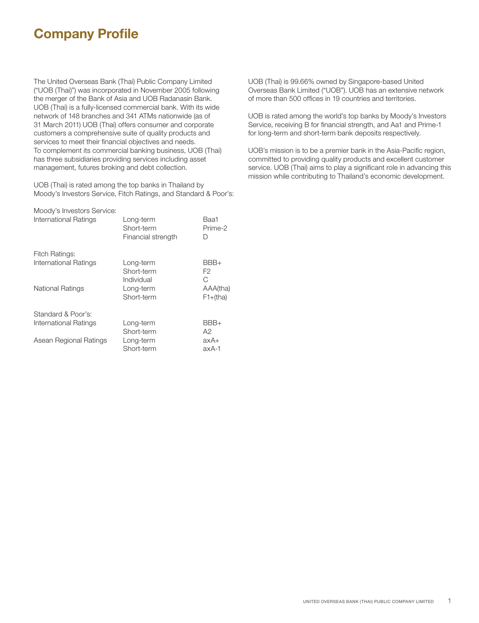# **Company Profile**

The United Overseas Bank (Thai) Public Company Limited ("UOB (Thai)") was incorporated in November 2005 following the merger of the Bank of Asia and UOB Radanasin Bank. UOB (Thai) is a fully-licensed commercial bank. With its wide network of 148 branches and 341 ATMs nationwide (as of 31 March 2011) UOB (Thai) offers consumer and corporate customers a comprehensive suite of quality products and services to meet their financial objectives and needs. To complement its commercial banking business, UOB (Thai) has three subsidiaries providing services including asset management, futures broking and debt collection.

UOB (Thai) is rated among the top banks in Thailand by Moody's Investors Service, Fitch Ratings, and Standard & Poor's:

| Long-term               | Baa1                        |
|-------------------------|-----------------------------|
| Short-term              | Prime-2                     |
| Financial strength      | D                           |
|                         |                             |
| Long-term<br>Short-term | BBB+<br>F <sub>2</sub><br>С |
| Long-term               | AAA(tha)                    |
| Short-term              | $F1+(tha)$                  |
|                         |                             |
| Long-term               | BBB+                        |
| Short-term              | A2                          |
| Long-term               | axA+                        |
| Short-term              | $axA-1$                     |
|                         | Individual                  |

UOB (Thai) is 99.66% owned by Singapore-based United Overseas Bank Limited ("UOB"). UOB has an extensive network of more than 500 offices in 19 countries and territories.

UOB is rated among the world's top banks by Moody's Investors Service, receiving B for financial strength, and Aa1 and Prime-1 for long-term and short-term bank deposits respectively.

UOB's mission is to be a premier bank in the Asia-Pacific region, committed to providing quality products and excellent customer service. UOB (Thai) aims to play a significant role in advancing this mission while contributing to Thailand's economic development.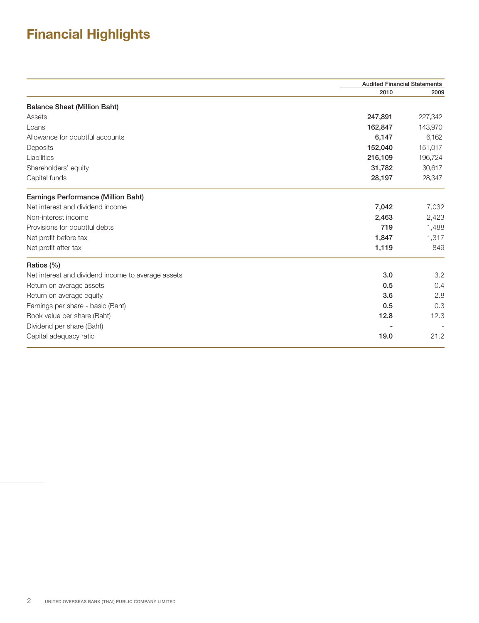# **Financial Highlights**

|                                                    | <b>Audited Financial Statements</b> |         |
|----------------------------------------------------|-------------------------------------|---------|
|                                                    | 2010                                | 2009    |
| <b>Balance Sheet (Million Baht)</b>                |                                     |         |
| Assets                                             | 247,891                             | 227,342 |
| Loans                                              | 162,847                             | 143,970 |
| Allowance for doubtful accounts                    | 6,147                               | 6,162   |
| Deposits                                           | 152,040                             | 151,017 |
| Liabilities                                        | 216,109                             | 196,724 |
| Shareholders' equity                               | 31,782                              | 30,617  |
| Capital funds                                      | 28,197                              | 28,347  |
| Earnings Performance (Million Baht)                |                                     |         |
| Net interest and dividend income                   | 7,042                               | 7,032   |
| Non-interest income                                | 2,463                               | 2,423   |
| Provisions for doubtful debts                      | 719                                 | 1,488   |
| Net profit before tax                              | 1,847                               | 1,317   |
| Net profit after tax                               | 1,119                               | 849     |
| Ratios (%)                                         |                                     |         |
| Net interest and dividend income to average assets | 3.0                                 | 3.2     |
| Return on average assets                           | 0.5                                 | 0.4     |
| Return on average equity                           | 3.6                                 | 2.8     |
| Earnings per share - basic (Baht)                  | 0.5                                 | 0.3     |
| Book value per share (Baht)                        | 12.8                                | 12.3    |
| Dividend per share (Baht)                          |                                     |         |
| Capital adequacy ratio                             | 19.0                                | 21.2    |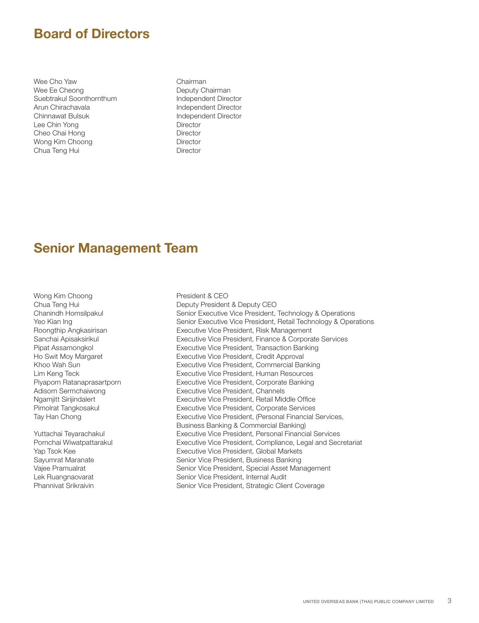# **Board of Directors**

Wee Cho Yaw **Chairman** Wee Ee Cheong **Deputy Chairman**<br>
Suebtrakul Soonthornthum **Deputy Chairman**<br>
Independent Director Suebtrakul Soonthornthum<br>Arun Chirachavala Chinnawat Bulsuk **Independent Director** Lee Chin Yong<br>Cheo Chai Hong Director<br>Director Cheo Chai Hong Wong Kim Choong Director Chua Teng Hui

**Independent Director** 

# **Senior Management Team**

Wong Kim Choong **President & CEO** 

Chua Teng Hui **Chua Teng Hui Deputy President & Deputy CEO** Chanindh Homsilpakul Senior Executive Vice President, Technology & Operations Yeo Kian Ing The Senior Executive Vice President, Retail Technology & Operations Roongthip Angkasirisan and Executive Vice President, Risk Management<br>
Sanchai Apisaksirikul and Executive Vice President, Finance & Corpora Executive Vice President, Finance & Corporate Services Pipat Assamongkol **Executive Vice President, Transaction Banking** Ho Swit Moy Margaret **Executive Vice President, Credit Approval Khoo Wah Sun**<br>Khoo Wah Sun **Executive Vice President, Commercial Ba** Executive Vice President, Commercial Banking Lim Keng Teck Executive Vice President, Human Resources Piyaporn Ratanaprasartporn Fatanaprasartporn Executive Vice President, Corporate Banking<br>Adisorn Sermchaiwong Fatana Executive Vice President, Channels Executive Vice President, Channels Ngamjitt Sirijindalert **Executive Vice President, Retail Middle Office** Pimolrat Tangkosakul Executive Vice President, Corporate Services Tay Han Chong **Executive Vice President, (Personal Financial Services,**  Business Banking & Commercial Banking) Yuttachai Teyarachakul Executive Vice President, Personal Financial Services Pornchai Wiwatpattarakul Executive Vice President, Compliance, Legal and Secretariat Yap Tsok Kee Executive Vice President, Global Markets Sayumrat Maranate Senior Vice President, Business Banking<br>
Vaiee Pramualrat Senior Vice President, Special Asset Mar Senior Vice President, Special Asset Management Lek Ruangnaovarat Senior Vice President, Internal Audit Phannivat Srikraivin Senior Vice President, Strategic Client Coverage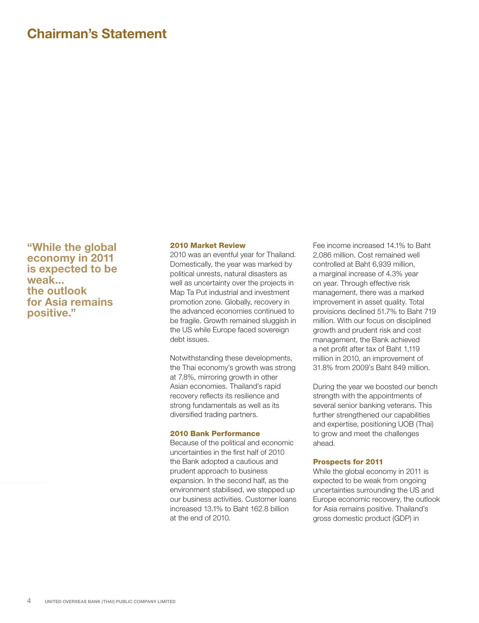# **Chairman's Statement**

**"While the global economy in 2011 is expected to be weak... the outlook for Asia remains positive."**

#### **2010 Market Review**

2010 was an eventful year for Thailand. Domestically, the year was marked by political unrests, natural disasters as well as uncertainty over the projects in Map Ta Put industrial and investment promotion zone. Globally, recovery in the advanced economies continued to be fragile. Growth remained sluggish in the US while Europe faced sovereign debt issues.

Notwithstanding these developments, the Thai economy's growth was strong at 7.8%, mirroring growth in other Asian economies. Thailand's rapid recovery reflects its resilience and strong fundamentals as well as its diversified trading partners.

#### **2010 Bank Performance**

Because of the political and economic uncertainties in the first half of 2010 the Bank adopted a cautious and prudent approach to business expansion. In the second half, as the environment stabilised, we stepped up our business activities. Customer loans increased 13.1% to Baht 162.8 billion at the end of 2010.

Fee income increased 14.1% to Baht 2,086 million. Cost remained well controlled at Baht 6,939 million, a marginal increase of 4.3% year on year. Through effective risk management, there was a marked improvement in asset quality. Total provisions declined 51.7% to Baht 719 million. With our focus on disciplined growth and prudent risk and cost management, the Bank achieved a net profit after tax of Baht 1.119 million in 2010, an improvement of 31.8% from 2009's Baht 849 million.

During the year we boosted our bench strength with the appointments of several senior banking veterans. This further strengthened our capabilities and expertise, positioning UOB (Thai) to grow and meet the challenges ahead.

#### **Prospects for 2011**

While the global economy in 2011 is expected to be weak from ongoing uncertainties surrounding the US and Europe economic recovery, the outlook for Asia remains positive. Thailand's gross domestic product (GDP) in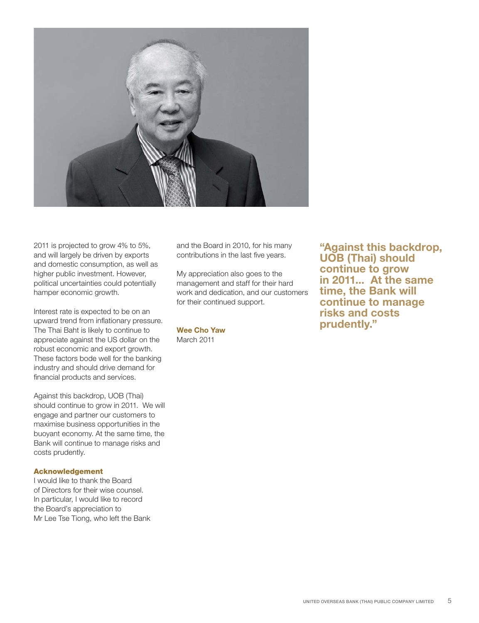

2011 is projected to grow 4% to 5%, and will largely be driven by exports and domestic consumption, as well as higher public investment. However, political uncertainties could potentially hamper economic growth.

Interest rate is expected to be on an upward trend from inflationary pressure. The Thai Baht is likely to continue to appreciate against the US dollar on the robust economic and export growth. These factors bode well for the banking industry and should drive demand for financial products and services.

Against this backdrop, UOB (Thai) should continue to grow in 2011. We will engage and partner our customers to maximise business opportunities in the buoyant economy. At the same time, the Bank will continue to manage risks and costs prudently.

#### **Acknowledgement**

I would like to thank the Board of Directors for their wise counsel. In particular, I would like to record the Board's appreciation to Mr Lee Tse Tiong, who left the Bank and the Board in 2010, for his many contributions in the last five years.

My appreciation also goes to the management and staff for their hard work and dedication, and our customers for their continued support.

**Wee Cho Yaw** March 2011

**"Against this backdrop, UOB (Thai) should continue to grow in 2011... At the same time, the Bank will continue to manage risks and costs prudently."**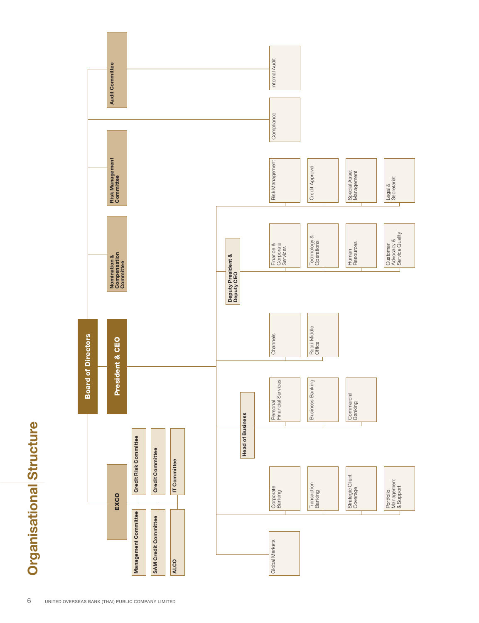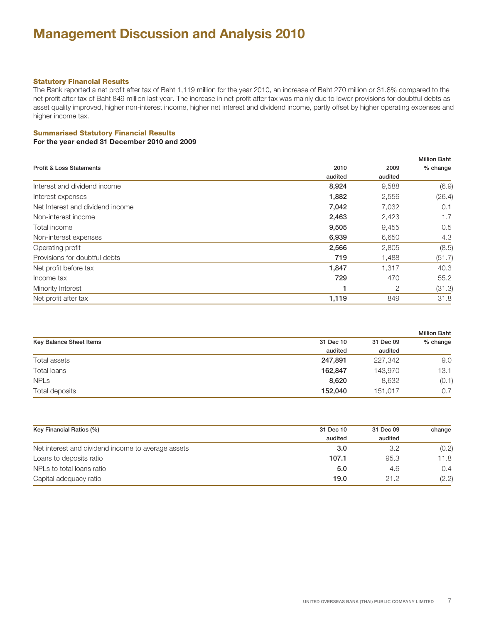# **Management Discussion and Analysis 2010**

#### **Statutory Financial Results**

The Bank reported a net profit after tax of Baht 1,119 million for the year 2010, an increase of Baht 270 million or 31.8% compared to the net profit after tax of Baht 849 million last year. The increase in net profit after tax was mainly due to lower provisions for doubtful debts as asset quality improved, higher non-interest income, higher net interest and dividend income, partly offset by higher operating expenses and higher income tax.

#### **Summarised Statutory Financial Results**

## **For the year ended 31 December 2010 and 2009**

|                                     |         |         | <b>Million Baht</b> |
|-------------------------------------|---------|---------|---------------------|
| <b>Profit &amp; Loss Statements</b> | 2010    | 2009    | % change            |
|                                     | audited | audited |                     |
| Interest and dividend income        | 8,924   | 9,588   | (6.9)               |
| Interest expenses                   | 1,882   | 2,556   | (26.4)              |
| Net Interest and dividend income    | 7,042   | 7,032   | 0.1                 |
| Non-interest income                 | 2,463   | 2,423   | 1.7                 |
| Total income                        | 9,505   | 9,455   | 0.5                 |
| Non-interest expenses               | 6,939   | 6,650   | 4.3                 |
| Operating profit                    | 2,566   | 2,805   | (8.5)               |
| Provisions for doubtful debts       | 719     | 1,488   | (51.7)              |
| Net profit before tax               | 1,847   | 1,317   | 40.3                |
| Income tax                          | 729     | 470     | 55.2                |
| Minority Interest                   |         | 2       | (31.3)              |
| Net profit after tax                | 1,119   | 849     | 31.8                |

|                         |           |           | <b>Million Baht</b> |
|-------------------------|-----------|-----------|---------------------|
| Key Balance Sheet Items | 31 Dec 10 | 31 Dec 09 | % change            |
|                         | audited   | audited   |                     |
| Total assets            | 247,891   | 227,342   | 9.0                 |
| Total loans             | 162,847   | 143,970   | 13.1                |
| <b>NPLs</b>             | 8,620     | 8,632     | (0.1)               |
| Total deposits          | 152,040   | 151,017   | 0.7                 |
|                         |           |           |                     |

| Key Financial Ratios (%)                           | 31 Dec 10 | 31 Dec 09 | change |
|----------------------------------------------------|-----------|-----------|--------|
|                                                    | audited   | audited   |        |
| Net interest and dividend income to average assets | 3.0       | 3.2       | (0.2)  |
| Loans to deposits ratio                            | 107.1     | 95.3      | 11.8   |
| NPLs to total loans ratio                          | 5.0       | 4.6       | 0.4    |
| Capital adequacy ratio                             | 19.0      | 21.2      | (2.2)  |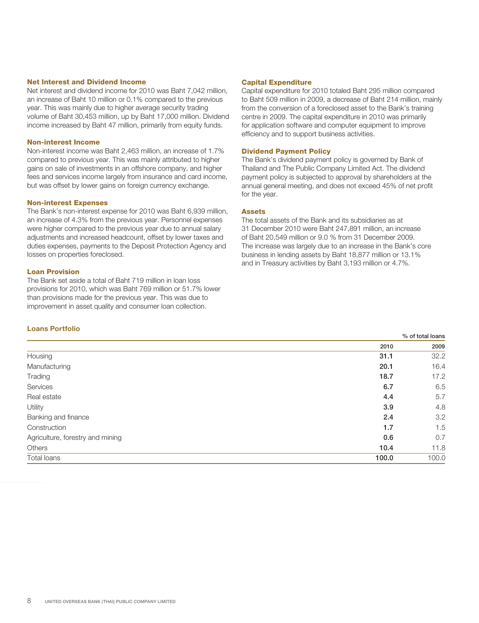#### **Net Interest and Dividend Income**

Net interest and dividend income for 2010 was Baht 7,042 million, an increase of Baht 10 million or 0.1% compared to the previous year. This was mainly due to higher average security trading volume of Baht 30,453 million, up by Baht 17,000 million. Dividend income increased by Baht 47 million, primarily from equity funds.

#### **Non-interest Income**

Non-interest income was Baht 2,463 million, an increase of 1.7% compared to previous year. This was mainly attributed to higher gains on sale of investments in an offshore company, and higher fees and services income largely from insurance and card income, but was offset by lower gains on foreign currency exchange.

#### **Non-interest Expenses**

The Bank's non-interest expense for 2010 was Baht 6,939 million, an increase of 4.3% from the previous year. Personnel expenses were higher compared to the previous year due to annual salary adjustments and increased headcount, offset by lower taxes and duties expenses, payments to the Deposit Protection Agency and losses on properties foreclosed.

#### **Loan Provision**

The Bank set aside a total of Baht 719 million in loan loss provisions for 2010, which was Baht 769 million or 51.7% lower than provisions made for the previous year. This was due to improvement in asset quality and consumer loan collection.

#### **Capital Expenditure**

Capital expenditure for 2010 totaled Baht 295 million compared to Baht 509 million in 2009, a decrease of Baht 214 million, mainly from the conversion of a foreclosed asset to the Bank's training centre in 2009. The capital expenditure in 2010 was primarily for application software and computer equipment to improve efficiency and to support business activities.

#### **Dividend Payment Policy**

The Bank's dividend payment policy is governed by Bank of Thailand and The Public Company Limited Act. The dividend payment policy is subjected to approval by shareholders at the annual general meeting, and does not exceed 45% of net profit for the year.

#### **Assets**

The total assets of the Bank and its subsidiaries as at 31 December 2010 were Baht 247,891 million, an increase of Baht 20,549 million or 9.0 % from 31 December 2009. The increase was largely due to an increase in the Bank's core business in lending assets by Baht 18,877 million or 13.1% and in Treasury activities by Baht 3,193 million or 4.7%.

#### **Loans Portfolio**

|                                  |       | % of total loans |  |
|----------------------------------|-------|------------------|--|
|                                  | 2010  | 2009             |  |
| Housing                          | 31.1  | 32.2             |  |
| Manufacturing                    | 20.1  | 16.4             |  |
| Trading                          | 18.7  | 17.2             |  |
| Services                         | 6.7   | 6.5              |  |
| Real estate                      | 4.4   | 5.7              |  |
| Utility                          | 3.9   | 4.8              |  |
| Banking and finance              | 2.4   | 3.2              |  |
| Construction                     | 1.7   | 1.5              |  |
| Agriculture, forestry and mining | 0.6   | 0.7              |  |
| <b>Others</b>                    | 10.4  | 11.8             |  |
| Total loans                      | 100.0 | 100.0            |  |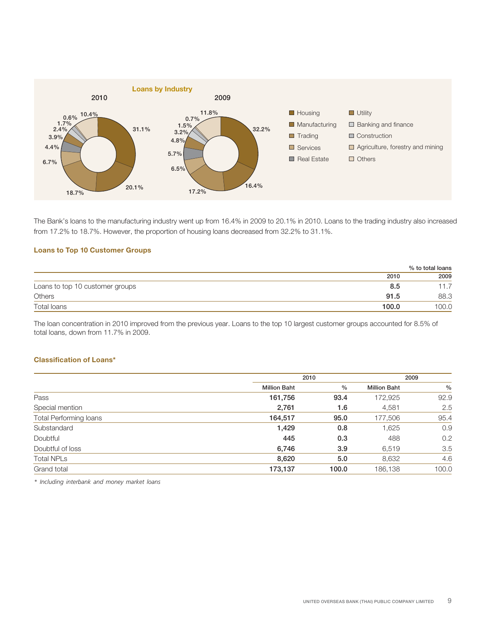

The Bank's loans to the manufacturing industry went up from 16.4% in 2009 to 20.1% in 2010. Loans to the trading industry also increased from 17.2% to 18.7%. However, the proportion of housing loans decreased from 32.2% to 31.1%.

## **Loans to Top 10 Customer Groups**

|                                 |       | % to total loans |
|---------------------------------|-------|------------------|
|                                 | 2010  | 2009             |
| Loans to top 10 customer groups | 8.5   |                  |
| <b>Others</b>                   | 91.5  | 88.3             |
| Total loans                     | 100.0 | 100.0            |

The loan concentration in 2010 improved from the previous year. Loans to the top 10 largest customer groups accounted for 8.5% of total loans, down from 11.7% in 2009.

## **Classification of Loans\***

|                               | 2010                |               | 2009                |       |
|-------------------------------|---------------------|---------------|---------------------|-------|
|                               | <b>Million Baht</b> | $\frac{0}{0}$ | <b>Million Baht</b> | $\%$  |
| Pass                          | 161,756             | 93.4          | 172,925             | 92.9  |
| Special mention               | 2,761               | 1.6           | 4,581               | 2.5   |
| <b>Total Performing loans</b> | 164,517             | 95.0          | 177,506             | 95.4  |
| Substandard                   | 1,429               | 0.8           | 1,625               | 0.9   |
| Doubtful                      | 445                 | 0.3           | 488                 | 0.2   |
| Doubtful of loss              | 6,746               | 3.9           | 6,519               | 3.5   |
| <b>Total NPLs</b>             | 8,620               | 5.0           | 8,632               | 4.6   |
| Grand total                   | 173,137             | 100.0         | 186,138             | 100.0 |

*\* Including interbank and money market loans*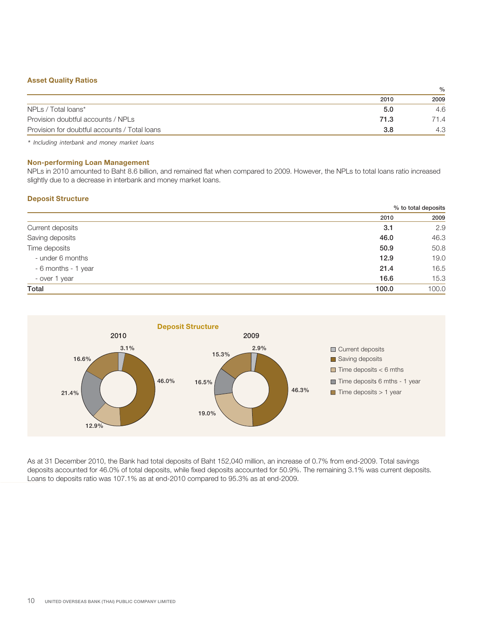## **Asset Quality Ratios**

|      | $\%$ |
|------|------|
| 2010 | 2009 |
| 5.0  | 4.6  |
| 71.3 | 71.4 |
| 3.8  | 4.3  |
|      |      |

*\* Including interbank and money market loans*

#### **Non-performing Loan Management**

NPLs in 2010 amounted to Baht 8.6 billion, and remained flat when compared to 2009. However, the NPLs to total loans ratio increased slightly due to a decrease in interbank and money market loans.

#### **Deposit Structure**

|                     |       | % to total deposits |  |
|---------------------|-------|---------------------|--|
|                     | 2010  | 2009                |  |
| Current deposits    | 3.1   | 2.9                 |  |
| Saving deposits     | 46.0  | 46.3                |  |
| Time deposits       | 50.9  | 50.8                |  |
| - under 6 months    | 12.9  | 19.0                |  |
| - 6 months - 1 year | 21.4  | 16.5                |  |
| - over 1 year       | 16.6  | 15.3                |  |
| Total               | 100.0 | 100.0               |  |



As at 31 December 2010, the Bank had total deposits of Baht 152,040 million, an increase of 0.7% from end-2009. Total savings deposits accounted for 46.0% of total deposits, while fixed deposits accounted for 50.9%. The remaining 3.1% was current deposits. Loans to deposits ratio was 107.1% as at end-2010 compared to 95.3% as at end-2009.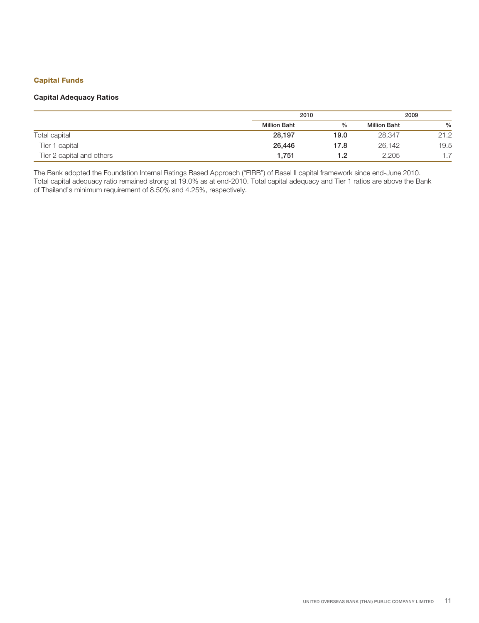## **Capital Funds**

## **Capital Adequacy Ratios**

|                           |                     | 2010          |                     | 2009 |  |
|---------------------------|---------------------|---------------|---------------------|------|--|
|                           | <b>Million Baht</b> | $\frac{0}{0}$ | <b>Million Baht</b> | $\%$ |  |
| Total capital             | 28.197              | 19.0          | 28,347              | 21.2 |  |
| Tier 1 capital            | 26,446              | 17.8          | 26,142              | 19.5 |  |
| Tier 2 capital and others | 1,751               | 1.2           | 2,205               | 17   |  |

The Bank adopted the Foundation Internal Ratings Based Approach ("FIRB") of Basel II capital framework since end-June 2010. Total capital adequacy ratio remained strong at 19.0% as at end-2010. Total capital adequacy and Tier 1 ratios are above the Bank of Thailand's minimum requirement of 8.50% and 4.25%, respectively.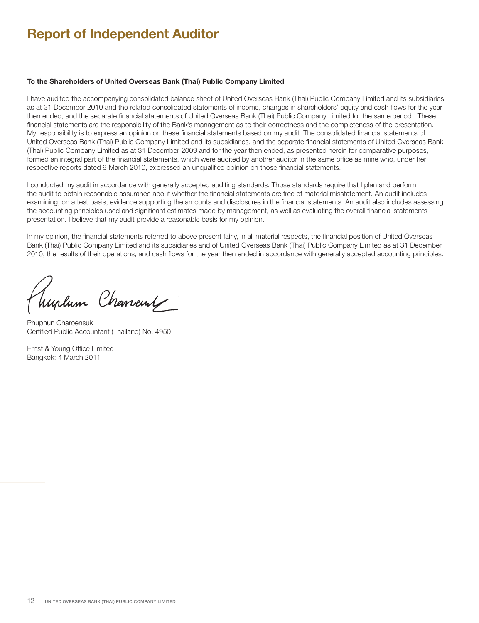# **Report of Independent Auditor**

#### **To the Shareholders of United Overseas Bank (Thai) Public Company Limited**

I have audited the accompanying consolidated balance sheet of United Overseas Bank (Thai) Public Company Limited and its subsidiaries as at 31 December 2010 and the related consolidated statements of income, changes in shareholders' equity and cash flows for the year then ended, and the separate financial statements of United Overseas Bank (Thai) Public Company Limited for the same period. These financial statements are the responsibility of the Bank's management as to their correctness and the completeness of the presentation. My responsibility is to express an opinion on these financial statements based on my audit. The consolidated financial statements of United Overseas Bank (Thai) Public Company Limited and its subsidiaries, and the separate financial statements of United Overseas Bank (Thai) Public Company Limited as at 31 December 2009 and for the year then ended, as presented herein for comparative purposes, formed an integral part of the financial statements, which were audited by another auditor in the same office as mine who, under her respective reports dated 9 March 2010, expressed an unqualified opinion on those financial statements.

I conducted my audit in accordance with generally accepted auditing standards. Those standards require that I plan and perform the audit to obtain reasonable assurance about whether the financial statements are free of material misstatement. An audit includes examining, on a test basis, evidence supporting the amounts and disclosures in the financial statements. An audit also includes assessing the accounting principles used and significant estimates made by management, as well as evaluating the overall financial statements presentation. I believe that my audit provide a reasonable basis for my opinion.

In my opinion, the financial statements referred to above present fairly, in all material respects, the financial position of United Overseas Bank (Thai) Public Company Limited and its subsidiaries and of United Overseas Bank (Thai) Public Company Limited as at 31 December 2010, the results of their operations, and cash flows for the year then ended in accordance with generally accepted accounting principles.

huplum Chement

Phuphun Charoensuk Certified Public Accountant (Thailand) No. 4950

Ernst & Young Office Limited Bangkok: 4 March 2011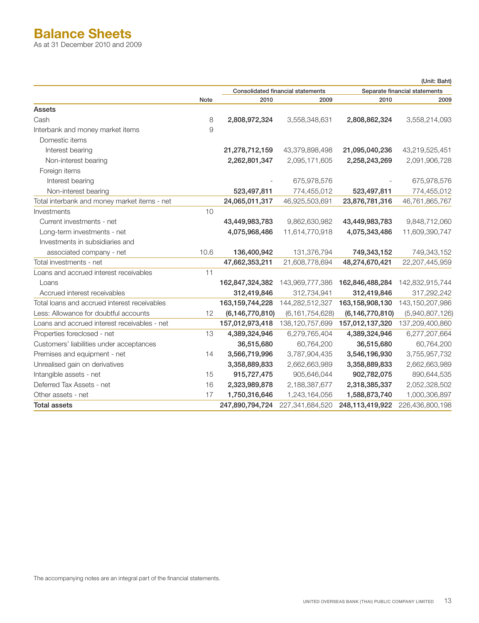|                                              |                                          |                    |                    |                    | (Unit: Baht)                  |  |  |
|----------------------------------------------|------------------------------------------|--------------------|--------------------|--------------------|-------------------------------|--|--|
|                                              | <b>Consolidated financial statements</b> |                    |                    |                    | Separate financial statements |  |  |
|                                              | <b>Note</b>                              | 2010               | 2009               | 2010               | 2009                          |  |  |
| <b>Assets</b>                                |                                          |                    |                    |                    |                               |  |  |
| Cash                                         | 8                                        | 2,808,972,324      | 3,558,348,631      | 2,808,862,324      | 3,558,214,093                 |  |  |
| Interbank and money market items             | 9                                        |                    |                    |                    |                               |  |  |
| Domestic items                               |                                          |                    |                    |                    |                               |  |  |
| Interest bearing                             |                                          | 21,278,712,159     | 43,379,898,498     | 21,095,040,236     | 43,219,525,451                |  |  |
| Non-interest bearing                         |                                          | 2,262,801,347      | 2,095,171,605      | 2,258,243,269      | 2,091,906,728                 |  |  |
| Foreign items                                |                                          |                    |                    |                    |                               |  |  |
| Interest bearing                             |                                          |                    | 675,978,576        |                    | 675,978,576                   |  |  |
| Non-interest bearing                         |                                          | 523,497,811        | 774,455,012        | 523,497,811        | 774,455,012                   |  |  |
| Total interbank and money market items - net |                                          | 24,065,011,317     | 46,925,503,691     | 23,876,781,316     | 46,761,865,767                |  |  |
| Investments                                  | 10                                       |                    |                    |                    |                               |  |  |
| Current investments - net                    |                                          | 43,449,983,783     | 9,862,630,982      | 43,449,983,783     | 9,848,712,060                 |  |  |
| Long-term investments - net                  |                                          | 4,075,968,486      | 11,614,770,918     | 4,075,343,486      | 11,609,390,747                |  |  |
| Investments in subsidiaries and              |                                          |                    |                    |                    |                               |  |  |
| associated company - net                     | 10.6                                     | 136,400,942        | 131,376,794        | 749,343,152        | 749,343,152                   |  |  |
| Total investments - net                      |                                          | 47,662,353,211     | 21,608,778,694     | 48,274,670,421     | 22,207,445,959                |  |  |
| Loans and accrued interest receivables       | 11                                       |                    |                    |                    |                               |  |  |
| Loans                                        |                                          | 162,847,324,382    | 143,969,777,386    | 162,846,488,284    | 142,832,915,744               |  |  |
| Accrued interest receivables                 |                                          | 312,419,846        | 312,734,941        | 312,419,846        | 317,292,242                   |  |  |
| Total loans and accrued interest receivables |                                          | 163, 159, 744, 228 | 144,282,512,327    | 163,158,908,130    | 143, 150, 207, 986            |  |  |
| Less: Allowance for doubtful accounts        | 12                                       | (6, 146, 770, 810) | (6, 161, 754, 628) | (6, 146, 770, 810) | (5,940,807,126)               |  |  |
| Loans and accrued interest receivables - net |                                          | 157,012,973,418    | 138, 120, 757, 699 | 157,012,137,320    | 137,209,400,860               |  |  |
| Properties foreclosed - net                  | 13                                       | 4,389,324,946      | 6,279,765,404      | 4,389,324,946      | 6,277,207,664                 |  |  |
| Customers' liabilities under acceptances     |                                          | 36,515,680         | 60,764,200         | 36,515,680         | 60,764,200                    |  |  |
| Premises and equipment - net                 | 14                                       | 3,566,719,996      | 3,787,904,435      | 3,546,196,930      | 3,755,957,732                 |  |  |
| Unrealised gain on derivatives               |                                          | 3,358,889,833      | 2,662,663,989      | 3,358,889,833      | 2,662,663,989                 |  |  |
| Intangible assets - net                      | 15                                       | 915,727,475        | 905,646,044        | 902,782,075        | 890,644,535                   |  |  |
| Deferred Tax Assets - net                    | 16                                       | 2,323,989,878      | 2,188,387,677      | 2,318,385,337      | 2,052,328,502                 |  |  |
| Other assets - net                           | 17                                       | 1,750,316,646      | 1,243,164,056      | 1,588,873,740      | 1,000,306,897                 |  |  |
| <b>Total assets</b>                          |                                          | 247,890,794,724    | 227,341,684,520    | 248,113,419,922    | 226,436,800,198               |  |  |

Ī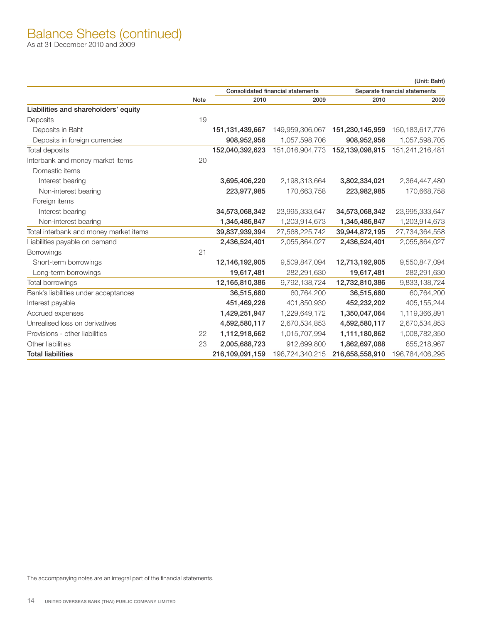As at 31 December 2010 and 2009

|                                        |             |                    |                                          |                 | (Unit: Baht)                  |
|----------------------------------------|-------------|--------------------|------------------------------------------|-----------------|-------------------------------|
|                                        |             |                    | <b>Consolidated financial statements</b> |                 | Separate financial statements |
|                                        | <b>Note</b> | 2010               | 2009                                     | 2010            | 2009                          |
| Liabilities and shareholders' equity   |             |                    |                                          |                 |                               |
| Deposits                               | 19          |                    |                                          |                 |                               |
| Deposits in Baht                       |             | 151, 131, 439, 667 | 149,959,306,067                          | 151,230,145,959 | 150, 183, 617, 776            |
| Deposits in foreign currencies         |             | 908,952,956        | 1,057,598,706                            | 908,952,956     | 1,057,598,705                 |
| Total deposits                         |             | 152,040,392,623    | 151,016,904,773                          | 152,139,098,915 | 151,241,216,481               |
| Interbank and money market items       | 20          |                    |                                          |                 |                               |
| Domestic items                         |             |                    |                                          |                 |                               |
| Interest bearing                       |             | 3,695,406,220      | 2,198,313,664                            | 3,802,334,021   | 2,364,447,480                 |
| Non-interest bearing                   |             | 223,977,985        | 170,663,758                              | 223,982,985     | 170,668,758                   |
| Foreign items                          |             |                    |                                          |                 |                               |
| Interest bearing                       |             | 34,573,068,342     | 23,995,333,647                           | 34,573,068,342  | 23,995,333,647                |
| Non-interest bearing                   |             | 1,345,486,847      | 1,203,914,673                            | 1,345,486,847   | 1,203,914,673                 |
| Total interbank and money market items |             | 39,837,939,394     | 27,568,225,742                           | 39,944,872,195  | 27,734,364,558                |
| Liabilities payable on demand          |             | 2,436,524,401      | 2,055,864,027                            | 2,436,524,401   | 2,055,864,027                 |
| <b>Borrowings</b>                      | 21          |                    |                                          |                 |                               |
| Short-term borrowings                  |             | 12,146,192,905     | 9,509,847,094                            | 12,713,192,905  | 9,550,847,094                 |
| Long-term borrowings                   |             | 19,617,481         | 282,291,630                              | 19,617,481      | 282,291,630                   |
| Total borrowings                       |             | 12,165,810,386     | 9,792,138,724                            | 12,732,810,386  | 9,833,138,724                 |
| Bank's liabilities under acceptances   |             | 36,515,680         | 60,764,200                               | 36,515,680      | 60,764,200                    |
| Interest payable                       |             | 451,469,226        | 401,850,930                              | 452,232,202     | 405, 155, 244                 |
| Accrued expenses                       |             | 1,429,251,947      | 1,229,649,172                            | 1,350,047,064   | 1,119,366,891                 |
| Unrealised loss on derivatives         |             | 4,592,580,117      | 2,670,534,853                            | 4,592,580,117   | 2,670,534,853                 |
| Provisions - other liabilities         | 22          | 1,112,918,662      | 1,015,707,994                            | 1,111,180,862   | 1,008,782,350                 |
| Other liabilities                      | 23          | 2,005,688,723      | 912,699,800                              | 1,862,697,088   | 655,218,967                   |
| <b>Total liabilities</b>               |             | 216,109,091,159    | 196,724,340,215                          | 216,658,558,910 | 196,784,406,295               |

The accompanying notes are an integral part of the financial statements.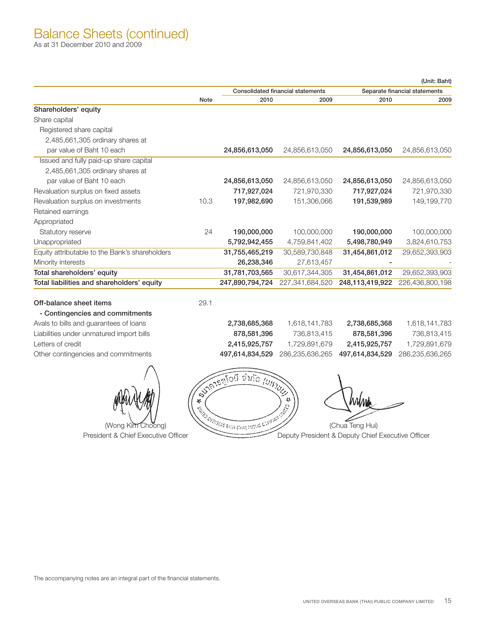**(Unit: Baht)**  Consolidated financial statements **Separate financial statements Note 2010 2009 2010 2009 Shareholders' equity** Share capital Registered share capital 2,485,661,305 ordinary shares at par value of Baht 10 each **24,856,613,050** 24,856,613,050 **24,856,613,050** 24,856,613,050 Issued and fully paid-up share capital 2,485,661,305 ordinary shares at par value of Baht 10 each **24,856,613,050** 24,856,613,050 **24,856,613,050** 24,856,613,050 Revaluation surplus on fi xed assets **717,927,024** 721,970,330 **717,927,024** 721,970,330 Revaluation surplus on investments 10.3 **197,982,690** 151,306,066 **191,539,989** 149,199,770 Retained earnings Appropriated Statutory reserve 24 **190,000,000** 100,000,000 **190,000,000** 100,000,000 Unappropriated **5,792,942,455** 4,759,841,402 **5,498,780,949** 3,824,610,753 Equity attributable to the Bank's shareholders **31,755,465,219** 30,589,730,848 **31,454,861,012** 29,652,393,903 Minority interests **26,238,346** 27,613,457 **-** - **Total shareholders' equity 31,781,703,565** 30,617,344,305 **31,454,861,012** 29,652,393,903 **Total liabilities and shareholders' equity 247,890,794,724** 227,341,684,520 **248,113,419,922** 226,436,800,198 **Off-balance sheet items** 29.1 **- Contingencies and commitments** Avals to bills and guarantees of loans **2,738,685,368** 1,618,141,783 **2,738,685,368** 1,618,141,783 Liabilities under unmatured import bills **878,581,396** 736,813,415 **878,581,396** 736,813,415 Letters of credit **2,415,925,757** 1,729,891,679 **2,415,925,757** 1,729,891,679

Other contingencies and commitments **497,614,834,529** 286,235,636,265 **497,614,834,529** 286,235,636,265

SUPPERIOU DIVIDING ้ง zj. (Chua Teng Hui)

President & Chief Executive Officer Deputy President & Deputy Chief Executive Officer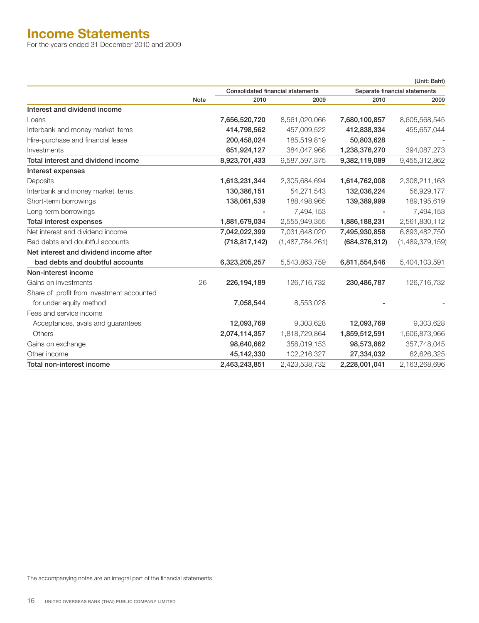# **Income Statements**

For the years ended 31 December 2010 and 2009

|                                           |             |                 |                                          |                 | (Unit: Baht)                  |
|-------------------------------------------|-------------|-----------------|------------------------------------------|-----------------|-------------------------------|
|                                           |             |                 | <b>Consolidated financial statements</b> |                 | Separate financial statements |
|                                           | <b>Note</b> | 2010            | 2009                                     | 2010            | 2009                          |
| Interest and dividend income              |             |                 |                                          |                 |                               |
| Loans                                     |             | 7,656,520,720   | 8,561,020,066                            | 7,680,100,857   | 8,605,568,545                 |
| Interbank and money market items          |             | 414.798.562     | 457.009.522                              | 412,838,334     | 455,657,044                   |
| Hire-purchase and financial lease         |             | 200,458,024     | 185,519,819                              | 50,803,628      |                               |
| Investments                               |             | 651,924,127     | 384,047,968                              | 1,238,376,270   | 394,087,273                   |
| Total interest and dividend income        |             | 8,923,701,433   | 9,587,597,375                            | 9,382,119,089   | 9,455,312,862                 |
| Interest expenses                         |             |                 |                                          |                 |                               |
| Deposits                                  |             | 1,613,231,344   | 2,305,684,694                            | 1,614,762,008   | 2,308,211,163                 |
| Interbank and money market items          |             | 130,386,151     | 54,271,543                               | 132,036,224     | 56,929,177                    |
| Short-term borrowings                     |             | 138,061,539     | 188,498,965                              | 139,389,999     | 189,195,619                   |
| Long-term borrowings                      |             |                 | 7,494,153                                |                 | 7,494,153                     |
| <b>Total interest expenses</b>            |             | 1,881,679,034   | 2,555,949,355                            | 1,886,188,231   | 2,561,830,112                 |
| Net interest and dividend income          |             | 7,042,022,399   | 7,031,648,020                            | 7,495,930,858   | 6,893,482,750                 |
| Bad debts and doubtful accounts           |             | (718, 817, 142) | (1,487,784,261)                          | (684, 376, 312) | (1,489,379,159)               |
| Net interest and dividend income after    |             |                 |                                          |                 |                               |
| bad debts and doubtful accounts           |             | 6,323,205,257   | 5,543,863,759                            | 6,811,554,546   | 5,404,103,591                 |
| Non-interest income                       |             |                 |                                          |                 |                               |
| Gains on investments                      | 26          | 226,194,189     | 126,716,732                              | 230,486,787     | 126,716,732                   |
| Share of profit from investment accounted |             |                 |                                          |                 |                               |
| for under equity method                   |             | 7,058,544       | 8,553,028                                |                 |                               |
| Fees and service income                   |             |                 |                                          |                 |                               |
| Acceptances, avals and guarantees         |             | 12,093,769      | 9,303,628                                | 12,093,769      | 9,303,628                     |
| Others                                    |             | 2,074,114,357   | 1,818,729,864                            | 1,859,512,591   | 1,606,873,966                 |
| Gains on exchange                         |             | 98,640,662      | 358,019,153                              | 98,573,862      | 357,748,045                   |
| Other income                              |             | 45,142,330      | 102,216,327                              | 27,334,032      | 62,626,325                    |
| Total non-interest income                 |             | 2,463,243,851   | 2,423,538,732                            | 2,228,001,041   | 2,163,268,696                 |

The accompanying notes are an integral part of the financial statements.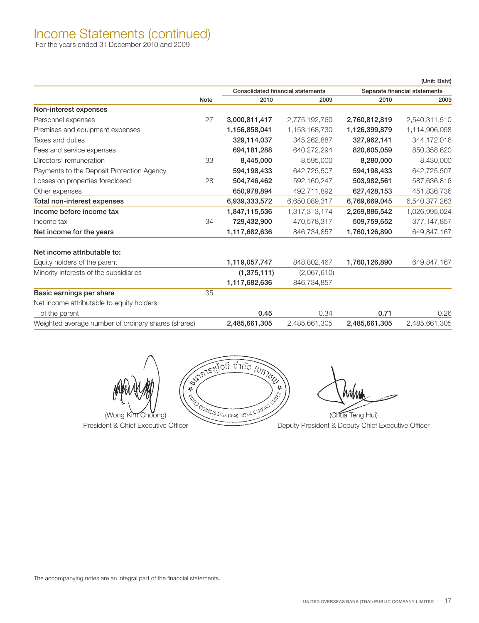# Income Statements (continued)

For the years ended 31 December 2010 and 2009

|                                                     |      |                                          |               |               | (Unit: Baht)                  |
|-----------------------------------------------------|------|------------------------------------------|---------------|---------------|-------------------------------|
|                                                     |      | <b>Consolidated financial statements</b> |               |               | Separate financial statements |
|                                                     | Note | 2010                                     | 2009          | 2010          | 2009                          |
| Non-interest expenses                               |      |                                          |               |               |                               |
| Personnel expenses                                  | 27   | 3,000,811,417                            | 2,775,192,760 | 2,760,812,819 | 2,540,311,510                 |
| Premises and equipment expenses                     |      | 1,156,858,041                            | 1,153,168,730 | 1,126,399,879 | 1,114,906,058                 |
| Taxes and duties                                    |      | 329,114,037                              | 345,262,887   | 327,962,141   | 344,172,016                   |
| Fees and service expenses                           |      | 694, 181, 288                            | 640,272,294   | 820,605,059   | 850,358,620                   |
| Directors' remuneration                             | 33   | 8,445,000                                | 8,595,000     | 8,280,000     | 8,430,000                     |
| Payments to the Deposit Protection Agency           |      | 594,198,433                              | 642,725,507   | 594,198,433   | 642,725,507                   |
| Losses on properties foreclosed                     | 28   | 504,746,462                              | 592,160,247   | 503,982,561   | 587,636,816                   |
| Other expenses                                      |      | 650,978,894                              | 492,711,892   | 627,428,153   | 451,836,736                   |
| Total non-interest expenses                         |      | 6,939,333,572                            | 6,650,089,317 | 6,769,669,045 | 6,540,377,263                 |
| Income before income tax                            |      | 1,847,115,536                            | 1,317,313,174 | 2,269,886,542 | 1,026,995,024                 |
| Income tax                                          | 34   | 729,432,900                              | 470,578,317   | 509,759,652   | 377, 147, 857                 |
| Net income for the years                            |      | 1,117,682,636                            | 846,734,857   | 1,760,126,890 | 649,847,167                   |
| Net income attributable to:                         |      |                                          |               |               |                               |
| Equity holders of the parent                        |      | 1,119,057,747                            | 848,802,467   | 1,760,126,890 | 649,847,167                   |
| Minority interests of the subsidiaries              |      | (1, 375, 111)                            | (2,067,610)   |               |                               |
|                                                     |      | 1,117,682,636                            | 846,734,857   |               |                               |
| Basic earnings per share                            | 35   |                                          |               |               |                               |
| Net income attributable to equity holders           |      |                                          |               |               |                               |
| of the parent                                       |      | 0.45                                     | 0.34          | 0.71          | 0.26                          |
| Weighted average number of ordinary shares (shares) |      | 2,485,661,305                            | 2,485,661,305 | 2,485,661,305 | 2,485,661,305                 |
|                                                     |      |                                          |               |               |                               |



Mm

President & Chief Executive Officer<br>
Deputy President & Deputy Chief Executive Officer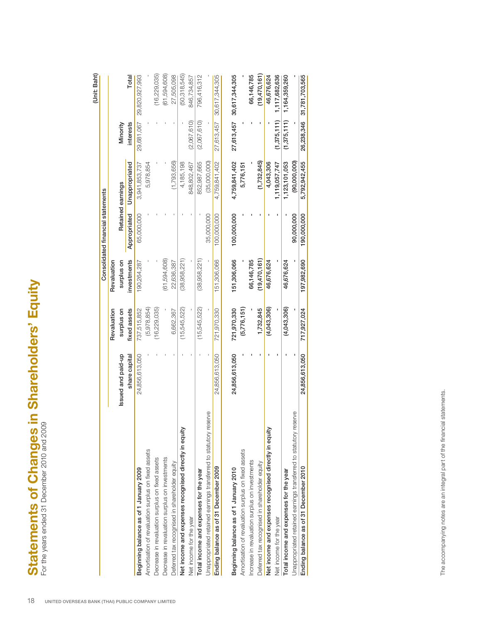| í,<br>$\frac{1}{2}$                                         |                                               |
|-------------------------------------------------------------|-----------------------------------------------|
| $\overline{\phantom{a}}$<br>こくにん こくらく<br>C <sub>hou</sub> s |                                               |
| nents of Changes in !                                       | For the years ended 31 December 2010 and 2009 |
|                                                             |                                               |

(Unit: Baht)  **(Unit: Baht)**

|                                                                   |                    |                |              | Consolidated financial statements |                   |             |                           |
|-------------------------------------------------------------------|--------------------|----------------|--------------|-----------------------------------|-------------------|-------------|---------------------------|
|                                                                   |                    | Revaluation    | Revaluation  |                                   |                   |             |                           |
|                                                                   | Issued and paid-up | surplus on     | surplus on   |                                   | Retained earnings | Minority    |                           |
|                                                                   | share capital      | fixed assets   | investments  | Appropriated                      | Unappropriated    | interests   | Total                     |
| Beginning balance as of 1 January 2009                            | 24,856,613,050     | 737,515,852    | 190,264,287  | 65,000,000                        | 3,941,853,737     | 29,681,067  | 29,820,927,993            |
| Amortisation of revaluation surplus on fixed assets               |                    | (5,978,854)    |              |                                   | 5,978,854         |             |                           |
| Decrease in revaluation surplus on fixed assets                   |                    | (16, 229, 035) |              |                                   |                   |             | (16, 229, 035)            |
| Decrease in revaluation surplus on investments                    |                    |                | (61,594,608) |                                   |                   |             | (61,594,608)              |
| Deferred tax recognised in shareholder equity                     |                    | 6,662,367      | 22,636,387   |                                   | (1,793,656)       |             | 27,505,098                |
| Net income and expenses recognised directly in equity             |                    | (15,545,522)   | (38,958,221) |                                   | 4,185,198         |             | (50,318,545)              |
| Net income for the year                                           |                    |                |              |                                   | 848,802,467       | (2,067,610) | 846,734,857               |
| Total income and expenses for the year                            |                    | (15,545,522)   | (38,958,221) |                                   | 852,987,665       | (2,067,610) | 796,416,312               |
| Unappropriated retained earnings transferred to statutory reserve |                    |                |              | 35,000,000                        | (35,000,000)      |             |                           |
| Ending balance as of 31 December 2009                             | 24,856,613,050     | 721,970,330    | 151,306,066  | 100,000,000                       | 4,759,841,402     |             | 27,613,457 30,617,344,305 |
|                                                                   |                    |                |              |                                   |                   |             |                           |
| Beginning balance as of 1 January 2010                            | 24,856,613,050     | 721,970,330    | 151,306,066  | 100,000,000                       | 4,759,841,402     | 27,613,457  | 30,617,344,305            |
| Amortisation of revaluation surplus on fixed assets               |                    | (5,776,151)    |              |                                   | 5,776,151         |             |                           |
| Increase in revaluation surplus on investments                    |                    |                | 66,146,785   |                                   |                   |             | 66,146,785                |
| Deferred tax recognised in shareholder equity                     |                    | 1,732,845      | (19,470,161) |                                   | (1,732,845)       |             | (19, 470, 161)            |
| Net income and expenses recognised directly in equity             |                    | (4,043,306)    | 46,676,624   |                                   | 4,043,306         |             | 46,676,624                |
| Net income for the year                                           |                    |                |              |                                   | 1,119,057,747     | (1,375,111) | 1,117,682,636             |
| Total income and expenses for the year                            |                    | (4,043,306)    | 46,676,624   |                                   | 1,123,101,053     | (1,375,111) | 1,164,359,260             |

Unappropriated retained earnings transferred to statutory reserve **- - - 90,000,000 (90,000,000) - - Ending balance as of 31 December 2010 24,856,613,050 717,927,024 197,982,690 190,000,000 5,792,942,455 26,238,346 31,781,703,565**

ï

717,927,024

24,856,613,050

Unappropriated retained earnings transferred to statutory reserve<br>Ending balance as of 31 December 2010

ï

26,238,346 31,781,703,565  $\overline{1}$ 

 $(90,000,000)$ 5,792,942,455

90,000,000 190,000,000

J.

197,982,690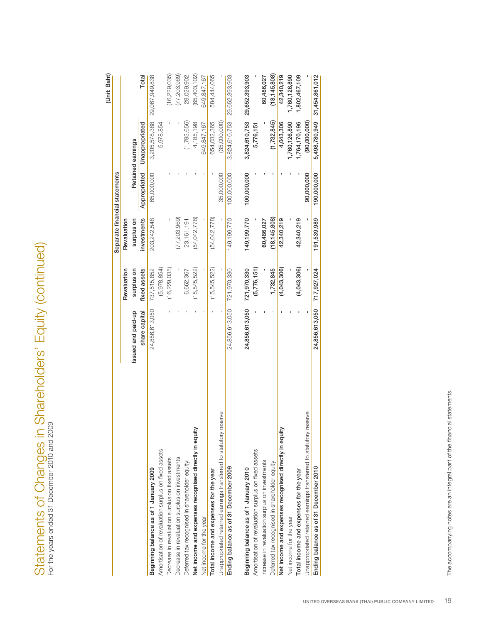# Statements of Changes in Shareholders' Equity (continued)<br>For the years ended 31 December 2010 and 2009 Statements of Changes in Shareholders' Equity (continued) For the years ended 31 December 2010 and 2009

(Unit: Baht)  **(Unit: Baht)**

|                                                                   |                    |                |                | Separate financial statements |                   |                              |
|-------------------------------------------------------------------|--------------------|----------------|----------------|-------------------------------|-------------------|------------------------------|
|                                                                   |                    | Revaluation    | Revaluation    |                               |                   |                              |
|                                                                   | Issued and paid-up | surplus on     | surplus on     |                               | Retained earnings |                              |
|                                                                   | share capital      | fixed assets   | investments    | Appropriated                  | Unappropriated    | Total                        |
| Beginning balance as of 1 January 2009                            | 24,856,613,050     | 737,515,852    | 203,242,548    | 65,000,000                    | 3,205,578,388     | 29,067,949,838               |
| Amortisation of revaluation surplus on fixed assets               |                    | (5,978,854)    |                |                               | 5,978,854         |                              |
| Decrease in revaluation surplus on fixed assets                   |                    | (16, 229, 035) |                |                               |                   | (16, 229, 035)               |
| Decrease in revaluation surplus on investments                    |                    |                | (77, 203, 969) |                               |                   | (77, 203, 969)               |
| Deferred tax recognised in shareholder equity                     |                    | 6.662.367      | 23,161,191     |                               | (1.793.656)       | 28,029,902                   |
| Net income and expenses recognised directly in equity             |                    | (15, 545, 522) | (54, 042, 778) |                               | 4,185,198         | (65, 403, 102)               |
| Net income for the year                                           |                    |                |                |                               | 649,847,167       | 649, 847, 167                |
| Total income and expenses for the year                            |                    | (15, 545, 522) | (54, 042, 778) |                               | 654,032,365       | 584,444,065                  |
| Unappropriated retained earnings transferred to statutory reserve |                    |                |                | 35,000,000                    | (35,000,000)      |                              |
| Ending balance as of 31 December 2009                             | 24,856,613,050     | 721,970,330    | 149,199,770    | 100,000,000                   | 3,824,610,753     | 29,652,393,903               |
|                                                                   |                    |                |                |                               |                   |                              |
| Beginning balance as of 1 January 2010                            | 24,856,613,050     | 721,970,330    | 149,199,770    | 100,000,000                   |                   | 3,824,610,753 29,652,393,903 |
| Amortisation of revaluation surplus on fixed assets               |                    | (5,776,151)    |                |                               | 5,776,151         |                              |
| Increase in revaluation surplus on investments                    |                    |                | 60,486,027     |                               |                   | 60,486,027                   |
| Deferred tax recognised in shareholder equity                     |                    | 1,732,845      | (18, 145, 808) |                               | (1,732,845)       | (18, 145, 808)               |
| Net income and expenses recognised directly in equity             |                    | (4,043,306)    | 42,340,219     |                               | 4,043,306         | 42,340,219                   |
| Net income for the year                                           |                    |                |                |                               | 1,760,126,890     | 1,760,126,890                |
| Total income and expenses for the year                            |                    | (4,043,306)    | 42,340,219     |                               | 1,764,170,196     | 1,802,467,109                |
| Unappropriated retained earnings transferred to statutory reserve |                    |                |                | 90,000,000                    | (90,000,000)      |                              |
| Ending balance as of 31 December 2010                             | 24,856,613,050     | 717,927,024    | 191,539,989    | 190,000,000                   |                   | 5,498,780,949 31,454,861,012 |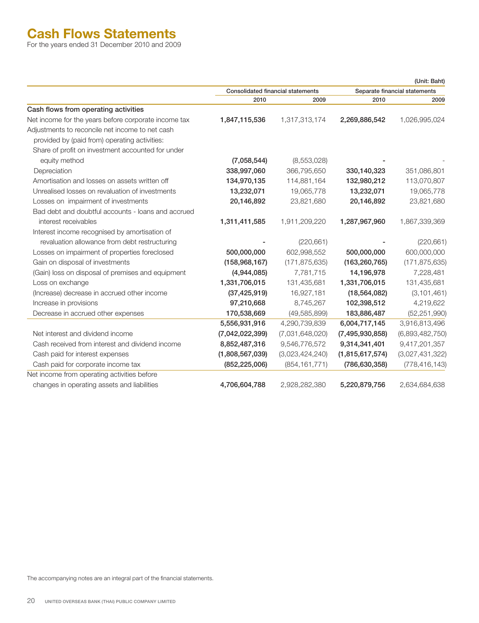# **Cash Flows Statements**

For the years ended 31 December 2010 and 2009

|                                                      | (Unit: Baht)                             |                 |                    |                               |  |  |
|------------------------------------------------------|------------------------------------------|-----------------|--------------------|-------------------------------|--|--|
|                                                      | <b>Consolidated financial statements</b> |                 |                    | Separate financial statements |  |  |
|                                                      | 2010                                     | 2009            | 2010               | 2009                          |  |  |
| Cash flows from operating activities                 |                                          |                 |                    |                               |  |  |
| Net income for the years before corporate income tax | 1,847,115,536                            | 1,317,313,174   | 2,269,886,542      | 1,026,995,024                 |  |  |
| Adjustments to reconcile net income to net cash      |                                          |                 |                    |                               |  |  |
| provided by (paid from) operating activities:        |                                          |                 |                    |                               |  |  |
| Share of profit on investment accounted for under    |                                          |                 |                    |                               |  |  |
| equity method                                        | (7,058,544)                              | (8,553,028)     |                    |                               |  |  |
| Depreciation                                         | 338,997,060                              | 366,795,650     | 330,140,323        | 351,086,801                   |  |  |
| Amortisation and losses on assets written off        | 134,970,135                              | 114,881,164     | 132,980,212        | 113,070,807                   |  |  |
| Unrealised losses on revaluation of investments      | 13,232,071                               | 19,065,778      | 13,232,071         | 19,065,778                    |  |  |
| Losses on impairment of investments                  | 20,146,892                               | 23,821,680      | 20,146,892         | 23,821,680                    |  |  |
| Bad debt and doubtful accounts - loans and accrued   |                                          |                 |                    |                               |  |  |
| interest receivables                                 | 1,311,411,585                            | 1,911,209,220   | 1,287,967,960      | 1,867,339,369                 |  |  |
| Interest income recognised by amortisation of        |                                          |                 |                    |                               |  |  |
| revaluation allowance from debt restructuring        |                                          | (220, 661)      |                    | (220, 661)                    |  |  |
| Losses on impairment of properties foreclosed        | 500,000,000                              | 602,998,552     | 500,000,000        | 600,000,000                   |  |  |
| Gain on disposal of investments                      | (158, 968, 167)                          | (171, 875, 635) | (163, 260, 765)    | (171, 875, 635)               |  |  |
| (Gain) loss on disposal of premises and equipment    | (4,944,085)                              | 7,781,715       | 14,196,978         | 7,228,481                     |  |  |
| Loss on exchange                                     | 1,331,706,015                            | 131,435,681     | 1,331,706,015      | 131,435,681                   |  |  |
| (Increase) decrease in accrued other income          | (37, 425, 919)                           | 16,927,181      | (18, 564, 082)     | (3, 101, 461)                 |  |  |
| Increase in provisions                               | 97,210,668                               | 8,745,267       | 102,398,512        | 4,219,622                     |  |  |
| Decrease in accrued other expenses                   | 170,538,669                              | (49, 585, 899)  | 183,886,487        | (52, 251, 990)                |  |  |
|                                                      | 5,556,931,916                            | 4,290,739,839   | 6,004,717,145      | 3,916,813,496                 |  |  |
| Net interest and dividend income                     | (7,042,022,399)                          | (7,031,648,020) | (7, 495, 930, 858) | (6,893,482,750)               |  |  |
| Cash received from interest and dividend income      | 8,852,487,316                            | 9,546,776,572   | 9,314,341,401      | 9,417,201,357                 |  |  |
| Cash paid for interest expenses                      | (1,808,567,039)                          | (3,023,424,240) | (1,815,617,574)    | (3,027,431,322)               |  |  |
| Cash paid for corporate income tax                   | (852, 225, 006)                          | (854, 161, 771) | (786, 630, 358)    | (778, 416, 143)               |  |  |
| Net income from operating activities before          |                                          |                 |                    |                               |  |  |
| changes in operating assets and liabilities          | 4,706,604,788                            | 2,928,282,380   | 5,220,879,756      | 2,634,684,638                 |  |  |
|                                                      |                                          |                 |                    |                               |  |  |

The accompanying notes are an integral part of the financial statements.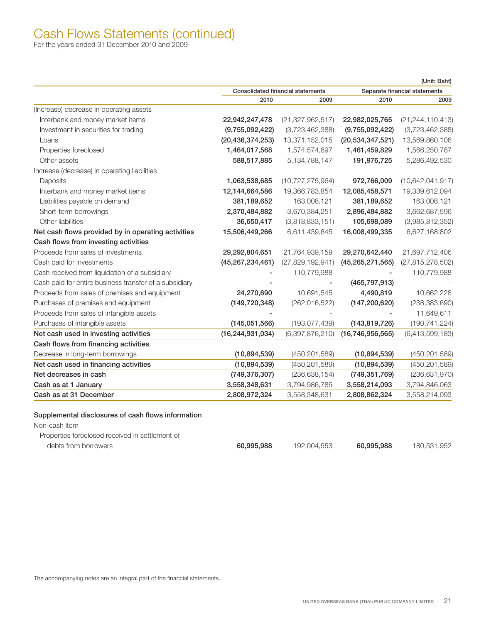# Cash Flows Statements (continued)

For the years ended 31 December 2010 and 2009

|                                                        |                     |                                          |                     | (Unit: Baht)                  |  |
|--------------------------------------------------------|---------------------|------------------------------------------|---------------------|-------------------------------|--|
|                                                        |                     | <b>Consolidated financial statements</b> |                     | Separate financial statements |  |
|                                                        | 2010                | 2009                                     | 2010                | 2009                          |  |
| (Increase) decrease in operating assets                |                     |                                          |                     |                               |  |
| Interbank and money market items                       | 22,942,247,478      | (21, 327, 962, 517)                      | 22,982,025,765      | (21, 244, 110, 413)           |  |
| Investment in securities for trading                   | (9,755,092,422)     | (3,723,462,388)                          | (9,755,092,422)     | (3,723,462,388)               |  |
| L <sub>o</sub> ans                                     | (20, 436, 374, 253) | 13,371,152,015                           | (20, 534, 347, 521) | 13,569,860,106                |  |
| Properties foreclosed                                  | 1,464,017,568       | 1,574,574,897                            | 1,461,459,829       | 1,566,250,787                 |  |
| Other assets                                           | 588,517,885         | 5, 134, 788, 147                         | 191,976,725         | 5,286,492,530                 |  |
| Increase (decrease) in operating liabilities           |                     |                                          |                     |                               |  |
| Deposits                                               | 1,063,538,685       | (10, 727, 275, 964)                      | 972,766,009         | (10, 642, 041, 917)           |  |
| Interbank and money market items                       | 12,144,664,586      | 19,366,783,854                           | 12,085,458,571      | 19,339,612,094                |  |
| Liabilities payable on demand                          | 381,189,652         | 163,008,121                              | 381,189,652         | 163,008,121                   |  |
| Short-term borrowings                                  | 2,370,484,882       | 3,670,384,251                            | 2,896,484,882       | 3,662,687,596                 |  |
| Other liabilities                                      | 36,650,417          | (3,818,833,151)                          | 105,698,089         | (3,985,812,352)               |  |
| Net cash flows provided by in operating activities     | 15,506,449,266      | 6,611,439,645                            | 16,008,499,335      | 6,627,168,802                 |  |
| Cash flows from investing activities                   |                     |                                          |                     |                               |  |
| Proceeds from sales of investments                     | 29,292,804,651      | 21,764,939,159                           | 29,270,642,440      | 21,697,712,406                |  |
| Cash paid for investments                              | (45, 267, 234, 461) | (27, 829, 192, 941)                      | (45, 265, 271, 565) | (27, 815, 278, 502)           |  |
| Cash received from liquidation of a subsidiary         |                     | 110,779,988                              |                     | 110,779,988                   |  |
| Cash paid for entire business transfer of a subsidiary |                     |                                          | (465, 797, 913)     |                               |  |
| Proceeds from sales of premises and equipment          | 24,270,690          | 10,691,545                               | 4,490,819           | 10,662,228                    |  |
| Purchases of premises and equipment                    | (149, 720, 348)     | (262, 016, 522)                          | (147, 200, 620)     | (238, 383, 690)               |  |
| Proceeds from sales of intangible assets               |                     |                                          |                     | 11,649,611                    |  |
| Purchases of intangible assets                         | (145,051,566)       | (193, 077, 439)                          | (143, 819, 726)     | (190, 741, 224)               |  |
| Net cash used in investing activities                  | (16, 244, 931, 034) | (6,397,876,210)                          | (16, 746, 956, 565) | (6,413,599,183)               |  |
| Cash flows from financing activities                   |                     |                                          |                     |                               |  |
| Decrease in long-term borrowings                       | (10, 894, 539)      | (450, 201, 589)                          | (10, 894, 539)      | (450, 201, 589)               |  |
| Net cash used in financing activities                  | (10, 894, 539)      | (450, 201, 589)                          | (10, 894, 539)      | (450, 201, 589)               |  |
| Net decreases in cash                                  | (749, 376, 307)     | (236, 638, 154)                          | (749, 351, 769)     | (236, 631, 970)               |  |
| Cash as at 1 January                                   | 3,558,348,631       | 3,794,986,785                            | 3,558,214,093       | 3,794,846,063                 |  |
| Cash as at 31 December                                 | 2,808,972,324       | 3,558,348,631                            | 2,808,862,324       | 3,558,214,093                 |  |
|                                                        |                     |                                          |                     |                               |  |

### Supplemental disclosures of cash flows information

Non-cash item

Properties foreclosed received in settlement of

| debts from borrowers | 60.995.988 | 192.004.553 | 60.995.988 | 180.531.952 |
|----------------------|------------|-------------|------------|-------------|
|                      |            |             |            |             |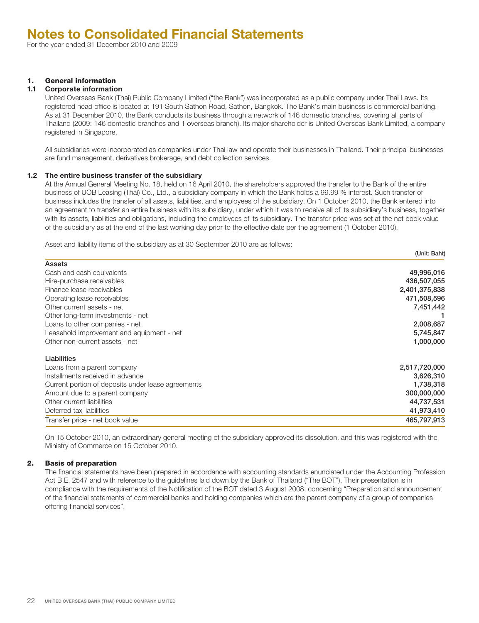For the year ended 31 December 2010 and 2009

## **1. General information**

#### **1.1 Corporate information**

 United Overseas Bank (Thai) Public Company Limited ("the Bank") was incorporated as a public company under Thai Laws. Its registered head office is located at 191 South Sathon Road, Sathon, Bangkok. The Bank's main business is commercial banking. As at 31 December 2010, the Bank conducts its business through a network of 146 domestic branches, covering all parts of Thailand (2009: 146 domestic branches and 1 overseas branch). Its major shareholder is United Overseas Bank Limited, a company registered in Singapore.

 All subsidiaries were incorporated as companies under Thai law and operate their businesses in Thailand. Their principal businesses are fund management, derivatives brokerage, and debt collection services.

#### **1.2 The entire business transfer of the subsidiary**

 At the Annual General Meeting No. 18, held on 16 April 2010, the shareholders approved the transfer to the Bank of the entire business of UOB Leasing (Thai) Co., Ltd., a subsidiary company in which the Bank holds a 99.99 % interest. Such transfer of business includes the transfer of all assets, liabilities, and employees of the subsidiary. On 1 October 2010, the Bank entered into an agreement to transfer an entire business with its subsidiary, under which it was to receive all of its subsidiary's business, together with its assets, liabilities and obligations, including the employees of its subsidiary. The transfer price was set at the net book value of the subsidiary as at the end of the last working day prior to the effective date per the agreement (1 October 2010).

**(Unit: Baht)**

Asset and liability items of the subsidiary as at 30 September 2010 are as follows:

| Assets                                             |               |
|----------------------------------------------------|---------------|
| Cash and cash equivalents                          | 49,996,016    |
| Hire-purchase receivables                          | 436,507,055   |
| Finance lease receivables                          | 2,401,375,838 |
| Operating lease receivables                        | 471,508,596   |
| Other current assets - net                         | 7,451,442     |
| Other long-term investments - net                  |               |
| Loans to other companies - net                     | 2,008,687     |
| Leasehold improvement and equipment - net          | 5,745,847     |
| Other non-current assets - net                     | 1,000,000     |
| Liabilities                                        |               |
| Loans from a parent company                        | 2,517,720,000 |
| Installments received in advance                   | 3,626,310     |
| Current portion of deposits under lease agreements | 1,738,318     |
| Amount due to a parent company                     | 300,000,000   |
| Other current liabilities                          | 44,737,531    |
| Deferred tax liabilities                           | 41,973,410    |
| Transfer price - net book value                    | 465,797,913   |
|                                                    |               |

 On 15 October 2010, an extraordinary general meeting of the subsidiary approved its dissolution, and this was registered with the Ministry of Commerce on 15 October 2010.

#### **2. Basis of preparation**

The financial statements have been prepared in accordance with accounting standards enunciated under the Accounting Profession Act B.E. 2547 and with reference to the guidelines laid down by the Bank of Thailand ("The BOT"). Their presentation is in compliance with the requirements of the Notification of the BOT dated 3 August 2008, concerning "Preparation and announcement of the financial statements of commercial banks and holding companies which are the parent company of a group of companies offering financial services".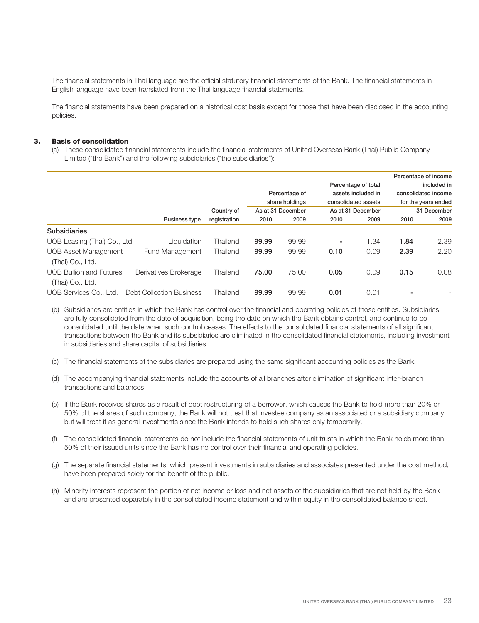The financial statements in Thai language are the official statutory financial statements of the Bank. The financial statements in English language have been translated from the Thai language financial statements.

The financial statements have been prepared on a historical cost basis except for those that have been disclosed in the accounting policies.

#### **3. Basis of consolidation**

(a) These consolidated financial statements include the financial statements of United Overseas Bank (Thai) Public Company Limited ("the Bank") and the following subsidiaries ("the subsidiaries"):

|                                                           |                      |              |       |                |                                        |                     | Percentage of income |                     |  |
|-----------------------------------------------------------|----------------------|--------------|-------|----------------|----------------------------------------|---------------------|----------------------|---------------------|--|
|                                                           |                      |              |       |                |                                        | Percentage of total |                      | included in         |  |
|                                                           |                      |              |       | Percentage of  |                                        | assets included in  | consolidated income  |                     |  |
|                                                           |                      |              |       | share holdings | consolidated assets                    |                     |                      | for the years ended |  |
|                                                           |                      | Country of   |       |                | As at 31 December<br>As at 31 December |                     |                      | 31 December         |  |
|                                                           | <b>Business type</b> | registration | 2010  | 2009           | 2010                                   | 2009                | 2010                 | 2009                |  |
| <b>Subsidiaries</b>                                       |                      |              |       |                |                                        |                     |                      |                     |  |
| UOB Leasing (Thai) Co., Ltd.                              | Liquidation          | Thailand     | 99.99 | 99.99          | ۰                                      | 1.34                | 1.84                 | 2.39                |  |
| <b>UOB Asset Management</b>                               | Fund Management      | Thailand     | 99.99 | 99.99          | 0.10                                   | 0.09                | 2.39                 | 2.20                |  |
| (Thai) Co., Ltd.                                          |                      |              |       |                |                                        |                     |                      |                     |  |
| <b>UOB Bullion and Futures</b><br>Derivatives Brokerage   |                      | Thailand     | 75.00 | 75.00          | 0.05                                   | 0.09                | 0.15                 | 0.08                |  |
| (Thai) Co., Ltd.                                          |                      |              |       |                |                                        |                     |                      |                     |  |
| <b>Debt Collection Business</b><br>UOB Services Co., Ltd. |                      | Thailand     | 99.99 | 99.99          | 0.01                                   | 0.01                | ۰                    |                     |  |

(b) Subsidiaries are entities in which the Bank has control over the financial and operating policies of those entities. Subsidiaries are fully consolidated from the date of acquisition, being the date on which the Bank obtains control, and continue to be consolidated until the date when such control ceases. The effects to the consolidated financial statements of all significant transactions between the Bank and its subsidiaries are eliminated in the consolidated financial statements, including investment in subsidiaries and share capital of subsidiaries.

- (c) The financial statements of the subsidiaries are prepared using the same significant accounting policies as the Bank.
- (d) The accompanying financial statements include the accounts of all branches after elimination of significant inter-branch transactions and balances.
- (e) If the Bank receives shares as a result of debt restructuring of a borrower, which causes the Bank to hold more than 20% or 50% of the shares of such company, the Bank will not treat that investee company as an associated or a subsidiary company, but will treat it as general investments since the Bank intends to hold such shares only temporarily.
- (f) The consolidated financial statements do not include the financial statements of unit trusts in which the Bank holds more than 50% of their issued units since the Bank has no control over their financial and operating policies.
- (g) The separate financial statements, which present investments in subsidiaries and associates presented under the cost method, have been prepared solely for the benefit of the public.
- (h) Minority interests represent the portion of net income or loss and net assets of the subsidiaries that are not held by the Bank and are presented separately in the consolidated income statement and within equity in the consolidated balance sheet.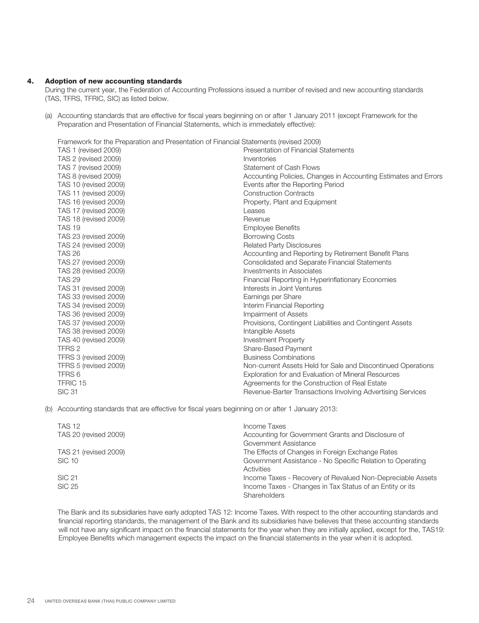## **4. Adoption of new accounting standards**

 During the current year, the Federation of Accounting Professions issued a number of revised and new accounting standards (TAS, TFRS, TFRIC, SIC) as listed below.

(a) Accounting standards that are effective for fiscal years beginning on or after 1 January 2011 (except Framework for the Preparation and Presentation of Financial Statements, which is immediately effective):

Framework for the Preparation and Presentation of Financial Statements (revised 2009)

| TAS 2 (revised 2009)<br>Inventories<br>TAS 7 (revised 2009)<br>Statement of Cash Flows<br>TAS 8 (revised 2009)<br>TAS 10 (revised 2009)<br>Events after the Reporting Period<br>TAS 11 (revised 2009)<br><b>Construction Contracts</b><br>TAS 16 (revised 2009)<br>Property, Plant and Equipment<br>TAS 17 (revised 2009)<br>Leases<br>TAS 18 (revised 2009)<br>Revenue<br><b>TAS 19</b><br><b>Employee Benefits</b><br><b>Borrowing Costs</b><br>TAS 23 (revised 2009)<br><b>Related Party Disclosures</b><br><b>TAS 24 (revised 2009)</b><br><b>TAS 26</b><br>Accounting and Reporting by Retirement Benefit Plans<br>Consolidated and Separate Financial Statements<br>TAS 27 (revised 2009)<br>Investments in Associates<br>TAS 28 (revised 2009)<br><b>TAS 29</b><br>Financial Reporting in Hyperinflationary Economies<br>Interests in Joint Ventures<br>TAS 31 (revised 2009)<br>TAS 33 (revised 2009)<br>Earnings per Share<br>TAS 34 (revised 2009)<br>Interim Financial Reporting<br>TAS 36 (revised 2009)<br>Impairment of Assets<br>TAS 37 (revised 2009)<br>Provisions, Contingent Liabilities and Contingent Assets<br>TAS 38 (revised 2009)<br>Intangible Assets<br>TAS 40 (revised 2009)<br><b>Investment Property</b><br>TFRS 2<br>Share-Based Payment<br><b>Business Combinations</b><br>TFRS 3 (revised 2009)<br>TFRS 5 (revised 2009)<br>TFRS 6<br>Exploration for and Evaluation of Mineral Resources<br>TFRIC 15<br>Agreements for the Construction of Real Estate<br><b>SIC 31</b> | TAS 1 (revised 2009) | Presentation of Financial Statements                            |
|-----------------------------------------------------------------------------------------------------------------------------------------------------------------------------------------------------------------------------------------------------------------------------------------------------------------------------------------------------------------------------------------------------------------------------------------------------------------------------------------------------------------------------------------------------------------------------------------------------------------------------------------------------------------------------------------------------------------------------------------------------------------------------------------------------------------------------------------------------------------------------------------------------------------------------------------------------------------------------------------------------------------------------------------------------------------------------------------------------------------------------------------------------------------------------------------------------------------------------------------------------------------------------------------------------------------------------------------------------------------------------------------------------------------------------------------------------------------------------------------------------------|----------------------|-----------------------------------------------------------------|
|                                                                                                                                                                                                                                                                                                                                                                                                                                                                                                                                                                                                                                                                                                                                                                                                                                                                                                                                                                                                                                                                                                                                                                                                                                                                                                                                                                                                                                                                                                           |                      |                                                                 |
|                                                                                                                                                                                                                                                                                                                                                                                                                                                                                                                                                                                                                                                                                                                                                                                                                                                                                                                                                                                                                                                                                                                                                                                                                                                                                                                                                                                                                                                                                                           |                      |                                                                 |
|                                                                                                                                                                                                                                                                                                                                                                                                                                                                                                                                                                                                                                                                                                                                                                                                                                                                                                                                                                                                                                                                                                                                                                                                                                                                                                                                                                                                                                                                                                           |                      | Accounting Policies, Changes in Accounting Estimates and Errors |
|                                                                                                                                                                                                                                                                                                                                                                                                                                                                                                                                                                                                                                                                                                                                                                                                                                                                                                                                                                                                                                                                                                                                                                                                                                                                                                                                                                                                                                                                                                           |                      |                                                                 |
|                                                                                                                                                                                                                                                                                                                                                                                                                                                                                                                                                                                                                                                                                                                                                                                                                                                                                                                                                                                                                                                                                                                                                                                                                                                                                                                                                                                                                                                                                                           |                      |                                                                 |
|                                                                                                                                                                                                                                                                                                                                                                                                                                                                                                                                                                                                                                                                                                                                                                                                                                                                                                                                                                                                                                                                                                                                                                                                                                                                                                                                                                                                                                                                                                           |                      |                                                                 |
|                                                                                                                                                                                                                                                                                                                                                                                                                                                                                                                                                                                                                                                                                                                                                                                                                                                                                                                                                                                                                                                                                                                                                                                                                                                                                                                                                                                                                                                                                                           |                      |                                                                 |
|                                                                                                                                                                                                                                                                                                                                                                                                                                                                                                                                                                                                                                                                                                                                                                                                                                                                                                                                                                                                                                                                                                                                                                                                                                                                                                                                                                                                                                                                                                           |                      |                                                                 |
|                                                                                                                                                                                                                                                                                                                                                                                                                                                                                                                                                                                                                                                                                                                                                                                                                                                                                                                                                                                                                                                                                                                                                                                                                                                                                                                                                                                                                                                                                                           |                      |                                                                 |
|                                                                                                                                                                                                                                                                                                                                                                                                                                                                                                                                                                                                                                                                                                                                                                                                                                                                                                                                                                                                                                                                                                                                                                                                                                                                                                                                                                                                                                                                                                           |                      |                                                                 |
|                                                                                                                                                                                                                                                                                                                                                                                                                                                                                                                                                                                                                                                                                                                                                                                                                                                                                                                                                                                                                                                                                                                                                                                                                                                                                                                                                                                                                                                                                                           |                      |                                                                 |
|                                                                                                                                                                                                                                                                                                                                                                                                                                                                                                                                                                                                                                                                                                                                                                                                                                                                                                                                                                                                                                                                                                                                                                                                                                                                                                                                                                                                                                                                                                           |                      |                                                                 |
|                                                                                                                                                                                                                                                                                                                                                                                                                                                                                                                                                                                                                                                                                                                                                                                                                                                                                                                                                                                                                                                                                                                                                                                                                                                                                                                                                                                                                                                                                                           |                      |                                                                 |
|                                                                                                                                                                                                                                                                                                                                                                                                                                                                                                                                                                                                                                                                                                                                                                                                                                                                                                                                                                                                                                                                                                                                                                                                                                                                                                                                                                                                                                                                                                           |                      |                                                                 |
|                                                                                                                                                                                                                                                                                                                                                                                                                                                                                                                                                                                                                                                                                                                                                                                                                                                                                                                                                                                                                                                                                                                                                                                                                                                                                                                                                                                                                                                                                                           |                      |                                                                 |
|                                                                                                                                                                                                                                                                                                                                                                                                                                                                                                                                                                                                                                                                                                                                                                                                                                                                                                                                                                                                                                                                                                                                                                                                                                                                                                                                                                                                                                                                                                           |                      |                                                                 |
|                                                                                                                                                                                                                                                                                                                                                                                                                                                                                                                                                                                                                                                                                                                                                                                                                                                                                                                                                                                                                                                                                                                                                                                                                                                                                                                                                                                                                                                                                                           |                      |                                                                 |
|                                                                                                                                                                                                                                                                                                                                                                                                                                                                                                                                                                                                                                                                                                                                                                                                                                                                                                                                                                                                                                                                                                                                                                                                                                                                                                                                                                                                                                                                                                           |                      |                                                                 |
|                                                                                                                                                                                                                                                                                                                                                                                                                                                                                                                                                                                                                                                                                                                                                                                                                                                                                                                                                                                                                                                                                                                                                                                                                                                                                                                                                                                                                                                                                                           |                      |                                                                 |
|                                                                                                                                                                                                                                                                                                                                                                                                                                                                                                                                                                                                                                                                                                                                                                                                                                                                                                                                                                                                                                                                                                                                                                                                                                                                                                                                                                                                                                                                                                           |                      |                                                                 |
|                                                                                                                                                                                                                                                                                                                                                                                                                                                                                                                                                                                                                                                                                                                                                                                                                                                                                                                                                                                                                                                                                                                                                                                                                                                                                                                                                                                                                                                                                                           |                      |                                                                 |
|                                                                                                                                                                                                                                                                                                                                                                                                                                                                                                                                                                                                                                                                                                                                                                                                                                                                                                                                                                                                                                                                                                                                                                                                                                                                                                                                                                                                                                                                                                           |                      |                                                                 |
|                                                                                                                                                                                                                                                                                                                                                                                                                                                                                                                                                                                                                                                                                                                                                                                                                                                                                                                                                                                                                                                                                                                                                                                                                                                                                                                                                                                                                                                                                                           |                      |                                                                 |
|                                                                                                                                                                                                                                                                                                                                                                                                                                                                                                                                                                                                                                                                                                                                                                                                                                                                                                                                                                                                                                                                                                                                                                                                                                                                                                                                                                                                                                                                                                           |                      |                                                                 |
|                                                                                                                                                                                                                                                                                                                                                                                                                                                                                                                                                                                                                                                                                                                                                                                                                                                                                                                                                                                                                                                                                                                                                                                                                                                                                                                                                                                                                                                                                                           |                      | Non-current Assets Held for Sale and Discontinued Operations    |
|                                                                                                                                                                                                                                                                                                                                                                                                                                                                                                                                                                                                                                                                                                                                                                                                                                                                                                                                                                                                                                                                                                                                                                                                                                                                                                                                                                                                                                                                                                           |                      |                                                                 |
|                                                                                                                                                                                                                                                                                                                                                                                                                                                                                                                                                                                                                                                                                                                                                                                                                                                                                                                                                                                                                                                                                                                                                                                                                                                                                                                                                                                                                                                                                                           |                      |                                                                 |
|                                                                                                                                                                                                                                                                                                                                                                                                                                                                                                                                                                                                                                                                                                                                                                                                                                                                                                                                                                                                                                                                                                                                                                                                                                                                                                                                                                                                                                                                                                           |                      | Revenue-Barter Transactions Involving Advertising Services      |

(b) Accounting standards that are effective for fiscal years beginning on or after 1 January 2013:

| TAS 12                | Income Taxes                                               |
|-----------------------|------------------------------------------------------------|
| TAS 20 (revised 2009) | Accounting for Government Grants and Disclosure of         |
|                       | Government Assistance                                      |
| TAS 21 (revised 2009) | The Effects of Changes in Foreign Exchange Rates           |
| SIC 10                | Government Assistance - No Specific Relation to Operating  |
|                       | Activities                                                 |
| SIC 21                | Income Taxes - Recovery of Revalued Non-Depreciable Assets |
| <b>SIC 25</b>         | Income Taxes - Changes in Tax Status of an Entity or its   |
|                       | Shareholders                                               |
|                       |                                                            |

 The Bank and its subsidiaries have early adopted TAS 12: Income Taxes. With respect to the other accounting standards and financial reporting standards, the management of the Bank and its subsidiaries have believes that these accounting standards will not have any significant impact on the financial statements for the year when they are initially applied, except for the, TAS19: Employee Benefits which management expects the impact on the financial statements in the year when it is adopted.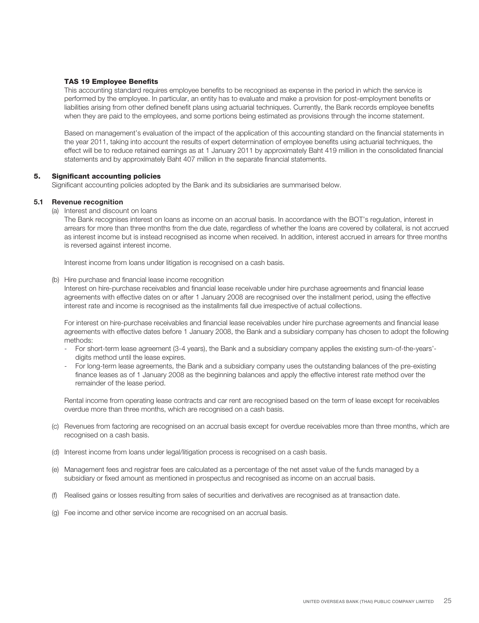#### **TAS 19 Employee Benefits**

This accounting standard requires employee benefits to be recognised as expense in the period in which the service is performed by the employee. In particular, an entity has to evaluate and make a provision for post-employment benefits or liabilities arising from other defined benefit plans using actuarial techniques. Currently, the Bank records employee benefits when they are paid to the employees, and some portions being estimated as provisions through the income statement.

Based on management's evaluation of the impact of the application of this accounting standard on the financial statements in the year 2011, taking into account the results of expert determination of employee benefits using actuarial techniques, the effect will be to reduce retained earnings as at 1 January 2011 by approximately Baht 419 million in the consolidated financial statements and by approximately Baht 407 million in the separate financial statements.

#### **5.** Significant accounting policies

Significant accounting policies adopted by the Bank and its subsidiaries are summarised below.

#### **5.1 Revenue recognition**

(a) Interest and discount on loans

 The Bank recognises interest on loans as income on an accrual basis. In accordance with the BOT's regulation, interest in arrears for more than three months from the due date, regardless of whether the loans are covered by collateral, is not accrued as interest income but is instead recognised as income when received. In addition, interest accrued in arrears for three months is reversed against interest income.

Interest income from loans under litigation is recognised on a cash basis.

#### (b) Hire purchase and financial lease income recognition

Interest on hire-purchase receivables and financial lease receivable under hire purchase agreements and financial lease agreements with effective dates on or after 1 January 2008 are recognised over the installment period, using the effective interest rate and income is recognised as the installments fall due irrespective of actual collections.

For interest on hire-purchase receivables and financial lease receivables under hire purchase agreements and financial lease agreements with effective dates before 1 January 2008, the Bank and a subsidiary company has chosen to adopt the following methods:

- For short-term lease agreement (3-4 years), the Bank and a subsidiary company applies the existing sum-of-the-years' digits method until the lease expires.
- For long-term lease agreements, the Bank and a subsidiary company uses the outstanding balances of the pre-existing finance leases as of 1 January 2008 as the beginning balances and apply the effective interest rate method over the remainder of the lease period.

 Rental income from operating lease contracts and car rent are recognised based on the term of lease except for receivables overdue more than three months, which are recognised on a cash basis.

- (c) Revenues from factoring are recognised on an accrual basis except for overdue receivables more than three months, which are recognised on a cash basis.
- (d) Interest income from loans under legal/litigation process is recognised on a cash basis.
- (e) Management fees and registrar fees are calculated as a percentage of the net asset value of the funds managed by a subsidiary or fixed amount as mentioned in prospectus and recognised as income on an accrual basis.
- (f) Realised gains or losses resulting from sales of securities and derivatives are recognised as at transaction date.
- (g) Fee income and other service income are recognised on an accrual basis.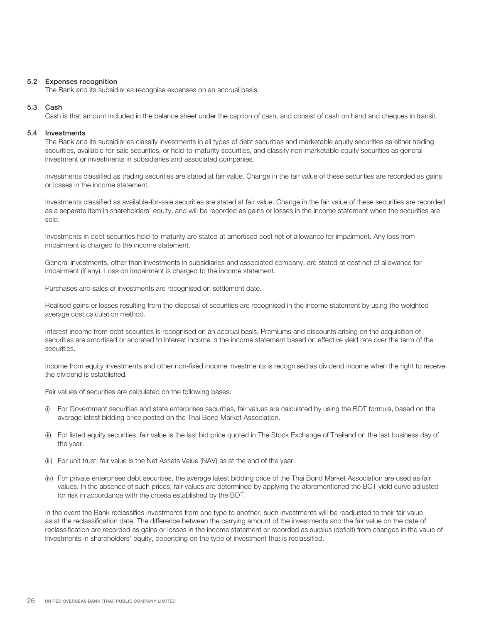#### **5.2 Expenses recognition**

The Bank and its subsidiaries recognise expenses on an accrual basis.

#### **5.3 Cash**

Cash is that amount included in the balance sheet under the caption of cash, and consist of cash on hand and cheques in transit.

#### **5.4 Investments**

 The Bank and its subsidiaries classify investments in all types of debt securities and marketable equity securities as either trading securities, available-for-sale securities, or held-to-maturity securities, and classify non-marketable equity securities as general investment or investments in subsidiaries and associated companies.

Investments classified as trading securities are stated at fair value. Change in the fair value of these securities are recorded as gains or losses in the income statement.

Investments classified as available-for-sale securities are stated at fair value. Change in the fair value of these securities are recorded as a separate item in shareholders' equity, and will be recorded as gains or losses in the income statement when the securities are sold.

 Investments in debt securities held-to-maturity are stated at amortised cost net of allowance for impairment. Any loss from impairment is charged to the income statement.

 General investments, other than investments in subsidiaries and associated company, are stated at cost net of allowance for impairment (if any). Loss on impairment is charged to the income statement.

Purchases and sales of investments are recognised on settlement date.

 Realised gains or losses resulting from the disposal of securities are recognised in the income statement by using the weighted average cost calculation method.

 Interest income from debt securities is recognised on an accrual basis. Premiums and discounts arising on the acquisition of securities are amortised or accreted to interest income in the income statement based on effective yield rate over the term of the securities.

Income from equity investments and other non-fixed income investments is recognised as dividend income when the right to receive the dividend is established.

Fair values of securities are calculated on the following bases:

- (i) For Government securities and state enterprises securities, fair values are calculated by using the BOT formula, based on the average latest bidding price posted on the Thai Bond Market Association.
- (ii) For listed equity securities, fair value is the last bid price quoted in The Stock Exchange of Thailand on the last business day of the year.
- (iii) For unit trust, fair value is the Net Assets Value (NAV) as at the end of the year.
- (iv) For private enterprises debt securities, the average latest bidding price of the Thai Bond Market Association are used as fair values. In the absence of such prices, fair values are determined by applying the aforementioned the BOT yield curve adjusted for risk in accordance with the criteria established by the BOT.

In the event the Bank reclassifies investments from one type to another, such investments will be readjusted to their fair value as at the reclassification date. The difference between the carrying amount of the investments and the fair value on the date of reclassification are recorded as gains or losses in the income statement or recorded as surplus (deficit) from changes in the value of investments in shareholders' equity, depending on the type of investment that is reclassified.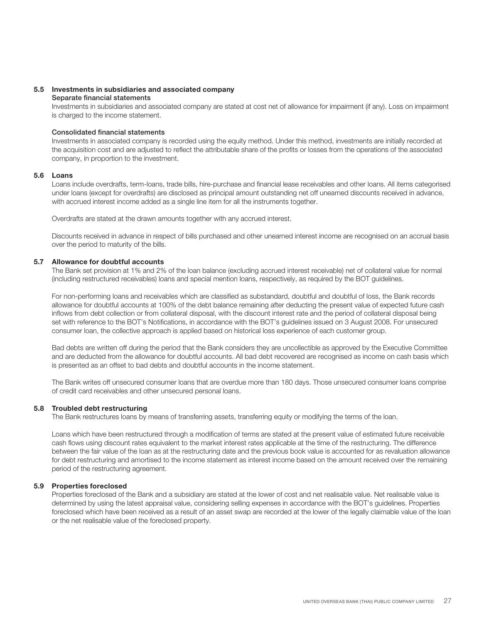#### **5.5 Investments in subsidiaries and associated company**

#### **Separate financial statements**

 Investments in subsidiaries and associated company are stated at cost net of allowance for impairment (if any). Loss on impairment is charged to the income statement.

#### **Consolidated financial statements**

 Investments in associated company is recorded using the equity method. Under this method, investments are initially recorded at the acquisition cost and are adjusted to reflect the attributable share of the profits or losses from the operations of the associated company, in proportion to the investment.

## **5.6 Loans**

Loans include overdrafts, term-loans, trade bills, hire-purchase and financial lease receivables and other loans. All items categorised under loans (except for overdrafts) are disclosed as principal amount outstanding net off unearned discounts received in advance, with accrued interest income added as a single line item for all the instruments together.

Overdrafts are stated at the drawn amounts together with any accrued interest.

 Discounts received in advance in respect of bills purchased and other unearned interest income are recognised on an accrual basis over the period to maturity of the bills.

#### **5.7 Allowance for doubtful accounts**

 The Bank set provision at 1% and 2% of the loan balance (excluding accrued interest receivable) net of collateral value for normal (including restructured receivables) loans and special mention loans, respectively, as required by the BOT guidelines.

For non-performing loans and receivables which are classified as substandard, doubtful and doubtful of loss, the Bank records allowance for doubtful accounts at 100% of the debt balance remaining after deducting the present value of expected future cash inflows from debt collection or from collateral disposal, with the discount interest rate and the period of collateral disposal being set with reference to the BOT's Notifications, in accordance with the BOT's quidelines issued on 3 August 2008. For unsecured consumer loan, the collective approach is applied based on historical loss experience of each customer group.

 Bad debts are written off during the period that the Bank considers they are uncollectible as approved by the Executive Committee and are deducted from the allowance for doubtful accounts. All bad debt recovered are recognised as income on cash basis which is presented as an offset to bad debts and doubtful accounts in the income statement.

 The Bank writes off unsecured consumer loans that are overdue more than 180 days. Those unsecured consumer loans comprise of credit card receivables and other unsecured personal loans.

#### **5.8 Troubled debt restructuring**

The Bank restructures loans by means of transferring assets, transferring equity or modifying the terms of the loan.

Loans which have been restructured through a modification of terms are stated at the present value of estimated future receivable cash flows using discount rates equivalent to the market interest rates applicable at the time of the restructuring. The difference between the fair value of the loan as at the restructuring date and the previous book value is accounted for as revaluation allowance for debt restructuring and amortised to the income statement as interest income based on the amount received over the remaining period of the restructuring agreement.

#### **5.9 Properties foreclosed**

 Properties foreclosed of the Bank and a subsidiary are stated at the lower of cost and net realisable value. Net realisable value is determined by using the latest appraisal value, considering selling expenses in accordance with the BOT's guidelines. Properties foreclosed which have been received as a result of an asset swap are recorded at the lower of the legally claimable value of the loan or the net realisable value of the foreclosed property.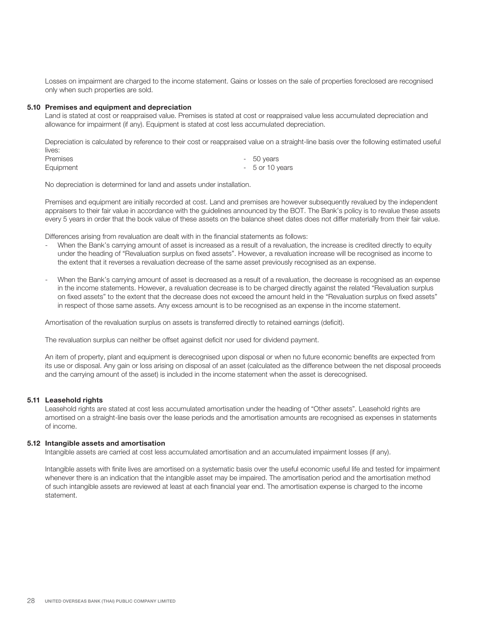Losses on impairment are charged to the income statement. Gains or losses on the sale of properties foreclosed are recognised only when such properties are sold.

#### **5.10 Premises and equipment and depreciation**

 Land is stated at cost or reappraised value. Premises is stated at cost or reappraised value less accumulated depreciation and allowance for impairment (if any). Equipment is stated at cost less accumulated depreciation.

 Depreciation is calculated by reference to their cost or reappraised value on a straight-line basis over the following estimated useful lives:

| <b>Premises</b> | - 50 years      |
|-----------------|-----------------|
| Equipment       | - 5 or 10 years |

No depreciation is determined for land and assets under installation.

 Premises and equipment are initially recorded at cost. Land and premises are however subsequently revalued by the independent appraisers to their fair value in accordance with the guidelines announced by the BOT. The Bank's policy is to revalue these assets every 5 years in order that the book value of these assets on the balance sheet dates does not differ materially from their fair value.

Differences arising from revaluation are dealt with in the financial statements as follows:

- When the Bank's carrying amount of asset is increased as a result of a revaluation, the increase is credited directly to equity under the heading of "Revaluation surplus on fixed assets". However, a revaluation increase will be recognised as income to the extent that it reverses a revaluation decrease of the same asset previously recognised as an expense.
- When the Bank's carrying amount of asset is decreased as a result of a revaluation, the decrease is recognised as an expense in the income statements. However, a revaluation decrease is to be charged directly against the related "Revaluation surplus on fixed assets" to the extent that the decrease does not exceed the amount held in the "Revaluation surplus on fixed assets" in respect of those same assets. Any excess amount is to be recognised as an expense in the income statement.

Amortisation of the revaluation surplus on assets is transferred directly to retained earnings (deficit).

The revaluation surplus can neither be offset against deficit nor used for dividend payment.

An item of property, plant and equipment is derecognised upon disposal or when no future economic benefits are expected from its use or disposal. Any gain or loss arising on disposal of an asset (calculated as the difference between the net disposal proceeds and the carrying amount of the asset) is included in the income statement when the asset is derecognised.

#### **5.11 Leasehold rights**

 Leasehold rights are stated at cost less accumulated amortisation under the heading of "Other assets". Leasehold rights are amortised on a straight-line basis over the lease periods and the amortisation amounts are recognised as expenses in statements of income.

#### **5.12 Intangible assets and amortisation**

Intangible assets are carried at cost less accumulated amortisation and an accumulated impairment losses (if any).

Intangible assets with finite lives are amortised on a systematic basis over the useful economic useful life and tested for impairment whenever there is an indication that the intangible asset may be impaired. The amortisation period and the amortisation method of such intangible assets are reviewed at least at each financial year end. The amortisation expense is charged to the income statement.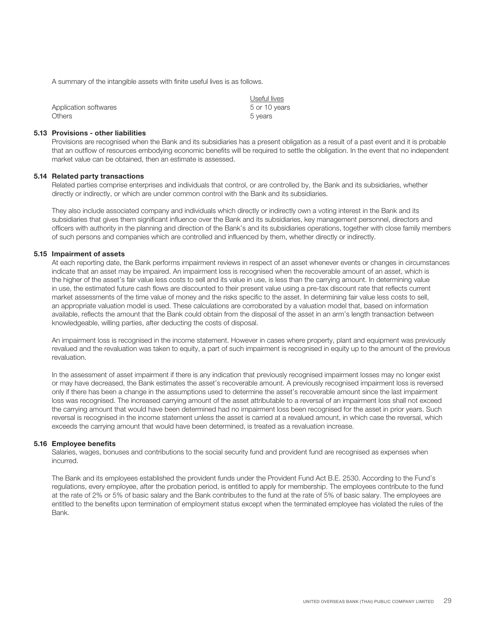A summary of the intangible assets with finite useful lives is as follows.

|                       | Useful lives  |
|-----------------------|---------------|
| Application softwares | 5 or 10 years |
| Others                | 5 years       |

#### **5.13 Provisions - other liabilities**

 Provisions are recognised when the Bank and its subsidiaries has a present obligation as a result of a past event and it is probable that an outflow of resources embodying economic benefits will be required to settle the obligation. In the event that no independent market value can be obtained, then an estimate is assessed.

#### **5.14 Related party transactions**

 Related parties comprise enterprises and individuals that control, or are controlled by, the Bank and its subsidiaries, whether directly or indirectly, or which are under common control with the Bank and its subsidiaries.

 They also include associated company and individuals which directly or indirectly own a voting interest in the Bank and its subsidiaries that gives them significant influence over the Bank and its subsidiaries, key management personnel, directors and officers with authority in the planning and direction of the Bank's and its subsidiaries operations, together with close family members of such persons and companies which are controlled and influenced by them, whether directly or indirectly.

#### **5.15 Impairment of assets**

 At each reporting date, the Bank performs impairment reviews in respect of an asset whenever events or changes in circumstances indicate that an asset may be impaired. An impairment loss is recognised when the recoverable amount of an asset, which is the higher of the asset's fair value less costs to sell and its value in use, is less than the carrying amount. In determining value in use, the estimated future cash flows are discounted to their present value using a pre-tax discount rate that reflects current market assessments of the time value of money and the risks specific to the asset. In determining fair value less costs to sell, an appropriate valuation model is used. These calculations are corroborated by a valuation model that, based on information available, reflects the amount that the Bank could obtain from the disposal of the asset in an arm's length transaction between knowledgeable, willing parties, after deducting the costs of disposal.

 An impairment loss is recognised in the income statement. However in cases where property, plant and equipment was previously revalued and the revaluation was taken to equity, a part of such impairment is recognised in equity up to the amount of the previous revaluation.

 In the assessment of asset impairment if there is any indication that previously recognised impairment losses may no longer exist or may have decreased, the Bank estimates the asset's recoverable amount. A previously recognised impairment loss is reversed only if there has been a change in the assumptions used to determine the asset's recoverable amount since the last impairment loss was recognised. The increased carrying amount of the asset attributable to a reversal of an impairment loss shall not exceed the carrying amount that would have been determined had no impairment loss been recognised for the asset in prior years. Such reversal is recognised in the income statement unless the asset is carried at a revalued amount, in which case the reversal, which exceeds the carrying amount that would have been determined, is treated as a revaluation increase.

#### **5.16 Employee benefits**

 Salaries, wages, bonuses and contributions to the social security fund and provident fund are recognised as expenses when incurred.

 The Bank and its employees established the provident funds under the Provident Fund Act B.E. 2530. According to the Fund's regulations, every employee, after the probation period, is entitled to apply for membership. The employees contribute to the fund at the rate of 2% or 5% of basic salary and the Bank contributes to the fund at the rate of 5% of basic salary. The employees are entitled to the benefits upon termination of employment status except when the terminated employee has violated the rules of the Bank.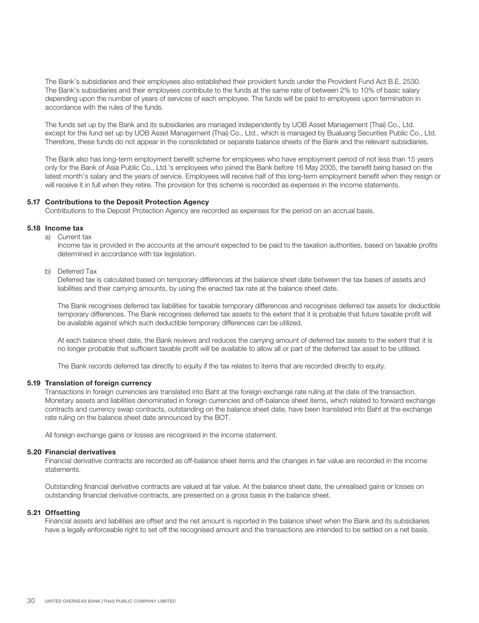The Bank's subsidiaries and their employees also established their provident funds under the Provident Fund Act B.E. 2530. The Bank's subsidiaries and their employees contribute to the funds at the same rate of between 2% to 10% of basic salary depending upon the number of years of services of each employee. The funds will be paid to employees upon termination in accordance with the rules of the funds.

 The funds set up by the Bank and its subsidiaries are managed independently by UOB Asset Management (Thai) Co., Ltd. except for the fund set up by UOB Asset Management (Thai) Co., Ltd., which is managed by Bualuang Securities Public Co., Ltd. Therefore, these funds do not appear in the consolidated or separate balance sheets of the Bank and the relevant subsidiaries.

The Bank also has long-term employment benefit scheme for employees who have employment period of not less than 15 years only for the Bank of Asia Public Co., Ltd.'s employees who joined the Bank before 16 May 2005, the benefi t being based on the latest month's salary and the years of service. Employees will receive half of this long-term employment benefit when they resign or will receive it in full when they retire. The provision for this scheme is recorded as expenses in the income statements.

#### **5.17 Contributions to the Deposit Protection Agency**

Contributions to the Deposit Protection Agency are recorded as expenses for the period on an accrual basis.

#### **5.18 Income tax**

a) Current tax

Income tax is provided in the accounts at the amount expected to be paid to the taxation authorities, based on taxable profits determined in accordance with tax legislation.

b) Deferred Tax

 Deferred tax is calculated based on temporary differences at the balance sheet date between the tax bases of assets and liabilities and their carrying amounts, by using the enacted tax rate at the balance sheet date.

 The Bank recognises deferred tax liabilities for taxable temporary differences and recognises deferred tax assets for deductible temporary differences. The Bank recognises deferred tax assets to the extent that it is probable that future taxable profit will be available against which such deductible temporary differences can be utilized.

 At each balance sheet date, the Bank reviews and reduces the carrying amount of deferred tax assets to the extent that it is no longer probable that sufficient taxable profit will be available to allow all or part of the deferred tax asset to be utilised.

The Bank records deferred tax directly to equity if the tax relates to items that are recorded directly to equity.

#### **5.19 Translation of foreign currency**

 Transactions in foreign currencies are translated into Baht at the foreign exchange rate ruling at the date of the transaction. Monetary assets and liabilities denominated in foreign currencies and off-balance sheet items, which related to forward exchange contracts and currency swap contracts, outstanding on the balance sheet date, have been translated into Baht at the exchange rate ruling on the balance sheet date announced by the BOT.

All foreign exchange gains or losses are recognised in the income statement.

#### **5.20 Financial derivatives**

 Financial derivative contracts are recorded as off-balance sheet items and the changes in fair value are recorded in the income statements.

Outstanding financial derivative contracts are valued at fair value. At the balance sheet date, the unrealised gains or losses on outstanding financial derivative contracts, are presented on a gross basis in the balance sheet.

#### **5.21 Offsetting**

 Financial assets and liabilities are offset and the net amount is reported in the balance sheet when the Bank and its subsidiaries have a legally enforceable right to set off the recognised amount and the transactions are intended to be settled on a net basis.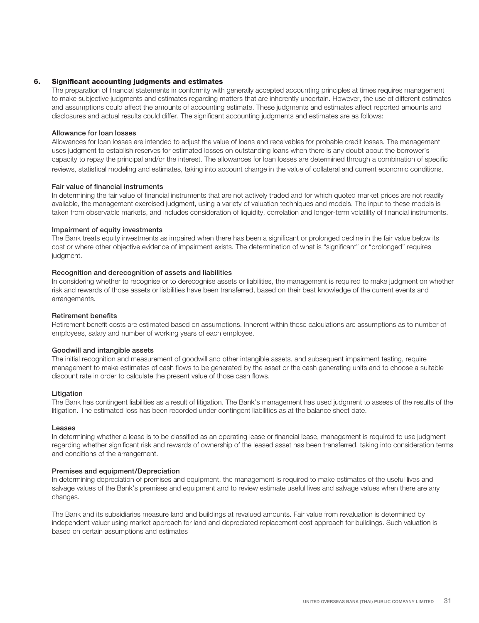#### **6.** Significant accounting judgments and estimates

The preparation of financial statements in conformity with generally accepted accounting principles at times requires management to make subjective judgments and estimates regarding matters that are inherently uncertain. However, the use of different estimates and assumptions could affect the amounts of accounting estimate. These judgments and estimates affect reported amounts and disclosures and actual results could differ. The significant accounting judgments and estimates are as follows:

#### **Allowance for loan losses**

 Allowances for loan losses are intended to adjust the value of loans and receivables for probable credit losses. The management uses judgment to establish reserves for estimated losses on outstanding loans when there is any doubt about the borrower's capacity to repay the principal and/or the interest. The allowances for loan losses are determined through a combination of specific reviews, statistical modeling and estimates, taking into account change in the value of collateral and current economic conditions.

#### **Fair value of financial instruments**

In determining the fair value of financial instruments that are not actively traded and for which quoted market prices are not readily available, the management exercised judgment, using a variety of valuation techniques and models. The input to these models is taken from observable markets, and includes consideration of liquidity, correlation and longer-term volatility of financial instruments.

#### **Impairment of equity investments**

The Bank treats equity investments as impaired when there has been a significant or prolonged decline in the fair value below its cost or where other objective evidence of impairment exists. The determination of what is "significant" or "prolonged" requires judament.

#### **Recognition and derecognition of assets and liabilities**

 In considering whether to recognise or to derecognise assets or liabilities, the management is required to make judgment on whether risk and rewards of those assets or liabilities have been transferred, based on their best knowledge of the current events and arrangements.

#### **Retirement benefits**

Retirement benefit costs are estimated based on assumptions. Inherent within these calculations are assumptions as to number of employees, salary and number of working years of each employee.

#### **Goodwill and intangible assets**

 The initial recognition and measurement of goodwill and other intangible assets, and subsequent impairment testing, require management to make estimates of cash flows to be generated by the asset or the cash generating units and to choose a suitable discount rate in order to calculate the present value of those cash flows.

#### **Litigation**

 The Bank has contingent liabilities as a result of litigation. The Bank's management has used judgment to assess of the results of the litigation. The estimated loss has been recorded under contingent liabilities as at the balance sheet date.

#### **Leases**

In determining whether a lease is to be classified as an operating lease or financial lease, management is required to use judgment regarding whether significant risk and rewards of ownership of the leased asset has been transferred, taking into consideration terms and conditions of the arrangement.

#### **Premises and equipment/Depreciation**

 In determining depreciation of premises and equipment, the management is required to make estimates of the useful lives and salvage values of the Bank's premises and equipment and to review estimate useful lives and salvage values when there are any changes.

 The Bank and its subsidiaries measure land and buildings at revalued amounts. Fair value from revaluation is determined by independent valuer using market approach for land and depreciated replacement cost approach for buildings. Such valuation is based on certain assumptions and estimates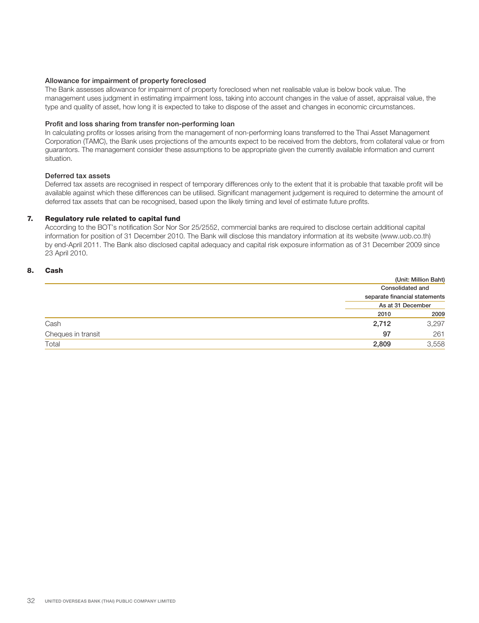#### **Allowance for impairment of property foreclosed**

 The Bank assesses allowance for impairment of property foreclosed when net realisable value is below book value. The management uses judgment in estimating impairment loss, taking into account changes in the value of asset, appraisal value, the type and quality of asset, how long it is expected to take to dispose of the asset and changes in economic circumstances.

#### Profit and loss sharing from transfer non-performing loan

In calculating profits or losses arising from the management of non-performing loans transferred to the Thai Asset Management Corporation (TAMC), the Bank uses projections of the amounts expect to be received from the debtors, from collateral value or from guarantors. The management consider these assumptions to be appropriate given the currently available information and current situation.

## **Deferred tax assets**

Deferred tax assets are recognised in respect of temporary differences only to the extent that it is probable that taxable profit will be available against which these differences can be utilised. Significant management judgement is required to determine the amount of deferred tax assets that can be recognised, based upon the likely timing and level of estimate future profits.

#### **7. Regulatory rule related to capital fund**

According to the BOT's notification Sor Nor Sor 25/2552, commercial banks are required to disclose certain additional capital information for position of 31 December 2010. The Bank will disclose this mandatory information at its website (www.uob.co.th) by end-April 2011. The Bank also disclosed capital adequacy and capital risk exposure information as of 31 December 2009 since 23 April 2010.

## **8. Cash**

|                    | (Unit: Million Baht)          |       |  |
|--------------------|-------------------------------|-------|--|
|                    | Consolidated and              |       |  |
|                    | separate financial statements |       |  |
|                    | As at 31 December             |       |  |
|                    | 2010                          | 2009  |  |
| Cash               | 2,712                         | 3,297 |  |
| Cheques in transit | 97                            | 261   |  |
| Total              | 2,809                         | 3,558 |  |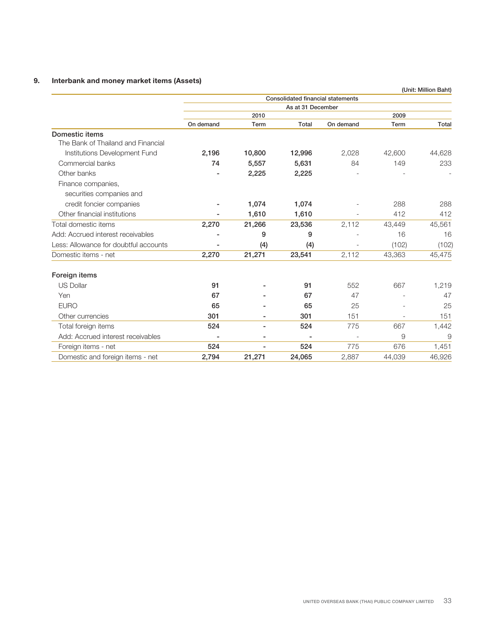## **9. Interbank and money market items (Assets)**

|                                       |           |        | <b>Consolidated financial statements</b> |           |        |        |
|---------------------------------------|-----------|--------|------------------------------------------|-----------|--------|--------|
|                                       |           |        | As at 31 December                        |           |        |        |
|                                       |           | 2010   |                                          |           | 2009   |        |
|                                       | On demand | Term   | Total                                    | On demand | Term   | Total  |
| Domestic items                        |           |        |                                          |           |        |        |
| The Bank of Thailand and Financial    |           |        |                                          |           |        |        |
| Institutions Development Fund         | 2,196     | 10,800 | 12,996                                   | 2,028     | 42,600 | 44,628 |
| Commercial banks                      | 74        | 5,557  | 5,631                                    | 84        | 149    | 233    |
| Other banks                           |           | 2,225  | 2,225                                    |           |        |        |
| Finance companies,                    |           |        |                                          |           |        |        |
| securities companies and              |           |        |                                          |           |        |        |
| credit foncier companies              |           | 1,074  | 1,074                                    |           | 288    | 288    |
| Other financial institutions          |           | 1,610  | 1,610                                    |           | 412    | 412    |
| Total domestic items                  | 2,270     | 21,266 | 23,536                                   | 2,112     | 43,449 | 45,561 |
| Add: Accrued interest receivables     |           | 9      | 9                                        |           | 16     | 16     |
| Less: Allowance for doubtful accounts |           | (4)    | (4)                                      |           | (102)  | (102)  |
| Domestic items - net                  | 2,270     | 21,271 | 23,541                                   | 2,112     | 43,363 | 45,475 |
| Foreign items                         |           |        |                                          |           |        |        |
| <b>US Dollar</b>                      | 91        |        | 91                                       | 552       | 667    | 1,219  |
| Yen                                   | 67        |        | 67                                       | 47        |        | 47     |
| <b>EURO</b>                           | 65        |        | 65                                       | 25        |        | 25     |
| Other currencies                      | 301       |        | 301                                      | 151       |        | 151    |
| Total foreign items                   | 524       |        | 524                                      | 775       | 667    | 1,442  |
| Add: Accrued interest receivables     |           |        |                                          |           | 9      | 9      |
| Foreign items - net                   | 524       | ٠      | 524                                      | 775       | 676    | 1,451  |
| Domestic and foreign items - net      | 2,794     | 21,271 | 24,065                                   | 2,887     | 44,039 | 46,926 |

 **(Unit: Million Baht)**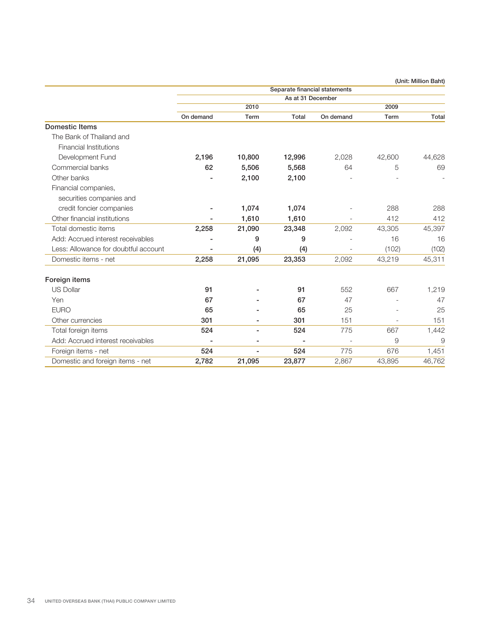**(Unit: Million Baht)**

|                                      |           |                          | Separate financial statements |           |        |        |
|--------------------------------------|-----------|--------------------------|-------------------------------|-----------|--------|--------|
|                                      |           |                          | As at 31 December             |           |        |        |
|                                      |           | 2010                     |                               |           | 2009   |        |
|                                      | On demand | Term                     | Total                         | On demand | Term   | Total  |
| <b>Domestic Items</b>                |           |                          |                               |           |        |        |
| The Bank of Thailand and             |           |                          |                               |           |        |        |
| <b>Financial Institutions</b>        |           |                          |                               |           |        |        |
| Development Fund                     | 2,196     | 10,800                   | 12,996                        | 2,028     | 42,600 | 44,628 |
| Commercial banks                     | 62        | 5,506                    | 5,568                         | 64        | 5      | 69     |
| Other banks                          |           | 2,100                    | 2,100                         |           |        |        |
| Financial companies,                 |           |                          |                               |           |        |        |
| securities companies and             |           |                          |                               |           |        |        |
| credit foncier companies             |           | 1,074                    | 1,074                         |           | 288    | 288    |
| Other financial institutions         |           | 1,610                    | 1,610                         |           | 412    | 412    |
| Total domestic items                 | 2,258     | 21,090                   | 23,348                        | 2,092     | 43,305 | 45,397 |
| Add: Accrued interest receivables    |           | 9                        | 9                             |           | 16     | 16     |
| Less: Allowance for doubtful account |           | (4)                      | (4)                           |           | (102)  | (102)  |
| Domestic items - net                 | 2,258     | 21,095                   | 23,353                        | 2,092     | 43,219 | 45,311 |
| Foreign items                        |           |                          |                               |           |        |        |
| <b>US Dollar</b>                     | 91        |                          | 91                            | 552       | 667    | 1,219  |
| Yen                                  | 67        |                          | 67                            | 47        |        | 47     |
| <b>EURO</b>                          | 65        |                          | 65                            | 25        |        | 25     |
| Other currencies                     | 301       |                          | 301                           | 151       |        | 151    |
| Total foreign items                  | 524       |                          | 524                           | 775       | 667    | 1,442  |
| Add: Accrued interest receivables    |           |                          |                               |           | 9      | 9      |
| Foreign items - net                  | 524       | $\overline{\phantom{a}}$ | 524                           | 775       | 676    | 1,451  |
| Domestic and foreign items - net     | 2,782     | 21,095                   | 23,877                        | 2,867     | 43,895 | 46,762 |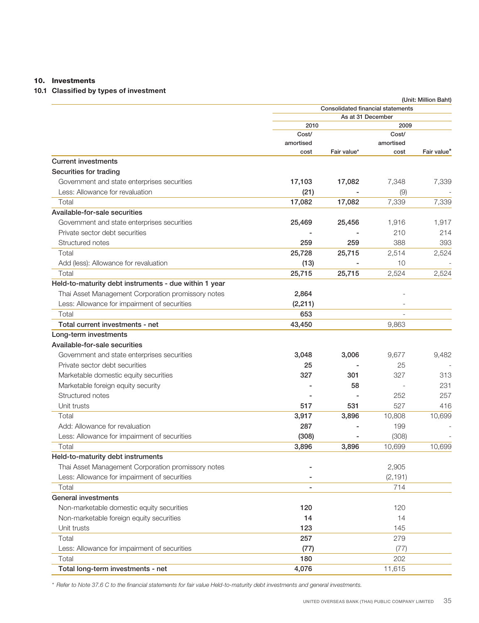# **10. Investments**

# **10.1 Classified by types of investment**

|                                                       |           |                                          |           | (Unit: Million Baht) |
|-------------------------------------------------------|-----------|------------------------------------------|-----------|----------------------|
|                                                       |           | <b>Consolidated financial statements</b> |           |                      |
|                                                       | 2010      | As at 31 December                        | 2009      |                      |
|                                                       | Cost/     |                                          | Cost/     |                      |
|                                                       | amortised |                                          | amortised |                      |
|                                                       | cost      | Fair value*                              | cost      | Fair value*          |
| <b>Current investments</b>                            |           |                                          |           |                      |
| Securities for trading                                |           |                                          |           |                      |
| Government and state enterprises securities           | 17,103    | 17,082                                   | 7,348     | 7,339                |
| Less: Allowance for revaluation                       | (21)      |                                          | (9)       |                      |
| Total                                                 | 17,082    | 17,082                                   | 7,339     | 7,339                |
| Available-for-sale securities                         |           |                                          |           |                      |
| Government and state enterprises securities           | 25,469    | 25,456                                   | 1,916     | 1,917                |
| Private sector debt securities                        |           |                                          | 210       | 214                  |
| Structured notes                                      | 259       | 259                                      | 388       | 393                  |
| Total                                                 | 25,728    | 25,715                                   | 2,514     | 2,524                |
| Add (less): Allowance for revaluation                 | (13)      |                                          | 10        |                      |
| Total                                                 | 25,715    | 25,715                                   | 2,524     | 2,524                |
| Held-to-maturity debt instruments - due within 1 year |           |                                          |           |                      |
| Thai Asset Management Corporation promissory notes    | 2,864     |                                          |           |                      |
| Less: Allowance for impairment of securities          | (2, 211)  |                                          |           |                      |
| Total                                                 | 653       |                                          |           |                      |
| Total current investments - net                       | 43,450    |                                          | 9,863     |                      |
| Long-term investments                                 |           |                                          |           |                      |
| Available-for-sale securities                         |           |                                          |           |                      |
| Government and state enterprises securities           | 3,048     | 3,006                                    | 9,677     | 9,482                |
| Private sector debt securities                        | 25        |                                          | 25        |                      |
| Marketable domestic equity securities                 | 327       | 301                                      | 327       | 313                  |
| Marketable foreign equity security                    |           | 58                                       |           | 231                  |
| Structured notes                                      |           |                                          | 252       | 257                  |
| Unit trusts                                           | 517       | 531                                      | 527       | 416                  |
| Total                                                 | 3,917     | 3,896                                    | 10,808    | 10,699               |
| Add: Allowance for revaluation                        | 287       |                                          | 199       |                      |
| Less: Allowance for impairment of securities          | (308)     |                                          | (308)     |                      |
| Total                                                 | 3,896     | 3,896                                    | 10,699    | 10,699               |
| Held-to-maturity debt instruments                     |           |                                          |           |                      |
| Thai Asset Management Corporation promissory notes    |           |                                          | 2,905     |                      |
| Less: Allowance for impairment of securities          |           |                                          | (2, 191)  |                      |
| Total                                                 | ٠         |                                          | 714       |                      |
| <b>General investments</b>                            |           |                                          |           |                      |
|                                                       |           |                                          |           |                      |
| Non-marketable domestic equity securities             | 120       |                                          | 120       |                      |
| Non-marketable foreign equity securities              | 14        |                                          | 14        |                      |
| Unit trusts                                           | 123       |                                          | 145       |                      |
| Total                                                 | 257       |                                          | 279       |                      |
| Less: Allowance for impairment of securities          | (77)      |                                          | (77)      |                      |
| Total                                                 | 180       |                                          | 202       |                      |
| Total long-term investments - net                     | 4,076     |                                          | 11,615    |                      |

*\* Refer to Note 37.6 C to the fi nancial statements for fair value Held-to-maturity debt investments and general investments.*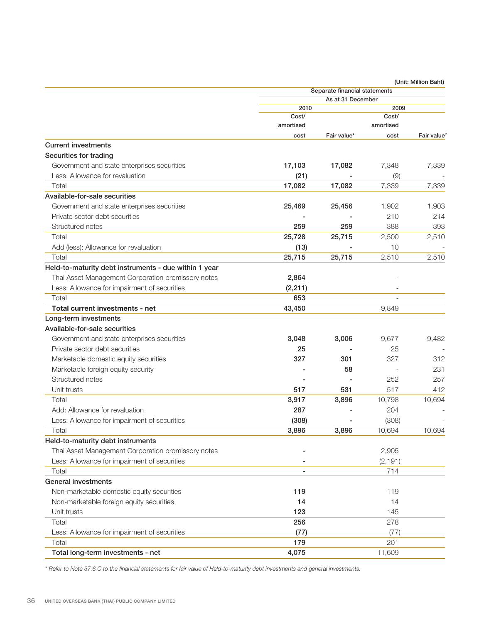|                                                       |                          | Separate financial statements |                    |                         |
|-------------------------------------------------------|--------------------------|-------------------------------|--------------------|-------------------------|
|                                                       |                          | As at 31 December             |                    |                         |
|                                                       | 2010                     |                               | 2009               |                         |
|                                                       | Cost/<br>amortised       |                               | Cost/<br>amortised |                         |
|                                                       | cost                     | Fair value*                   | cost               | Fair value <sup>*</sup> |
| <b>Current investments</b>                            |                          |                               |                    |                         |
| Securities for trading                                |                          |                               |                    |                         |
| Government and state enterprises securities           | 17,103                   | 17,082                        | 7,348              | 7,339                   |
| Less: Allowance for revaluation                       | (21)                     |                               | (9)                |                         |
| Total                                                 | 17,082                   | 17,082                        | 7,339              | 7,339                   |
| Available-for-sale securities                         |                          |                               |                    |                         |
| Government and state enterprises securities           | 25,469                   | 25,456                        | 1,902              | 1,903                   |
| Private sector debt securities                        |                          |                               | 210                | 214                     |
| Structured notes                                      | 259                      | 259                           | 388                | 393                     |
| Total                                                 | 25,728                   | 25,715                        | 2,500              | 2,510                   |
| Add (less): Allowance for revaluation                 | (13)                     |                               | 10                 |                         |
| Total                                                 | 25,715                   | 25,715                        | 2,510              | 2,510                   |
| Held-to-maturity debt instruments - due within 1 year |                          |                               |                    |                         |
| Thai Asset Management Corporation promissory notes    | 2,864                    |                               |                    |                         |
| Less: Allowance for impairment of securities          | (2, 211)                 |                               |                    |                         |
| Total                                                 | 653                      |                               |                    |                         |
| <b>Total current investments - net</b>                | 43,450                   |                               | 9,849              |                         |
| Long-term investments                                 |                          |                               |                    |                         |
| Available-for-sale securities                         |                          |                               |                    |                         |
| Government and state enterprises securities           | 3,048                    | 3,006                         | 9,677              | 9,482                   |
| Private sector debt securities                        | 25                       |                               | 25                 |                         |
|                                                       |                          |                               |                    |                         |
| Marketable domestic equity securities                 | 327                      | 301                           | 327                | 312                     |
| Marketable foreign equity security                    |                          | 58                            |                    | 231                     |
| Structured notes                                      |                          |                               | 252                | 257                     |
| Unit trusts                                           | 517                      | 531                           | 517                | 412                     |
| Total                                                 | 3,917                    | 3,896                         | 10,798             | 10,694                  |
| Add: Allowance for revaluation                        | 287                      |                               | 204                |                         |
| Less: Allowance for impairment of securities          | (308)                    |                               | (308)              |                         |
| Total                                                 | 3,896                    | 3,896                         | 10,694             | 10,694                  |
| Held-to-maturity debt instruments                     |                          |                               |                    |                         |
| Thai Asset Management Corporation promissory notes    |                          |                               | 2,905              |                         |
| Less: Allowance for impairment of securities          |                          |                               | (2, 191)           |                         |
| Total                                                 | $\overline{\phantom{m}}$ |                               | 714                |                         |
| <b>General investments</b>                            |                          |                               |                    |                         |
| Non-marketable domestic equity securities             | 119                      |                               | 119                |                         |
| Non-marketable foreign equity securities              | 14                       |                               | 14                 |                         |
| Unit trusts                                           | 123                      |                               | 145                |                         |
| Total                                                 | 256                      |                               | 278                |                         |
| Less: Allowance for impairment of securities          | (77)                     |                               | (77)               |                         |
| Total                                                 | 179                      |                               | 201                |                         |
| Total long-term investments - net                     | 4,075                    |                               | 11,609             |                         |

 *\* Refer to Note 37.6 C to the fi nancial statements for fair value of Held-to-maturity debt investments and general investments.*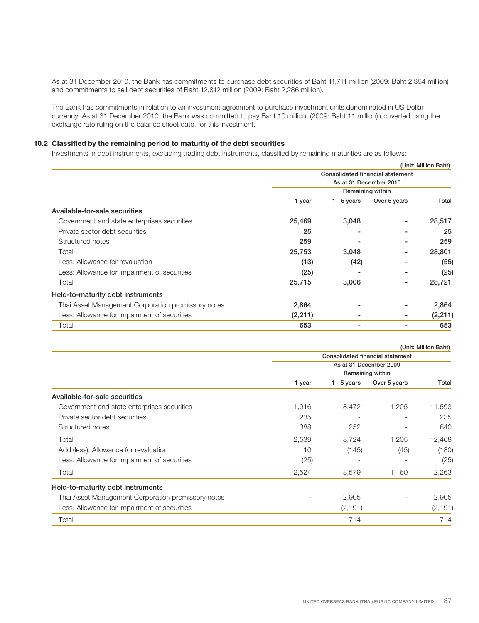As at 31 December 2010, the Bank has commitments to purchase debt securities of Baht 11,711 million (2009: Baht 2,354 million) and commitments to sell debt securities of Baht 12,812 million (2009: Baht 2,286 million).

 The Bank has commitments in relation to an investment agreement to purchase investment units denominated in US Dollar currency. As at 31 December 2010, the Bank was committed to pay Baht 10 million, (2009: Baht 11 million) converted using the exchange rate ruling on the balance sheet date, for this investment.

## **10.2 Classified by the remaining period to maturity of the debt securities**

Investments in debt instruments, excluding trading debt instruments, classified by remaining maturities are as follows:

|                                                    |         |                        |                                         | (Unit: Million Baht) |
|----------------------------------------------------|---------|------------------------|-----------------------------------------|----------------------|
|                                                    |         |                        | <b>Consolidated financial statement</b> |                      |
|                                                    |         | As at 31 December 2010 |                                         |                      |
|                                                    |         | Remaining within       |                                         |                      |
|                                                    | 1 year  | $1 - 5$ years          | Over 5 years                            | Total                |
| Available-for-sale securities                      |         |                        |                                         |                      |
| Government and state enterprises securities        | 25,469  | 3,048                  |                                         | 28,517               |
| Private sector debt securities                     | 25      |                        |                                         | 25                   |
| Structured notes                                   | 259     |                        | ۰                                       | 259                  |
| Total                                              | 25,753  | 3,048                  |                                         | 28,801               |
| Less: Allowance for revaluation                    | (13)    | (42)                   |                                         | (55)                 |
| Less: Allowance for impairment of securities       | (25)    | -                      | ۰                                       | (25)                 |
| Total                                              | 25,715  | 3,006                  | ٠                                       | 28,721               |
| Held-to-maturity debt instruments                  |         |                        |                                         |                      |
| Thai Asset Management Corporation promissory notes | 2,864   |                        |                                         | 2,864                |
| Less: Allowance for impairment of securities       | (2,211) |                        |                                         | (2, 211)             |
| Total                                              | 653     |                        |                                         | 653                  |

|                                                    |                          |               |                                         | (Unit: Million Baht) |
|----------------------------------------------------|--------------------------|---------------|-----------------------------------------|----------------------|
|                                                    |                          |               | <b>Consolidated financial statement</b> |                      |
|                                                    |                          |               | As at 31 December 2009                  |                      |
|                                                    |                          |               | Remaining within                        |                      |
|                                                    | 1 year                   | $1 - 5$ years | Over 5 years                            | Total                |
| Available-for-sale securities                      |                          |               |                                         |                      |
| Government and state enterprises securities        | 1,916                    | 8,472         | 1,205                                   | 11,593               |
| Private sector debt securities                     | 235                      |               |                                         | 235                  |
| Structured notes                                   | 388                      | 252           |                                         | 640                  |
| Total                                              | 2,539                    | 8,724         | 1,205                                   | 12,468               |
| Add (less): Allowance for revaluation              | 10                       | (145)         | (45)                                    | (180)                |
| Less: Allowance for impairment of securities       | (25)                     |               |                                         | (25)                 |
| Total                                              | 2,524                    | 8,579         | 1,160                                   | 12,263               |
| Held-to-maturity debt instruments                  |                          |               |                                         |                      |
| Thai Asset Management Corporation promissory notes |                          | 2,905         | $\qquad \qquad -$                       | 2,905                |
| Less: Allowance for impairment of securities       | $\overline{\phantom{0}}$ | (2, 191)      | $\overline{\phantom{a}}$                | (2, 191)             |
| Total                                              |                          | 714           |                                         | 714                  |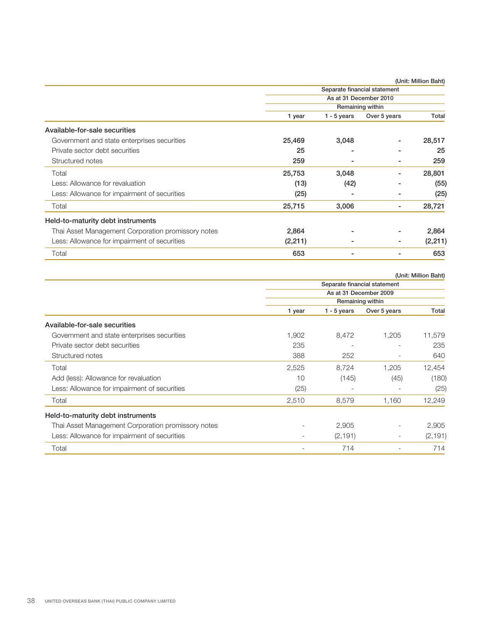|                                                    |         |               | Separate financial statement |          |
|----------------------------------------------------|---------|---------------|------------------------------|----------|
|                                                    |         |               | As at 31 December 2010       |          |
|                                                    |         |               | Remaining within             |          |
|                                                    | 1 year  | $1 - 5$ years | Over 5 years                 | Total    |
| Available-for-sale securities                      |         |               |                              |          |
| Government and state enterprises securities        | 25,469  | 3,048         |                              | 28,517   |
| Private sector debt securities                     | 25      |               |                              | 25       |
| Structured notes                                   | 259     |               |                              | 259      |
| Total                                              | 25,753  | 3,048         | ۰                            | 28,801   |
| Less: Allowance for revaluation                    | (13)    | (42)          |                              | (55)     |
| Less: Allowance for impairment of securities       | (25)    |               |                              | (25)     |
| Total                                              | 25,715  | 3,006         | ۰                            | 28,721   |
| Held-to-maturity debt instruments                  |         |               |                              |          |
| Thai Asset Management Corporation promissory notes | 2,864   |               |                              | 2,864    |
| Less: Allowance for impairment of securities       | (2,211) |               |                              | (2, 211) |
| Total                                              | 653     |               |                              | 653      |

|                                                    |        |                          |                              | (Unit: Million Baht) |
|----------------------------------------------------|--------|--------------------------|------------------------------|----------------------|
|                                                    |        |                          | Separate financial statement |                      |
|                                                    |        |                          | As at 31 December 2009       |                      |
|                                                    |        |                          | Remaining within             |                      |
|                                                    | 1 year | $1 - 5$ years            | Over 5 years                 | Total                |
| Available-for-sale securities                      |        |                          |                              |                      |
| Government and state enterprises securities        | 1,902  | 8,472                    | 1,205                        | 11,579               |
| Private sector debt securities                     | 235    | $\overline{\phantom{0}}$ |                              | 235                  |
| Structured notes                                   | 388    | 252                      | $\overline{\phantom{0}}$     | 640                  |
| Total                                              | 2,525  | 8,724                    | 1,205                        | 12,454               |
| Add (less): Allowance for revaluation              | 10     | (145)                    | (45)                         | (180)                |
| Less: Allowance for impairment of securities       | (25)   |                          |                              | (25)                 |
| Total                                              | 2,510  | 8,579                    | 1,160                        | 12,249               |
| Held-to-maturity debt instruments                  |        |                          |                              |                      |
| Thai Asset Management Corporation promissory notes |        | 2,905                    |                              | 2,905                |
| Less: Allowance for impairment of securities       |        | (2, 191)                 |                              | (2, 191)             |
| Total                                              |        | 714                      |                              | 714                  |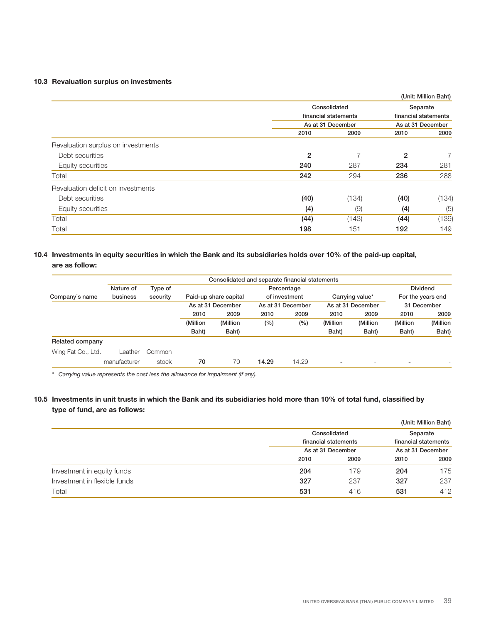#### **10.3 Revaluation surplus on investments**

|                                    |                |                      |                      | (Unit: Million Baht) |
|------------------------------------|----------------|----------------------|----------------------|----------------------|
|                                    |                | Consolidated         |                      | Separate             |
|                                    |                | financial statements | financial statements |                      |
|                                    |                | As at 31 December    | As at 31 December    |                      |
|                                    | 2010           | 2009                 | 2010                 | 2009                 |
| Revaluation surplus on investments |                |                      |                      |                      |
| Debt securities                    | $\overline{2}$ | 7                    | $\overline{2}$       | $\overline{7}$       |
| Equity securities                  | 240            | 287                  | 234                  | 281                  |
| Total                              | 242            | 294                  | 236                  | 288                  |
| Revaluation deficit on investments |                |                      |                      |                      |
| Debt securities                    | (40)           | (134)                | (40)                 | (134)                |
| Equity securities                  | (4)            | (9)                  | (4)                  | (5)                  |
| Total                              | (44)           | (143)                | (44)                 | (139)                |
| Total                              | 198            | 151                  | 192                  | 149                  |

# **10.4 Investments in equity securities in which the Bank and its subsidiaries holds over 10% of the paid-up capital, are as follow:**

|                    |              |          |          | Consolidated and separate financial statements |       |                   |          |                   |          |                   |
|--------------------|--------------|----------|----------|------------------------------------------------|-------|-------------------|----------|-------------------|----------|-------------------|
|                    | Nature of    | Type of  |          |                                                |       | Percentage        |          |                   |          | <b>Dividend</b>   |
| Company's name     | business     | security |          | Paid-up share capital                          |       | of investment     |          | Carrying value*   |          | For the years end |
|                    |              |          |          | As at 31 December                              |       | As at 31 December |          | As at 31 December |          | 31 December       |
|                    |              |          | 2010     | 2009                                           | 2010  | 2009              | 2010     | 2009              | 2010     | 2009              |
|                    |              |          | (Million | (Million                                       | (%)   | $(\% )$           | (Million | (Million          | (Million | (Million          |
|                    |              |          | Baht)    | Baht)                                          |       |                   | Baht)    | Baht)             | Baht)    | Baht)             |
| Related company    |              |          |          |                                                |       |                   |          |                   |          |                   |
| Wing Fat Co., Ltd. | Leather      | Common   |          |                                                |       |                   |          |                   |          |                   |
|                    | manufacturer | stock    | 70       | 70                                             | 14.29 | 14.29             |          |                   |          |                   |

*\* Carrying value represents the cost less the allowance for impairment (if any).* 

# **10.5 Investments in unit trusts in which the Bank and its subsidiaries hold more than 10% of total fund, classified by type of fund, are as follows:**

|      |      |                                                           | (Unit: Million Baht) |
|------|------|-----------------------------------------------------------|----------------------|
|      |      | Separate                                                  |                      |
|      |      | financial statements                                      |                      |
|      |      | As at 31 December                                         |                      |
| 2010 | 2009 | 2010                                                      | 2009                 |
| 204  | 179  | 204                                                       | 175                  |
| 327  | 237  | 327                                                       | 237                  |
| 531  | 416  | 531                                                       | 412                  |
|      |      | Consolidated<br>financial statements<br>As at 31 December |                      |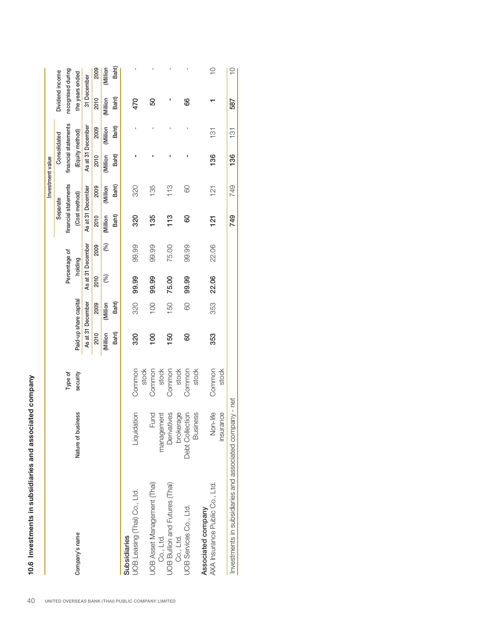|                                                          |                    |                 |                 |                       |       |                   |          |                      | Investment value |                      |                   |                |
|----------------------------------------------------------|--------------------|-----------------|-----------------|-----------------------|-------|-------------------|----------|----------------------|------------------|----------------------|-------------------|----------------|
|                                                          |                    |                 |                 |                       |       |                   |          | Separate             |                  | Consolidated         | Dividend income   |                |
|                                                          |                    | Type of         |                 |                       |       | Percentage of     |          | financial statements |                  | financial statements | recognised during |                |
| Company's name                                           | Nature of business | security        |                 | Paid-up share capital |       | holding           |          | (Cost method)        |                  | (Equity method)      | the years ended   |                |
|                                                          |                    |                 |                 | As at 31 December     |       | As at 31 December |          | As at 31 December    |                  | As at 31 December    | 31 December       |                |
|                                                          |                    |                 | 2010            | 2009                  | 2010  | 2009              | 2010     | 2009                 | 2010             | 2009                 | 2010              | 2009           |
|                                                          |                    |                 | (Million        | (Million              | (%)   | (%)               | (Million | (Million             | (Million         | (Million             | (Million          | Million        |
|                                                          |                    |                 | Baht)           | Baht)                 |       |                   | Baht)    | Baht)                | Baht)            | Baht)                | Baht)             | Baht)          |
| Subsidiaries                                             |                    |                 |                 |                       |       |                   |          |                      |                  |                      |                   |                |
| JOB Leasing (Thai) Co., Ltd.                             | Liquidation        | Common<br>stock | 320             | 320                   | 99.99 | 99.99             | 320      | 320                  |                  |                      | 470               |                |
| <b>UOB Asset Management (Thai)</b>                       | Fund               | Common          | $\frac{8}{100}$ | <b>CO</b>             | 99.99 | 99.99             | 135      | 135                  |                  |                      | SO                |                |
| Co., Ltd.                                                | management         | stock           |                 |                       |       |                   |          |                      |                  |                      |                   |                |
| UOB Bullion and Futures (Thai)                           | Derivatives        | Common          | 150             | 150                   | 75.00 | 75.00             | 113      | 113                  |                  |                      |                   |                |
| Co., Ltd.                                                | brokerage          | stock           |                 |                       |       |                   |          |                      |                  |                      |                   |                |
| UOB Services Co., Ltd.                                   | Debt Collection    | Common          | 80              | 8                     | 99.99 | 99.99             | 80       | 8                    |                  |                      | 86                |                |
|                                                          | <b>Business</b>    | stock           |                 |                       |       |                   |          |                      |                  |                      |                   |                |
| Associated company                                       |                    |                 |                 |                       |       |                   |          |                      |                  |                      |                   |                |
| AXA Insurance Public Co., Ltd.                           | Non-life           | Common          | 353             | 353                   | 22.06 | 22.06             | 121      | 121                  | 136              | 131                  |                   | $\overline{C}$ |
|                                                          | Φ<br>insuranc      | stock           |                 |                       |       |                   |          |                      |                  |                      |                   |                |
| Investments in subsidiaries and associated company - net |                    |                 |                 |                       |       |                   | 749      | 749                  | 136              | 131                  | 587               | $\overline{0}$ |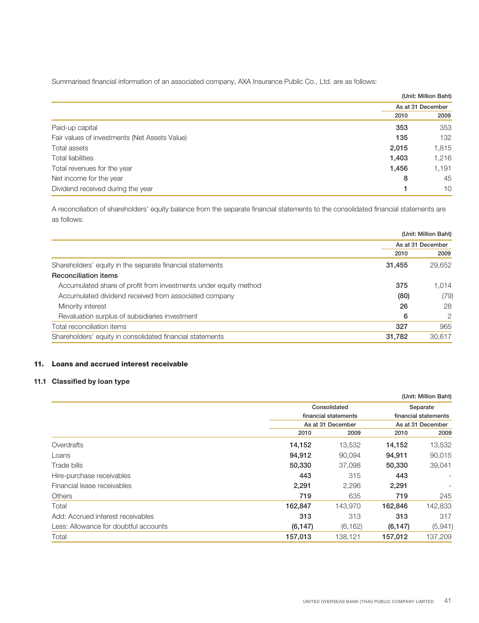Summarised financial information of an associated company, AXA Insurance Public Co., Ltd. are as follows:

|                                               |                                                                    | (Unit: Million Baht) |
|-----------------------------------------------|--------------------------------------------------------------------|----------------------|
|                                               | As at 31 December<br>2010<br>353<br>135<br>2,015<br>1,403<br>1,456 |                      |
|                                               |                                                                    | 2009                 |
| Paid-up capital                               |                                                                    | 353                  |
| Fair values of investments (Net Assets Value) |                                                                    | 132                  |
| Total assets                                  |                                                                    | 1,815                |
| <b>Total liabilities</b>                      |                                                                    | 1,216                |
| Total revenues for the year                   |                                                                    | 1,191                |
| Net income for the year                       | 8                                                                  | 45                   |
| Dividend received during the year             |                                                                    | 10                   |

A reconciliation of shareholders' equity balance from the separate financial statements to the consolidated financial statements are as follows:

|                                                                  |        | (Unit: Million Baht) |
|------------------------------------------------------------------|--------|----------------------|
|                                                                  |        | As at 31 December    |
|                                                                  | 2010   | 2009                 |
| Shareholders' equity in the separate financial statements        | 31,455 | 29,652               |
| <b>Reconciliation items</b>                                      |        |                      |
| Accumulated share of profit from investments under equity method | 375    | 1.014                |
| Accumulated dividend received from associated company            | (80)   | (79)                 |
| Minority interest                                                | 26     | 28                   |
| Revaluation surplus of subsidiaries investment                   | 6      | -2                   |
| Total reconciliation items                                       | 327    | 965                  |
| Shareholders' equity in consolidated financial statements        | 31,782 | 30,617               |

#### **11. Loans and accrued interest receivable**

## **11.1 Classified by loan type**

|              |          |                                           | (Unit: Million Baht) |
|--------------|----------|-------------------------------------------|----------------------|
| Consolidated |          | Separate                                  |                      |
|              |          |                                           | financial statements |
|              |          |                                           | As at 31 December    |
| 2010         | 2009     | 2010                                      | 2009                 |
| 14,152       | 13,532   | 14,152                                    | 13,532               |
| 94,912       | 90,094   | 94,911                                    | 90,015               |
| 50,330       | 37,098   | 50,330                                    | 39,041               |
| 443          | 315      | 443                                       |                      |
| 2,291        | 2,296    | 2,291                                     |                      |
| 719          | 635      | 719                                       | 245                  |
| 162,847      | 143,970  | 162,846                                   | 142,833              |
| 313          | 313      | 313                                       | 317                  |
| (6, 147)     | (6, 162) | (6, 147)                                  | (5,941)              |
| 157,013      | 138,121  | 157,012                                   | 137,209              |
|              |          | financial statements<br>As at 31 December |                      |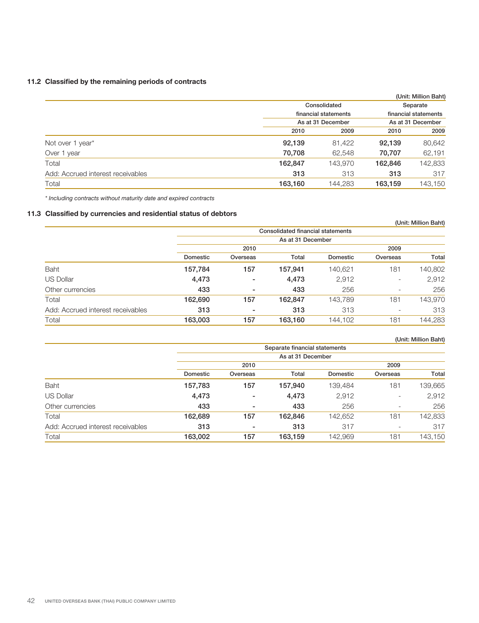## 11.2 Classified by the remaining periods of contracts

|                      |         |                                   | (Unit: Million Baht) |
|----------------------|---------|-----------------------------------|----------------------|
|                      |         | Separate                          |                      |
| financial statements |         | financial statements              |                      |
|                      |         | As at 31 December                 |                      |
| 2010                 | 2009    | 2010                              | 2009                 |
| 92,139               | 81,422  | 92.139                            | 80,642               |
| 70,708               | 62,548  | 70,707                            | 62,191               |
| 162,847              | 143,970 | 162,846                           | 142,833              |
| 313                  | 313     | 313                               | 317                  |
| 163,160              | 144.283 | 163,159                           | 143,150              |
|                      |         | Consolidated<br>As at 31 December |                      |

*\* Including contracts without maturity date and expired contracts*

## **11.3 Classified by currencies and residential status of debtors**

|                                   |          |          |                                          |          |                          | (Unit: Million Baht) |
|-----------------------------------|----------|----------|------------------------------------------|----------|--------------------------|----------------------|
|                                   |          |          | <b>Consolidated financial statements</b> |          |                          |                      |
|                                   |          |          | As at 31 December                        |          |                          |                      |
|                                   |          | 2010     |                                          |          | 2009                     |                      |
|                                   | Domestic | Overseas | Total                                    | Domestic | Overseas                 | Total                |
| <b>Baht</b>                       | 157,784  | 157      | 157,941                                  | 140,621  | 181                      | 140,802              |
| US Dollar                         | 4,473    | ۰        | 4,473                                    | 2,912    | $\overline{\phantom{a}}$ | 2,912                |
| Other currencies                  | 433      | ۰        | 433                                      | 256      | $\overline{\phantom{a}}$ | 256                  |
| Total                             | 162,690  | 157      | 162,847                                  | 143,789  | 181                      | 143,970              |
| Add: Accrued interest receivables | 313      | ۰        | 313                                      | 313      | $\overline{\phantom{0}}$ | 313                  |
| Total                             | 163.003  | 157      | 163.160                                  | 144.102  | 181                      | 144.283              |

# **(Unit: Million Baht) Separate financial statements As at 31 December 2010 2009 Domestic Overseas Total Domestic Overseas Total** Baht **157,783 157 157,940** 139,484 181 139,665 US Dollar **4,473 - 4,473** 2,912 - 2,912 Other currencies **433 133 1433 1433 256 1433 256 1433** Total **162,689 157 162,846** 142,652 181 142,833 Add: Accrued interest receivables **313 - 313** 317 - 317 Total **163,002 157 163,159** 142,969 181 143,150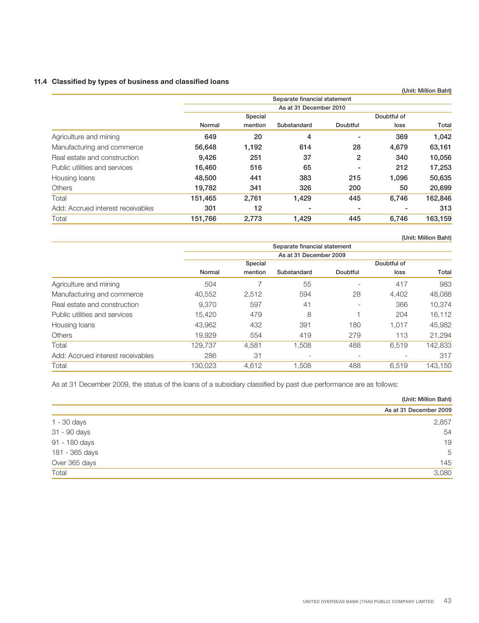# 11.4 Classified by types of business and classified loans

|                                   |                        |         | Separate financial statement |                |             |         |  |
|-----------------------------------|------------------------|---------|------------------------------|----------------|-------------|---------|--|
|                                   | As at 31 December 2010 |         |                              |                |             |         |  |
|                                   |                        | Special |                              |                | Doubtful of |         |  |
|                                   | Normal                 | mention | Substandard                  | Doubtful       | loss        | Total   |  |
| Agriculture and mining            | 649                    | 20      | 4                            | ۰              | 369         | 1,042   |  |
| Manufacturing and commerce        | 56,648                 | 1,192   | 614                          | 28             | 4,679       | 63,161  |  |
| Real estate and construction      | 9,426                  | 251     | 37                           | $\overline{2}$ | 340         | 10,056  |  |
| Public utilities and services     | 16.460                 | 516     | 65                           | ۰              | 212         | 17,253  |  |
| Housing loans                     | 48,500                 | 441     | 383                          | 215            | 1,096       | 50,635  |  |
| <b>Others</b>                     | 19.782                 | 341     | 326                          | 200            | 50          | 20,699  |  |
| Total                             | 151,465                | 2,761   | 1,429                        | 445            | 6,746       | 162,846 |  |
| Add: Accrued interest receivables | 301                    | 12      |                              |                |             | 313     |  |
| Total                             | 151,766                | 2,773   | 1.429                        | 445            | 6.746       | 163,159 |  |

 **(Unit: Million Baht)**

|                                   |         | Separate financial statement |                          |                          |                          |         |  |  |
|-----------------------------------|---------|------------------------------|--------------------------|--------------------------|--------------------------|---------|--|--|
|                                   |         |                              | As at 31 December 2009   |                          |                          |         |  |  |
|                                   |         | Special                      |                          |                          | Doubtful of              |         |  |  |
|                                   | Normal  | mention                      | Substandard              | Doubtful                 | loss                     | Total   |  |  |
| Agriculture and mining            | 504     |                              | 55                       | $\qquad \qquad -$        | 417                      | 983     |  |  |
| Manufacturing and commerce        | 40.552  | 2.512                        | 594                      | 28                       | 4.402                    | 48,088  |  |  |
| Real estate and construction      | 9.370   | 597                          | 41                       | $\qquad \qquad -$        | 366                      | 10.374  |  |  |
| Public utilities and services     | 15.420  | 479                          | 8                        |                          | 204                      | 16.112  |  |  |
| Housing loans                     | 43.962  | 432                          | 391                      | 180                      | 1,017                    | 45.982  |  |  |
| <b>Others</b>                     | 19.929  | 554                          | 419                      | 279                      | 113                      | 21.294  |  |  |
| Total                             | 129.737 | 4,581                        | 1,508                    | 488                      | 6,519                    | 142,833 |  |  |
| Add: Accrued interest receivables | 286     | 31                           | $\overline{\phantom{0}}$ | $\overline{\phantom{a}}$ | $\overline{\phantom{a}}$ | 317     |  |  |
| Total                             | 130.023 | 4,612                        | 1,508                    | 488                      | 6,519                    | 143,150 |  |  |

As at 31 December 2009, the status of the loans of a subsidiary classified by past due performance are as follows:

|                | (Unit: Million Baht)   |
|----------------|------------------------|
|                | As at 31 December 2009 |
| $1 - 30$ days  | 2,857                  |
| 31 - 90 days   | 54                     |
| 91 - 180 days  | 19                     |
| 181 - 365 days | 5                      |
| Over 365 days  | 145                    |
| Total          | 3,080                  |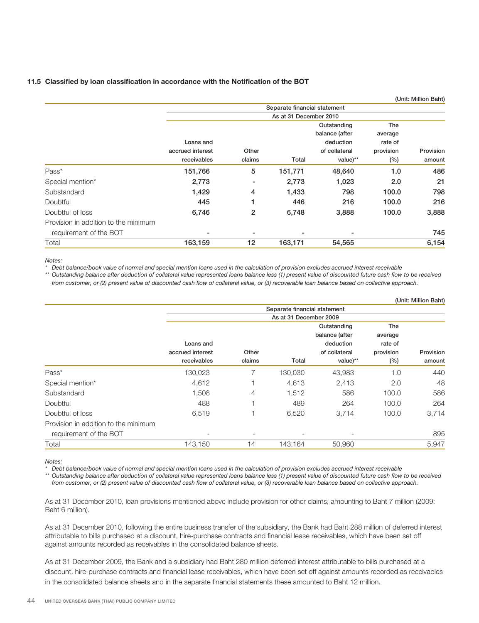#### 11.5 Classified by loan classification in accordance with the Notification of the BOT

|                                      |                  |                        |                              |                |            | (Unit: Million Baht) |  |  |  |
|--------------------------------------|------------------|------------------------|------------------------------|----------------|------------|----------------------|--|--|--|
|                                      |                  |                        | Separate financial statement |                |            |                      |  |  |  |
|                                      |                  | As at 31 December 2010 |                              |                |            |                      |  |  |  |
|                                      |                  |                        |                              | Outstanding    | <b>The</b> |                      |  |  |  |
|                                      |                  |                        |                              | balance (after | average    |                      |  |  |  |
|                                      | Loans and        |                        |                              | deduction      | rate of    |                      |  |  |  |
|                                      | accrued interest | Other                  |                              | of collateral  | provision  | Provision            |  |  |  |
|                                      | receivables      | claims                 | Total                        | value)**       | (%)        | amount               |  |  |  |
| Pass*                                | 151,766          | 5                      | 151,771                      | 48,640         | 1.0        | 486                  |  |  |  |
| Special mention*                     | 2,773            | ۰                      | 2,773                        | 1,023          | 2.0        | 21                   |  |  |  |
| Substandard                          | 1,429            | 4                      | 1,433                        | 798            | 100.0      | 798                  |  |  |  |
| Doubtful                             | 445              |                        | 446                          | 216            | 100.0      | 216                  |  |  |  |
| Doubtful of loss                     | 6,746            | 2                      | 6,748                        | 3,888          | 100.0      | 3,888                |  |  |  |
| Provision in addition to the minimum |                  |                        |                              |                |            |                      |  |  |  |
| requirement of the BOT               |                  | ۰                      |                              |                |            | 745                  |  |  |  |
| Total                                | 163,159          | 12                     | 163,171                      | 54,565         |            | 6,154                |  |  |  |

*Notes:* 

*\* Debt balance/book value of normal and special mention loans used in the calculation of provision excludes accrued interest receivable* 

\*\* Outstanding balance after deduction of collateral value represented loans balance less (1) present value of discounted future cash flow to be received  *from customer, or (2) present value of discounted cash flow of collateral value, or (3) recoverable loan balance based on collective approach.* 

|                                      |                                              |                          | Separate financial statement |                                                                         |                                                      | (Unit: Million Baht) |
|--------------------------------------|----------------------------------------------|--------------------------|------------------------------|-------------------------------------------------------------------------|------------------------------------------------------|----------------------|
|                                      |                                              |                          | As at 31 December 2009       |                                                                         |                                                      |                      |
|                                      | Loans and<br>accrued interest<br>receivables | Other<br>claims          | Total                        | Outstanding<br>balance (after<br>deduction<br>of collateral<br>value)** | <b>The</b><br>average<br>rate of<br>provision<br>(%) | Provision<br>amount  |
| Pass*                                | 130,023                                      | 7                        | 130,030                      | 43,983                                                                  | 1.0                                                  | 440                  |
| Special mention*                     | 4,612                                        |                          | 4,613                        | 2,413                                                                   | 2.0                                                  | 48                   |
| Substandard                          | 1,508                                        | $\overline{4}$           | 1,512                        | 586                                                                     | 100.0                                                | 586                  |
| Doubtful                             | 488                                          |                          | 489                          | 264                                                                     | 100.0                                                | 264                  |
| Doubtful of loss                     | 6,519                                        |                          | 6,520                        | 3.714                                                                   | 100.0                                                | 3,714                |
| Provision in addition to the minimum |                                              |                          |                              |                                                                         |                                                      |                      |
| requirement of the BOT               | $\overline{\phantom{a}}$                     | $\overline{\phantom{a}}$ | $\overline{\phantom{0}}$     |                                                                         |                                                      | 895                  |
| Total                                | 143,150                                      | 14                       | 143,164                      | 50,960                                                                  |                                                      | 5,947                |

*Notes:* 

*\* Debt balance/book value of normal and special mention loans used in the calculation of provision excludes accrued interest receivable* 

*\*\* Outstanding balance after deduction of collateral value represented loans balance less (1) present value of discounted future cash flow to be received from customer, or (2) present value of discounted cash flow of collateral value, or (3) recoverable loan balance based on collective approach.* 

As at 31 December 2010, loan provisions mentioned above include provision for other claims, amounting to Baht 7 million (2009: Baht 6 million).

As at 31 December 2010, following the entire business transfer of the subsidiary, the Bank had Baht 288 million of deferred interest attributable to bills purchased at a discount, hire-purchase contracts and financial lease receivables, which have been set off against amounts recorded as receivables in the consolidated balance sheets.

As at 31 December 2009, the Bank and a subsidiary had Baht 280 million deferred interest attributable to bills purchased at a discount, hire-purchase contracts and financial lease receivables, which have been set off against amounts recorded as receivables in the consolidated balance sheets and in the separate financial statements these amounted to Baht 12 million.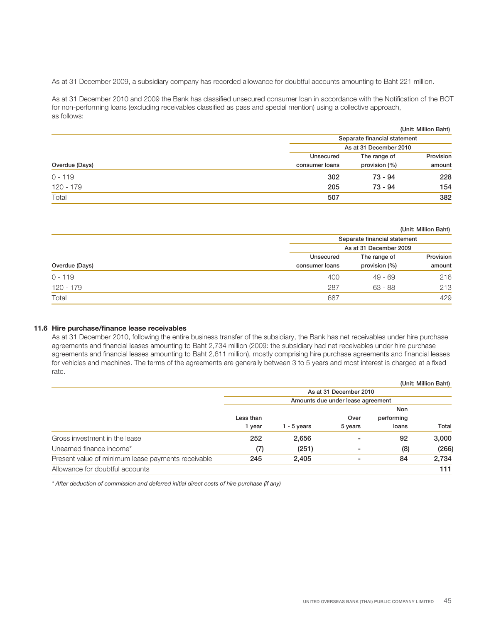As at 31 December 2009, a subsidiary company has recorded allowance for doubtful accounts amounting to Baht 221 million.

As at 31 December 2010 and 2009 the Bank has classified unsecured consumer loan in accordance with the Notification of the BOT for non-performing loans (excluding receivables classified as pass and special mention) using a collective approach, as follows:

|                |                |                              | (Unit: Million Baht) |  |  |  |
|----------------|----------------|------------------------------|----------------------|--|--|--|
|                |                | Separate financial statement |                      |  |  |  |
|                |                | As at 31 December 2010       |                      |  |  |  |
|                | Unsecured      | The range of                 | Provision            |  |  |  |
| Overdue (Days) | consumer loans | provision (%)                | amount               |  |  |  |
| $0 - 119$      | 302            | $73 - 94$                    | 228                  |  |  |  |
| 120 - 179      | 205            | $73 - 94$                    | 154                  |  |  |  |
| Total          | 507            |                              | 382                  |  |  |  |

#### **(Unit: Million Baht)**

|                |                | Separate financial statement<br>As at 31 December 2009 |           |  |  |  |
|----------------|----------------|--------------------------------------------------------|-----------|--|--|--|
|                |                |                                                        |           |  |  |  |
|                | Unsecured      | The range of                                           | Provision |  |  |  |
| Overdue (Days) | consumer loans | provision (%)                                          | amount    |  |  |  |
| $0 - 119$      | 400            | $49 - 69$                                              | 216       |  |  |  |
| 120 - 179      | 287            | $63 - 88$                                              | 213       |  |  |  |
| Total          | 687            |                                                        | 429       |  |  |  |
|                |                |                                                        |           |  |  |  |

#### **11.6 Hire purchase/finance lease receivables**

As at 31 December 2010, following the entire business transfer of the subsidiary, the Bank has net receivables under hire purchase agreements and financial leases amounting to Baht 2,734 million (2009: the subsidiary had net receivables under hire purchase agreements and financial leases amounting to Baht 2,611 million), mostly comprising hire purchase agreements and financial leases for vehicles and machines. The terms of the agreements are generally between 3 to 5 years and most interest is charged at a fixed rate.

|                                                    | As at 31 December 2010<br>Amounts due under lease agreement |             |         |            |       |
|----------------------------------------------------|-------------------------------------------------------------|-------------|---------|------------|-------|
|                                                    |                                                             |             |         |            |       |
|                                                    |                                                             |             |         |            |       |
|                                                    | Less than                                                   |             | Over    | performing |       |
|                                                    | 1 year                                                      | 1 - 5 years | 5 years | loans      | Total |
| Gross investment in the lease                      | 252                                                         | 2,656       |         | 92         | 3,000 |
| Unearned finance income*                           | (7)                                                         | (251)       |         | (8)        | (266) |
| Present value of minimum lease payments receivable | 245                                                         | 2,405       |         | 84         | 2,734 |
| Allowance for doubtful accounts                    |                                                             |             |         |            | 111   |

*\* After deduction of commission and deferred initial direct costs of hire purchase (if any)*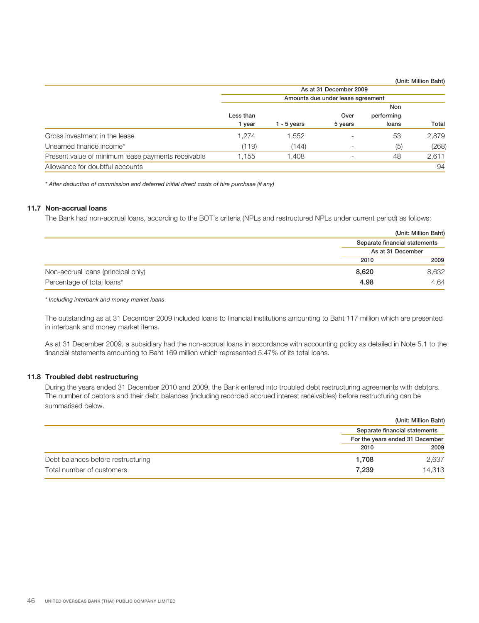|                                                    | As at 31 December 2009            |             |         |       |            |  |  |
|----------------------------------------------------|-----------------------------------|-------------|---------|-------|------------|--|--|
|                                                    | Amounts due under lease agreement |             |         |       |            |  |  |
|                                                    |                                   |             |         | Non   |            |  |  |
|                                                    | Less than<br>1 year               |             | Over    |       | performing |  |  |
|                                                    |                                   | 1 - 5 years | 5 years | loans | Total      |  |  |
| Gross investment in the lease                      | 1.274                             | 1,552       |         | 53    | 2,879      |  |  |
| Unearned finance income*                           | (119)                             | (144)       |         | (5)   | (268)      |  |  |
| Present value of minimum lease payments receivable | 1.155                             | 1.408       |         | 48    | 2,611      |  |  |
| Allowance for doubtful accounts                    |                                   |             |         |       | 94         |  |  |

*\* After deduction of commission and deferred initial direct costs of hire purchase (if any)* 

#### **11.7 Non-accrual loans**

The Bank had non-accrual loans, according to the BOT's criteria (NPLs and restructured NPLs under current period) as follows:

| (Unit: Million Baht)               |       |                               |  |  |
|------------------------------------|-------|-------------------------------|--|--|
|                                    |       | Separate financial statements |  |  |
|                                    |       | As at 31 December             |  |  |
|                                    | 2010  | 2009                          |  |  |
| Non-accrual loans (principal only) | 8,620 | 8,632                         |  |  |
| Percentage of total loans*         | 4.98  | 4.64                          |  |  |

#### *\* Including interbank and money market loans*

The outstanding as at 31 December 2009 included loans to financial institutions amounting to Baht 117 million which are presented in interbank and money market items.

As at 31 December 2009, a subsidiary had the non-accrual loans in accordance with accounting policy as detailed in Note 5.1 to the financial statements amounting to Baht 169 million which represented 5.47% of its total loans.

#### **11.8 Troubled debt restructuring**

During the years ended 31 December 2010 and 2009, the Bank entered into troubled debt restructuring agreements with debtors. The number of debtors and their debt balances (including recorded accrued interest receivables) before restructuring can be summarised below.

| (Unit: Million Baht)               |       |                                 |  |  |
|------------------------------------|-------|---------------------------------|--|--|
|                                    |       | Separate financial statements   |  |  |
|                                    |       | For the years ended 31 December |  |  |
|                                    | 2010  | 2009                            |  |  |
| Debt balances before restructuring | 1.708 | 2,637                           |  |  |
| Total number of customers          | 7,239 | 14.313                          |  |  |
|                                    |       |                                 |  |  |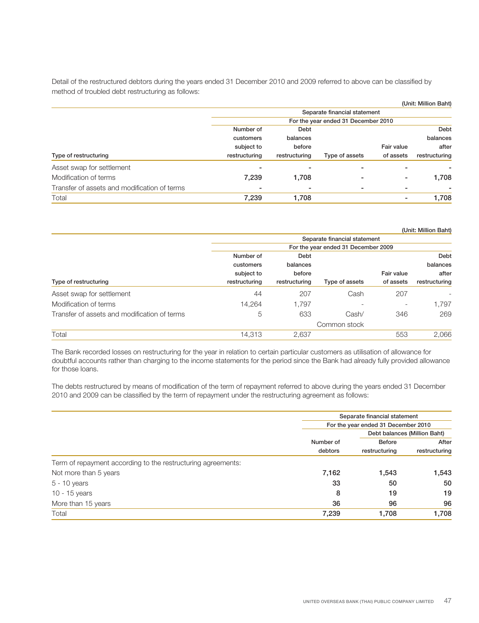Detail of the restructured debtors during the years ended 31 December 2010 and 2009 referred to above can be classified by method of troubled debt restructuring as follows:

|                                              |               |                                     |                              |                          | (Unit: Million Baht) |
|----------------------------------------------|---------------|-------------------------------------|------------------------------|--------------------------|----------------------|
|                                              |               |                                     | Separate financial statement |                          |                      |
|                                              |               | For the year ended 31 December 2010 |                              |                          |                      |
|                                              | Number of     | Debt                                |                              |                          | Debt                 |
|                                              | customers     | balances                            |                              |                          | balances             |
|                                              | subject to    | before                              |                              | Fair value               | after                |
| Type of restructuring                        | restructuring | restructuring                       | Type of assets               | of assets                | restructuring        |
| Asset swap for settlement                    |               |                                     | -                            | $\overline{\phantom{a}}$ |                      |
| Modification of terms                        | 7,239         | 1,708                               | ٠                            | ۰                        | 1,708                |
| Transfer of assets and modification of terms |               |                                     | -                            |                          |                      |
| Total                                        | 7,239         | 1,708                               |                              | ٠                        | 1,708                |
|                                              |               |                                     |                              |                          |                      |

**(Unit: Million Baht)** 

|                                              | Separate financial statement        |               |                          |                          |               |  |  |  |  |
|----------------------------------------------|-------------------------------------|---------------|--------------------------|--------------------------|---------------|--|--|--|--|
|                                              | For the year ended 31 December 2009 |               |                          |                          |               |  |  |  |  |
|                                              | Number of                           | Debt          |                          |                          | Debt          |  |  |  |  |
|                                              | customers                           | balances      |                          |                          | balances      |  |  |  |  |
|                                              | subject to                          | before        |                          | Fair value               | after         |  |  |  |  |
| Type of restructuring                        | restructuring                       | restructuring | Type of assets           | of assets                | restructuring |  |  |  |  |
| Asset swap for settlement                    | 44                                  | 207           | Cash                     | 207                      |               |  |  |  |  |
| Modification of terms                        | 14.264                              | 1.797         | $\overline{\phantom{a}}$ | $\overline{\phantom{a}}$ | 1,797         |  |  |  |  |
| Transfer of assets and modification of terms | 5                                   | 633           | Cash/                    | 346                      | 269           |  |  |  |  |
|                                              |                                     |               | Common stock             |                          |               |  |  |  |  |
| Total                                        | 14,313                              | 2,637         |                          | 553                      | 2,066         |  |  |  |  |

The Bank recorded losses on restructuring for the year in relation to certain particular customers as utilisation of allowance for doubtful accounts rather than charging to the income statements for the period since the Bank had already fully provided allowance for those loans.

The debts restructured by means of modification of the term of repayment referred to above during the years ended 31 December 2010 and 2009 can be classified by the term of repayment under the restructuring agreement as follows:

|                                                              |           | Separate financial statement<br>For the year ended 31 December 2010 |                              |  |  |
|--------------------------------------------------------------|-----------|---------------------------------------------------------------------|------------------------------|--|--|
|                                                              |           |                                                                     |                              |  |  |
|                                                              |           |                                                                     | Debt balances (Million Baht) |  |  |
|                                                              | Number of | <b>Before</b>                                                       | After                        |  |  |
|                                                              | debtors   | restructuring                                                       | restructuring                |  |  |
| Term of repayment according to the restructuring agreements: |           |                                                                     |                              |  |  |
| Not more than 5 years                                        | 7,162     | 1,543                                                               | 1,543                        |  |  |
| $5 - 10$ years                                               | 33        | 50                                                                  | 50                           |  |  |
| $10 - 15$ years                                              | 8         | 19                                                                  | 19                           |  |  |
| More than 15 years                                           | 36        | 96                                                                  | 96                           |  |  |
| Total                                                        | 7,239     | 1.708                                                               | 1,708                        |  |  |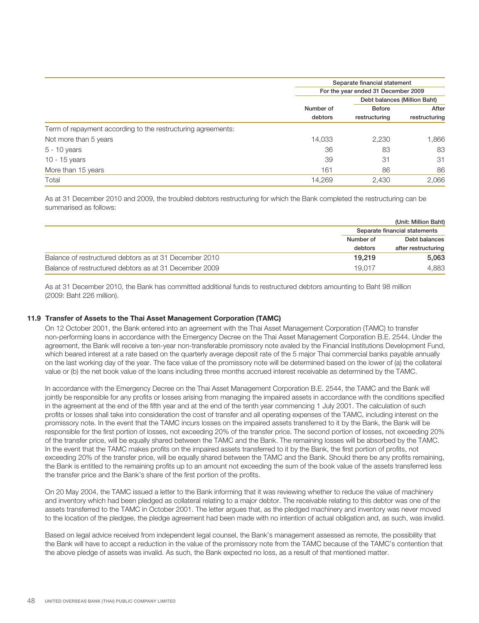|                                                              |           | Separate financial statement<br>For the year ended 31 December 2009 |               |  |  |  |
|--------------------------------------------------------------|-----------|---------------------------------------------------------------------|---------------|--|--|--|
|                                                              |           |                                                                     |               |  |  |  |
|                                                              |           | Debt balances (Million Baht)                                        |               |  |  |  |
|                                                              | Number of | <b>Before</b>                                                       | After         |  |  |  |
|                                                              | debtors   | restructuring                                                       | restructuring |  |  |  |
| Term of repayment according to the restructuring agreements: |           |                                                                     |               |  |  |  |
| Not more than 5 years                                        | 14,033    | 2,230                                                               | .866          |  |  |  |
| 5 - 10 years                                                 | 36        | 83                                                                  | 83            |  |  |  |
| 10 - 15 years                                                | 39        | 31                                                                  | 31            |  |  |  |
| More than 15 years                                           | 161       | 86                                                                  | 86            |  |  |  |
| Total                                                        | 14,269    | 2,430                                                               | 2,066         |  |  |  |

As at 31 December 2010 and 2009, the troubled debtors restructuring for which the Bank completed the restructuring can be summarised as follows:

|                                                        |           | (Unit: Million Baht)          |
|--------------------------------------------------------|-----------|-------------------------------|
|                                                        |           | Separate financial statements |
|                                                        | Number of | Debt balances                 |
|                                                        | debtors   | after restructuring           |
| Balance of restructured debtors as at 31 December 2010 | 19.219    | 5,063                         |
| Balance of restructured debtors as at 31 December 2009 | 19.017    | 4.883                         |

As at 31 December 2010, the Bank has committed additional funds to restructured debtors amounting to Baht 98 million (2009: Baht 226 million).

#### **11.9 Transfer of Assets to the Thai Asset Management Corporation (TAMC)**

On 12 October 2001, the Bank entered into an agreement with the Thai Asset Management Corporation (TAMC) to transfer non-performing loans in accordance with the Emergency Decree on the Thai Asset Management Corporation B.E. 2544. Under the agreement, the Bank will receive a ten-year non-transferable promissory note avaled by the Financial Institutions Development Fund, which beared interest at a rate based on the quarterly average deposit rate of the 5 major Thai commercial banks payable annually on the last working day of the year. The face value of the promissory note will be determined based on the lower of (a) the collateral value or (b) the net book value of the loans including three months accrued interest receivable as determined by the TAMC.

In accordance with the Emergency Decree on the Thai Asset Management Corporation B.E. 2544, the TAMC and the Bank will jointly be responsible for any profits or losses arising from managing the impaired assets in accordance with the conditions specified in the agreement at the end of the fifth year and at the end of the tenth year commencing 1 July 2001. The calculation of such profits or losses shall take into consideration the cost of transfer and all operating expenses of the TAMC, including interest on the promissory note. In the event that the TAMC incurs losses on the impaired assets transferred to it by the Bank, the Bank will be responsible for the first portion of losses, not exceeding 20% of the transfer price. The second portion of losses, not exceeding 20% of the transfer price, will be equally shared between the TAMC and the Bank. The remaining losses will be absorbed by the TAMC. In the event that the TAMC makes profits on the impaired assets transferred to it by the Bank, the first portion of profits, not exceeding 20% of the transfer price, will be equally shared between the TAMC and the Bank. Should there be any profits remaining, the Bank is entitled to the remaining profits up to an amount not exceeding the sum of the book value of the assets transferred less the transfer price and the Bank's share of the first portion of the profits.

On 20 May 2004, the TAMC issued a letter to the Bank informing that it was reviewing whether to reduce the value of machinery and inventory which had been pledged as collateral relating to a major debtor. The receivable relating to this debtor was one of the assets transferred to the TAMC in October 2001. The letter argues that, as the pledged machinery and inventory was never moved to the location of the pledgee, the pledge agreement had been made with no intention of actual obligation and, as such, was invalid.

Based on legal advice received from independent legal counsel, the Bank's management assessed as remote, the possibility that the Bank will have to accept a reduction in the value of the promissory note from the TAMC because of the TAMC's contention that the above pledge of assets was invalid. As such, the Bank expected no loss, as a result of that mentioned matter.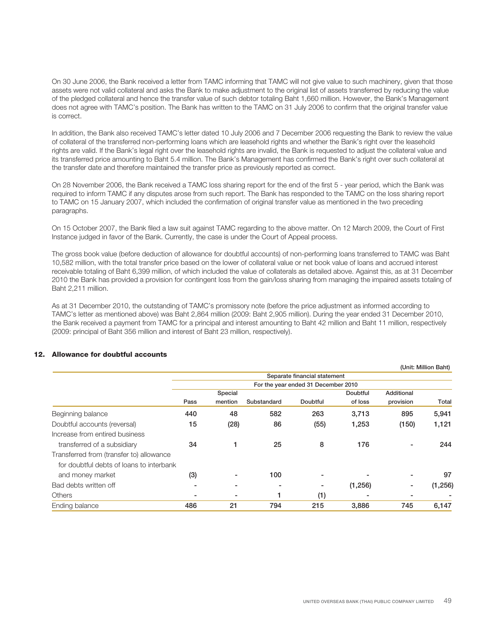On 30 June 2006, the Bank received a letter from TAMC informing that TAMC will not give value to such machinery, given that those assets were not valid collateral and asks the Bank to make adjustment to the original list of assets transferred by reducing the value of the pledged collateral and hence the transfer value of such debtor totaling Baht 1,660 million. However, the Bank's Management does not agree with TAMC's position. The Bank has written to the TAMC on 31 July 2006 to confirm that the original transfer value is correct.

In addition, the Bank also received TAMC's letter dated 10 July 2006 and 7 December 2006 requesting the Bank to review the value of collateral of the transferred non-performing loans which are leasehold rights and whether the Bank's right over the leasehold rights are valid. If the Bank's legal right over the leasehold rights are invalid, the Bank is requested to adjust the collateral value and its transferred price amounting to Baht 5.4 million. The Bank's Management has confirmed the Bank's right over such collateral at the transfer date and therefore maintained the transfer price as previously reported as correct.

On 28 November 2006, the Bank received a TAMC loss sharing report for the end of the first 5 - year period, which the Bank was required to inform TAMC if any disputes arose from such report. The Bank has responded to the TAMC on the loss sharing report to TAMC on 15 January 2007, which included the confirmation of original transfer value as mentioned in the two preceding paragraphs.

On 15 October 2007, the Bank filed a law suit against TAMC regarding to the above matter. On 12 March 2009, the Court of First Instance judged in favor of the Bank. Currently, the case is under the Court of Appeal process.

The gross book value (before deduction of allowance for doubtful accounts) of non-performing loans transferred to TAMC was Baht 10,582 million, with the total transfer price based on the lower of collateral value or net book value of loans and accrued interest receivable totaling of Baht 6,399 million, of which included the value of collaterals as detailed above. Against this, as at 31 December 2010 the Bank has provided a provision for contingent loss from the gain/loss sharing from managing the impaired assets totaling of Baht 2,211 million.

As at 31 December 2010, the outstanding of TAMC's promissory note (before the price adjustment as informed according to TAMC's letter as mentioned above) was Baht 2,864 million (2009: Baht 2,905 million). During the year ended 31 December 2010, the Bank received a payment from TAMC for a principal and interest amounting to Baht 42 million and Baht 11 million, respectively (2009: principal of Baht 356 million and interest of Baht 23 million, respectively).

## **12. Allowance for doubtful accounts**

|                                          |      |                                     |             |                              |          |            | (Unit: Million Baht) |  |  |
|------------------------------------------|------|-------------------------------------|-------------|------------------------------|----------|------------|----------------------|--|--|
|                                          |      |                                     |             | Separate financial statement |          |            |                      |  |  |
|                                          |      | For the year ended 31 December 2010 |             |                              |          |            |                      |  |  |
|                                          |      | Special                             |             |                              | Doubtful | Additional |                      |  |  |
|                                          | Pass | mention                             | Substandard | Doubtful                     | of loss  | provision  | Total                |  |  |
| Beginning balance                        | 440  | 48                                  | 582         | 263                          | 3,713    | 895        | 5,941                |  |  |
| Doubtful accounts (reversal)             | 15   | (28)                                | 86          | (55)                         | 1,253    | (150)      | 1,121                |  |  |
| Increase from entired business           |      |                                     |             |                              |          |            |                      |  |  |
| transferred of a subsidiary              | 34   |                                     | 25          | 8                            | 176      |            | 244                  |  |  |
| Transferred from (transfer to) allowance |      |                                     |             |                              |          |            |                      |  |  |
| for doubtful debts of loans to interbank |      |                                     |             |                              |          |            |                      |  |  |
| and money market                         | (3)  |                                     | 100         |                              |          |            | 97                   |  |  |
| Bad debts written off                    | -    |                                     |             |                              | (1,256)  |            | (1,256)              |  |  |
| <b>Others</b>                            | ۰    |                                     |             | (1)                          | -        |            |                      |  |  |
| Ending balance                           | 486  | 21                                  | 794         | 215                          | 3,886    | 745        | 6,147                |  |  |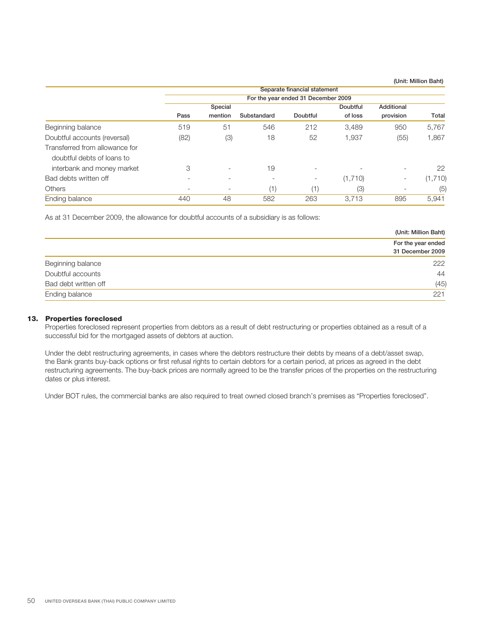|                                | Separate financial statement        |                          |                          |                          |                 |                          |         |  |
|--------------------------------|-------------------------------------|--------------------------|--------------------------|--------------------------|-----------------|--------------------------|---------|--|
|                                | For the year ended 31 December 2009 |                          |                          |                          |                 |                          |         |  |
|                                |                                     | Special                  |                          |                          | <b>Doubtful</b> | Additional               |         |  |
|                                | Pass                                | mention                  | Substandard              | Doubtful                 | of loss         | provision                | Total   |  |
| Beginning balance              | 519                                 | 51                       | 546                      | 212                      | 3,489           | 950                      | 5,767   |  |
| Doubtful accounts (reversal)   | (82)                                | (3)                      | 18                       | 52                       | 1,937           | (55)                     | 1,867   |  |
| Transferred from allowance for |                                     |                          |                          |                          |                 |                          |         |  |
| doubtful debts of loans to     |                                     |                          |                          |                          |                 |                          |         |  |
| interbank and money market     | 3                                   |                          | 19                       | $\overline{\phantom{a}}$ |                 | $\overline{\phantom{a}}$ | 22      |  |
| Bad debts written off          | $\overline{\phantom{a}}$            |                          | $\overline{\phantom{a}}$ | $\overline{\phantom{a}}$ | (1,710)         | $\overline{\phantom{a}}$ | (1,710) |  |
| <b>Others</b>                  | $\overline{\phantom{a}}$            | $\overline{\phantom{a}}$ | (1)                      | (1)                      | (3)             | $\overline{\phantom{a}}$ | (5)     |  |
| Ending balance                 | 440                                 | 48                       | 582                      | 263                      | 3.713           | 895                      | 5.941   |  |

As at 31 December 2009, the allowance for doubtful accounts of a subsidiary is as follows:

|                      | (Unit: Million Baht)                   |
|----------------------|----------------------------------------|
|                      | For the year ended<br>31 December 2009 |
| Beginning balance    | 222                                    |
| Doubtful accounts    | 44                                     |
| Bad debt written off | (45)                                   |
| Ending balance       | 221                                    |

#### **13. Properties foreclosed**

Properties foreclosed represent properties from debtors as a result of debt restructuring or properties obtained as a result of a successful bid for the mortgaged assets of debtors at auction.

Under the debt restructuring agreements, in cases where the debtors restructure their debts by means of a debt/asset swap, the Bank grants buy-back options or first refusal rights to certain debtors for a certain period, at prices as agreed in the debt restructuring agreements. The buy-back prices are normally agreed to be the transfer prices of the properties on the restructuring dates or plus interest.

Under BOT rules, the commercial banks are also required to treat owned closed branch's premises as "Properties foreclosed".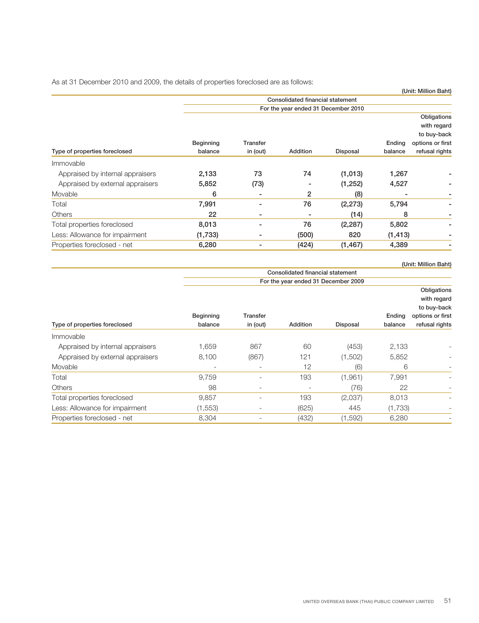As at 31 December 2010 and 2009, the details of properties foreclosed are as follows:

|                                  |           |                 |                                     |          |          | (Unit: Million Baht) |
|----------------------------------|-----------|-----------------|-------------------------------------|----------|----------|----------------------|
|                                  |           |                 |                                     |          |          |                      |
|                                  |           |                 | For the year ended 31 December 2010 |          |          |                      |
|                                  |           |                 |                                     |          |          | Obligations          |
|                                  |           |                 |                                     |          |          | with regard          |
|                                  |           |                 |                                     |          |          | to buy-back          |
|                                  | Beginning | <b>Transfer</b> |                                     |          | Ending   | options or first     |
| Type of properties foreclosed    | balance   | in (out)        | Addition                            | Disposal | balance  | refusal rights       |
| Immovable                        |           |                 |                                     |          |          |                      |
| Appraised by internal appraisers | 2,133     | 73              | 74                                  | (1,013)  | 1,267    |                      |
| Appraised by external appraisers | 5,852     | (73)            |                                     | (1,252)  | 4,527    |                      |
| Movable                          | 6         | ٠               | $\overline{2}$                      | (8)      |          |                      |
| Total                            | 7,991     | ٠               | 76                                  | (2, 273) | 5,794    |                      |
| <b>Others</b>                    | 22        | ٠.              | ۰                                   | (14)     | 8        | ۰                    |
| Total properties foreclosed      | 8,013     | ۰               | 76                                  | (2, 287) | 5,802    |                      |
| Less: Allowance for impairment   | (1,733)   | ٠               | (500)                               | 820      | (1, 413) |                      |
| Properties foreclosed - net      | 6,280     | ۰               | (424)                               | (1, 467) | 4,389    |                      |

# **(Unit: Million Baht)**

|                                  |                          | Consolidated financial statement    |                          |                 |                   |                                                                                 |  |  |  |
|----------------------------------|--------------------------|-------------------------------------|--------------------------|-----------------|-------------------|---------------------------------------------------------------------------------|--|--|--|
|                                  |                          | For the year ended 31 December 2009 |                          |                 |                   |                                                                                 |  |  |  |
| Type of properties foreclosed    | Beginning<br>balance     | <b>Transfer</b><br>in (out)         | <b>Addition</b>          | <b>Disposal</b> | Ending<br>balance | Obligations<br>with regard<br>to buy-back<br>options or first<br>refusal rights |  |  |  |
| Immovable                        |                          |                                     |                          |                 |                   |                                                                                 |  |  |  |
| Appraised by internal appraisers | 1,659                    | 867                                 | 60                       | (453)           | 2,133             |                                                                                 |  |  |  |
| Appraised by external appraisers | 8,100                    | (867)                               | 121                      | (1,502)         | 5,852             |                                                                                 |  |  |  |
| Movable                          | $\overline{\phantom{a}}$ | $\overline{\phantom{a}}$            | 12                       | (6)             | 6                 |                                                                                 |  |  |  |
| Total                            | 9,759                    | $\overline{\phantom{a}}$            | 193                      | (1,961)         | 7,991             |                                                                                 |  |  |  |
| <b>Others</b>                    | 98                       | $\overline{\phantom{a}}$            | $\overline{\phantom{a}}$ | (76)            | 22                | $\overline{\phantom{0}}$                                                        |  |  |  |
| Total properties foreclosed      | 9,857                    | $\overline{\phantom{a}}$            | 193                      | (2,037)         | 8,013             |                                                                                 |  |  |  |
| Less: Allowance for impairment   | (1, 553)                 | $\overline{\phantom{a}}$            | (625)                    | 445             | (1,733)           | $\overline{\phantom{a}}$                                                        |  |  |  |
| Properties foreclosed - net      | 8,304                    |                                     | (432)                    | (1,592)         | 6,280             |                                                                                 |  |  |  |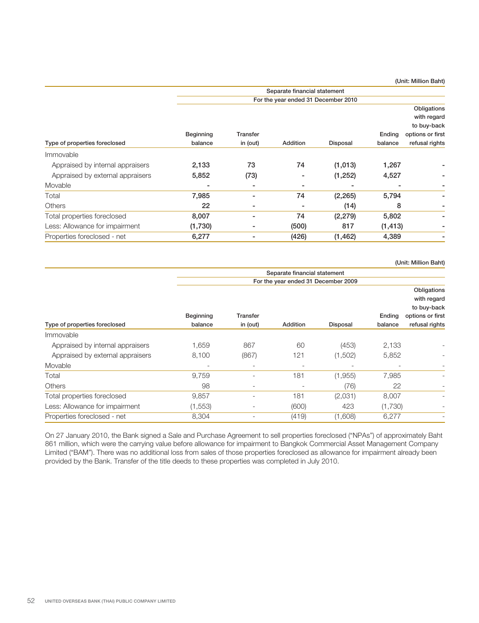|                                  |                      | Separate financial statement        |          |                 |                   |                                    |  |  |  |
|----------------------------------|----------------------|-------------------------------------|----------|-----------------|-------------------|------------------------------------|--|--|--|
|                                  |                      | For the year ended 31 December 2010 |          |                 |                   |                                    |  |  |  |
|                                  |                      |                                     |          |                 |                   | Obligations<br>with regard         |  |  |  |
|                                  |                      |                                     |          |                 |                   | to buy-back                        |  |  |  |
| Type of properties foreclosed    | Beginning<br>balance | <b>Transfer</b><br>in (out)         | Addition | <b>Disposal</b> | Endina<br>balance | options or first<br>refusal rights |  |  |  |
| Immovable                        |                      |                                     |          |                 |                   |                                    |  |  |  |
| Appraised by internal appraisers | 2,133                | 73                                  | 74       | (1,013)         | 1,267             |                                    |  |  |  |
| Appraised by external appraisers | 5,852                | (73)                                | ۰        | (1,252)         | 4,527             |                                    |  |  |  |
| Movable                          | -                    | ۰                                   |          |                 |                   | ۰                                  |  |  |  |
| Total                            | 7,985                | ۰                                   | 74       | (2, 265)        | 5,794             | ٠                                  |  |  |  |
| <b>Others</b>                    | 22                   | ۰                                   |          | (14)            | 8                 | ۰                                  |  |  |  |
| Total properties foreclosed      | 8,007                | ۰                                   | 74       | (2, 279)        | 5,802             |                                    |  |  |  |
| Less: Allowance for impairment   | (1,730)              | ۰                                   | (500)    | 817             | (1, 413)          |                                    |  |  |  |
| Properties foreclosed - net      | 6,277                |                                     | (426)    | (1, 462)        | 4,389             |                                    |  |  |  |

## **(Unit: Million Baht)**

|                          |         |                                     | Separate financial statement |                          |                          |                                  |  |  |  |
|--------------------------|---------|-------------------------------------|------------------------------|--------------------------|--------------------------|----------------------------------|--|--|--|
|                          |         | For the year ended 31 December 2009 |                              |                          |                          |                                  |  |  |  |
| Obligations              |         |                                     |                              |                          |                          |                                  |  |  |  |
| with regard              |         |                                     |                              |                          |                          |                                  |  |  |  |
| to buy-back              |         |                                     |                              |                          |                          |                                  |  |  |  |
| options or first         | Ending  |                                     |                              | <b>Transfer</b>          | Beginning                |                                  |  |  |  |
| refusal rights           | balance | <b>Disposal</b>                     | Addition                     | in (out)                 | balance                  | Type of properties foreclosed    |  |  |  |
|                          |         |                                     |                              |                          |                          | Immovable                        |  |  |  |
|                          | 2,133   | (453)                               | 60                           | 867                      | 1,659                    | Appraised by internal appraisers |  |  |  |
|                          | 5,852   | (1,502)                             | 121                          | (867)                    | 8,100                    | Appraised by external appraisers |  |  |  |
| $\overline{\phantom{0}}$ |         |                                     | $\overline{\phantom{0}}$     | $\overline{\phantom{a}}$ | $\overline{\phantom{0}}$ | Movable                          |  |  |  |
|                          | 7,985   | (1,955)                             | 181                          | $\overline{\phantom{a}}$ | 9,759                    | Total                            |  |  |  |
|                          | 22      | (76)                                | $\overline{\phantom{a}}$     | $\overline{\phantom{a}}$ | 98                       | <b>Others</b>                    |  |  |  |
|                          | 8,007   | (2,031)                             | 181                          |                          | 9,857                    | Total properties foreclosed      |  |  |  |
|                          | (1,730) | 423                                 | (600)                        | $\overline{\phantom{a}}$ | (1, 553)                 | Less: Allowance for impairment   |  |  |  |
|                          | 6,277   | (1,608)                             | (419)                        |                          | 8,304                    | Properties foreclosed - net      |  |  |  |
|                          |         |                                     |                              |                          |                          |                                  |  |  |  |

On 27 January 2010, the Bank signed a Sale and Purchase Agreement to sell properties foreclosed ("NPAs") of approximately Baht 861 million, which were the carrying value before allowance for impairment to Bangkok Commercial Asset Management Company Limited ("BAM"). There was no additional loss from sales of those properties foreclosed as allowance for impairment already been provided by the Bank. Transfer of the title deeds to these properties was completed in July 2010.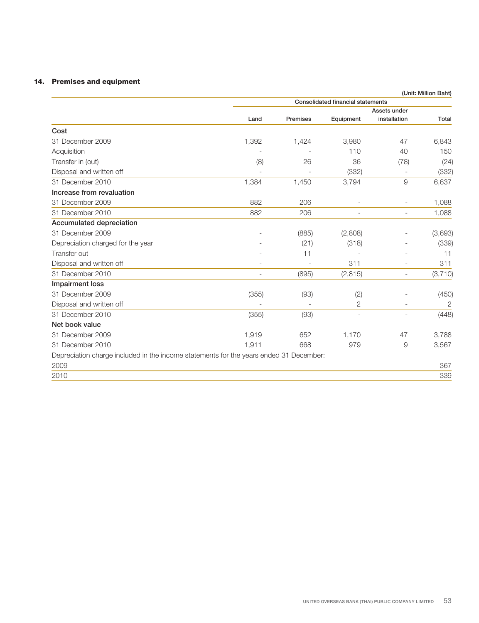# **14. Premises and equipment**

|                                                                                        |                | (Unit: Million Baht)<br><b>Consolidated financial statements</b> |           |                          |              |  |  |  |  |
|----------------------------------------------------------------------------------------|----------------|------------------------------------------------------------------|-----------|--------------------------|--------------|--|--|--|--|
|                                                                                        | Assets under   |                                                                  |           |                          |              |  |  |  |  |
|                                                                                        | Land           | Premises                                                         | Equipment | installation             | Total        |  |  |  |  |
| Cost                                                                                   |                |                                                                  |           |                          |              |  |  |  |  |
| 31 December 2009                                                                       | 1,392          | 1,424                                                            | 3,980     | 47                       | 6,843        |  |  |  |  |
| Acquisition                                                                            |                |                                                                  | 110       | 40                       | 150          |  |  |  |  |
| Transfer in (out)                                                                      | (8)            | 26                                                               | 36        | (78)                     | (24)         |  |  |  |  |
| Disposal and written off                                                               | $\overline{a}$ | $\overline{a}$                                                   | (332)     | $\overline{a}$           | (332)        |  |  |  |  |
| 31 December 2010                                                                       | 1,384          | 1,450                                                            | 3,794     | 9                        | 6,637        |  |  |  |  |
| Increase from revaluation                                                              |                |                                                                  |           |                          |              |  |  |  |  |
| 31 December 2009                                                                       | 882            | 206                                                              |           | $\overline{a}$           | 1.088        |  |  |  |  |
| 31 December 2010                                                                       | 882            | 206                                                              |           | $\overline{\phantom{a}}$ | 1,088        |  |  |  |  |
| Accumulated depreciation                                                               |                |                                                                  |           |                          |              |  |  |  |  |
| 31 December 2009                                                                       |                | (885)                                                            | (2,808)   |                          | (3,693)      |  |  |  |  |
| Depreciation charged for the year                                                      |                | (21)                                                             | (318)     |                          | (339)        |  |  |  |  |
| Transfer out                                                                           |                | 11                                                               |           |                          | 11           |  |  |  |  |
| Disposal and written off                                                               |                |                                                                  | 311       |                          | 311          |  |  |  |  |
| 31 December 2010                                                                       | $\overline{a}$ | (895)                                                            | (2, 815)  | $\overline{\phantom{a}}$ | (3,710)      |  |  |  |  |
| <b>Impairment loss</b>                                                                 |                |                                                                  |           |                          |              |  |  |  |  |
| 31 December 2009                                                                       | (355)          | (93)                                                             | (2)       |                          | (450)        |  |  |  |  |
| Disposal and written off                                                               |                | $\overline{\phantom{a}}$                                         | 2         |                          | $\mathbf{2}$ |  |  |  |  |
| 31 December 2010                                                                       | (355)          | (93)                                                             |           | $\overline{\phantom{a}}$ | (448)        |  |  |  |  |
| Net book value                                                                         |                |                                                                  |           |                          |              |  |  |  |  |
| 31 December 2009                                                                       | 1,919          | 652                                                              | 1,170     | 47                       | 3,788        |  |  |  |  |
| 31 December 2010                                                                       | 1,911          | 668                                                              | 979       | 9                        | 3,567        |  |  |  |  |
| Depreciation charge included in the income statements for the years ended 31 December: |                |                                                                  |           |                          |              |  |  |  |  |
| 2009                                                                                   |                |                                                                  |           |                          | 367          |  |  |  |  |
| 2010                                                                                   |                |                                                                  |           |                          | 339          |  |  |  |  |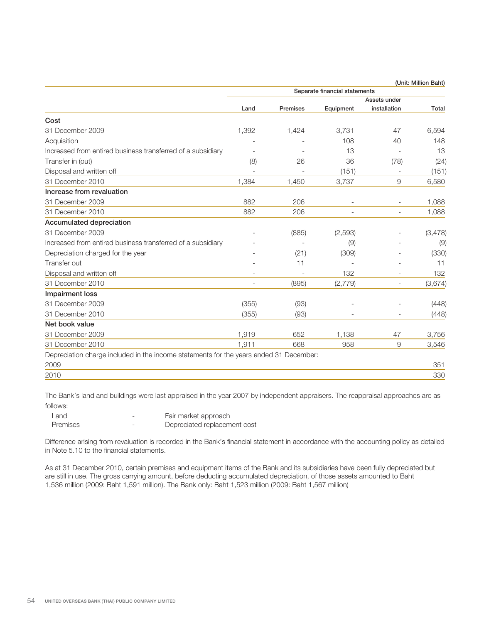|                                                                                        | Separate financial statements |                 |           |                          |         |  |  |
|----------------------------------------------------------------------------------------|-------------------------------|-----------------|-----------|--------------------------|---------|--|--|
|                                                                                        | Assets under                  |                 |           |                          |         |  |  |
|                                                                                        | Land                          | <b>Premises</b> | Equipment | installation             | Total   |  |  |
| Cost                                                                                   |                               |                 |           |                          |         |  |  |
| 31 December 2009                                                                       | 1,392                         | 1,424           | 3.731     | 47                       | 6,594   |  |  |
| Acquisition                                                                            |                               |                 | 108       | 40                       | 148     |  |  |
| Increased from entired business transferred of a subsidiary                            |                               |                 | 13        |                          | 13      |  |  |
| Transfer in (out)                                                                      | (8)                           | 26              | 36        | (78)                     | (24)    |  |  |
| Disposal and written off                                                               | $\overline{a}$                |                 | (151)     |                          | (151)   |  |  |
| 31 December 2010                                                                       | 1,384                         | 1,450           | 3,737     | 9                        | 6,580   |  |  |
| Increase from revaluation                                                              |                               |                 |           |                          |         |  |  |
| 31 December 2009                                                                       | 882                           | 206             |           | $\overline{a}$           | 1.088   |  |  |
| 31 December 2010                                                                       | 882                           | 206             |           |                          | 1,088   |  |  |
| Accumulated depreciation                                                               |                               |                 |           |                          |         |  |  |
| 31 December 2009                                                                       |                               | (885)           | (2, 593)  |                          | (3,478) |  |  |
| Increased from entired business transferred of a subsidiary                            |                               |                 | (9)       |                          | (9)     |  |  |
| Depreciation charged for the year                                                      |                               | (21)            | (309)     |                          | (330)   |  |  |
| Transfer out                                                                           |                               | 11              |           |                          | 11      |  |  |
| Disposal and written off                                                               |                               |                 | 132       |                          | 132     |  |  |
| 31 December 2010                                                                       | $\overline{\phantom{a}}$      | (895)           | (2,779)   | $\overline{\phantom{a}}$ | (3,674) |  |  |
| Impairment loss                                                                        |                               |                 |           |                          |         |  |  |
| 31 December 2009                                                                       | (355)                         | (93)            |           |                          | (448)   |  |  |
| 31 December 2010                                                                       | (355)                         | (93)            |           | $\overline{a}$           | (448)   |  |  |
| Net book value                                                                         |                               |                 |           |                          |         |  |  |
| 31 December 2009                                                                       | 1,919                         | 652             | 1,138     | 47                       | 3,756   |  |  |
| 31 December 2010                                                                       | 1,911                         | 668             | 958       | 9                        | 3,546   |  |  |
| Depreciation charge included in the income statements for the years ended 31 December: |                               |                 |           |                          |         |  |  |
| 2009                                                                                   |                               |                 |           |                          | 351     |  |  |
| 2010                                                                                   |                               |                 |           |                          | 330     |  |  |

The Bank's land and buildings were last appraised in the year 2007 by independent appraisers. The reappraisal approaches are as follows:

| Land     |                          | Fair market approach         |
|----------|--------------------------|------------------------------|
| Premises | $\overline{\phantom{0}}$ | Depreciated replacement cost |

Difference arising from revaluation is recorded in the Bank's financial statement in accordance with the accounting policy as detailed in Note 5.10 to the financial statements.

As at 31 December 2010, certain premises and equipment items of the Bank and its subsidiaries have been fully depreciated but are still in use. The gross carrying amount, before deducting accumulated depreciation, of those assets amounted to Baht 1,536 million (2009: Baht 1,591 million). The Bank only: Baht 1,523 million (2009: Baht 1,567 million)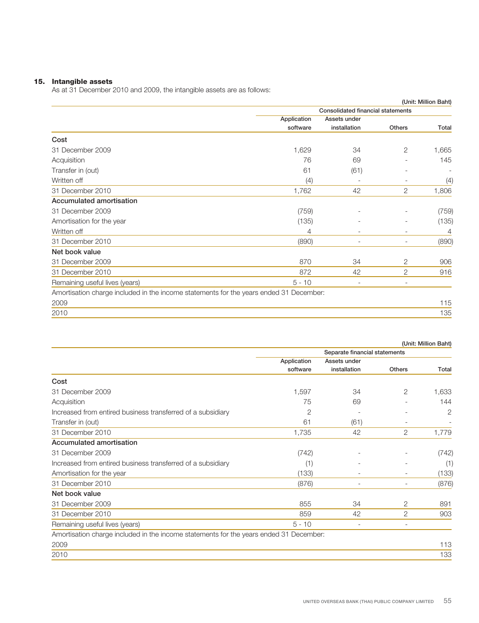#### **15. Intangible assets**

As at 31 December 2010 and 2009, the intangible assets are as follows:

|                                                                                        |             | (Unit: Million Baht)                     |                          |                |  |  |  |
|----------------------------------------------------------------------------------------|-------------|------------------------------------------|--------------------------|----------------|--|--|--|
|                                                                                        |             | <b>Consolidated financial statements</b> |                          |                |  |  |  |
|                                                                                        | Application | Assets under                             |                          |                |  |  |  |
|                                                                                        | software    | installation                             | <b>Others</b>            | Total          |  |  |  |
| Cost                                                                                   |             |                                          |                          |                |  |  |  |
| 31 December 2009                                                                       | 1,629       | 34                                       | 2                        | 1,665          |  |  |  |
| Acquisition                                                                            | 76          | 69                                       |                          | 145            |  |  |  |
| Transfer in (out)                                                                      | 61          | (61)                                     |                          |                |  |  |  |
| Written off                                                                            | (4)         |                                          |                          | (4)            |  |  |  |
| 31 December 2010                                                                       | 1,762       | 42                                       | $\overline{2}$           | 1,806          |  |  |  |
| Accumulated amortisation                                                               |             |                                          |                          |                |  |  |  |
| 31 December 2009                                                                       | (759)       |                                          |                          | (759)          |  |  |  |
| Amortisation for the year                                                              | (135)       |                                          |                          | (135)          |  |  |  |
| Written off                                                                            | 4           |                                          |                          | $\overline{4}$ |  |  |  |
| 31 December 2010                                                                       | (890)       |                                          | $\overline{\phantom{a}}$ | (890)          |  |  |  |
| Net book value                                                                         |             |                                          |                          |                |  |  |  |
| 31 December 2009                                                                       | 870         | 34                                       | 2                        | 906            |  |  |  |
| 31 December 2010                                                                       | 872         | 42                                       | $\overline{2}$           | 916            |  |  |  |
| Remaining useful lives (years)                                                         | $5 - 10$    | $\overline{\phantom{0}}$                 | $\overline{\phantom{a}}$ |                |  |  |  |
| Amortisation charge included in the income statements for the years ended 31 December: |             |                                          |                          |                |  |  |  |
| 2009                                                                                   |             |                                          |                          | 115            |  |  |  |
| 2010                                                                                   |             |                                          |                          | 135            |  |  |  |

|                                                                                        |                               |                          |                          | (Unit: Million Baht) |  |  |
|----------------------------------------------------------------------------------------|-------------------------------|--------------------------|--------------------------|----------------------|--|--|
|                                                                                        | Separate financial statements |                          |                          |                      |  |  |
|                                                                                        | Application                   | Assets under             |                          |                      |  |  |
|                                                                                        | software                      | installation             | <b>Others</b>            | Total                |  |  |
| Cost                                                                                   |                               |                          |                          |                      |  |  |
| 31 December 2009                                                                       | 1,597                         | 34                       | 2                        | 1,633                |  |  |
| Acquisition                                                                            | 75                            | 69                       |                          | 144                  |  |  |
| Increased from entired business transferred of a subsidiary                            | 2                             |                          |                          | 2                    |  |  |
| Transfer in (out)                                                                      | 61                            | (61)                     |                          |                      |  |  |
| 31 December 2010                                                                       | 1,735                         | 42                       | 2                        | 1,779                |  |  |
| Accumulated amortisation                                                               |                               |                          |                          |                      |  |  |
| 31 December 2009                                                                       | (742)                         |                          |                          | (742)                |  |  |
| Increased from entired business transferred of a subsidiary                            | (1)                           |                          |                          | (1)                  |  |  |
| Amortisation for the year                                                              | (133)                         |                          |                          | (133)                |  |  |
| 31 December 2010                                                                       | (876)                         |                          | $\overline{\phantom{0}}$ | (876)                |  |  |
| Net book value                                                                         |                               |                          |                          |                      |  |  |
| 31 December 2009                                                                       | 855                           | 34                       | 2                        | 891                  |  |  |
| 31 December 2010                                                                       | 859                           | 42                       | $\overline{2}$           | 903                  |  |  |
| Remaining useful lives (years)                                                         | $5 - 10$                      | $\overline{\phantom{a}}$ | $\overline{\phantom{a}}$ |                      |  |  |
| Amortisation charge included in the income statements for the years ended 31 December: |                               |                          |                          |                      |  |  |
| 2009                                                                                   |                               |                          |                          | 113                  |  |  |
| 2010                                                                                   |                               |                          |                          | 133                  |  |  |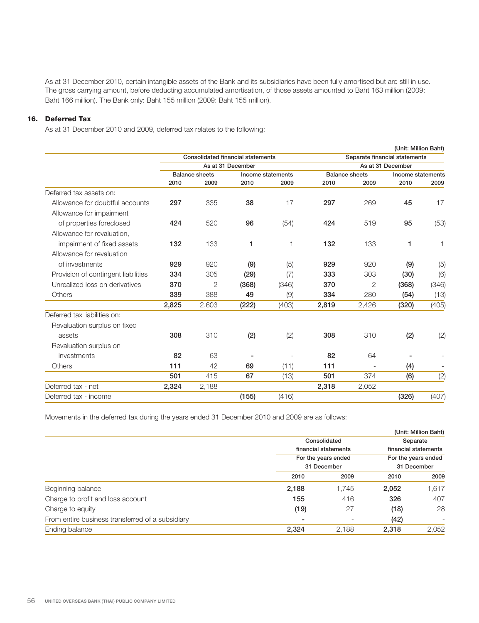As at 31 December 2010, certain intangible assets of the Bank and its subsidiaries have been fully amortised but are still in use. The gross carrying amount, before deducting accumulated amortisation, of those assets amounted to Baht 163 million (2009: Baht 166 million). The Bank only: Baht 155 million (2009: Baht 155 million).

## **16. Deferred Tax**

As at 31 December 2010 and 2009, deferred tax relates to the following:

|                                     |       |                                          |                   |                   |                   |                               | (Unit: Million Baht) |       |  |  |
|-------------------------------------|-------|------------------------------------------|-------------------|-------------------|-------------------|-------------------------------|----------------------|-------|--|--|
|                                     |       | <b>Consolidated financial statements</b> |                   |                   |                   | Separate financial statements |                      |       |  |  |
|                                     |       |                                          | As at 31 December |                   | As at 31 December |                               |                      |       |  |  |
|                                     |       | <b>Balance sheets</b>                    |                   | Income statements |                   | <b>Balance sheets</b>         | Income statements    |       |  |  |
|                                     | 2010  | 2009                                     | 2010              | 2009              | 2010              | 2009                          | 2010                 | 2009  |  |  |
| Deferred tax assets on:             |       |                                          |                   |                   |                   |                               |                      |       |  |  |
| Allowance for doubtful accounts     | 297   | 335                                      | 38                | 17                | 297               | 269                           | 45                   | 17    |  |  |
| Allowance for impairment            |       |                                          |                   |                   |                   |                               |                      |       |  |  |
| of properties foreclosed            | 424   | 520                                      | 96                | (54)              | 424               | 519                           | 95                   | (53)  |  |  |
| Allowance for revaluation,          |       |                                          |                   |                   |                   |                               |                      |       |  |  |
| impairment of fixed assets          | 132   | 133                                      | 1                 | $\mathbf 1$       | 132               | 133                           | 1                    | 1     |  |  |
| Allowance for revaluation           |       |                                          |                   |                   |                   |                               |                      |       |  |  |
| of investments                      | 929   | 920                                      | (9)               | (5)               | 929               | 920                           | (9)                  | (5)   |  |  |
| Provision of contingent liabilities | 334   | 305                                      | (29)              | (7)               | 333               | 303                           | (30)                 | (6)   |  |  |
| Unrealized loss on derivatives      | 370   | 2                                        | (368)             | (346)             | 370               | 2                             | (368)                | (346) |  |  |
| <b>Others</b>                       | 339   | 388                                      | 49                | (9)               | 334               | 280                           | (54)                 | (13)  |  |  |
|                                     | 2,825 | 2,603                                    | (222)             | (403)             | 2,819             | 2,426                         | (320)                | (405) |  |  |
| Deferred tax liabilities on:        |       |                                          |                   |                   |                   |                               |                      |       |  |  |
| Revaluation surplus on fixed        |       |                                          |                   |                   |                   |                               |                      |       |  |  |
| assets                              | 308   | 310                                      | (2)               | (2)               | 308               | 310                           | (2)                  | (2)   |  |  |
| Revaluation surplus on              |       |                                          |                   |                   |                   |                               |                      |       |  |  |
| investments                         | 82    | 63                                       |                   |                   | 82                | 64                            |                      |       |  |  |
| <b>Others</b>                       | 111   | 42                                       | 69                | (11)              | 111               |                               | (4)                  |       |  |  |
|                                     | 501   | 415                                      | 67                | (13)              | 501               | 374                           | (6)                  | (2)   |  |  |
| Deferred tax - net                  | 2,324 | 2,188                                    |                   |                   | 2,318             | 2,052                         |                      |       |  |  |
| Deferred tax - income               |       |                                          | (155)             | (416)             |                   |                               | (326)                | (407) |  |  |

Movements in the deferred tax during the years ended 31 December 2010 and 2009 are as follows:

|             |                          |                                                             | (Unit: Million Baht)     |  |
|-------------|--------------------------|-------------------------------------------------------------|--------------------------|--|
|             |                          | Separate<br>financial statements<br>For the years ended     |                          |  |
|             |                          |                                                             |                          |  |
|             |                          |                                                             |                          |  |
| 31 December |                          | 31 December                                                 |                          |  |
| 2010        | 2009                     | 2010                                                        | 2009                     |  |
| 2,188       | 1.745                    | 2,052                                                       | .617                     |  |
| 155         | 416                      | 326                                                         | 407                      |  |
| (19)        | 27                       | (18)                                                        | 28                       |  |
|             | $\overline{\phantom{0}}$ | (42)                                                        | $\overline{\phantom{a}}$ |  |
| 2,324       | 2,188                    | 2,318                                                       | 2,052                    |  |
|             |                          | Consolidated<br>financial statements<br>For the years ended |                          |  |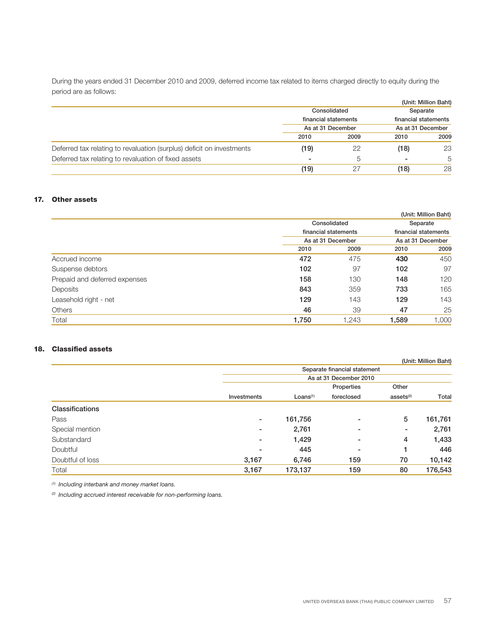During the years ended 31 December 2010 and 2009, deferred income tax related to items charged directly to equity during the period are as follows:

|                                                                       |                                           |              |                                           | (Unit: Million Baht) |
|-----------------------------------------------------------------------|-------------------------------------------|--------------|-------------------------------------------|----------------------|
|                                                                       |                                           | Consolidated |                                           | Separate             |
|                                                                       | financial statements<br>As at 31 December |              | financial statements<br>As at 31 December |                      |
|                                                                       |                                           |              |                                           |                      |
|                                                                       | 2010                                      | 2009         | 2010                                      | 2009                 |
| Deferred tax relating to revaluation (surplus) deficit on investments | (19)                                      | 22           | (18)                                      | 23                   |
| Deferred tax relating to revaluation of fixed assets                  |                                           | 5            |                                           | 5                    |
|                                                                       | (19)                                      |              | (18)                                      | 28                   |

## **17. Other assets**

|                               |       |                      |          | (Unit: Million Baht) |
|-------------------------------|-------|----------------------|----------|----------------------|
|                               |       | Consolidated         | Separate |                      |
|                               |       | financial statements |          | financial statements |
|                               |       | As at 31 December    |          | As at 31 December    |
|                               | 2010  | 2009                 | 2010     | 2009                 |
| Accrued income                | 472   | 475                  | 430      | 450                  |
| Suspense debtors              | 102   | 97                   | 102      | 97                   |
| Prepaid and deferred expenses | 158   | 130                  | 148      | 120                  |
| Deposits                      | 843   | 359                  | 733      | 165                  |
| Leasehold right - net         | 129   | 143                  | 129      | 143                  |
| <b>Others</b>                 | 46    | 39                   | 47       | 25                   |
| Total                         | 1,750 | 1,243                | 1.589    | ,000                 |

# **18. Classified assets**

|                  |             |                      |                              |              | (Unit: Million Baht) |
|------------------|-------------|----------------------|------------------------------|--------------|----------------------|
|                  |             |                      | Separate financial statement |              |                      |
|                  |             |                      | As at 31 December 2010       |              |                      |
|                  |             |                      | Properties                   | Other        |                      |
|                  | Investments | Loans <sup>(1)</sup> | foreclosed                   | assets $(2)$ | Total                |
| Classifications  |             |                      |                              |              |                      |
| Pass             | ۰.          | 161,756              |                              | 5            | 161,761              |
| Special mention  | ٠.          | 2,761                | ۰                            | ٠            | 2,761                |
| Substandard      | ۰           | 1,429                |                              | 4            | 1,433                |
| <b>Doubtful</b>  | ۰           | 445                  | ۰                            |              | 446                  |
| Doubtful of loss | 3,167       | 6,746                | 159                          | 70           | 10,142               |
| Total            | 3,167       | 173,137              | 159                          | 80           | 176,543              |

*(1) Including interbank and money market loans.* 

*(2) Including accrued interest receivable for non-performing loans.*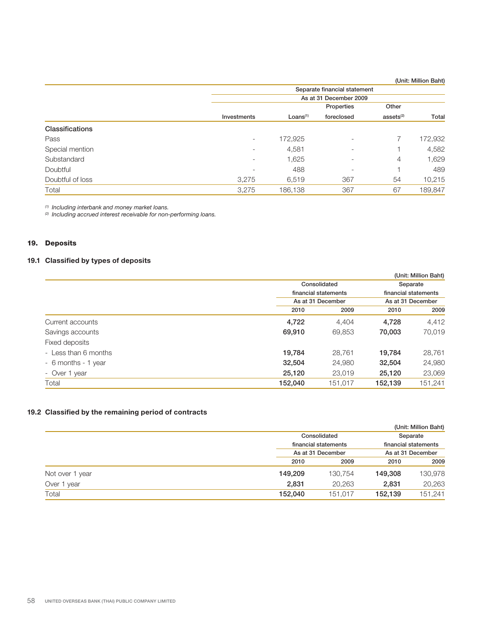|                        |                          |                        | Separate financial statement |                |         |  |  |  |
|------------------------|--------------------------|------------------------|------------------------------|----------------|---------|--|--|--|
|                        |                          | As at 31 December 2009 |                              |                |         |  |  |  |
|                        |                          |                        | Properties                   | Other          |         |  |  |  |
|                        | Investments              | Loans <sup>(1)</sup>   | foreclosed                   | assets $(2)$   | Total   |  |  |  |
| <b>Classifications</b> |                          |                        |                              |                |         |  |  |  |
| Pass                   | $\qquad \qquad -$        | 172,925                | $\overline{\phantom{a}}$     |                | 172,932 |  |  |  |
| Special mention        | $\overline{\phantom{a}}$ | 4,581                  | $\overline{\phantom{a}}$     |                | 4,582   |  |  |  |
| Substandard            | $\overline{\phantom{a}}$ | 1,625                  | $\overline{\phantom{a}}$     | $\overline{4}$ | 1,629   |  |  |  |
| <b>Doubtful</b>        | $\overline{\phantom{a}}$ | 488                    | $\qquad \qquad \blacksquare$ |                | 489     |  |  |  |
| Doubtful of loss       | 3,275                    | 6,519                  | 367                          | 54             | 10,215  |  |  |  |
| Total                  | 3,275                    | 186,138                | 367                          | 67             | 189,847 |  |  |  |

*(1) Including interbank and money market loans.* 

*(2) Including accrued interest receivable for non-performing loans.* 

## **19. Deposits**

# **19.1 Classified by types of deposits**

|                      |         |                      |         | (Unit: Million Baht) |  |
|----------------------|---------|----------------------|---------|----------------------|--|
|                      |         | Consolidated         |         | Separate             |  |
|                      |         | financial statements |         | financial statements |  |
|                      |         | As at 31 December    |         | As at 31 December    |  |
|                      | 2010    | 2009                 | 2010    | 2009                 |  |
| Current accounts     | 4,722   | 4.404                | 4,728   | 4,412                |  |
| Savings accounts     | 69,910  | 69,853               | 70,003  | 70,019               |  |
| Fixed deposits       |         |                      |         |                      |  |
| - Less than 6 months | 19,784  | 28,761               | 19,784  | 28,761               |  |
| - 6 months - 1 year  | 32,504  | 24,980               | 32,504  | 24,980               |  |
| - Over 1 year        | 25,120  | 23,019               | 25,120  | 23,069               |  |
| Total                | 152,040 | 151,017              | 152,139 | 151,241              |  |

## **19.2 Classified by the remaining period of contracts**

|         |                                                           |         | (Unit: Million Baht)                                  |  |
|---------|-----------------------------------------------------------|---------|-------------------------------------------------------|--|
|         | Consolidated<br>financial statements<br>As at 31 December |         | Separate<br>financial statements<br>As at 31 December |  |
|         |                                                           |         |                                                       |  |
|         |                                                           |         |                                                       |  |
| 2010    | 2009                                                      | 2010    | 2009                                                  |  |
| 149,209 | 130,754                                                   | 149,308 | 130,978                                               |  |
| 2,831   | 20,263                                                    | 2,831   | 20,263                                                |  |
| 152,040 | 151.017                                                   | 152.139 | 151,241                                               |  |
|         |                                                           |         |                                                       |  |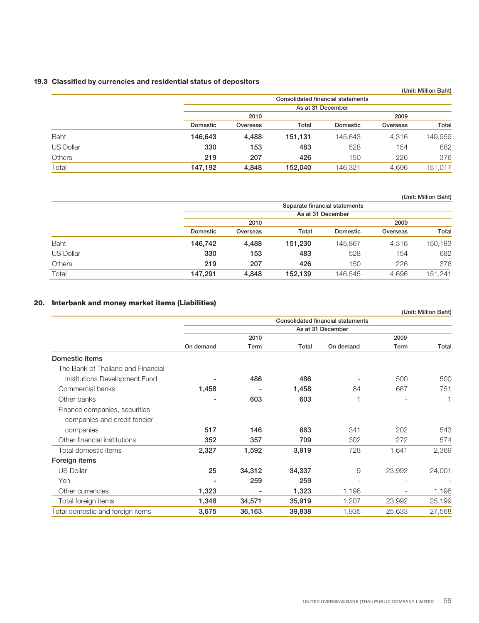# **19.3 Classified by currencies and residential status of depositors**

|               |          |          |         |                                   |          | (Unit: Million Baht) |  |
|---------------|----------|----------|---------|-----------------------------------|----------|----------------------|--|
|               |          |          |         | Consolidated financial statements |          |                      |  |
|               |          |          |         | As at 31 December                 |          |                      |  |
|               |          | 2010     |         |                                   | 2009     |                      |  |
|               | Domestic | Overseas | Total   | Domestic                          | Overseas | Total                |  |
| <b>Baht</b>   | 146,643  | 4,488    | 151,131 | 145,643                           | 4,316    | 149,959              |  |
| US Dollar     | 330      | 153      | 483     | 528                               | 154      | 682                  |  |
| <b>Others</b> | 219      | 207      | 426     | 150                               | 226      | 376                  |  |
| Total         | 147.192  | 4,848    | 152.040 | 146.321                           | 4,696    | 151.017              |  |

#### **(Unit: Million Baht)**

|                  |          |                   |         | Separate financial statements |          |         |  |
|------------------|----------|-------------------|---------|-------------------------------|----------|---------|--|
|                  |          | As at 31 December |         |                               |          |         |  |
|                  |          | 2010              |         |                               | 2009     |         |  |
|                  | Domestic | Overseas          | Total   | Domestic                      | Overseas | Total   |  |
| <b>Baht</b>      | 146,742  | 4,488             | 151.230 | 145.867                       | 4,316    | 150,183 |  |
| <b>US Dollar</b> | 330      | 153               | 483     | 528                           | 154      | 682     |  |
| <b>Others</b>    | 219      | 207               | 426     | 150                           | 226      | 376     |  |
| Total            | 147,291  | 4,848             | 152,139 | 146,545                       | 4,696    | 151,241 |  |

# **20. Interbank and money market items (Liabilities)**

|                                    |           |        |        |                                          |                          | (Unit: Million Baht) |  |
|------------------------------------|-----------|--------|--------|------------------------------------------|--------------------------|----------------------|--|
|                                    |           |        |        | <b>Consolidated financial statements</b> |                          |                      |  |
|                                    |           |        |        | As at 31 December                        |                          |                      |  |
|                                    |           | 2010   |        |                                          | 2009                     |                      |  |
|                                    | On demand | Term   | Total  | On demand                                | Term                     | Total                |  |
| Domestic items                     |           |        |        |                                          |                          |                      |  |
| The Bank of Thailand and Financial |           |        |        |                                          |                          |                      |  |
| Institutions Development Fund      |           | 486    | 486    |                                          | 500                      | 500                  |  |
| Commercial banks                   | 1,458     |        | 1,458  | 84                                       | 667                      | 751                  |  |
| Other banks                        | ۰         | 603    | 603    |                                          |                          |                      |  |
| Finance companies, securities      |           |        |        |                                          |                          |                      |  |
| companies and credit foncier       |           |        |        |                                          |                          |                      |  |
| companies                          | 517       | 146    | 663    | 341                                      | 202                      | 543                  |  |
| Other financial institutions       | 352       | 357    | 709    | 302                                      | 272                      | 574                  |  |
| Total domestic items               | 2,327     | 1,592  | 3,919  | 728                                      | 1,641                    | 2,369                |  |
| Foreign items                      |           |        |        |                                          |                          |                      |  |
| <b>US Dollar</b>                   | 25        | 34,312 | 34,337 | 9                                        | 23,992                   | 24,001               |  |
| Yen                                |           | 259    | 259    |                                          |                          |                      |  |
| Other currencies                   | 1,323     |        | 1,323  | 1,198                                    | $\overline{\phantom{0}}$ | 1,198                |  |
| Total foreign items                | 1,348     | 34,571 | 35,919 | 1,207                                    | 23,992                   | 25,199               |  |
| Total domestic and foreign items   | 3,675     | 36,163 | 39,838 | 1,935                                    | 25,633                   | 27,568               |  |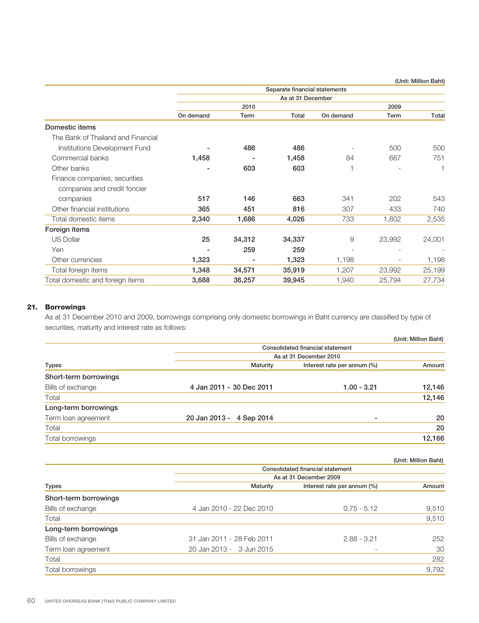|                                    |           |        | Separate financial statements |           |                          |        |  |
|------------------------------------|-----------|--------|-------------------------------|-----------|--------------------------|--------|--|
|                                    |           |        | As at 31 December             |           |                          |        |  |
|                                    |           | 2010   |                               |           | 2009                     |        |  |
|                                    | On demand | Term   | Total                         | On demand | Term                     | Total  |  |
| Domestic items                     |           |        |                               |           |                          |        |  |
| The Bank of Thailand and Financial |           |        |                               |           |                          |        |  |
| Institutions Development Fund      |           | 486    | 486                           |           | 500                      | 500    |  |
| Commercial banks                   | 1,458     |        | 1,458                         | 84        | 667                      | 751    |  |
| Other banks                        |           | 603    | 603                           |           |                          | 1      |  |
| Finance companies, securities      |           |        |                               |           |                          |        |  |
| companies and credit foncier       |           |        |                               |           |                          |        |  |
| companies                          | 517       | 146    | 663                           | 341       | 202                      | 543    |  |
| Other financial institutions       | 365       | 451    | 816                           | 307       | 433                      | 740    |  |
| Total domestic items               | 2,340     | 1,686  | 4,026                         | 733       | 1,802                    | 2,535  |  |
| Foreign items                      |           |        |                               |           |                          |        |  |
| <b>US Dollar</b>                   | 25        | 34,312 | 34,337                        | 9         | 23,992                   | 24,001 |  |
| Yen                                |           | 259    | 259                           |           |                          |        |  |
| Other currencies                   | 1,323     | ٠      | 1,323                         | 1,198     | $\overline{\phantom{0}}$ | 1,198  |  |
| Total foreign items                | 1,348     | 34,571 | 35,919                        | 1,207     | 23,992                   | 25,199 |  |
| Total domestic and foreign items   | 3,688     | 36,257 | 39,945                        | 1,940     | 25,794                   | 27,734 |  |

# **21. Borrowings**

As at 31 December 2010 and 2009, borrowings comprising only domestic borrowings in Baht currency are classified by type of securities, maturity and interest rate as follows:

|                       |                                  |                             | (Unit: Million Baht) |  |  |
|-----------------------|----------------------------------|-----------------------------|----------------------|--|--|
|                       | Consolidated financial statement |                             |                      |  |  |
|                       |                                  | As at 31 December 2010      |                      |  |  |
| <b>Types</b>          | Maturity                         | Interest rate per annum (%) | Amount               |  |  |
| Short-term borrowings |                                  |                             |                      |  |  |
| Bills of exchange     | 4 Jan 2011 - 30 Dec 2011         | $1.00 - 3.21$               | 12,146               |  |  |
| Total                 |                                  |                             | 12,146               |  |  |
| Long-term borrowings  |                                  |                             |                      |  |  |
| Term loan agreement   | 20 Jan 2013 - 4 Sep 2014         | -                           | 20                   |  |  |
| Total                 |                                  |                             | 20                   |  |  |
| Total borrowings      |                                  |                             | 12,166               |  |  |
|                       |                                  |                             |                      |  |  |

**(Unit: Million Baht)** 

|                       |                           | <b>Consolidated financial statement</b> |        |  |  |  |  |
|-----------------------|---------------------------|-----------------------------------------|--------|--|--|--|--|
|                       |                           | As at 31 December 2009                  |        |  |  |  |  |
| <b>Types</b>          | Maturity                  | Interest rate per annum (%)             | Amount |  |  |  |  |
| Short-term borrowings |                           |                                         |        |  |  |  |  |
| Bills of exchange     | 4 Jan 2010 - 22 Dec 2010  | $0.75 - 5.12$                           | 9,510  |  |  |  |  |
| Total                 |                           |                                         | 9,510  |  |  |  |  |
| Long-term borrowings  |                           |                                         |        |  |  |  |  |
| Bills of exchange     | 31 Jan 2011 - 28 Feb 2011 | $2.88 - 3.21$                           | 252    |  |  |  |  |
| Term loan agreement   | 20 Jan 2013 - 3 Jun 2015  |                                         | 30     |  |  |  |  |
| Total                 |                           |                                         | 282    |  |  |  |  |
| Total borrowings      |                           |                                         | 9,792  |  |  |  |  |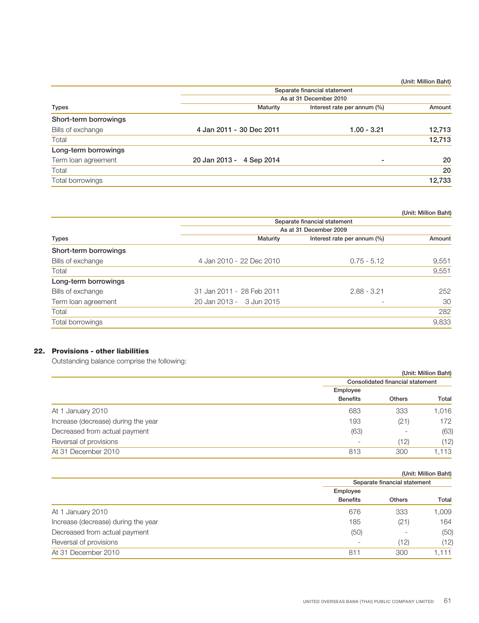|                       |                          | Separate financial statement |        |  |  |  |  |  |
|-----------------------|--------------------------|------------------------------|--------|--|--|--|--|--|
|                       |                          | As at 31 December 2010       |        |  |  |  |  |  |
| <b>Types</b>          | Maturity                 | Interest rate per annum (%)  | Amount |  |  |  |  |  |
| Short-term borrowings |                          |                              |        |  |  |  |  |  |
| Bills of exchange     | 4 Jan 2011 - 30 Dec 2011 | $1.00 - 3.21$                | 12,713 |  |  |  |  |  |
| Total                 |                          |                              | 12,713 |  |  |  |  |  |
| Long-term borrowings  |                          |                              |        |  |  |  |  |  |
| Term loan agreement   | 20 Jan 2013 - 4 Sep 2014 | -                            | 20     |  |  |  |  |  |
| Total                 |                          |                              | 20     |  |  |  |  |  |
| Total borrowings      |                          |                              | 12,733 |  |  |  |  |  |

|                       | (Unit: Million Baht)<br>Separate financial statement |                             |        |  |  |
|-----------------------|------------------------------------------------------|-----------------------------|--------|--|--|
|                       |                                                      | As at 31 December 2009      |        |  |  |
| <b>Types</b>          | Maturity                                             | Interest rate per annum (%) | Amount |  |  |
| Short-term borrowings |                                                      |                             |        |  |  |
| Bills of exchange     | 4 Jan 2010 - 22 Dec 2010                             | $0.75 - 5.12$               | 9,551  |  |  |
| Total                 |                                                      |                             | 9,551  |  |  |
| Long-term borrowings  |                                                      |                             |        |  |  |
| Bills of exchange     | 31 Jan 2011 - 28 Feb 2011                            | $2.88 - 3.21$               | 252    |  |  |
| Term loan agreement   | 20 Jan 2013 - 3 Jun 2015                             | $\overline{\phantom{a}}$    | 30     |  |  |
| Total                 |                                                      |                             | 282    |  |  |
| Total borrowings      |                                                      |                             | 9,833  |  |  |

## **22. Provisions - other liabilities**

Outstanding balance comprise the following:

|                                  |                          | (Unit: Million Baht) |  |
|----------------------------------|--------------------------|----------------------|--|
| Consolidated financial statement |                          |                      |  |
| Employee                         |                          |                      |  |
| <b>Benefits</b>                  | <b>Others</b>            | Total                |  |
| 683                              | 333                      | 1.016                |  |
| 193                              | (21)                     | 172                  |  |
| (63)                             | $\overline{\phantom{a}}$ | (63)                 |  |
|                                  | (12)                     | (12)                 |  |
| 813                              | 300                      | .113                 |  |
|                                  |                          |                      |  |

|                                     | (Unit: Million Baht) |                              |       |  |
|-------------------------------------|----------------------|------------------------------|-------|--|
|                                     |                      | Separate financial statement |       |  |
|                                     | Employee             |                              |       |  |
|                                     | <b>Benefits</b>      | <b>Others</b>                | Total |  |
| At 1 January 2010                   | 676                  | 333                          | 1,009 |  |
| Increase (decrease) during the year | 185                  | (21)                         | 164   |  |
| Decreased from actual payment       | (50)                 | $\overline{\phantom{0}}$     | (50)  |  |
| Reversal of provisions              |                      | (12)                         | (12)  |  |
| At 31 December 2010                 | 811                  | 300                          | .111  |  |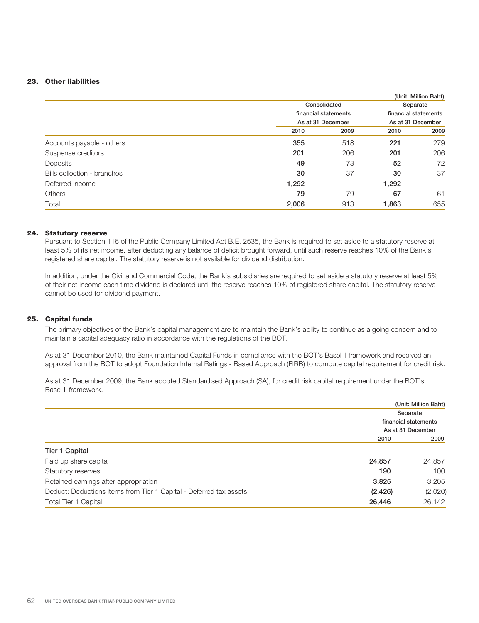#### **23. Other liabilities**

|                             |       |                              |       | (Unit: Million Baht)     |  |
|-----------------------------|-------|------------------------------|-------|--------------------------|--|
|                             |       | Consolidated                 |       | Separate                 |  |
|                             |       | financial statements         |       | financial statements     |  |
|                             |       | As at 31 December            |       | As at 31 December        |  |
|                             | 2010  | 2009                         | 2010  | 2009                     |  |
| Accounts payable - others   | 355   | 518                          | 221   | 279                      |  |
| Suspense creditors          | 201   | 206                          | 201   | 206                      |  |
| Deposits                    | 49    | 73                           | 52    | 72                       |  |
| Bills collection - branches | 30    | 37                           | 30    | 37                       |  |
| Deferred income             | 1,292 | $\qquad \qquad \blacksquare$ | 1,292 | $\overline{\phantom{0}}$ |  |
| <b>Others</b>               | 79    | 79                           | 67    | 61                       |  |
| Total                       | 2,006 | 913                          | 1,863 | 655                      |  |

#### **24. Statutory reserve**

Pursuant to Section 116 of the Public Company Limited Act B.E. 2535, the Bank is required to set aside to a statutory reserve at least 5% of its net income, after deducting any balance of deficit brought forward, until such reserve reaches 10% of the Bank's registered share capital. The statutory reserve is not available for dividend distribution.

In addition, under the Civil and Commercial Code, the Bank's subsidiaries are required to set aside a statutory reserve at least 5% of their net income each time dividend is declared until the reserve reaches 10% of registered share capital. The statutory reserve cannot be used for dividend payment.

#### **25. Capital funds**

The primary objectives of the Bank's capital management are to maintain the Bank's ability to continue as a going concern and to maintain a capital adequacy ratio in accordance with the regulations of the BOT.

As at 31 December 2010, the Bank maintained Capital Funds in compliance with the BOT's Basel II framework and received an approval from the BOT to adopt Foundation Internal Ratings - Based Approach (FIRB) to compute capital requirement for credit risk.

As at 31 December 2009, the Bank adopted Standardised Approach (SA), for credit risk capital requirement under the BOT's Basel II framework.

|                                                                    |          | (Unit: Million Baht) |
|--------------------------------------------------------------------|----------|----------------------|
|                                                                    |          | Separate             |
|                                                                    |          | financial statements |
|                                                                    |          | As at 31 December    |
|                                                                    | 2010     | 2009                 |
| <b>Tier 1 Capital</b>                                              |          |                      |
| Paid up share capital                                              | 24,857   | 24,857               |
| Statutory reserves                                                 | 190      | 100                  |
| Retained earnings after appropriation                              | 3,825    | 3,205                |
| Deduct: Deductions items from Tier 1 Capital - Deferred tax assets | (2, 426) | (2,020)              |
| <b>Total Tier 1 Capital</b>                                        | 26,446   | 26,142               |
|                                                                    |          |                      |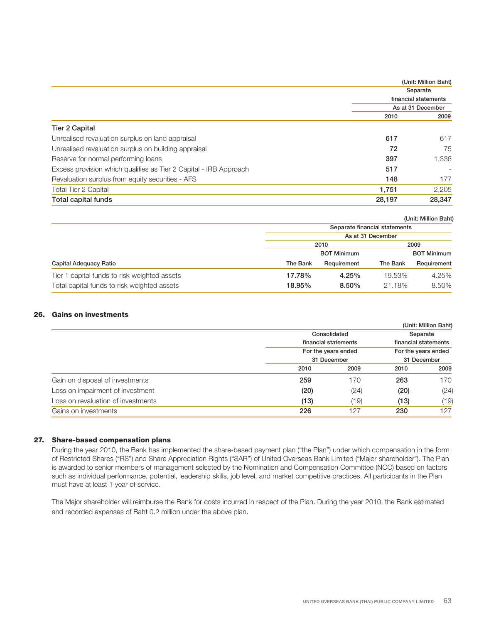|                                                                   |        | (Unit: Million Baht)     |
|-------------------------------------------------------------------|--------|--------------------------|
|                                                                   |        | Separate                 |
|                                                                   |        | financial statements     |
|                                                                   |        | As at 31 December        |
|                                                                   | 2010   | 2009                     |
| <b>Tier 2 Capital</b>                                             |        |                          |
| Unrealised revaluation surplus on land appraisal                  | 617    | 617                      |
| Unrealised revaluation surplus on building appraisal              | 72     | 75                       |
| Reserve for normal performing loans                               | 397    | 1,336                    |
| Excess provision which qualifies as Tier 2 Capital - IRB Approach | 517    | $\overline{\phantom{a}}$ |
| Revaluation surplus from equity securities - AFS                  | 148    | 177                      |
| <b>Total Tier 2 Capital</b>                                       | 1.751  | 2.205                    |
| <b>Total capital funds</b>                                        | 28.197 | 28.347                   |

|                                              |                    |                               |          | (Unit: Million Baht) |  |
|----------------------------------------------|--------------------|-------------------------------|----------|----------------------|--|
|                                              |                    | Separate financial statements |          |                      |  |
|                                              |                    | As at 31 December             |          |                      |  |
|                                              | 2010               |                               |          | 2009                 |  |
|                                              | <b>BOT Minimum</b> |                               |          | <b>BOT Minimum</b>   |  |
| Capital Adequacy Ratio                       | The Bank           | Requirement                   | The Bank | Requirement          |  |
| Tier 1 capital funds to risk weighted assets | 17.78%             | 4.25%                         | 19.53%   | 4.25%                |  |
| Total capital funds to risk weighted assets  | 18.95%             | 8.50%                         | 21.18%   | 8.50%                |  |

## **26. Gains on investments**

|                                    |                                                            |              |                                                            | (Unit: Million Baht) |
|------------------------------------|------------------------------------------------------------|--------------|------------------------------------------------------------|----------------------|
|                                    |                                                            | Consolidated | Separate                                                   |                      |
|                                    | financial statements<br>For the years ended<br>31 December |              | financial statements<br>For the years ended<br>31 December |                      |
|                                    |                                                            |              |                                                            |                      |
|                                    |                                                            |              |                                                            |                      |
|                                    | 2010                                                       | 2009         | 2010                                                       | 2009                 |
| Gain on disposal of investments    | 259                                                        | 170          | 263                                                        | 170                  |
| Loss on impairment of investment   | (20)                                                       | (24)         | (20)                                                       | (24)                 |
| Loss on revaluation of investments | (13)                                                       | (19)         | (13)                                                       | (19)                 |
| Gains on investments               | 226                                                        | 127          | 230                                                        | 127                  |

## **27. Share-based compensation plans**

During the year 2010, the Bank has implemented the share-based payment plan ("the Plan") under which compensation in the form of Restricted Shares ("RS") and Share Appreciation Rights ("SAR") of United Overseas Bank Limited ("Major shareholder"). The Plan is awarded to senior members of management selected by the Nomination and Compensation Committee (NCC) based on factors such as individual performance, potential, leadership skills, job level, and market competitive practices. All participants in the Plan must have at least 1 year of service.

The Major shareholder will reimburse the Bank for costs incurred in respect of the Plan. During the year 2010, the Bank estimated and recorded expenses of Baht 0.2 million under the above plan.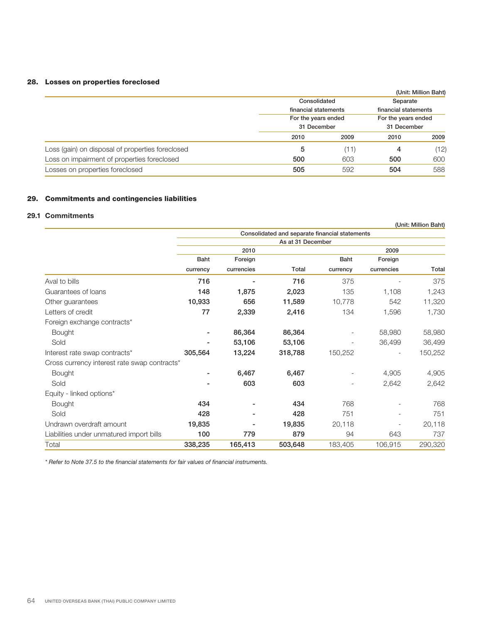# **28. Losses on properties foreclosed**

|                                                  |      |                                                                            |      | (Unit: Million Baht) |  |
|--------------------------------------------------|------|----------------------------------------------------------------------------|------|----------------------|--|
|                                                  |      | Consolidated<br>financial statements<br>For the years ended<br>31 December |      | Separate             |  |
|                                                  |      |                                                                            |      | financial statements |  |
|                                                  |      |                                                                            |      | For the years ended  |  |
|                                                  |      |                                                                            |      | 31 December          |  |
|                                                  | 2010 | 2009                                                                       | 2010 | 2009                 |  |
| Loss (gain) on disposal of properties foreclosed | 5    | (11)                                                                       | 4    | (12)                 |  |
| Loss on impairment of properties foreclosed      | 500  | 603                                                                        | 500  | 600                  |  |
| Losses on properties foreclosed                  | 505  | 592                                                                        | 504  | 588                  |  |

# **29. Commitments and contingencies liabilities**

# **29.1 Commitments**

|                                              |                                                |            |                   |             |                          | (Unit: Million Baht) |  |  |  |
|----------------------------------------------|------------------------------------------------|------------|-------------------|-------------|--------------------------|----------------------|--|--|--|
|                                              | Consolidated and separate financial statements |            |                   |             |                          |                      |  |  |  |
|                                              |                                                |            | As at 31 December |             |                          |                      |  |  |  |
|                                              |                                                | 2010       |                   |             | 2009                     |                      |  |  |  |
|                                              | <b>Baht</b>                                    | Foreign    |                   | <b>Baht</b> | Foreign                  |                      |  |  |  |
|                                              | currency                                       | currencies | Total             | currency    | currencies               | Total                |  |  |  |
| Aval to bills                                | 716                                            | ٠          | 716               | 375         |                          | 375                  |  |  |  |
| Guarantees of loans                          | 148                                            | 1,875      | 2,023             | 135         | 1,108                    | 1,243                |  |  |  |
| Other guarantees                             | 10,933                                         | 656        | 11,589            | 10,778      | 542                      | 11,320               |  |  |  |
| Letters of credit                            | 77                                             | 2,339      | 2,416             | 134         | 1,596                    | 1,730                |  |  |  |
| Foreign exchange contracts*                  |                                                |            |                   |             |                          |                      |  |  |  |
| Bought                                       |                                                | 86,364     | 86,364            |             | 58,980                   | 58,980               |  |  |  |
| Sold                                         |                                                | 53,106     | 53,106            |             | 36,499                   | 36,499               |  |  |  |
| Interest rate swap contracts*                | 305,564                                        | 13,224     | 318,788           | 150,252     |                          | 150,252              |  |  |  |
| Cross currency interest rate swap contracts* |                                                |            |                   |             |                          |                      |  |  |  |
| <b>Bought</b>                                | ۰                                              | 6,467      | 6,467             |             | 4,905                    | 4,905                |  |  |  |
| Sold                                         |                                                | 603        | 603               |             | 2,642                    | 2,642                |  |  |  |
| Equity - linked options*                     |                                                |            |                   |             |                          |                      |  |  |  |
| <b>Bought</b>                                | 434                                            | ٠          | 434               | 768         |                          | 768                  |  |  |  |
| Sold                                         | 428                                            | ۰          | 428               | 751         | $\overline{\phantom{0}}$ | 751                  |  |  |  |
| Undrawn overdraft amount                     | 19,835                                         |            | 19,835            | 20,118      |                          | 20,118               |  |  |  |
| Liabilities under unmatured import bills     | 100                                            | 779        | 879               | 94          | 643                      | 737                  |  |  |  |
| Total                                        | 338,235                                        | 165,413    | 503,648           | 183,405     | 106,915                  | 290,320              |  |  |  |

*\* Refer to Note 37.5 to the financial statements for fair values of financial instruments.*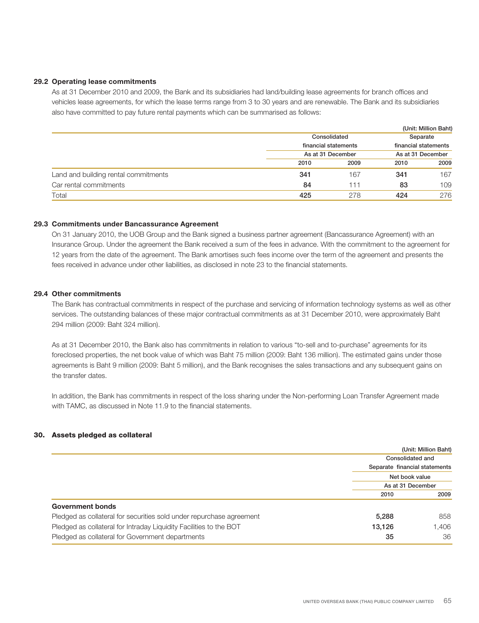#### **29.2 Operating lease commitments**

As at 31 December 2010 and 2009, the Bank and its subsidiaries had land/building lease agreements for branch offices and vehicles lease agreements, for which the lease terms range from 3 to 30 years and are renewable. The Bank and its subsidiaries also have committed to pay future rental payments which can be summarised as follows:

|                                      |      |                                                           |      | (Unit: Million Baht) |  |
|--------------------------------------|------|-----------------------------------------------------------|------|----------------------|--|
|                                      |      | Consolidated<br>financial statements<br>As at 31 December |      | Separate             |  |
|                                      |      |                                                           |      | financial statements |  |
|                                      |      |                                                           |      | As at 31 December    |  |
|                                      | 2010 | 2009                                                      | 2010 | 2009                 |  |
| Land and building rental commitments | 341  | 167                                                       | 341  | 167                  |  |
| Car rental commitments               | 84   | 111                                                       | 83   | 109                  |  |
| Total                                | 425  | 278                                                       | 424  | 276                  |  |

#### **29.3 Commitments under Bancassurance Agreement**

On 31 January 2010, the UOB Group and the Bank signed a business partner agreement (Bancassurance Agreement) with an Insurance Group. Under the agreement the Bank received a sum of the fees in advance. With the commitment to the agreement for 12 years from the date of the agreement. The Bank amortises such fees income over the term of the agreement and presents the fees received in advance under other liabilities, as disclosed in note 23 to the financial statements.

#### **29.4 Other commitments**

The Bank has contractual commitments in respect of the purchase and servicing of information technology systems as well as other services. The outstanding balances of these major contractual commitments as at 31 December 2010, were approximately Baht 294 million (2009: Baht 324 million).

As at 31 December 2010, the Bank also has commitments in relation to various "to-sell and to-purchase" agreements for its foreclosed properties, the net book value of which was Baht 75 million (2009: Baht 136 million). The estimated gains under those agreements is Baht 9 million (2009: Baht 5 million), and the Bank recognises the sales transactions and any subsequent gains on the transfer dates.

In addition, the Bank has commitments in respect of the loss sharing under the Non-performing Loan Transfer Agreement made with TAMC, as discussed in Note 11.9 to the financial statements.

#### **30. Assets pledged as collateral**

|                                                                      |                                     | (Unit: Million Baht) |  |
|----------------------------------------------------------------------|-------------------------------------|----------------------|--|
|                                                                      | Consolidated and                    |                      |  |
|                                                                      | Separate financial statements       |                      |  |
|                                                                      | Net book value<br>As at 31 December |                      |  |
|                                                                      |                                     |                      |  |
|                                                                      | 2010                                | 2009                 |  |
| <b>Government bonds</b>                                              |                                     |                      |  |
| Pledged as collateral for securities sold under repurchase agreement | 5,288                               | 858                  |  |
| Pledged as collateral for Intraday Liquidity Facilities to the BOT   | 13,126                              | 1,406                |  |
| Pledged as collateral for Government departments                     | 35                                  | 36                   |  |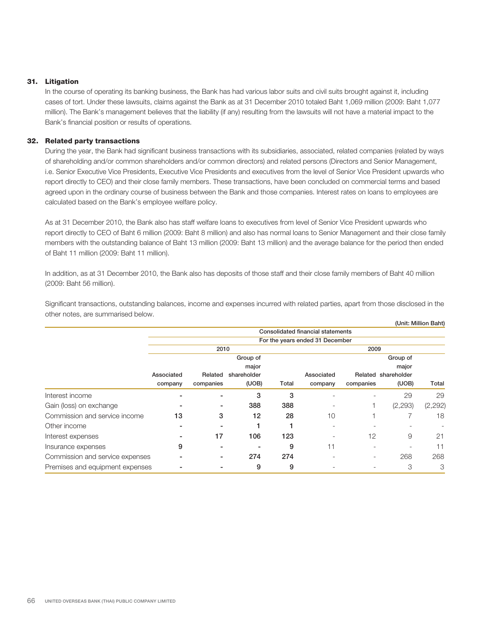#### **31. Litigation**

In the course of operating its banking business, the Bank has had various labor suits and civil suits brought against it, including cases of tort. Under these lawsuits, claims against the Bank as at 31 December 2010 totaled Baht 1,069 million (2009: Baht 1,077 million). The Bank's management believes that the liability (if any) resulting from the lawsuits will not have a material impact to the Bank's financial position or results of operations.

## **32. Related party transactions**

During the year, the Bank had significant business transactions with its subsidiaries, associated, related companies (related by ways of shareholding and/or common shareholders and/or common directors) and related persons (Directors and Senior Management, i.e. Senior Executive Vice Presidents, Executive Vice Presidents and executives from the level of Senior Vice President upwards who report directly to CEO) and their close family members. These transactions, have been concluded on commercial terms and based agreed upon in the ordinary course of business between the Bank and those companies. Interest rates on loans to employees are calculated based on the Bank's employee welfare policy.

As at 31 December 2010, the Bank also has staff welfare loans to executives from level of Senior Vice President upwards who report directly to CEO of Baht 6 million (2009: Baht 8 million) and also has normal loans to Senior Management and their close family members with the outstanding balance of Baht 13 million (2009: Baht 13 million) and the average balance for the period then ended of Baht 11 million (2009: Baht 11 million).

In addition, as at 31 December 2010, the Bank also has deposits of those staff and their close family members of Baht 40 million (2009: Baht 56 million).

Significant transactions, outstanding balances, income and expenses incurred with related parties, apart from those disclosed in the other notes, are summarised below.

|                                 |            |                                          |             |       |                          |                   |                     | (Unit: Million Baht) |  |  |
|---------------------------------|------------|------------------------------------------|-------------|-------|--------------------------|-------------------|---------------------|----------------------|--|--|
|                                 |            | <b>Consolidated financial statements</b> |             |       |                          |                   |                     |                      |  |  |
|                                 |            | For the years ended 31 December          |             |       |                          |                   |                     |                      |  |  |
|                                 |            | 2010                                     |             |       |                          | 2009              |                     |                      |  |  |
|                                 |            |                                          | Group of    |       |                          |                   | Group of            |                      |  |  |
|                                 |            |                                          | major       |       |                          |                   | major               |                      |  |  |
|                                 | Associated | Related                                  | shareholder |       | Associated               |                   | Related shareholder |                      |  |  |
|                                 | company    | companies                                | (UOB)       | Total | company                  | companies         | (UOB)               | Total                |  |  |
| Interest income                 |            | ۰                                        | 3           | 3     |                          |                   | 29                  | 29                   |  |  |
| Gain (loss) on exchange         |            | -                                        | 388         | 388   |                          |                   | (2,293)             | (2, 292)             |  |  |
| Commission and service income   | 13         | 3                                        | 12          | 28    | 10                       |                   |                     | 18                   |  |  |
| Other income                    |            | ۰                                        |             |       |                          |                   |                     |                      |  |  |
| Interest expenses               |            | 17                                       | 106         | 123   | $\overline{\phantom{0}}$ | 12                | 9                   | 21                   |  |  |
| Insurance expenses              | 9          |                                          |             | 9     | 11                       |                   |                     | 11                   |  |  |
| Commission and service expenses |            |                                          | 274         | 274   |                          | $\qquad \qquad -$ | 268                 | 268                  |  |  |
| Premises and equipment expenses |            |                                          | 9           | 9     |                          |                   | 3                   | 3                    |  |  |
|                                 |            |                                          |             |       |                          |                   |                     |                      |  |  |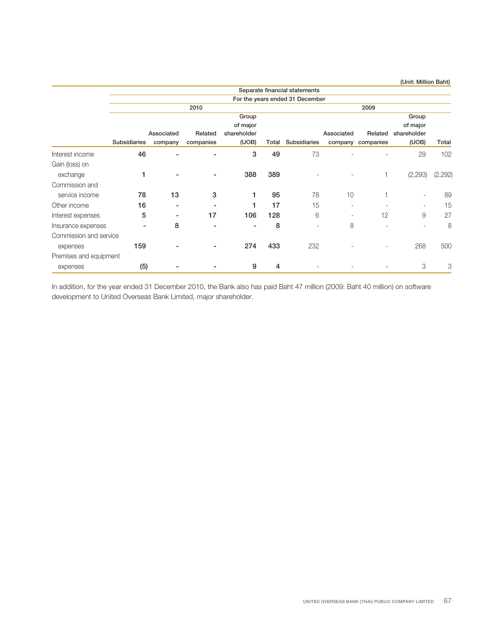|                        |                                 |            |           |             |       | Separate financial statements |            |           |                          |         |
|------------------------|---------------------------------|------------|-----------|-------------|-------|-------------------------------|------------|-----------|--------------------------|---------|
|                        | For the years ended 31 December |            |           |             |       |                               |            |           |                          |         |
|                        |                                 |            | 2010      |             |       |                               |            | 2009      |                          |         |
|                        |                                 |            |           | Group       |       |                               |            |           | Group                    |         |
|                        |                                 |            |           | of major    |       |                               |            |           | of major                 |         |
|                        |                                 | Associated | Related   | shareholder |       |                               | Associated | Related   | shareholder              |         |
|                        | <b>Subsidiaries</b>             | company    | companies | (UOB)       | Total | Subsidiaries                  | company    | companies | (UOB)                    | Total   |
| Interest income        | 46                              |            |           | 3           | 49    | 73                            |            |           | 29                       | 102     |
| Gain (loss) on         |                                 |            |           |             |       |                               |            |           |                          |         |
| exchange               |                                 |            |           | 388         | 389   |                               |            |           | (2, 293)                 | (2,292) |
| Commission and         |                                 |            |           |             |       |                               |            |           |                          |         |
| service income         | 78                              | 13         | 3         |             | 95    | 78                            | 10         |           | $\overline{\phantom{a}}$ | 89      |
| Other income           | 16                              | -          |           |             | 17    | 15                            |            |           | $\overline{\phantom{a}}$ | 15      |
| Interest expenses      | 5                               | ۰          | 17        | 106         | 128   | 6                             |            | 12        | 9                        | 27      |
| Insurance expenses     | ٠                               | 8          |           |             | 8     |                               | 8          |           |                          | 8       |
| Commission and service |                                 |            |           |             |       |                               |            |           |                          |         |
| expenses               | 159                             |            |           | 274         | 433   | 232                           |            |           | 268                      | 500     |
| Premises and equipment |                                 |            |           |             |       |                               |            |           |                          |         |
| expenses               | (5)                             |            |           | 9           | 4     |                               |            |           | 3                        | 3       |

In addition, for the year ended 31 December 2010, the Bank also has paid Baht 47 million (2009: Baht 40 million) on software development to United Overseas Bank Limited, major shareholder.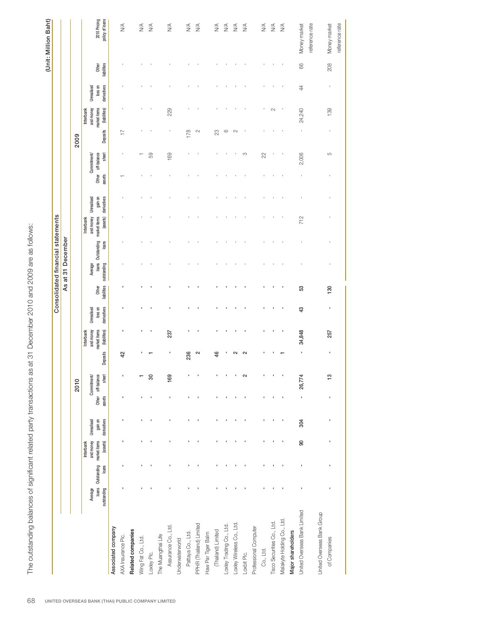| i           |
|-------------|
|             |
|             |
| ׇ֚֡֬֕       |
|             |
|             |
|             |
|             |
|             |
|             |
| Ò           |
| I           |
|             |
| Ì           |
| I           |
|             |
|             |
|             |
| ׇ֚֕֡        |
|             |
|             |
|             |
|             |
| í<br>I      |
|             |
|             |
| 5           |
|             |
|             |
|             |
| ١           |
|             |
|             |
| ١<br>l      |
|             |
|             |
|             |
|             |
|             |
|             |
|             |
|             |
|             |
| ׇ֚֘         |
|             |
|             |
|             |
|             |
|             |
|             |
|             |
|             |
|             |
|             |
|             |
|             |
|             |
| j           |
|             |
|             |
|             |
|             |
|             |
|             |
|             |
|             |
|             |
|             |
|             |
| İ           |
|             |
|             |
|             |
| j           |
|             |
|             |
|             |
|             |
|             |
|             |
|             |
|             |
|             |
|             |
|             |
|             |
| ١           |
|             |
|             |
|             |
|             |
| I           |
|             |
|             |
| t           |
|             |
|             |
|             |
| l           |
| ۔<br>ک<br>İ |

|                                   |                   |      | 2010 Pricing<br>policy of loans<br>Other<br>liabilities              |                    | $\frac{4}{2}$      |                   | $\lessgtr$         | $\frac{4}{2}$ |                    | $\frac{4}{2}$       |                 | $\stackrel{\triangleleft}{\geq}$ | $\lessgtr$              |                    | $\lessgtr$         | $\lessgtr$               | $\frac{4}{2}$             | $\lesssim$  |                       | $\lessgtr$ | $\frac{4}{2}$              | $\frac{4}{2}$              |                    | Money market<br>$66$         | reference rate |
|-----------------------------------|-------------------|------|----------------------------------------------------------------------|--------------------|--------------------|-------------------|--------------------|---------------|--------------------|---------------------|-----------------|----------------------------------|-------------------------|--------------------|--------------------|--------------------------|---------------------------|-------------|-----------------------|------------|----------------------------|----------------------------|--------------------|------------------------------|----------------|
|                                   |                   |      | derivatives<br>loss on<br>Unrealised                                 |                    |                    |                   |                    |               |                    |                     |                 |                                  |                         |                    |                    |                          |                           |             |                       |            |                            |                            |                    | $\ddot{4}$                   |                |
|                                   |                   |      | market items<br>and money<br>(liabilities)<br>Interbank              |                    |                    |                   |                    |               |                    | 229                 |                 |                                  |                         |                    |                    |                          |                           |             |                       |            | $\sim$                     |                            |                    | 24,240                       |                |
|                                   |                   | 2009 | Deposits                                                             |                    | 17                 |                   |                    |               |                    |                     |                 | 178                              | $\sim$                  |                    | $\mathbb{S}^2$     | $\circ$                  | $\sim$                    |             |                       |            |                            |                            |                    |                              |                |
|                                   |                   |      | off-balance<br>sheet<br>Commitment/                                  |                    |                    |                   |                    | 59            |                    | 169                 |                 |                                  |                         |                    |                    |                          |                           | S           |                       | 22         |                            |                            |                    | 2,006                        |                |
|                                   |                   |      | Other<br>assets                                                      |                    |                    |                   |                    |               |                    |                     |                 |                                  |                         |                    |                    |                          |                           |             |                       |            |                            |                            |                    |                              |                |
|                                   |                   |      | gain on<br>derivatives<br>and money Unrealised                       |                    |                    |                   |                    |               |                    |                     |                 |                                  |                         |                    |                    |                          |                           |             |                       |            |                            |                            |                    |                              |                |
|                                   |                   |      | (assets)<br>market items<br>Interbank                                |                    |                    |                   |                    |               |                    |                     |                 |                                  |                         |                    |                    |                          |                           |             |                       |            |                            |                            |                    | 712                          |                |
| Consolidated financial statements | As at 31 December |      | loans Outstanding<br>loans                                           |                    |                    |                   |                    |               |                    |                     |                 |                                  |                         |                    |                    |                          |                           |             |                       |            |                            |                            |                    |                              |                |
|                                   |                   |      | Average<br>outstanding                                               |                    |                    |                   |                    |               |                    |                     |                 |                                  |                         |                    |                    |                          |                           |             |                       |            |                            |                            |                    | S3                           |                |
|                                   |                   |      | liabilities<br>Other<br>loss on                                      |                    |                    |                   |                    |               |                    |                     |                 |                                  |                         |                    |                    |                          |                           |             |                       |            |                            |                            |                    | $\sqrt{3}$                   |                |
|                                   |                   |      | derivatives<br>Unrealised<br>and money<br>(liabilities)<br>Interbank |                    |                    |                   |                    |               |                    | 237                 |                 |                                  |                         |                    |                    |                          |                           |             |                       |            |                            |                            |                    | 34,848                       |                |
|                                   |                   |      | market items<br>Deposits                                             |                    | 42                 |                   |                    |               |                    |                     |                 | 236                              | 2                       |                    | 46                 |                          | $\sim$                    | 2           |                       |            |                            |                            |                    |                              |                |
|                                   |                   | 2010 | Commitment<br>sheet                                                  |                    | ı                  |                   | ÷                  | ೫             |                    | 169                 |                 |                                  |                         |                    | ı                  |                          |                           | $\sim$      |                       |            |                            |                            |                    | 26,774                       |                |
|                                   |                   |      | Other off-balance<br>assets                                          |                    | f,                 |                   |                    |               |                    | ٠                   |                 | f,                               |                         |                    | ٠                  | ٠                        |                           | ٠           |                       |            |                            | J.                         |                    | ×                            |                |
|                                   |                   |      | gain on<br>derivatives<br>Unrealised                                 |                    |                    |                   |                    |               |                    |                     |                 |                                  |                         |                    |                    |                          |                           |             |                       |            |                            | ×                          |                    | 304                          |                |
|                                   |                   |      | and money<br>market items<br>Interbank<br>(assets)                   |                    | ı                  |                   |                    |               |                    |                     |                 |                                  |                         |                    |                    |                          |                           | ×           |                       |            |                            |                            |                    | 90                           |                |
|                                   |                   |      | loans Outstanding<br>loans                                           |                    |                    |                   |                    |               |                    |                     |                 |                                  |                         |                    |                    |                          |                           |             |                       |            |                            |                            |                    |                              |                |
|                                   |                   |      | outstanding<br>Average                                               |                    |                    |                   |                    |               |                    |                     |                 |                                  |                         |                    |                    |                          |                           |             |                       |            |                            |                            |                    |                              |                |
|                                   |                   |      |                                                                      | Associated company | AXA Insurance Plc. | Related companies | Wing Fat Co., Ltd. | Loxley Plc.   | The Muangthai Life | Assurance Co., Ltd. | Underwaterworld | Pattaya Co., Ltd.                | PPHR (Thailand) Limited | Haw Par Tiger Balm | (Thailand) Limited | Loxley Trading Co., Ltd. | Loxley Wireless Co., Ltd. | Loxbit Plc. | Professional Computer | Co., Ltd.  | Tisco Securities Co., Ltd. | Malakyte Holding Co., Ltd. | Major shareholders | United Overseas Bank Limited |                |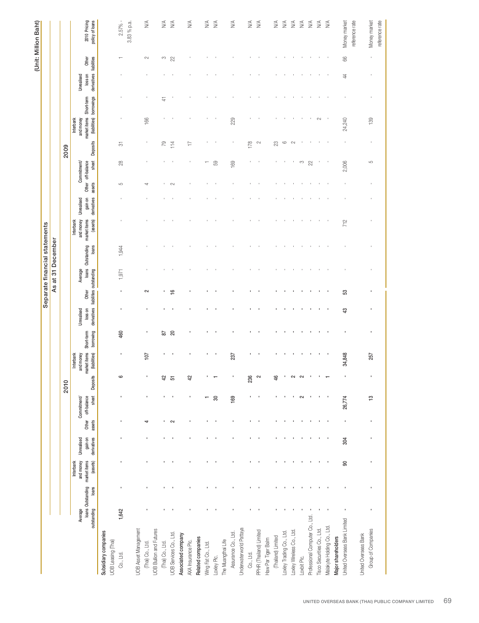|                                                    |                                             |                                                             |                                      |                 |                                    |                 |                                                         |                         |                                      | Separate financial statements    |                              |                   |                                                    |                                      |                             |                          |                               |                                                                               |                       |                                  |                                 |
|----------------------------------------------------|---------------------------------------------|-------------------------------------------------------------|--------------------------------------|-----------------|------------------------------------|-----------------|---------------------------------------------------------|-------------------------|--------------------------------------|----------------------------------|------------------------------|-------------------|----------------------------------------------------|--------------------------------------|-----------------------------|--------------------------|-------------------------------|-------------------------------------------------------------------------------|-----------------------|----------------------------------|---------------------------------|
|                                                    |                                             |                                                             |                                      |                 |                                    |                 |                                                         |                         |                                      |                                  |                              | As at 31 December |                                                    |                                      |                             |                          |                               |                                                                               |                       |                                  |                                 |
|                                                    |                                             |                                                             |                                      |                 |                                    | 2010            |                                                         |                         |                                      |                                  |                              |                   |                                                    |                                      |                             | 2009                     |                               |                                                                               |                       |                                  |                                 |
|                                                    | loans Outstanding<br>outstanding<br>Average | Interbank<br>and money<br>market items<br>(assets)<br>loans | gain on<br>derivatives<br>Unrealised | Other<br>assets | sheet<br>Commitment<br>off-balance | <b>Deposits</b> | market items<br>(liabilities)<br>Interbank<br>and money | borrowing<br>Short-term | derivatives<br>loss on<br>Unrealised | liabilities outstanding<br>Other | loans Outstanding<br>Average | loans             | and money<br>(assets)<br>Interbank<br>market items | derivatives<br>gain on<br>Unrealised | Other off-balance<br>assets | sheet<br>Commitment      | Deposits                      | (liabilities) borrowings<br>market items Short-term<br>and money<br>Interbank | loss on<br>Unrealised | Other<br>derivatives liabilities | 2010 Pricing<br>policy of loans |
| Subsidiary companies<br>UOB Leasing (Thai)         |                                             |                                                             |                                      |                 |                                    |                 |                                                         |                         |                                      |                                  |                              |                   |                                                    |                                      |                             |                          |                               |                                                                               |                       |                                  |                                 |
| Co., Ltd.                                          | 1,642                                       |                                                             |                                      |                 |                                    | ဖ               |                                                         | 460                     |                                      | ٠                                | 1,971                        | 1,944             |                                                    |                                      | 5                           | $28$                     | $\overleftarrow{\mathrm{co}}$ |                                                                               |                       |                                  | $2.57\%$ -<br>3.83 % p.a.       |
| UOB Asset Management                               |                                             |                                                             |                                      |                 |                                    |                 |                                                         |                         |                                      |                                  |                              |                   |                                                    |                                      |                             |                          |                               |                                                                               |                       |                                  |                                 |
| <b>UOB Bullion and Futures</b><br>(Thai) Co., Ltd. |                                             |                                                             |                                      |                 | 4                                  |                 | 107                                                     |                         |                                      | 2                                |                              |                   |                                                    |                                      | 4                           |                          |                               | 166                                                                           |                       |                                  | $\lessgtr$<br>$\sim$            |
| (Thai) Co., Ltd.                                   |                                             |                                                             |                                      |                 |                                    | 42              |                                                         | 29                      |                                      | ٠                                |                              |                   |                                                    |                                      |                             |                          | 79                            |                                                                               | 4                     |                                  | $\lessgtr$<br>က                 |
| UOB Services Co., Ltd.                             |                                             |                                                             |                                      |                 | 2                                  | 5               |                                                         | ຊ                       |                                      | $\tilde{e}$                      |                              |                   |                                                    |                                      | $\sim$                      |                          | 114                           |                                                                               |                       |                                  | $\lessgtr$<br>22                |
| Associated company                                 |                                             |                                                             |                                      |                 |                                    |                 |                                                         |                         |                                      |                                  |                              |                   |                                                    |                                      |                             |                          |                               |                                                                               |                       |                                  |                                 |
| Related companies<br>AXA Insurance Plc.            |                                             |                                                             |                                      |                 |                                    | 42              |                                                         |                         |                                      |                                  |                              |                   |                                                    |                                      |                             |                          | $\overline{a}$                |                                                                               |                       |                                  | $\lessgtr$                      |
| Wing Fat Co., Ltd.                                 |                                             |                                                             |                                      |                 |                                    |                 |                                                         |                         |                                      |                                  |                              |                   |                                                    |                                      |                             | $\overline{\phantom{0}}$ |                               |                                                                               |                       |                                  | $\lessgtr$                      |
| Loxley Plc.                                        |                                             |                                                             |                                      |                 | $30\,$                             |                 |                                                         |                         |                                      |                                  |                              |                   |                                                    |                                      |                             | S9                       |                               |                                                                               |                       |                                  | $\lessgtr$                      |
| The Muangthai Life                                 |                                             |                                                             |                                      |                 |                                    |                 |                                                         |                         |                                      |                                  |                              |                   |                                                    |                                      |                             |                          |                               |                                                                               |                       |                                  |                                 |
| Assurance Co., Ltd.                                |                                             |                                                             |                                      |                 | 169                                |                 | 237                                                     |                         |                                      |                                  |                              |                   |                                                    |                                      |                             | 169                      |                               | 229                                                                           |                       |                                  | $\lessgtr$                      |
| Underwaterworld Pattaya                            |                                             |                                                             |                                      |                 |                                    |                 |                                                         |                         |                                      |                                  |                              |                   |                                                    |                                      |                             |                          |                               |                                                                               |                       |                                  |                                 |
| Co., Ltd.                                          |                                             |                                                             |                                      |                 |                                    | 236             |                                                         |                         |                                      |                                  |                              |                   |                                                    |                                      |                             |                          | 178                           |                                                                               |                       |                                  | $\lessgtr$                      |
| PPHR (Thailand) Limited                            |                                             |                                                             |                                      |                 |                                    | 2               |                                                         |                         |                                      |                                  |                              |                   |                                                    |                                      |                             |                          | $\sim$                        |                                                                               |                       |                                  | $\lessgtr$                      |
| Haw Par Tiger Balm                                 |                                             |                                                             |                                      |                 |                                    |                 |                                                         |                         |                                      |                                  |                              |                   |                                                    |                                      |                             |                          |                               |                                                                               |                       |                                  |                                 |
| (Thailand) Limited                                 |                                             |                                                             |                                      |                 |                                    | \$              |                                                         |                         |                                      |                                  |                              |                   |                                                    |                                      |                             |                          | 23                            |                                                                               |                       |                                  | $\lessgtr$                      |
| Loxley Trading Co., Ltd.                           |                                             |                                                             |                                      |                 |                                    |                 |                                                         |                         |                                      |                                  |                              |                   |                                                    |                                      |                             |                          | $\circ$                       |                                                                               |                       |                                  | $\lessgtr$                      |
| Loxley Wireless Co., Ltd.                          |                                             |                                                             |                                      |                 |                                    | $\sim$          |                                                         |                         |                                      |                                  |                              |                   |                                                    |                                      |                             |                          | $\sim$                        |                                                                               |                       |                                  | $\lessgtr$                      |
| Loxbit Plc.                                        |                                             |                                                             |                                      |                 | 2                                  | 2               |                                                         |                         |                                      |                                  |                              |                   |                                                    |                                      |                             | S                        |                               |                                                                               |                       |                                  | $\lessgtr$                      |
| Professional Computer Co., Ltd.                    |                                             |                                                             |                                      |                 |                                    |                 |                                                         |                         |                                      |                                  |                              |                   |                                                    |                                      |                             | $\approx$                |                               |                                                                               |                       |                                  | $\lessgtr$                      |
| Tisco Securities Co., Ltd.                         |                                             |                                                             |                                      |                 |                                    |                 |                                                         |                         |                                      |                                  |                              |                   |                                                    |                                      |                             |                          |                               | $\sim$                                                                        |                       |                                  | $\lessgtr$                      |
| Malakyte Holding Co., Ltd.                         |                                             |                                                             |                                      |                 |                                    |                 |                                                         |                         |                                      |                                  |                              |                   |                                                    |                                      |                             |                          |                               |                                                                               |                       |                                  | $\lessgtr$                      |
| Major shareholders                                 |                                             |                                                             |                                      |                 |                                    |                 |                                                         |                         |                                      |                                  |                              |                   |                                                    |                                      |                             |                          |                               |                                                                               |                       |                                  |                                 |
| United Overseas Bank Limited                       |                                             |                                                             | 8                                    | 304             | 26,774                             |                 | 34,848                                                  |                         | \$                                   | S3                               |                              |                   | 712                                                |                                      |                             | 2,006                    |                               | 24,240                                                                        |                       | $\ddot{4}$                       | Money market<br>$66\,$          |
| United Overseas Bank                               |                                             |                                                             |                                      |                 |                                    |                 |                                                         |                         |                                      |                                  |                              |                   |                                                    |                                      |                             |                          |                               |                                                                               |                       |                                  | reference rate                  |
| Group of Companies                                 |                                             |                                                             |                                      |                 | $\frac{3}{2}$                      |                 | 257                                                     |                         |                                      |                                  |                              |                   |                                                    |                                      |                             | S                        |                               | 139                                                                           |                       |                                  | Money market                    |
|                                                    |                                             |                                                             |                                      |                 |                                    |                 |                                                         |                         |                                      |                                  |                              |                   |                                                    |                                      |                             |                          |                               |                                                                               |                       |                                  | reference rate                  |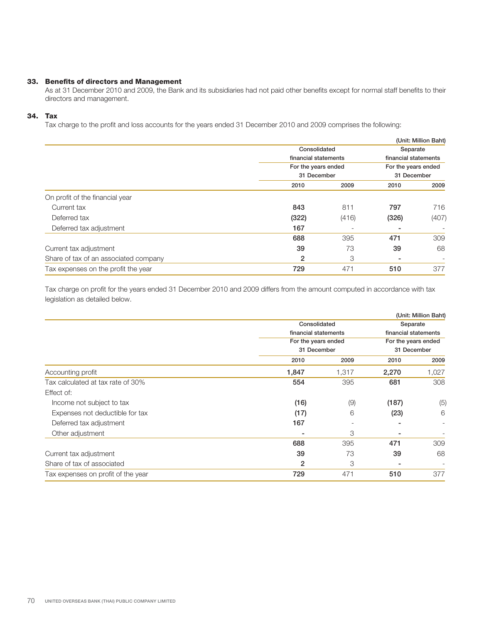#### **33. Benefits of directors and Management**

As at 31 December 2010 and 2009, the Bank and its subsidiaries had not paid other benefits except for normal staff benefits to their directors and management.

#### **34. Tax**

Tax charge to the profit and loss accounts for the years ended 31 December 2010 and 2009 comprises the following:

|                                       |                      |       |                      | (Unit: Million Baht) |
|---------------------------------------|----------------------|-------|----------------------|----------------------|
|                                       | Consolidated         |       | Separate             |                      |
|                                       | financial statements |       | financial statements |                      |
|                                       | For the years ended  |       | For the years ended  |                      |
|                                       | 31 December          |       | 31 December          |                      |
|                                       | 2010                 | 2009  | 2010                 | 2009                 |
| On profit of the financial year       |                      |       |                      |                      |
| Current tax                           | 843                  | 811   | 797                  | 716                  |
| Deferred tax                          | (322)                | (416) | (326)                | (407)                |
| Deferred tax adjustment               | 167                  |       | ۰                    |                      |
|                                       | 688                  | 395   | 471                  | 309                  |
| Current tax adjustment                | 39                   | 73    | 39                   | 68                   |
| Share of tax of an associated company | 2                    | 3     |                      |                      |
| Tax expenses on the profit the year   | 729                  | 471   | 510                  | 377                  |

Tax charge on profit for the years ended 31 December 2010 and 2009 differs from the amount computed in accordance with tax legislation as detailed below.

|                                    |                      |       |                      | (Unit: Million Baht) |
|------------------------------------|----------------------|-------|----------------------|----------------------|
|                                    | Consolidated         |       | Separate             |                      |
|                                    | financial statements |       | financial statements |                      |
|                                    | For the years ended  |       | For the years ended  |                      |
|                                    | 31 December          |       | 31 December          |                      |
|                                    | 2010                 | 2009  | 2010                 | 2009                 |
| Accounting profit                  | 1,847                | 1,317 | 2,270                | 1,027                |
| Tax calculated at tax rate of 30%  | 554                  | 395   | 681                  | 308                  |
| Effect of:                         |                      |       |                      |                      |
| Income not subject to tax          | (16)                 | (9)   | (187)                | (5)                  |
| Expenses not deductible for tax    | (17)                 | 6     | (23)                 | 6                    |
| Deferred tax adjustment            | 167                  |       |                      |                      |
| Other adjustment                   |                      | 3     |                      |                      |
|                                    | 688                  | 395   | 471                  | 309                  |
| Current tax adjustment             | 39                   | 73    | 39                   | 68                   |
| Share of tax of associated         | 2                    | 3     | ٠                    |                      |
| Tax expenses on profit of the year | 729                  | 471   | 510                  | 377                  |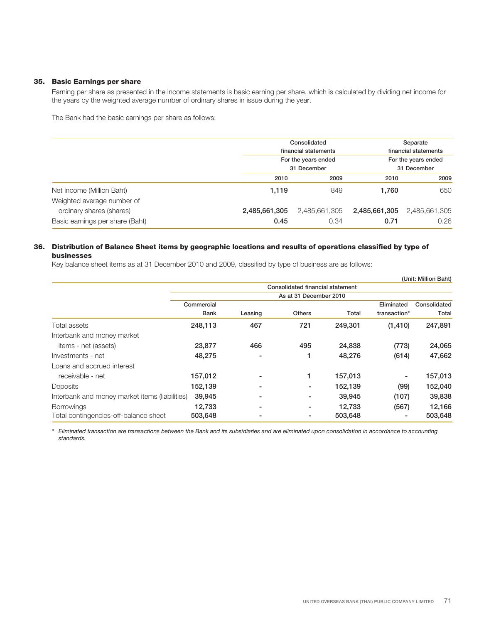# **35. Basic Earnings per share**

Earning per share as presented in the income statements is basic earning per share, which is calculated by dividing net income for the years by the weighted average number of ordinary shares in issue during the year.

The Bank had the basic earnings per share as follows:

|                                 | Consolidated                                |               | Separate      |                      |  |  |
|---------------------------------|---------------------------------------------|---------------|---------------|----------------------|--|--|
|                                 | financial statements<br>For the years ended |               |               | financial statements |  |  |
|                                 |                                             |               |               | For the years ended  |  |  |
|                                 | 31 December                                 |               | 31 December   |                      |  |  |
|                                 | 2010                                        | 2009          | 2010          | 2009                 |  |  |
| Net income (Million Baht)       | 1,119                                       | 849           | 1.760         | 650                  |  |  |
| Weighted average number of      |                                             |               |               |                      |  |  |
| ordinary shares (shares)        | 2,485,661,305                               | 2,485,661,305 | 2,485,661,305 | 2,485,661,305        |  |  |
| Basic earnings per share (Baht) | 0.45                                        | 0.34          | 0.71          | 0.26                 |  |  |

# **36. Distribution of Balance Sheet items by geographic locations and results of operations classified by type of businesses**

Key balance sheet items as at 31 December 2010 and 2009, classified by type of business are as follows:

|                                                |            |         |                                  |         |              | (Unit: Million Baht) |
|------------------------------------------------|------------|---------|----------------------------------|---------|--------------|----------------------|
|                                                |            |         | Consolidated financial statement |         |              |                      |
|                                                |            |         | As at 31 December 2010           |         |              |                      |
|                                                | Commercial |         |                                  |         | Eliminated   | Consolidated         |
|                                                | Bank       | Leasing | <b>Others</b>                    | Total   | transaction* | Total                |
| Total assets                                   | 248,113    | 467     | 721                              | 249,301 | (1, 410)     | 247,891              |
| Interbank and money market                     |            |         |                                  |         |              |                      |
| items - net (assets)                           | 23,877     | 466     | 495                              | 24,838  | (773)        | 24,065               |
| Investments - net                              | 48.275     | ۰       |                                  | 48.276  | (614)        | 47,662               |
| Loans and accrued interest                     |            |         |                                  |         |              |                      |
| receivable - net                               | 157,012    | ٠       |                                  | 157,013 | ۰            | 157,013              |
| Deposits                                       | 152,139    | ۰       | ۰                                | 152,139 | (99)         | 152,040              |
| Interbank and money market items (liabilities) | 39,945     | ۰       |                                  | 39,945  | (107)        | 39,838               |
| <b>Borrowings</b>                              | 12.733     | ۰       |                                  | 12.733  | (567)        | 12.166               |
| Total contingencies-off-balance sheet          | 503,648    | ۰       |                                  | 503,648 | ۰            | 503,648              |

*\* Eliminated transaction are transactions between the Bank and its subsidiaries and are eliminated upon consolidation in accordance to accounting standards.*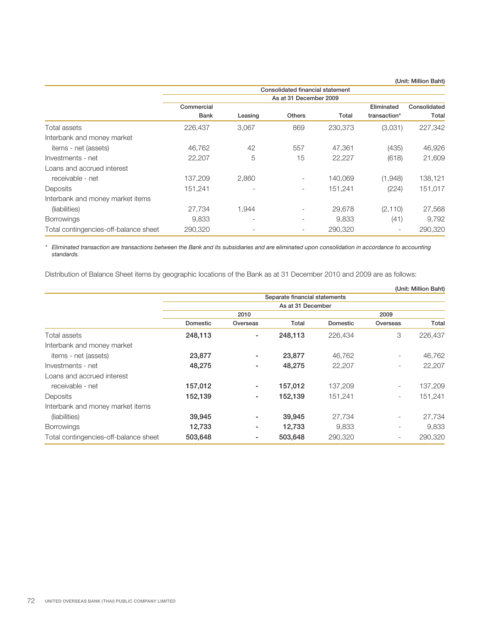**(Unit: Million Baht)**

|                                       |                        |                          | Consolidated financial statement |         |                          |              |  |  |  |
|---------------------------------------|------------------------|--------------------------|----------------------------------|---------|--------------------------|--------------|--|--|--|
|                                       | As at 31 December 2009 |                          |                                  |         |                          |              |  |  |  |
|                                       | Commercial             |                          |                                  |         | Eliminated               | Consolidated |  |  |  |
|                                       | <b>Bank</b>            | Leasing                  | <b>Others</b>                    | Total   | transaction*             | Total        |  |  |  |
| Total assets                          | 226,437                | 3,067                    | 869                              | 230,373 | (3,031)                  | 227,342      |  |  |  |
| Interbank and money market            |                        |                          |                                  |         |                          |              |  |  |  |
| items - net (assets)                  | 46,762                 | 42                       | 557                              | 47,361  | (435)                    | 46,926       |  |  |  |
| Investments - net                     | 22,207                 | 5                        | 15                               | 22,227  | (618)                    | 21,609       |  |  |  |
| Loans and accrued interest            |                        |                          |                                  |         |                          |              |  |  |  |
| receivable - net                      | 137,209                | 2,860                    | $\overline{\phantom{0}}$         | 140,069 | (1,948)                  | 138,121      |  |  |  |
| Deposits                              | 151,241                |                          | $\overline{\phantom{a}}$         | 151,241 | (224)                    | 151,017      |  |  |  |
| Interbank and money market items      |                        |                          |                                  |         |                          |              |  |  |  |
| (liabilities)                         | 27.734                 | 1,944                    | $\overline{\phantom{a}}$         | 29,678  | (2, 110)                 | 27,568       |  |  |  |
| <b>Borrowings</b>                     | 9.833                  | $\overline{\phantom{a}}$ | $\overline{\phantom{a}}$         | 9.833   | (41)                     | 9.792        |  |  |  |
| Total contingencies-off-balance sheet | 290,320                | $\overline{\phantom{a}}$ | $\overline{\phantom{0}}$         | 290,320 | $\overline{\phantom{a}}$ | 290,320      |  |  |  |

*\* Eliminated transaction are transactions between the Bank and its subsidiaries and are eliminated upon consolidation in accordance to accounting standards.* 

Distribution of Balance Sheet items by geographic locations of the Bank as at 31 December 2010 and 2009 are as follows:

|                                       |          |          |                               |          |                          | (Unit: Million Baht) |
|---------------------------------------|----------|----------|-------------------------------|----------|--------------------------|----------------------|
|                                       |          |          | Separate financial statements |          |                          |                      |
|                                       |          |          | As at 31 December             |          |                          |                      |
|                                       |          | 2010     |                               |          | 2009                     |                      |
|                                       | Domestic | Overseas | Total                         | Domestic | Overseas                 | Total                |
| Total assets                          | 248,113  | ٠.       | 248,113                       | 226,434  | 3                        | 226,437              |
| Interbank and money market            |          |          |                               |          |                          |                      |
| items - net (assets)                  | 23,877   | ٠.       | 23,877                        | 46,762   | $\overline{\phantom{a}}$ | 46,762               |
| Investments - net                     | 48,275   |          | 48,275                        | 22,207   | $\overline{\phantom{a}}$ | 22,207               |
| Loans and accrued interest            |          |          |                               |          |                          |                      |
| receivable - net                      | 157,012  | ٠.       | 157,012                       | 137,209  | $\overline{\phantom{a}}$ | 137,209              |
| Deposits                              | 152,139  | ۰        | 152.139                       | 151,241  | $\overline{\phantom{a}}$ | 151.241              |
| Interbank and money market items      |          |          |                               |          |                          |                      |
| (liabilities)                         | 39,945   | ٠        | 39,945                        | 27.734   | $\overline{\phantom{a}}$ | 27,734               |
| <b>Borrowings</b>                     | 12,733   | ٠.       | 12,733                        | 9.833    | $\overline{\phantom{a}}$ | 9,833                |
| Total contingencies-off-balance sheet | 503,648  |          | 503,648                       | 290,320  | $\overline{\phantom{a}}$ | 290,320              |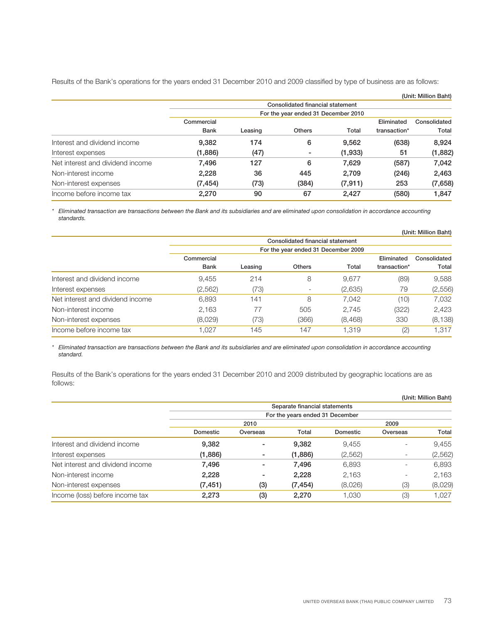Results of the Bank's operations for the years ended 31 December 2010 and 2009 classified by type of business are as follows:

|                                  |             |         |                                     |          |              | (Unit: Million Baht) |
|----------------------------------|-------------|---------|-------------------------------------|----------|--------------|----------------------|
|                                  |             |         | Consolidated financial statement    |          |              |                      |
|                                  |             |         | For the year ended 31 December 2010 |          |              |                      |
|                                  | Commercial  |         |                                     |          | Eliminated   | Consolidated         |
|                                  | <b>Bank</b> | Leasing | <b>Others</b>                       | Total    | transaction* | Total                |
| Interest and dividend income     | 9,382       | 174     | 6                                   | 9,562    | (638)        | 8,924                |
| Interest expenses                | (1,886)     | (47)    | ۰                                   | (1,933)  | 51           | (1,882)              |
| Net interest and dividend income | 7,496       | 127     | 6                                   | 7,629    | (587)        | 7,042                |
| Non-interest income              | 2,228       | 36      | 445                                 | 2.709    | (246)        | 2,463                |
| Non-interest expenses            | (7, 454)    | (73)    | (384)                               | (7, 911) | 253          | (7,658)              |
| Income before income tax         | 2,270       | 90      | 67                                  | 2,427    | (580)        | 1,847                |

*\* Eliminated transaction are transactions between the Bank and its subsidiaries and are eliminated upon consolidation in accordance accounting standards.* 

|                                  |             |         | Consolidated financial statement    |         |              |              |
|----------------------------------|-------------|---------|-------------------------------------|---------|--------------|--------------|
|                                  |             |         | For the year ended 31 December 2009 |         |              |              |
|                                  | Commercial  |         |                                     |         | Eliminated   | Consolidated |
|                                  | <b>Bank</b> | Leasing | <b>Others</b>                       | Total   | transaction* | Total        |
| Interest and dividend income     | 9.455       | 214     | 8                                   | 9.677   | (89)         | 9,588        |
| Interest expenses                | (2,562)     | (73)    | $\qquad \qquad -$                   | (2,635) | 79           | (2,556)      |
| Net interest and dividend income | 6,893       | 141     | 8                                   | 7.042   | (10)         | 7,032        |
| Non-interest income              | 2,163       | 77      | 505                                 | 2.745   | (322)        | 2,423        |
| Non-interest expenses            | (8,029)     | (73)    | (366)                               | (8,468) | 330          | (8, 138)     |
| Income before income tax         | .027        | 145     | 147                                 | 1,319   | (2)          | 1.317        |

*\* Eliminated transaction are transactions between the Bank and its subsidiaries and are eliminated upon consolidation in accordance accounting standard.* 

Results of the Bank's operations for the years ended 31 December 2010 and 2009 distributed by geographic locations are as follows:

|                                  |          |          |                                 |                 |                          | (Unit: Million Baht) |
|----------------------------------|----------|----------|---------------------------------|-----------------|--------------------------|----------------------|
|                                  |          |          | Separate financial statements   |                 |                          |                      |
|                                  |          |          | For the years ended 31 December |                 |                          |                      |
|                                  |          | 2010     |                                 |                 | 2009                     |                      |
|                                  | Domestic | Overseas | Total                           | <b>Domestic</b> | Overseas                 | Total                |
| Interest and dividend income     | 9,382    | ۰        | 9,382                           | 9,455           | $\overline{\phantom{0}}$ | 9.455                |
| Interest expenses                | (1,886)  | ۰        | (1,886)                         | (2,562)         | $\overline{\phantom{a}}$ | (2, 562)             |
| Net interest and dividend income | 7,496    | ۰        | 7,496                           | 6,893           | $\overline{\phantom{a}}$ | 6,893                |
| Non-interest income              | 2,228    |          | 2,228                           | 2,163           | $\overline{\phantom{a}}$ | 2,163                |
| Non-interest expenses            | (7, 451) | (3)      | (7, 454)                        | (8,026)         | (3)                      | (8,029)              |
| Income (loss) before income tax  | 2,273    | (3)      | 2.270                           | 1.030           | (3)                      | 1,027                |
|                                  |          |          |                                 |                 |                          |                      |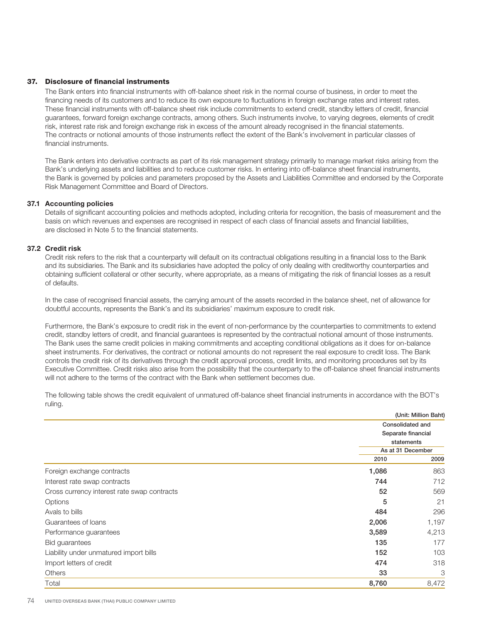#### **37. Disclosure of financial instruments**

The Bank enters into financial instruments with off-balance sheet risk in the normal course of business, in order to meet the financing needs of its customers and to reduce its own exposure to fluctuations in foreign exchange rates and interest rates. These financial instruments with off-balance sheet risk include commitments to extend credit, standby letters of credit, financial guarantees, forward foreign exchange contracts, among others. Such instruments involve, to varying degrees, elements of credit risk, interest rate risk and foreign exchange risk in excess of the amount already recognised in the financial statements. The contracts or notional amounts of those instruments reflect the extent of the Bank's involvement in particular classes of financial instruments.

The Bank enters into derivative contracts as part of its risk management strategy primarily to manage market risks arising from the Bank's underlying assets and liabilities and to reduce customer risks. In entering into off-balance sheet financial instruments, the Bank is governed by policies and parameters proposed by the Assets and Liabilities Committee and endorsed by the Corporate Risk Management Committee and Board of Directors.

#### **37.1 Accounting policies**

Details of significant accounting policies and methods adopted, including criteria for recognition, the basis of measurement and the basis on which revenues and expenses are recognised in respect of each class of financial assets and financial liabilities, are disclosed in Note 5 to the financial statements.

# **37.2 Credit risk**

Credit risk refers to the risk that a counterparty will default on its contractual obligations resulting in a financial loss to the Bank and its subsidiaries. The Bank and its subsidiaries have adopted the policy of only dealing with creditworthy counterparties and obtaining sufficient collateral or other security, where appropriate, as a means of mitigating the risk of financial losses as a result of defaults.

In the case of recognised financial assets, the carrying amount of the assets recorded in the balance sheet, net of allowance for doubtful accounts, represents the Bank's and its subsidiaries' maximum exposure to credit risk.

Furthermore, the Bank's exposure to credit risk in the event of non-performance by the counterparties to commitments to extend credit, standby letters of credit, and financial guarantees is represented by the contractual notional amount of those instruments. The Bank uses the same credit policies in making commitments and accepting conditional obligations as it does for on-balance sheet instruments. For derivatives, the contract or notional amounts do not represent the real exposure to credit loss. The Bank controls the credit risk of its derivatives through the credit approval process, credit limits, and monitoring procedures set by its Executive Committee. Credit risks also arise from the possibility that the counterparty to the off-balance sheet financial instruments will not adhere to the terms of the contract with the Bank when settlement becomes due.

The following table shows the credit equivalent of unmatured off-balance sheet financial instruments in accordance with the BOT's ruling.

|                                             |                    | (Unit: Million Baht) |
|---------------------------------------------|--------------------|----------------------|
|                                             | Consolidated and   |                      |
|                                             | Separate financial |                      |
|                                             | statements         |                      |
|                                             | As at 31 December  |                      |
|                                             | 2010               | 2009                 |
| Foreign exchange contracts                  | 1,086              | 863                  |
| Interest rate swap contracts                | 744                | 712                  |
| Cross currency interest rate swap contracts | 52                 | 569                  |
| Options                                     | 5                  | 21                   |
| Avals to bills                              | 484                | 296                  |
| Guarantees of loans                         | 2,006              | 1,197                |
| Performance guarantees                      | 3,589              | 4,213                |
| <b>Bid guarantees</b>                       | 135                | 177                  |
| Liability under unmatured import bills      | 152                | 103                  |
| Import letters of credit                    | 474                | 318                  |
| <b>Others</b>                               | 33                 | 3                    |
| Total                                       | 8,760              | 8,472                |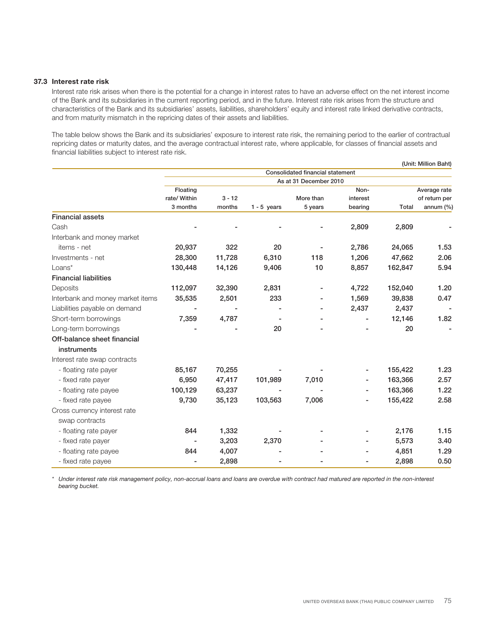# **37.3 Interest rate risk**

Interest rate risk arises when there is the potential for a change in interest rates to have an adverse effect on the net interest income of the Bank and its subsidiaries in the current reporting period, and in the future. Interest rate risk arises from the structure and characteristics of the Bank and its subsidiaries' assets, liabilities, shareholders' equity and interest rate linked derivative contracts, and from maturity mismatch in the repricing dates of their assets and liabilities.

The table below shows the Bank and its subsidiaries' exposure to interest rate risk, the remaining period to the earlier of contractual repricing dates or maturity dates, and the average contractual interest rate, where applicable, for classes of financial assets and financial liabilities subject to interest rate risk.

|                                  |                          |                    |               |                                  |                          |         | (Unit: Million Baht)       |
|----------------------------------|--------------------------|--------------------|---------------|----------------------------------|--------------------------|---------|----------------------------|
|                                  |                          |                    |               | Consolidated financial statement |                          |         |                            |
|                                  |                          |                    |               | As at 31 December 2010           |                          |         |                            |
|                                  | Floating                 |                    |               |                                  | Non-                     |         | Average rate               |
|                                  | rate/ Within<br>3 months | $3 - 12$<br>months | $1 - 5$ years | More than<br>5 years             | interest<br>bearing      | Total   | of return per<br>annum (%) |
| <b>Financial assets</b>          |                          |                    |               |                                  |                          |         |                            |
| Cash                             |                          |                    |               |                                  | 2,809                    | 2,809   |                            |
| Interbank and money market       |                          |                    |               |                                  |                          |         |                            |
| items - net                      | 20,937                   | 322                | 20            | $\overline{\phantom{a}}$         | 2,786                    | 24,065  | 1.53                       |
| Investments - net                | 28,300                   | 11,728             | 6,310         | 118                              | 1,206                    | 47,662  | 2.06                       |
| Loans*                           | 130,448                  | 14,126             | 9,406         | 10                               | 8,857                    | 162,847 | 5.94                       |
| <b>Financial liabilities</b>     |                          |                    |               |                                  |                          |         |                            |
| Deposits                         | 112,097                  | 32,390             | 2,831         | ä,                               | 4,722                    | 152,040 | 1.20                       |
| Interbank and money market items | 35,535                   | 2,501              | 233           |                                  | 1,569                    | 39,838  | 0.47                       |
| Liabilities payable on demand    |                          |                    |               | $\overline{\phantom{0}}$         | 2,437                    | 2,437   | $\sim$                     |
| Short-term borrowings            | 7,359                    | 4,787              |               |                                  | ۰                        | 12,146  | 1.82                       |
| Long-term borrowings             |                          |                    | 20            |                                  |                          | 20      |                            |
| Off-balance sheet financial      |                          |                    |               |                                  |                          |         |                            |
| instruments                      |                          |                    |               |                                  |                          |         |                            |
| Interest rate swap contracts     |                          |                    |               |                                  |                          |         |                            |
| - floating rate payer            | 85,167                   | 70,255             |               |                                  | $\overline{\phantom{a}}$ | 155,422 | 1.23                       |
| - fixed rate payer               | 6,950                    | 47,417             | 101,989       | 7,010                            | ۰                        | 163,366 | 2.57                       |
| - floating rate payee            | 100,129                  | 63,237             |               |                                  |                          | 163,366 | 1.22                       |
| - fixed rate payee               | 9,730                    | 35,123             | 103,563       | 7,006                            | ۰                        | 155,422 | 2.58                       |
| Cross currency interest rate     |                          |                    |               |                                  |                          |         |                            |
| swap contracts                   |                          |                    |               |                                  |                          |         |                            |
| - floating rate payer            | 844                      | 1,332              |               |                                  |                          | 2,176   | 1.15                       |
| - fixed rate payer               |                          | 3,203              | 2,370         |                                  |                          | 5,573   | 3.40                       |
| - floating rate payee            | 844                      | 4,007              |               |                                  |                          | 4,851   | 1.29                       |
| - fixed rate payee               |                          | 2,898              |               |                                  |                          | 2,898   | 0.50                       |

*\* Under interest rate risk management policy, non-accrual loans and loans are overdue with contract had matured are reported in the non-interest bearing bucket.*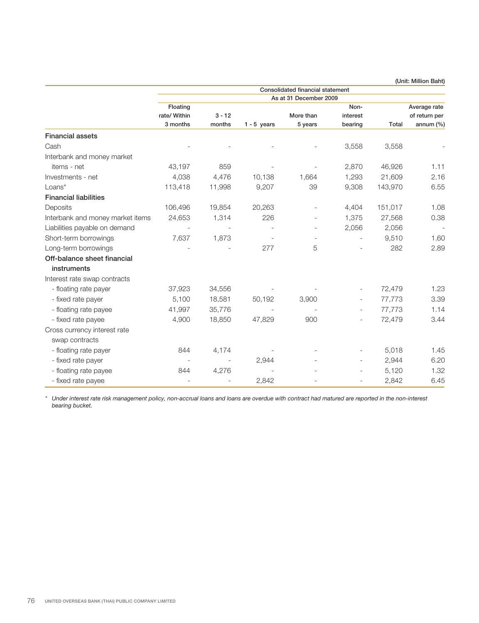**(Unit: Million Baht)** 

|                                  |              |                |               | <b>Consolidated financial statement</b> |                          |         |                          |
|----------------------------------|--------------|----------------|---------------|-----------------------------------------|--------------------------|---------|--------------------------|
|                                  |              |                |               | As at 31 December 2009                  |                          |         |                          |
|                                  | Floating     |                |               |                                         | Non-                     |         | Average rate             |
|                                  | rate/ Within | $3 - 12$       |               | More than                               | interest                 |         | of return per            |
|                                  | 3 months     | months         | $1 - 5$ years | 5 years                                 | bearing                  | Total   | annum (%)                |
| <b>Financial assets</b>          |              |                |               |                                         |                          |         |                          |
| Cash                             |              |                |               |                                         | 3,558                    | 3,558   |                          |
| Interbank and money market       |              |                |               |                                         |                          |         |                          |
| items - net                      | 43,197       | 859            |               |                                         | 2,870                    | 46,926  | 1.11                     |
| Investments - net                | 4,038        | 4,476          | 10,138        | 1,664                                   | 1,293                    | 21,609  | 2.16                     |
| Loans*                           | 113,418      | 11,998         | 9,207         | 39                                      | 9,308                    | 143,970 | 6.55                     |
| <b>Financial liabilities</b>     |              |                |               |                                         |                          |         |                          |
| Deposits                         | 106,496      | 19,854         | 20,263        | $\overline{\phantom{a}}$                | 4,404                    | 151,017 | 1.08                     |
| Interbank and money market items | 24,653       | 1,314          | 226           |                                         | 1,375                    | 27,568  | 0.38                     |
| Liabilities payable on demand    |              |                |               |                                         | 2,056                    | 2,056   | $\overline{\phantom{a}}$ |
| Short-term borrowings            | 7,637        | 1,873          |               |                                         |                          | 9,510   | 1.60                     |
| Long-term borrowings             |              |                | 277           | 5                                       |                          | 282     | 2.89                     |
| Off-balance sheet financial      |              |                |               |                                         |                          |         |                          |
| instruments                      |              |                |               |                                         |                          |         |                          |
| Interest rate swap contracts     |              |                |               |                                         |                          |         |                          |
| - floating rate payer            | 37,923       | 34,556         |               |                                         | $\overline{\phantom{a}}$ | 72,479  | 1.23                     |
| - fixed rate payer               | 5,100        | 18,581         | 50,192        | 3,900                                   |                          | 77,773  | 3.39                     |
| - floating rate payee            | 41,997       | 35,776         |               |                                         | $\overline{\phantom{0}}$ | 77,773  | 1.14                     |
| - fixed rate payee               | 4,900        | 18,850         | 47,829        | 900                                     |                          | 72,479  | 3.44                     |
| Cross currency interest rate     |              |                |               |                                         |                          |         |                          |
| swap contracts                   |              |                |               |                                         |                          |         |                          |
| - floating rate payer            | 844          | 4,174          |               |                                         |                          | 5,018   | 1.45                     |
| - fixed rate payer               |              | $\overline{a}$ | 2,944         |                                         | $\overline{a}$           | 2,944   | 6.20                     |
| - floating rate payee            | 844          | 4,276          |               |                                         | $\overline{a}$           | 5,120   | 1.32                     |
| - fixed rate payee               |              |                | 2,842         |                                         | $\overline{a}$           | 2,842   | 6.45                     |

*\* Under interest rate risk management policy, non-accrual loans and loans are overdue with contract had matured are reported in the non-interest bearing bucket.*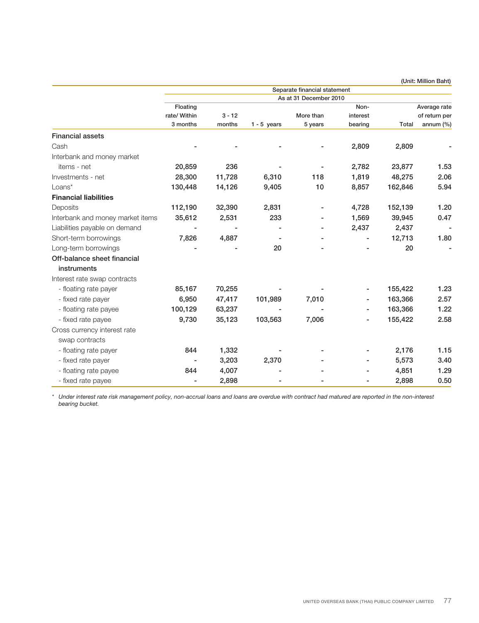**(Unit: Million Baht)**

|                                  |              |                        |               | Separate financial statement |                          |         |               |  |
|----------------------------------|--------------|------------------------|---------------|------------------------------|--------------------------|---------|---------------|--|
|                                  |              | As at 31 December 2010 |               |                              |                          |         |               |  |
|                                  | Floating     |                        |               |                              | Non-                     |         | Average rate  |  |
|                                  | rate/ Within | $3 - 12$               |               | More than                    | interest                 |         | of return per |  |
|                                  | 3 months     | months                 | $1 - 5$ years | 5 years                      | bearing                  | Total   | annum $(%)$   |  |
| <b>Financial assets</b>          |              |                        |               |                              |                          |         |               |  |
| Cash                             |              |                        |               |                              | 2,809                    | 2,809   |               |  |
| Interbank and money market       |              |                        |               |                              |                          |         |               |  |
| items - net                      | 20,859       | 236                    |               |                              | 2,782                    | 23,877  | 1.53          |  |
| Investments - net                | 28,300       | 11,728                 | 6,310         | 118                          | 1,819                    | 48,275  | 2.06          |  |
| Loans*                           | 130,448      | 14,126                 | 9,405         | 10                           | 8,857                    | 162,846 | 5.94          |  |
| <b>Financial liabilities</b>     |              |                        |               |                              |                          |         |               |  |
| Deposits                         | 112,190      | 32,390                 | 2,831         |                              | 4,728                    | 152,139 | 1.20          |  |
| Interbank and money market items | 35,612       | 2,531                  | 233           |                              | 1,569                    | 39,945  | 0.47          |  |
| Liabilities payable on demand    |              |                        |               |                              | 2,437                    | 2,437   |               |  |
| Short-term borrowings            | 7,826        | 4,887                  |               |                              |                          | 12,713  | 1.80          |  |
| Long-term borrowings             |              |                        | 20            |                              |                          | 20      |               |  |
| Off-balance sheet financial      |              |                        |               |                              |                          |         |               |  |
| instruments                      |              |                        |               |                              |                          |         |               |  |
| Interest rate swap contracts     |              |                        |               |                              |                          |         |               |  |
| - floating rate payer            | 85,167       | 70,255                 |               |                              | ٠                        | 155,422 | 1.23          |  |
| - fixed rate payer               | 6,950        | 47,417                 | 101,989       | 7,010                        |                          | 163,366 | 2.57          |  |
| - floating rate payee            | 100,129      | 63,237                 |               |                              | $\overline{\phantom{a}}$ | 163,366 | 1.22          |  |
| - fixed rate payee               | 9,730        | 35,123                 | 103,563       | 7,006                        | ۰                        | 155,422 | 2.58          |  |
| Cross currency interest rate     |              |                        |               |                              |                          |         |               |  |
| swap contracts                   |              |                        |               |                              |                          |         |               |  |
| - floating rate payer            | 844          | 1,332                  |               |                              |                          | 2,176   | 1.15          |  |
| - fixed rate payer               |              | 3,203                  | 2,370         |                              |                          | 5,573   | 3.40          |  |
| - floating rate payee            | 844          | 4,007                  |               |                              |                          | 4,851   | 1.29          |  |
| - fixed rate payee               |              | 2,898                  |               |                              |                          | 2,898   | 0.50          |  |

*\* Under interest rate risk management policy, non-accrual loans and loans are overdue with contract had matured are reported in the non-interest bearing bucket.*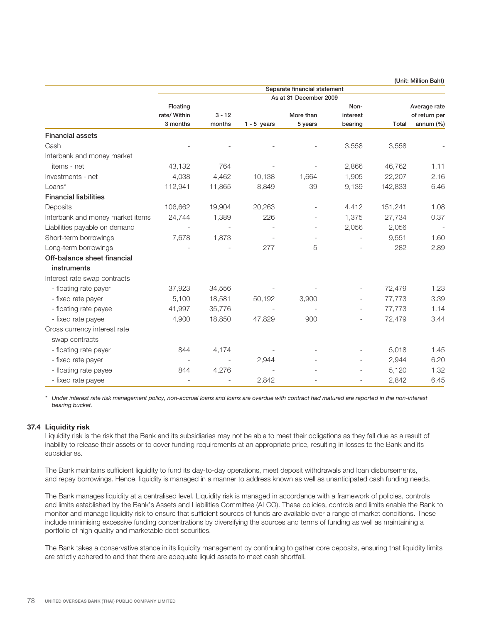| (Unit: | Millior<br>Bant. |
|--------|------------------|
|--------|------------------|

|                                  |              |                |               | Separate financial statement |                          |         |               |
|----------------------------------|--------------|----------------|---------------|------------------------------|--------------------------|---------|---------------|
|                                  |              |                |               | As at 31 December 2009       |                          |         |               |
|                                  | Floating     |                |               |                              | Non-                     |         | Average rate  |
|                                  | rate/ Within | $3 - 12$       |               | More than                    | interest                 |         | of return per |
|                                  | 3 months     | months         | $1 - 5$ years | 5 years                      | bearing                  | Total   | annum $(%)$   |
| <b>Financial assets</b>          |              |                |               |                              |                          |         |               |
| Cash                             |              |                |               |                              | 3,558                    | 3,558   |               |
| Interbank and money market       |              |                |               |                              |                          |         |               |
| items - net                      | 43,132       | 764            |               |                              | 2,866                    | 46,762  | 1.11          |
| Investments - net                | 4,038        | 4,462          | 10,138        | 1,664                        | 1,905                    | 22,207  | 2.16          |
| Loans*                           | 112,941      | 11,865         | 8,849         | 39                           | 9,139                    | 142,833 | 6.46          |
| <b>Financial liabilities</b>     |              |                |               |                              |                          |         |               |
| Deposits                         | 106,662      | 19,904         | 20,263        |                              | 4,412                    | 151,241 | 1.08          |
| Interbank and money market items | 24,744       | 1,389          | 226           |                              | 1,375                    | 27,734  | 0.37          |
| Liabilities payable on demand    |              |                |               |                              | 2,056                    | 2,056   |               |
| Short-term borrowings            | 7,678        | 1,873          |               |                              |                          | 9,551   | 1.60          |
| Long-term borrowings             |              |                | 277           | 5                            |                          | 282     | 2.89          |
| Off-balance sheet financial      |              |                |               |                              |                          |         |               |
| instruments                      |              |                |               |                              |                          |         |               |
| Interest rate swap contracts     |              |                |               |                              |                          |         |               |
| - floating rate payer            | 37,923       | 34,556         |               |                              | $\overline{\phantom{0}}$ | 72,479  | 1.23          |
| - fixed rate payer               | 5,100        | 18,581         | 50,192        | 3,900                        |                          | 77,773  | 3.39          |
| - floating rate payee            | 41,997       | 35,776         |               |                              | $\overline{a}$           | 77,773  | 1.14          |
| - fixed rate payee               | 4,900        | 18,850         | 47,829        | 900                          |                          | 72,479  | 3.44          |
| Cross currency interest rate     |              |                |               |                              |                          |         |               |
| swap contracts                   |              |                |               |                              |                          |         |               |
| - floating rate payer            | 844          | 4,174          |               |                              |                          | 5,018   | 1.45          |
| - fixed rate payer               |              | $\overline{a}$ | 2,944         |                              |                          | 2,944   | 6.20          |
| - floating rate payee            | 844          | 4,276          |               |                              |                          | 5,120   | 1.32          |
| - fixed rate payee               |              |                | 2,842         |                              |                          | 2,842   | 6.45          |

*\* Under interest rate risk management policy, non-accrual loans and loans are overdue with contract had matured are reported in the non-interest bearing bucket.* 

#### **37.4 Liquidity risk**

Liquidity risk is the risk that the Bank and its subsidiaries may not be able to meet their obligations as they fall due as a result of inability to release their assets or to cover funding requirements at an appropriate price, resulting in losses to the Bank and its subsidiaries.

The Bank maintains sufficient liquidity to fund its day-to-day operations, meet deposit withdrawals and loan disbursements, and repay borrowings. Hence, liquidity is managed in a manner to address known as well as unanticipated cash funding needs.

The Bank manages liquidity at a centralised level. Liquidity risk is managed in accordance with a framework of policies, controls and limits established by the Bank's Assets and Liabilities Committee (ALCO). These policies, controls and limits enable the Bank to monitor and manage liquidity risk to ensure that sufficient sources of funds are available over a range of market conditions. These include minimising excessive funding concentrations by diversifying the sources and terms of funding as well as maintaining a portfolio of high quality and marketable debt securities.

The Bank takes a conservative stance in its liquidity management by continuing to gather core deposits, ensuring that liquidity limits are strictly adhered to and that there are adequate liquid assets to meet cash shortfall.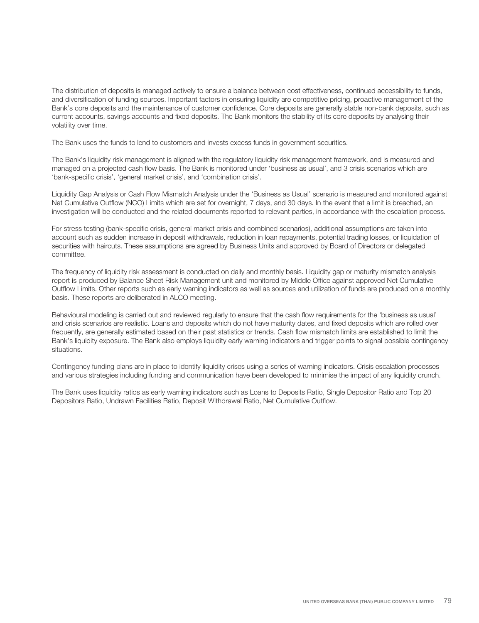The distribution of deposits is managed actively to ensure a balance between cost effectiveness, continued accessibility to funds, and diversification of funding sources. Important factors in ensuring liquidity are competitive pricing, proactive management of the Bank's core deposits and the maintenance of customer confidence. Core deposits are generally stable non-bank deposits, such as current accounts, savings accounts and fixed deposits. The Bank monitors the stability of its core deposits by analysing their volatility over time.

The Bank uses the funds to lend to customers and invests excess funds in government securities.

The Bank's liquidity risk management is aligned with the regulatory liquidity risk management framework, and is measured and managed on a projected cash flow basis. The Bank is monitored under 'business as usual', and 3 crisis scenarios which are 'bank-specific crisis', 'general market crisis', and 'combination crisis'.

Liquidity Gap Analysis or Cash Flow Mismatch Analysis under the 'Business as Usual' scenario is measured and monitored against Net Cumulative Outflow (NCO) Limits which are set for overnight, 7 days, and 30 days. In the event that a limit is breached, an investigation will be conducted and the related documents reported to relevant parties, in accordance with the escalation process.

For stress testing (bank-specific crisis, general market crisis and combined scenarios), additional assumptions are taken into account such as sudden increase in deposit withdrawals, reduction in loan repayments, potential trading losses, or liquidation of securities with haircuts. These assumptions are agreed by Business Units and approved by Board of Directors or delegated committee.

The frequency of liquidity risk assessment is conducted on daily and monthly basis. Liquidity gap or maturity mismatch analysis report is produced by Balance Sheet Risk Management unit and monitored by Middle Office against approved Net Cumulative Outflow Limits. Other reports such as early warning indicators as well as sources and utilization of funds are produced on a monthly basis. These reports are deliberated in ALCO meeting.

Behavioural modeling is carried out and reviewed regularly to ensure that the cash flow requirements for the 'business as usual' and crisis scenarios are realistic. Loans and deposits which do not have maturity dates, and fixed deposits which are rolled over frequently, are generally estimated based on their past statistics or trends. Cash flow mismatch limits are established to limit the Bank's liquidity exposure. The Bank also employs liquidity early warning indicators and trigger points to signal possible contingency situations.

Contingency funding plans are in place to identify liquidity crises using a series of warning indicators. Crisis escalation processes and various strategies including funding and communication have been developed to minimise the impact of any liquidity crunch.

The Bank uses liquidity ratios as early warning indicators such as Loans to Deposits Ratio, Single Depositor Ratio and Top 20 Depositors Ratio, Undrawn Facilities Ratio, Deposit Withdrawal Ratio, Net Cumulative Outflow.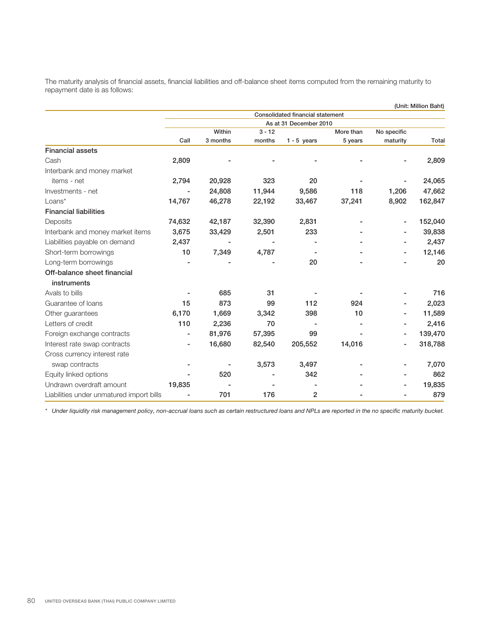The maturity analysis of financial assets, financial liabilities and off-balance sheet items computed from the remaining maturity to repayment date is as follows:

|                                          |        |          |          | <b>Consolidated financial statement</b> |           |                          |         |
|------------------------------------------|--------|----------|----------|-----------------------------------------|-----------|--------------------------|---------|
|                                          |        |          |          | As at 31 December 2010                  |           |                          |         |
|                                          |        | Within   | $3 - 12$ |                                         | More than | No specific              |         |
|                                          | Call   | 3 months | months   | $1 - 5$ years                           | 5 years   | maturity                 | Total   |
| <b>Financial assets</b>                  |        |          |          |                                         |           |                          |         |
| Cash                                     | 2,809  |          |          |                                         |           |                          | 2,809   |
| Interbank and money market               |        |          |          |                                         |           |                          |         |
| items - net                              | 2,794  | 20,928   | 323      | 20                                      |           |                          | 24,065  |
| Investments - net                        |        | 24,808   | 11,944   | 9,586                                   | 118       | 1,206                    | 47,662  |
| Loans*                                   | 14,767 | 46,278   | 22,192   | 33,467                                  | 37,241    | 8,902                    | 162,847 |
| <b>Financial liabilities</b>             |        |          |          |                                         |           |                          |         |
| Deposits                                 | 74,632 | 42,187   | 32,390   | 2,831                                   |           |                          | 152,040 |
| Interbank and money market items         | 3,675  | 33,429   | 2,501    | 233                                     |           |                          | 39,838  |
| Liabilities payable on demand            | 2,437  |          |          |                                         |           |                          | 2,437   |
| Short-term borrowings                    | 10     | 7,349    | 4,787    |                                         |           |                          | 12,146  |
| Long-term borrowings                     |        |          |          | 20                                      |           |                          | 20      |
| Off-balance sheet financial              |        |          |          |                                         |           |                          |         |
| instruments                              |        |          |          |                                         |           |                          |         |
| Avals to bills                           |        | 685      | 31       |                                         |           |                          | 716     |
| Guarantee of loans                       | 15     | 873      | 99       | 112                                     | 924       | ÷,                       | 2,023   |
| Other quarantees                         | 6,170  | 1,669    | 3,342    | 398                                     | 10        | $\blacksquare$           | 11,589  |
| Letters of credit                        | 110    | 2,236    | 70       |                                         |           |                          | 2,416   |
| Foreign exchange contracts               |        | 81,976   | 57,395   | 99                                      |           | $\overline{\phantom{a}}$ | 139,470 |
| Interest rate swap contracts             |        | 16,680   | 82,540   | 205,552                                 | 14,016    | ۰                        | 318,788 |
| Cross currency interest rate             |        |          |          |                                         |           |                          |         |
| swap contracts                           |        |          | 3,573    | 3,497                                   |           | ۰                        | 7,070   |
| Equity linked options                    |        | 520      |          | 342                                     |           |                          | 862     |
| Undrawn overdraft amount                 | 19,835 |          |          | $\sim$                                  |           | ۰                        | 19,835  |
| Liabilities under unmatured import bills |        | 701      | 176      | $\overline{2}$                          |           |                          | 879     |

*\* Under liquidity risk management policy, non-accrual loans such as certain restructured loans and NPLs are reported in the no specific maturity bucket.*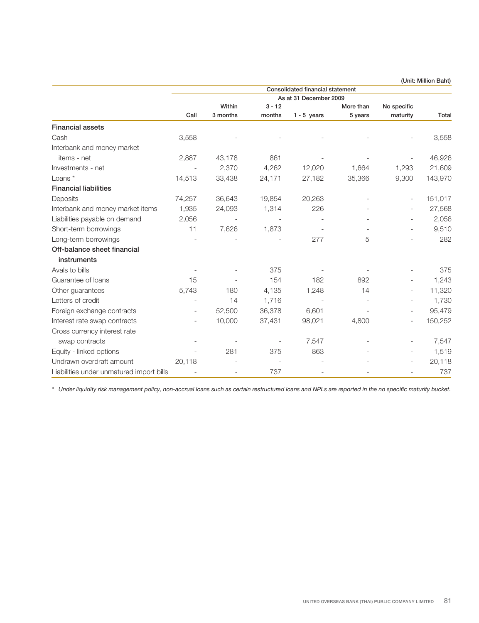|                                          |                          |          |          | <b>Consolidated financial statement</b> |           |                          |         |
|------------------------------------------|--------------------------|----------|----------|-----------------------------------------|-----------|--------------------------|---------|
|                                          |                          |          |          | As at 31 December 2009                  |           |                          |         |
|                                          |                          | Within   | $3 - 12$ |                                         | More than | No specific              |         |
|                                          | Call                     | 3 months | months   | $1 - 5$ years                           | 5 years   | maturity                 | Total   |
| <b>Financial assets</b>                  |                          |          |          |                                         |           |                          |         |
| Cash                                     | 3,558                    |          |          |                                         |           |                          | 3,558   |
| Interbank and money market               |                          |          |          |                                         |           |                          |         |
| items - net                              | 2,887                    | 43,178   | 861      |                                         |           |                          | 46,926  |
| Investments - net                        |                          | 2,370    | 4,262    | 12,020                                  | 1,664     | 1,293                    | 21,609  |
| Loans $*$                                | 14,513                   | 33,438   | 24,171   | 27,182                                  | 35,366    | 9,300                    | 143,970 |
| <b>Financial liabilities</b>             |                          |          |          |                                         |           |                          |         |
| Deposits                                 | 74,257                   | 36,643   | 19,854   | 20,263                                  |           | $\overline{\phantom{a}}$ | 151,017 |
| Interbank and money market items         | 1,935                    | 24,093   | 1,314    | 226                                     |           |                          | 27,568  |
| Liabilities payable on demand            | 2,056                    |          |          |                                         |           | $\overline{\phantom{a}}$ | 2,056   |
| Short-term borrowings                    | 11                       | 7,626    | 1,873    |                                         |           |                          | 9,510   |
| Long-term borrowings                     |                          |          |          | 277                                     | 5         |                          | 282     |
| Off-balance sheet financial              |                          |          |          |                                         |           |                          |         |
| instruments                              |                          |          |          |                                         |           |                          |         |
| Avals to bills                           |                          |          | 375      |                                         |           |                          | 375     |
| Guarantee of loans                       | 15                       |          | 154      | 182                                     | 892       | $\overline{\phantom{a}}$ | 1,243   |
| Other guarantees                         | 5,743                    | 180      | 4,135    | 1,248                                   | 14        |                          | 11,320  |
| Letters of credit                        |                          | 14       | 1,716    |                                         |           | $\overline{\phantom{a}}$ | 1,730   |
| Foreign exchange contracts               | $\overline{\phantom{a}}$ | 52,500   | 36,378   | 6,601                                   |           | $\overline{a}$           | 95,479  |
| Interest rate swap contracts             |                          | 10,000   | 37,431   | 98,021                                  | 4,800     |                          | 150,252 |
| Cross currency interest rate             |                          |          |          |                                         |           |                          |         |
| swap contracts                           |                          |          |          | 7,547                                   |           |                          | 7,547   |
| Equity - linked options                  |                          | 281      | 375      | 863                                     |           | $\overline{\phantom{a}}$ | 1,519   |
| Undrawn overdraft amount                 | 20,118                   |          |          |                                         |           | $\overline{\phantom{a}}$ | 20,118  |
| Liabilities under unmatured import bills |                          |          | 737      |                                         |           |                          | 737     |

*\* Under liquidity risk management policy, non-accrual loans such as certain restructured loans and NPLs are reported in the no specific maturity bucket.* 

 **(Unit: Million Baht)**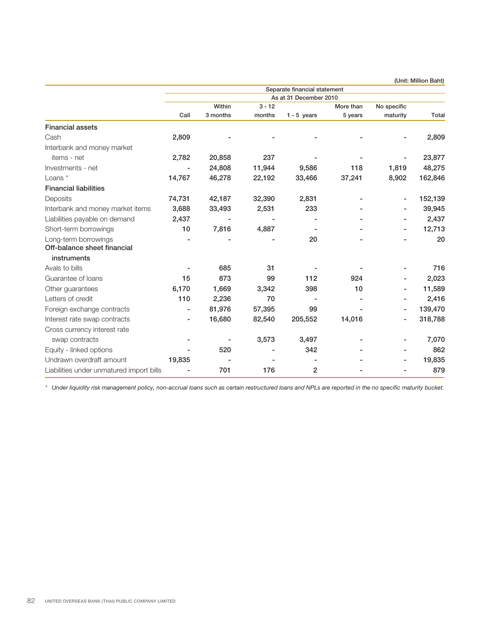|  | Million<br>(Unit: | ∴Baht. | $-1-1$ |  |
|--|-------------------|--------|--------|--|
|--|-------------------|--------|--------|--|

|                                          |        |          |          | Separate financial statement |           |                          |         |
|------------------------------------------|--------|----------|----------|------------------------------|-----------|--------------------------|---------|
|                                          |        |          |          | As at 31 December 2010       |           |                          |         |
|                                          |        | Within   | $3 - 12$ |                              | More than | No specific              |         |
|                                          | Call   | 3 months | months   | $1 - 5$ years                | 5 years   | maturity                 | Total   |
| <b>Financial assets</b>                  |        |          |          |                              |           |                          |         |
| Cash                                     | 2,809  |          |          |                              |           | ۰                        | 2,809   |
| Interbank and money market               |        |          |          |                              |           |                          |         |
| items - net                              | 2,782  | 20,858   | 237      |                              |           |                          | 23,877  |
| Investments - net                        |        | 24,808   | 11,944   | 9,586                        | 118       | 1,819                    | 48,275  |
| Loans*                                   | 14,767 | 46,278   | 22,192   | 33,466                       | 37,241    | 8,902                    | 162,846 |
| <b>Financial liabilities</b>             |        |          |          |                              |           |                          |         |
| Deposits                                 | 74,731 | 42,187   | 32,390   | 2,831                        |           |                          | 152,139 |
| Interbank and money market items         | 3,688  | 33,493   | 2,531    | 233                          |           |                          | 39,945  |
| Liabilities payable on demand            | 2,437  |          |          |                              |           |                          | 2,437   |
| Short-term borrowings                    | 10     | 7,816    | 4,887    |                              |           |                          | 12,713  |
| Long-term borrowings                     |        |          |          | 20                           |           |                          | 20      |
| Off-balance sheet financial              |        |          |          |                              |           |                          |         |
| instruments                              |        |          |          |                              |           |                          |         |
| Avals to bills                           |        | 685      | 31       |                              |           |                          | 716     |
| Guarantee of loans                       | 15     | 873      | 99       | 112                          | 924       | ۰                        | 2,023   |
| Other guarantees                         | 6,170  | 1,669    | 3,342    | 398                          | 10        | $\overline{\phantom{a}}$ | 11,589  |
| Letters of credit                        | 110    | 2,236    | 70       |                              |           |                          | 2,416   |
| Foreign exchange contracts               | $\sim$ | 81,976   | 57,395   | 99                           |           | $\sim$                   | 139,470 |
| Interest rate swap contracts             |        | 16,680   | 82,540   | 205,552                      | 14,016    | ۰                        | 318,788 |
| Cross currency interest rate             |        |          |          |                              |           |                          |         |
| swap contracts                           |        |          | 3,573    | 3,497                        |           | ٠                        | 7,070   |
| Equity - linked options                  |        | 520      |          | 342                          |           |                          | 862     |
| Undrawn overdraft amount                 | 19,835 |          |          |                              |           | $\blacksquare$           | 19,835  |
| Liabilities under unmatured import bills |        | 701      | 176      | $\overline{2}$               |           |                          | 879     |
|                                          |        |          |          |                              |           |                          |         |

*\* Under liquidity risk management policy, non-accrual loans such as certain restructured loans and NPLs are reported in the no specific maturity bucket.*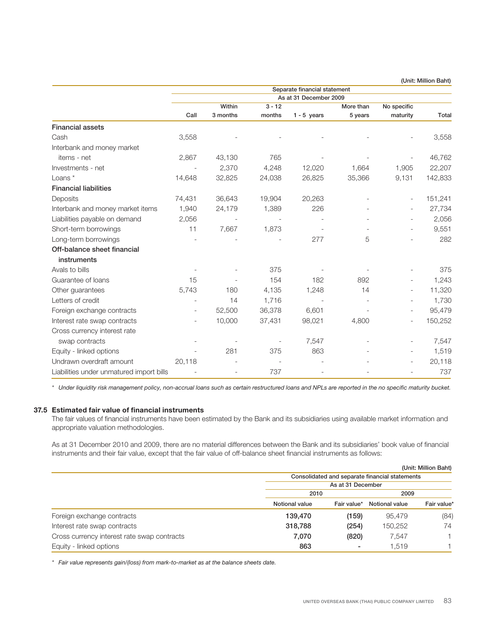|                                          |                          |          |          | Separate financial statement |           |                          |         |
|------------------------------------------|--------------------------|----------|----------|------------------------------|-----------|--------------------------|---------|
|                                          |                          |          |          | As at 31 December 2009       |           |                          |         |
|                                          |                          | Within   | $3 - 12$ |                              | More than | No specific              |         |
|                                          | Call                     | 3 months | months   | $1 - 5$ years                | 5 years   | maturity                 | Total   |
| <b>Financial assets</b>                  |                          |          |          |                              |           |                          |         |
| Cash                                     | 3,558                    |          |          |                              |           |                          | 3,558   |
| Interbank and money market               |                          |          |          |                              |           |                          |         |
| items - net                              | 2,867                    | 43,130   | 765      |                              |           |                          | 46,762  |
| Investments - net                        |                          | 2,370    | 4,248    | 12,020                       | 1,664     | 1,905                    | 22,207  |
| Loans*                                   | 14,648                   | 32,825   | 24,038   | 26,825                       | 35,366    | 9,131                    | 142,833 |
| <b>Financial liabilities</b>             |                          |          |          |                              |           |                          |         |
| Deposits                                 | 74,431                   | 36,643   | 19,904   | 20,263                       |           | $\overline{\phantom{a}}$ | 151,241 |
| Interbank and money market items         | 1,940                    | 24,179   | 1,389    | 226                          |           |                          | 27,734  |
| Liabilities payable on demand            | 2,056                    |          |          |                              |           | $\overline{\phantom{a}}$ | 2,056   |
| Short-term borrowings                    | 11                       | 7,667    | 1,873    |                              |           | $\overline{\phantom{a}}$ | 9,551   |
| Long-term borrowings                     |                          |          |          | 277                          | 5         |                          | 282     |
| Off-balance sheet financial              |                          |          |          |                              |           |                          |         |
| instruments                              |                          |          |          |                              |           |                          |         |
| Avals to bills                           |                          |          | 375      |                              |           |                          | 375     |
| Guarantee of loans                       | 15                       |          | 154      | 182                          | 892       | $\overline{a}$           | 1,243   |
| Other guarantees                         | 5,743                    | 180      | 4,135    | 1,248                        | 14        | $\overline{\phantom{a}}$ | 11,320  |
| Letters of credit                        | $\overline{a}$           | 14       | 1,716    |                              |           | $\overline{\phantom{a}}$ | 1,730   |
| Foreign exchange contracts               | $\overline{\phantom{a}}$ | 52,500   | 36,378   | 6,601                        |           | $\overline{a}$           | 95,479  |
| Interest rate swap contracts             | $\overline{\phantom{a}}$ | 10,000   | 37,431   | 98,021                       | 4,800     | $\overline{\phantom{a}}$ | 150,252 |
| Cross currency interest rate             |                          |          |          |                              |           |                          |         |
| swap contracts                           |                          |          |          | 7,547                        |           | $\overline{\phantom{a}}$ | 7,547   |
| Equity - linked options                  | $\overline{a}$           | 281      | 375      | 863                          |           | $\overline{\phantom{a}}$ | 1,519   |
| Undrawn overdraft amount                 | 20,118                   |          |          |                              |           | $\overline{\phantom{a}}$ | 20,118  |
| Liabilities under unmatured import bills |                          |          | 737      |                              |           |                          | 737     |

*\* Under liquidity risk management policy, non-accrual loans such as certain restructured loans and NPLs are reported in the no specific maturity bucket.* 

#### **37.5 Estimated fair value of financial instruments**

The fair values of financial instruments have been estimated by the Bank and its subsidiaries using available market information and appropriate valuation methodologies.

As at 31 December 2010 and 2009, there are no material differences between the Bank and its subsidiaries' book value of financial instruments and their fair value, except that the fair value of off-balance sheet financial instruments as follows:

|                                             |                                                |                   |                | (Unit: Million Baht) |  |
|---------------------------------------------|------------------------------------------------|-------------------|----------------|----------------------|--|
|                                             | Consolidated and separate financial statements |                   |                |                      |  |
|                                             |                                                | As at 31 December |                |                      |  |
|                                             | 2009<br>2010                                   |                   |                |                      |  |
|                                             | Notional value                                 | Fair value*       | Notional value | Fair value*          |  |
| Foreign exchange contracts                  | 139,470                                        | (159)             | 95.479         | (84)                 |  |
| Interest rate swap contracts                | 318,788                                        | (254)             | 150,252        | 74                   |  |
| Cross currency interest rate swap contracts | 7.070                                          | (820)             | 7,547          |                      |  |
| Equity - linked options                     | 863                                            |                   | 1.519          |                      |  |

*\* Fair value represents gain/(loss) from mark-to-market as at the balance sheets date.* 

 **(Unit: Million Baht)**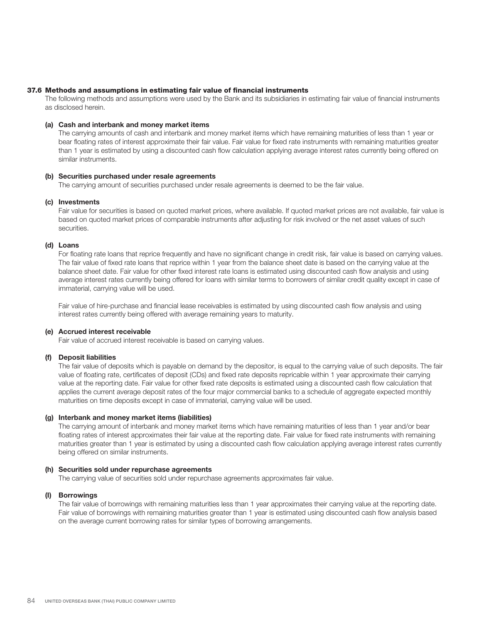#### **37.6 Methods and assumptions in estimating fair value of financial instruments**

The following methods and assumptions were used by the Bank and its subsidiaries in estimating fair value of financial instruments as disclosed herein.

#### **(a) Cash and interbank and money market items**

 The carrying amounts of cash and interbank and money market items which have remaining maturities of less than 1 year or bear floating rates of interest approximate their fair value. Fair value for fixed rate instruments with remaining maturities greater than 1 year is estimated by using a discounted cash flow calculation applying average interest rates currently being offered on similar instruments.

#### **(b) Securities purchased under resale agreements**

The carrying amount of securities purchased under resale agreements is deemed to be the fair value.

#### **(c) Investments**

 Fair value for securities is based on quoted market prices, where available. If quoted market prices are not available, fair value is based on quoted market prices of comparable instruments after adjusting for risk involved or the net asset values of such securities.

#### **(d) Loans**

For floating rate loans that reprice frequently and have no significant change in credit risk, fair value is based on carrying values. The fair value of fixed rate loans that reprice within 1 year from the balance sheet date is based on the carrying value at the balance sheet date. Fair value for other fixed interest rate loans is estimated using discounted cash flow analysis and using average interest rates currently being offered for loans with similar terms to borrowers of similar credit quality except in case of immaterial, carrying value will be used.

 Fair value of hire-purchase and financial lease receivables is estimated by using discounted cash flow analysis and using interest rates currently being offered with average remaining years to maturity.

#### **(e) Accrued interest receivable**

Fair value of accrued interest receivable is based on carrying values.

#### **(f)Deposit liabilities**

 The fair value of deposits which is payable on demand by the depositor, is equal to the carrying value of such deposits. The fair value of floating rate, certificates of deposit (CDs) and fixed rate deposits repricable within 1 year approximate their carrying value at the reporting date. Fair value for other fixed rate deposits is estimated using a discounted cash flow calculation that applies the current average deposit rates of the four major commercial banks to a schedule of aggregate expected monthly maturities on time deposits except in case of immaterial, carrying value will be used.

#### **(g) Interbank and money market items (liabilities)**

 The carrying amount of interbank and money market items which have remaining maturities of less than 1 year and/or bear floating rates of interest approximates their fair value at the reporting date. Fair value for fixed rate instruments with remaining maturities greater than 1 year is estimated by using a discounted cash flow calculation applying average interest rates currently being offered on similar instruments.

#### **(h) Securities sold under repurchase agreements**

The carrying value of securities sold under repurchase agreements approximates fair value.

#### **(I) Borrowings**

 The fair value of borrowings with remaining maturities less than 1 year approximates their carrying value at the reporting date. Fair value of borrowings with remaining maturities greater than 1 year is estimated using discounted cash flow analysis based on the average current borrowing rates for similar types of borrowing arrangements.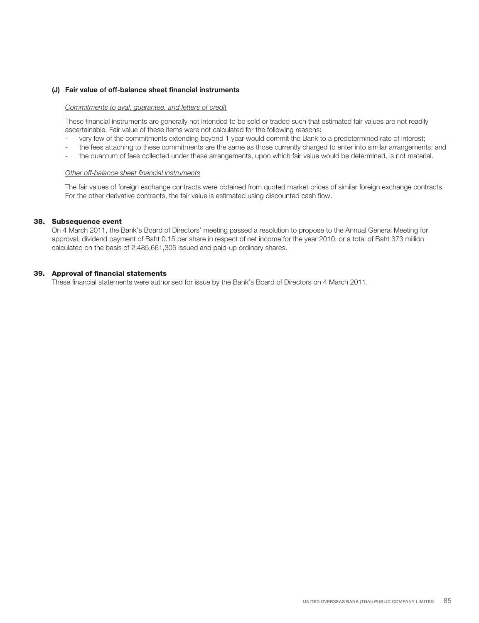#### **(J) Fair value of off-balance sheet financial instruments**

#### *Commitments to aval, guarantee, and letters of credit*

 These financial instruments are generally not intended to be sold or traded such that estimated fair values are not readily ascertainable. Fair value of these items were not calculated for the following reasons:

- very few of the commitments extending beyond 1 year would commit the Bank to a predetermined rate of interest;
- the fees attaching to these commitments are the same as those currently charged to enter into similar arrangements; and
- the quantum of fees collected under these arrangements, upon which fair value would be determined, is not material.

#### *Other off-balance sheet financial instruments*

 The fair values of foreign exchange contracts were obtained from quoted market prices of similar foreign exchange contracts. For the other derivative contracts, the fair value is estimated using discounted cash flow.

#### **38. Subsequence event**

On 4 March 2011, the Bank's Board of Directors' meeting passed a resolution to propose to the Annual General Meeting for approval, dividend payment of Baht 0.15 per share in respect of net income for the year 2010, or a total of Baht 373 million calculated on the basis of 2,485,661,305 issued and paid-up ordinary shares.

#### **39. Approval of financial statements**

These financial statements were authorised for issue by the Bank's Board of Directors on 4 March 2011.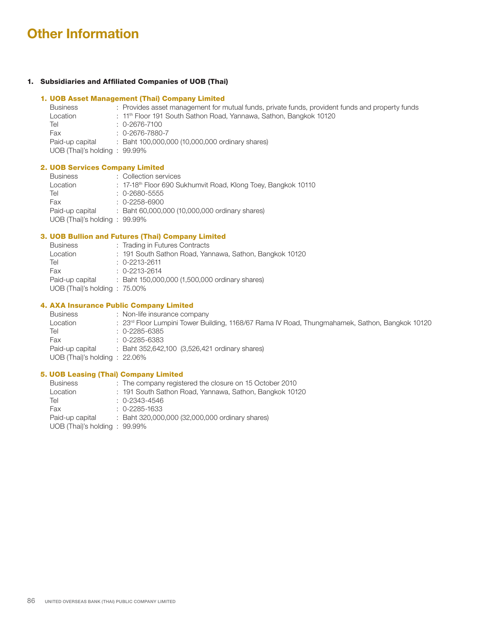# **Other Information**

# 1. Subsidiaries and Affiliated Companies of UOB (Thai)

# **1. UOB Asset Management (Thai) Company Limited**

| <b>Business</b>              | : Provides asset management for mutual funds, private funds, provident funds and property funds |
|------------------------------|-------------------------------------------------------------------------------------------------|
| Location                     | $\pm$ 11 <sup>th</sup> Floor 191 South Sathon Road, Yannawa, Sathon, Bangkok 10120              |
| Tel                          | $: 0 - 2676 - 7100$                                                                             |
| Fax                          | $: 0 - 2676 - 7880 - 7$                                                                         |
| Paid-up capital              | : Baht 100,000,000 (10,000,000 ordinary shares)                                                 |
| UOB (Thai)'s holding: 99.99% |                                                                                                 |

### **2. UOB Services Company Limited**

| <b>Business</b>              | : Collection services                                                     |
|------------------------------|---------------------------------------------------------------------------|
| Location                     | : 17-18 <sup>th</sup> Floor 690 Sukhumvit Road, Klong Toey, Bangkok 10110 |
| Tel                          | $: 0 - 2680 - 5555$                                                       |
| Fax                          | $: 0 - 2258 - 6900$                                                       |
| Paid-up capital              | : Baht 60,000,000 (10,000,000 ordinary shares)                            |
| UOB (Thai)'s holding: 99.99% |                                                                           |
|                              |                                                                           |

# **3. UOB Bullion and Futures (Thai) Company Limited**

| <b>Business</b>              | : Trading in Futures Contracts                          |
|------------------------------|---------------------------------------------------------|
| Location                     | : 191 South Sathon Road, Yannawa, Sathon, Bangkok 10120 |
| Tel                          | $: 0 - 2213 - 2611$                                     |
| Fax                          | $: 0 - 2213 - 2614$                                     |
| Paid-up capital              | : Baht 150,000,000 (1,500,000 ordinary shares)          |
| UOB (Thai)'s holding: 75.00% |                                                         |
|                              |                                                         |

# **4. AXA Insurance Public Company Limited**

| <b>Business</b>              | : Non-life insurance company                                                                               |
|------------------------------|------------------------------------------------------------------------------------------------------------|
| Location                     | : 23 <sup>rd</sup> Floor Lumpini Tower Building, 1168/67 Rama IV Road, Thungmahamek, Sathon, Bangkok 10120 |
| Tel                          | : 0-2285-6385                                                                                              |
| Fax                          | $: 0 - 2285 - 6383$                                                                                        |
| Paid-up capital              | Baht 352,642,100 (3,526,421 ordinary shares)                                                               |
| UOB (Thai)'s holding: 22.06% |                                                                                                            |

# **5. UOB Leasing (Thai) Company Limited**

| <b>Business</b>              | : The company registered the closure on 15 October 2010 |
|------------------------------|---------------------------------------------------------|
| Location                     | : 191 South Sathon Road, Yannawa, Sathon, Bangkok 10120 |
| Tel                          | $: 0 - 2343 - 4546$                                     |
| Fax                          | $: 0 - 2285 - 1633$                                     |
| Paid-up capital              | : Baht 320,000,000 (32,000,000 ordinary shares)         |
| UOB (Thai)'s holding: 99.99% |                                                         |
|                              |                                                         |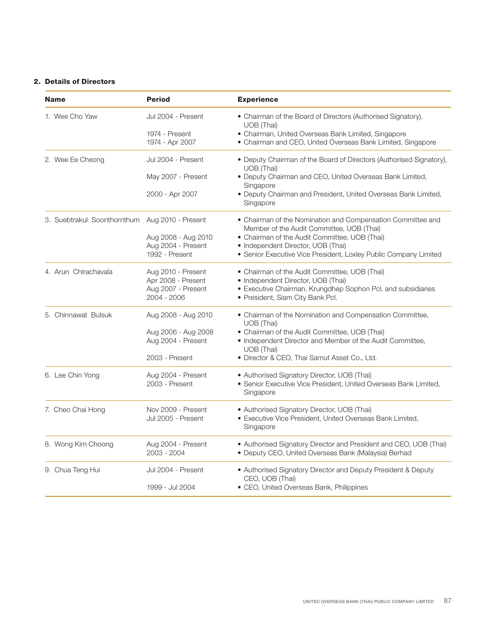# **2. Details of Directors**

| <b>Name</b>                                    | <b>Period</b>                             | <b>Experience</b>                                                                                                  |
|------------------------------------------------|-------------------------------------------|--------------------------------------------------------------------------------------------------------------------|
| 1. Wee Cho Yaw                                 | Jul 2004 - Present                        | • Chairman of the Board of Directors (Authorised Signatory),<br>UOB (Thai)                                         |
|                                                | 1974 - Present<br>1974 - Apr 2007         | • Chairman, United Overseas Bank Limited, Singapore<br>• Chairman and CEO, United Overseas Bank Limited, Singapore |
| 2. Wee Ee Cheong                               | Jul 2004 - Present                        | • Deputy Chairman of the Board of Directors (Authorised Signatory),<br>UOB (Thai)                                  |
|                                                | May 2007 - Present                        | · Deputy Chairman and CEO, United Overseas Bank Limited,                                                           |
|                                                | 2000 - Apr 2007                           | Singapore<br>• Deputy Chairman and President, United Overseas Bank Limited,<br>Singapore                           |
| 3. Suebtrakul Soonthornthum Aug 2010 - Present |                                           | • Chairman of the Nomination and Compensation Committee and<br>Member of the Audit Committee, UOB (Thai)           |
|                                                | Aug 2008 - Aug 2010                       | • Chairman of the Audit Committee, UOB (Thai)                                                                      |
|                                                | Aug 2004 - Present<br>1992 - Present      | • Independent Director, UOB (Thai)<br>• Senior Executive Vice President, Loxley Public Company Limited             |
| 4. Arun Chirachavala                           | Aug 2010 - Present<br>Apr 2008 - Present  | • Chairman of the Audit Committee, UOB (Thai)                                                                      |
|                                                | Aug 2007 - Present                        | • Independent Director, UOB (Thai)<br>• Executive Chairman, Krungdhep Sophon Pcl. and subsidiaries                 |
|                                                | 2004 - 2006                               | • President, Siam City Bank Pcl.                                                                                   |
| 5. Chinnawat Bulsuk                            | Aug 2008 - Aug 2010                       | • Chairman of the Nomination and Compensation Committee,<br>UOB (Thai)                                             |
|                                                | Aug 2006 - Aug 2008<br>Aug 2004 - Present | • Chairman of the Audit Committee, UOB (Thai)<br>• Independent Director and Member of the Audit Committee,         |
|                                                |                                           | UOB (Thai)                                                                                                         |
|                                                | 2003 - Present                            | · Director & CEO, Thai Samut Asset Co., Ltd.                                                                       |
| 6. Lee Chin Yong                               | Aug 2004 - Present                        | • Authorised Signatory Director, UOB (Thai)                                                                        |
|                                                | 2003 - Present                            | • Senior Executive Vice President, United Overseas Bank Limited,<br>Singapore                                      |
| 7. Cheo Chai Hong                              | Nov 2009 - Present                        | • Authorised Signatory Director, UOB (Thai)                                                                        |
|                                                | Jul 2005 - Present                        | • Executive Vice President, United Overseas Bank Limited,<br>Singapore                                             |
| 8. Wong Kim Choong                             | Aug 2004 - Present                        | • Authorised Signatory Director and President and CEO, UOB (Thai)                                                  |
|                                                | 2003 - 2004                               | · Deputy CEO, United Overseas Bank (Malaysia) Berhad                                                               |
| 9. Chua Teng Hui                               | Jul 2004 - Present                        | • Authorised Signatory Director and Deputy President & Deputy<br>CEO, UOB (Thai)                                   |
|                                                | 1999 - Jul 2004                           | • CEO, United Overseas Bank, Philippines                                                                           |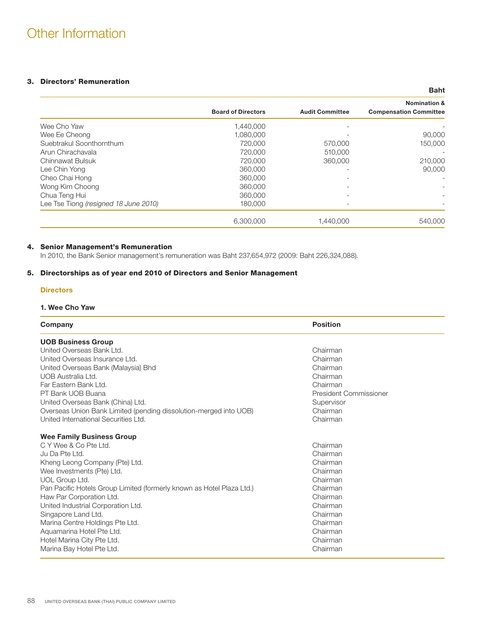# **3. Directors' Remuneration**

|                                       | <b>Baht</b>               |                          |                               |
|---------------------------------------|---------------------------|--------------------------|-------------------------------|
|                                       | <b>Board of Directors</b> | <b>Audit Committee</b>   | <b>Nomination &amp;</b>       |
|                                       |                           |                          | <b>Compensation Committee</b> |
| Wee Cho Yaw                           | 1.440.000                 |                          |                               |
| Wee Ee Cheong                         | 1,080,000                 |                          | 90,000                        |
| Suebtrakul Soonthornthum              | 720,000                   | 570,000                  | 150,000                       |
| Arun Chirachavala                     | 720,000                   | 510,000                  |                               |
| Chinnawat Bulsuk                      | 720,000                   | 360,000                  | 210,000                       |
| Lee Chin Yong                         | 360,000                   | $\overline{\phantom{0}}$ | 90,000                        |
| Cheo Chai Hong                        | 360,000                   |                          |                               |
| Wong Kim Choong                       | 360,000                   |                          |                               |
| Chua Teng Hui                         | 360,000                   | $\overline{\phantom{a}}$ |                               |
| Lee Tse Tiong (resigned 18 June 2010) | 180,000                   |                          |                               |
|                                       | 6.300.000                 | 1.440.000                | 540,000                       |

# **4. Senior Management's Remuneration**

In 2010, the Bank Senior management's remuneration was Baht 237,654,972 (2009: Baht 226,324,088).

# **5. Directorships as of year end 2010 of Directors and Senior Management**

# **Directors**

# **1. Wee Cho Yaw**

| Company                                                               | <b>Position</b>        |
|-----------------------------------------------------------------------|------------------------|
| <b>UOB Business Group</b>                                             |                        |
| United Overseas Bank Ltd.                                             | Chairman               |
| United Overseas Insurance Ltd.                                        | Chairman               |
| United Overseas Bank (Malaysia) Bhd                                   | Chairman               |
| UOB Australia Ltd.                                                    | Chairman               |
| Far Eastern Bank Ltd.                                                 | Chairman               |
| PT Bank UOB Buana                                                     | President Commissioner |
| United Overseas Bank (China) Ltd.                                     | Supervisor             |
| Overseas Union Bank Limited (pending dissolution-merged into UOB)     | Chairman               |
| United International Securities Ltd.                                  | Chairman               |
| <b>Wee Family Business Group</b>                                      |                        |
| C Y Wee & Co Pte Ltd.                                                 | Chairman               |
| Ju Da Pte Ltd.                                                        | Chairman               |
| Kheng Leong Company (Pte) Ltd.                                        | Chairman               |
| Wee Investments (Pte) Ltd.                                            | Chairman               |
| UOL Group Ltd.                                                        | Chairman               |
| Pan Pacific Hotels Group Limited (formerly known as Hotel Plaza Ltd.) | Chairman               |
| Haw Par Corporation Ltd.                                              | Chairman               |
| United Industrial Corporation Ltd.                                    | Chairman               |
| Singapore Land Ltd.                                                   | Chairman               |
| Marina Centre Holdings Pte Ltd.                                       | Chairman               |
| Aquamarina Hotel Pte Ltd.                                             | Chairman               |
| Hotel Marina City Pte Ltd.                                            | Chairman               |
| Marina Bay Hotel Pte Ltd.                                             | Chairman               |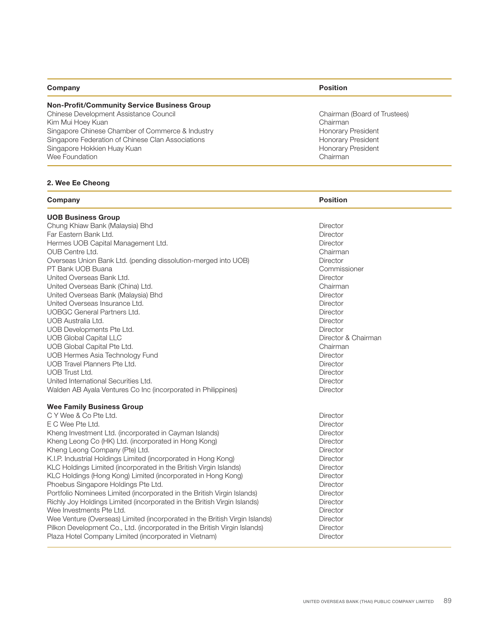# **Company** Position

# **Non-Profit/Community Service Business Group**

Chinese Development Assistance Council Chairman (Board of Trustees) Chairman (Board of Trustees) Kim Mui Hoey Kuan<br>Singapore Chinese Chamber of Commerce & Industry extending the chairman Chairman Chairman Singapore Chinese Chamber of Commerce & Industry Singapore Federation of Chinese Clan Associations **Honorary President** Singapore Hokkien Huay Kuan<br>
Honorary President Singapore Hokkien Huay Kuan Honorary President Singapore Hokkien Huay Kuan Honorary President Singapore President Singapore President Singapore President Singapore President Singapore President Singapore President Singapor Wee Foundation

# **2. Wee Ee Cheong**

| Company                                                                     | <b>Position</b>     |  |
|-----------------------------------------------------------------------------|---------------------|--|
| <b>UOB Business Group</b>                                                   |                     |  |
| Chung Khiaw Bank (Malaysia) Bhd                                             | Director            |  |
| Far Eastern Bank Ltd.                                                       | <b>Director</b>     |  |
| Hermes UOB Capital Management Ltd.                                          | <b>Director</b>     |  |
| OUB Centre Ltd.                                                             | Chairman            |  |
| Overseas Union Bank Ltd. (pending dissolution-merged into UOB)              | Director            |  |
| PT Bank UOB Buana                                                           | Commissioner        |  |
| United Overseas Bank Ltd.                                                   | Director            |  |
| United Overseas Bank (China) Ltd.                                           | Chairman            |  |
| United Overseas Bank (Malaysia) Bhd                                         | Director            |  |
| United Overseas Insurance Ltd.                                              | Director            |  |
| <b>UOBGC General Partners Ltd.</b>                                          | Director            |  |
| UOB Australia Ltd.                                                          | Director            |  |
| UOB Developments Pte Ltd.                                                   | Director            |  |
| <b>UOB Global Capital LLC</b>                                               | Director & Chairman |  |
| UOB Global Capital Pte Ltd.                                                 | Chairman            |  |
| UOB Hermes Asia Technology Fund                                             | Director            |  |
| UOB Travel Planners Pte Ltd.                                                | Director            |  |
| <b>UOB Trust Ltd.</b>                                                       | Director            |  |
| United International Securities Ltd.                                        | <b>Director</b>     |  |
| Walden AB Ayala Ventures Co Inc (incorporated in Philippines)               | Director            |  |
| <b>Wee Family Business Group</b>                                            |                     |  |
| C Y Wee & Co Pte Ltd.                                                       | <b>Director</b>     |  |
| E C Wee Pte Ltd.                                                            | Director            |  |
| Kheng Investment Ltd. (incorporated in Cayman Islands)                      | Director            |  |
| Kheng Leong Co (HK) Ltd. (incorporated in Hong Kong)                        | Director            |  |
| Kheng Leong Company (Pte) Ltd.                                              | <b>Director</b>     |  |
| K.I.P. Industrial Holdings Limited (incorporated in Hong Kong)              | Director            |  |
| KLC Holdings Limited (incorporated in the British Virgin Islands)           | <b>Director</b>     |  |
| KLC Holdings (Hong Kong) Limited (incorporated in Hong Kong)                | Director            |  |
| Phoebus Singapore Holdings Pte Ltd.                                         | Director            |  |
| Portfolio Nominees Limited (incorporated in the British Virgin Islands)     | <b>Director</b>     |  |
| Richly Joy Holdings Limited (incorporated in the British Virgin Islands)    | <b>Director</b>     |  |
| Wee Investments Pte Ltd.                                                    | <b>Director</b>     |  |
| Wee Venture (Overseas) Limited (incorporated in the British Virgin Islands) | <b>Director</b>     |  |
| Pilkon Development Co., Ltd. (incorporated in the British Virgin Islands)   | Director            |  |
| Plaza Hotel Company Limited (incorporated in Vietnam)                       | Director            |  |
|                                                                             |                     |  |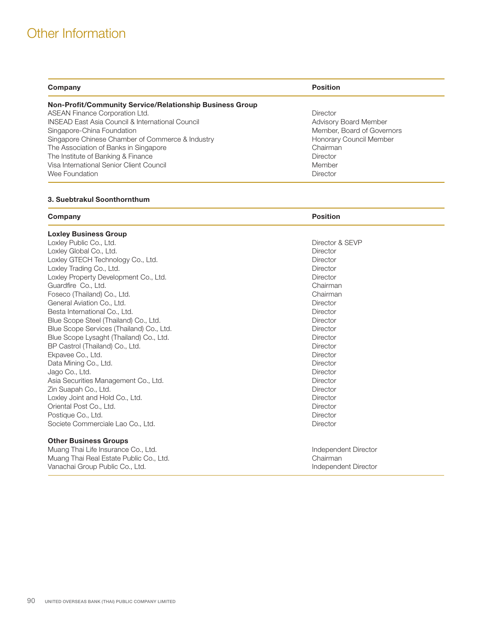# Other Information

| Company                                                         | <b>Position</b>              |
|-----------------------------------------------------------------|------------------------------|
| <b>Non-Profit/Community Service/Relationship Business Group</b> |                              |
| ASEAN Finance Corporation Ltd.                                  | Director                     |
| <b>INSEAD East Asia Council &amp; International Council</b>     | <b>Advisory Board Member</b> |
| Singapore-China Foundation                                      | Member, Board of Governors   |
| Singapore Chinese Chamber of Commerce & Industry                | Honorary Council Member      |
| The Association of Banks in Singapore                           | Chairman                     |
| The Institute of Banking & Finance                              | Director                     |
| Visa International Senior Client Council                        | Member                       |
| Wee Foundation                                                  | Director                     |

# **3. Suebtrakul Soonthornthum**

| Company                                  | <b>Position</b>      |
|------------------------------------------|----------------------|
| <b>Loxley Business Group</b>             |                      |
| Loxley Public Co., Ltd.                  | Director & SEVP      |
| Loxley Global Co., Ltd.                  | Director             |
| Loxley GTECH Technology Co., Ltd.        | Director             |
| Loxley Trading Co., Ltd.                 | Director             |
| Loxley Property Development Co., Ltd.    | Director             |
| Guardfire Co., Ltd.                      | Chairman             |
| Foseco (Thailand) Co., Ltd.              | Chairman             |
| General Aviation Co., Ltd.               | Director             |
| Besta International Co., Ltd.            | Director             |
| Blue Scope Steel (Thailand) Co., Ltd.    | Director             |
| Blue Scope Services (Thailand) Co., Ltd. | Director             |
| Blue Scope Lysaght (Thailand) Co., Ltd.  | Director             |
| BP Castrol (Thailand) Co., Ltd.          | Director             |
| Ekpavee Co., Ltd.                        | Director             |
| Data Mining Co., Ltd.                    | Director             |
| Jago Co., Ltd.                           | Director             |
| Asia Securities Management Co., Ltd.     | Director             |
| Zin Suapah Co., Ltd.                     | Director             |
| Loxley Joint and Hold Co., Ltd.          | Director             |
| Oriental Post Co., Ltd.                  | Director             |
| Postique Co., Ltd.                       | Director             |
| Societe Commerciale Lao Co., Ltd.        | Director             |
| <b>Other Business Groups</b>             |                      |
| Muang Thai Life Insurance Co., Ltd.      | Independent Director |
| Muang Thai Real Estate Public Co., Ltd.  | Chairman             |
| Vanachai Group Public Co., Ltd.          | Independent Director |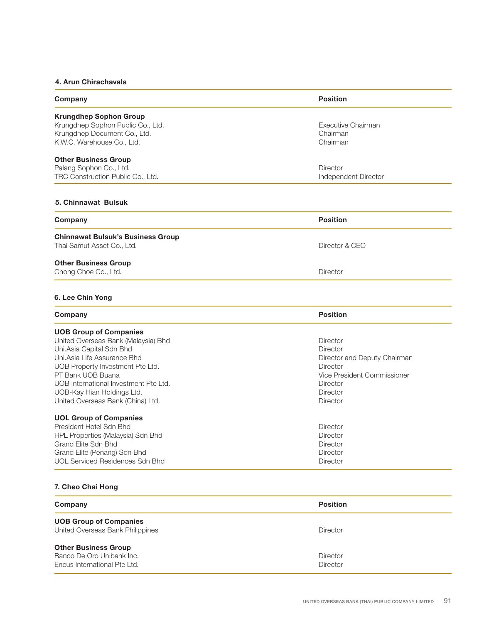# **4. Arun Chirachavala**

| Company                           | <b>Position</b>      |
|-----------------------------------|----------------------|
| <b>Krungdhep Sophon Group</b>     |                      |
| Krungdhep Sophon Public Co., Ltd. | Executive Chairman   |
| Krungdhep Document Co., Ltd.      | Chairman             |
| K.W.C. Warehouse Co., Ltd.        | Chairman             |
| <b>Other Business Group</b>       |                      |
| Palang Sophon Co., Ltd.           | Director             |
| TRC Construction Public Co., Ltd. | Independent Director |
|                                   |                      |
| 5. Chinnawat Bulsuk               |                      |
| Company                           | <b>Position</b>      |

# **Chinnawat Bulsuk's Business Group** Thai Samut Asset Co., Ltd. **Director & CEO Other Business Group** Chong Choe Co., Ltd. Director

# **6. Lee Chin Yong**

| Company                                | <b>Position</b>              |
|----------------------------------------|------------------------------|
| <b>UOB Group of Companies</b>          |                              |
| United Overseas Bank (Malaysia) Bhd    | Director                     |
| Uni. Asia Capital Sdn Bhd              | <b>Director</b>              |
| Uni Asia Life Assurance Bhd            | Director and Deputy Chairman |
| UOB Property Investment Pte Ltd.       | Director                     |
| PT Bank UOB Buana                      | Vice President Commissioner  |
| UOB International Investment Pte Ltd.  | <b>Director</b>              |
| UOB-Kay Hian Holdings Ltd.             | Director                     |
| United Overseas Bank (China) Ltd.      | Director                     |
| <b>UOL Group of Companies</b>          |                              |
| President Hotel Sdn Bhd                | Director                     |
| HPL Properties (Malaysia) Sdn Bhd      | Director                     |
| Grand Elite Sdn Bhd                    | <b>Director</b>              |
| Grand Elite (Penang) Sdn Bhd           | Director                     |
| <b>UOL Serviced Residences Sdn Bhd</b> | Director                     |

# **7. Cheo Chai Hong**

| Company                          | <b>Position</b> |
|----------------------------------|-----------------|
| <b>UOB Group of Companies</b>    |                 |
| United Overseas Bank Philippines | <b>Director</b> |
| <b>Other Business Group</b>      |                 |
| Banco De Oro Unibank Inc.        | <b>Director</b> |
| Encus International Pte Ltd.     | <b>Director</b> |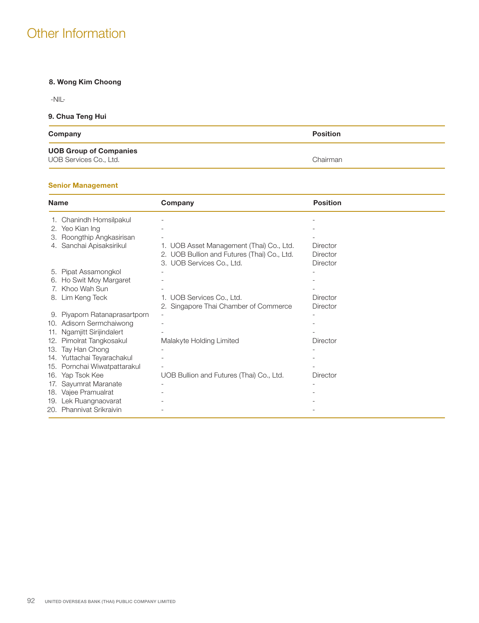# Other Information

# **8. Wong Kim Choong**

-NIL-

# **9. Chua Teng Hui**

| Company                       | <b>Position</b> |
|-------------------------------|-----------------|
| <b>UOB Group of Companies</b> |                 |
| UOB Services Co., Ltd.        | Chairman        |

# **Senior Management**

| <b>Name</b>                        | Company                                     | <b>Position</b> |
|------------------------------------|---------------------------------------------|-----------------|
| 1. Chanindh Homsilpakul            |                                             |                 |
| Yeo Kian Ing<br>2.                 |                                             |                 |
| Roongthip Angkasirisan<br>З.       |                                             |                 |
| Sanchai Apisaksirikul<br>4.        | 1. UOB Asset Management (Thai) Co., Ltd.    | Director        |
|                                    | 2. UOB Bullion and Futures (Thai) Co., Ltd. | Director        |
|                                    | 3. UOB Services Co., Ltd.                   | <b>Director</b> |
| 5. Pipat Assamongkol               |                                             |                 |
| Ho Swit Moy Margaret<br>6.         |                                             |                 |
| 7. Khoo Wah Sun                    |                                             |                 |
| Lim Keng Teck<br>8.                | 1. UOB Services Co., Ltd.                   | Director        |
|                                    | 2. Singapore Thai Chamber of Commerce       | <b>Director</b> |
| Piyaporn Ratanaprasartporn<br>9.   |                                             |                 |
| Adisorn Sermchaiwong<br>10.        |                                             |                 |
| Ngamjitt Sirijindalert<br>11.      |                                             |                 |
| Pimolrat Tangkosakul<br>12.        | Malakyte Holding Limited                    | Director        |
| Tay Han Chong<br>13.               |                                             |                 |
| 14. Yuttachai Teyarachakul         |                                             |                 |
| Pornchai Wiwatpattarakul<br>15.    |                                             |                 |
| Yap Tsok Kee<br>16.                | UOB Bullion and Futures (Thai) Co., Ltd.    | <b>Director</b> |
| Sayumrat Maranate<br>17.           |                                             |                 |
| Vajee Pramualrat<br>18.            |                                             |                 |
| Lek Ruangnaovarat<br>19.           |                                             |                 |
| <b>Phannivat Srikraivin</b><br>20. |                                             |                 |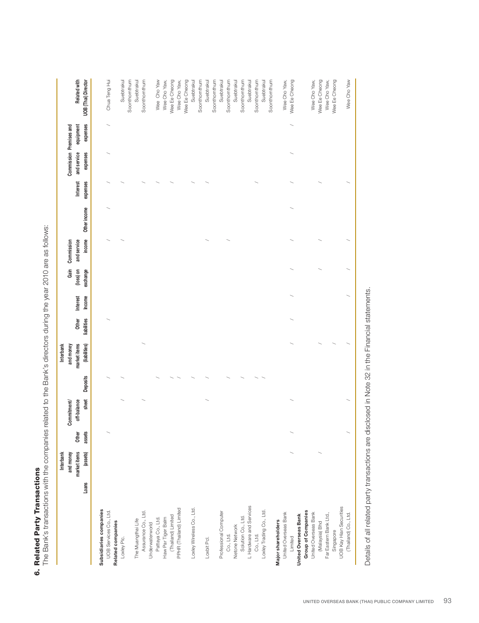| ٠            |
|--------------|
|              |
| $\mathbf{d}$ |

The Bank's transactions with the companies related to the Bank's directors during the year 2010 are as follows: The Bank's transactions with the companies related to the Bank's directors during the year 2010 are as follows:

| market items<br>(liabilities)<br><b>Deposits</b><br>off-balance<br>sheet<br>Other<br>assets<br>market items<br>(assets)<br>Loans<br>L Hardware and Services<br>PPHR (Thailand) Limited<br>Loxley Wireless Co., Ltd.<br>Subsidiaries companies<br>Loxley Trading Co., Ltd.<br>UOB Services Co., Ltd.<br>Assurance Co., Ltd.<br>Professional Computer<br>United Overseas Bank<br><b>United Overseas Bank</b><br>(Thailand) Limited<br>Solution Co., Ltd.<br>Haw Par Tiger Balm<br>Pattaya Co., Ltd.<br>The Muangthai Life<br>Major shareholders<br>Related companies<br>Underwaterworld<br>Netone Network<br>Co., Ltd.<br>Co., Ltd.<br>Limited<br>Loxley Plc.<br>Loxbit Pcl. | Other<br>liabilities | (loss) on<br>exchange<br><b>Interest</b><br>Income | income<br>and service | Other income | Interest<br>expenses | equipment<br>expenses<br>and service<br>expenses | Related with<br><b>UOB</b> (Thai) Director |
|----------------------------------------------------------------------------------------------------------------------------------------------------------------------------------------------------------------------------------------------------------------------------------------------------------------------------------------------------------------------------------------------------------------------------------------------------------------------------------------------------------------------------------------------------------------------------------------------------------------------------------------------------------------------------|----------------------|----------------------------------------------------|-----------------------|--------------|----------------------|--------------------------------------------------|--------------------------------------------|
|                                                                                                                                                                                                                                                                                                                                                                                                                                                                                                                                                                                                                                                                            |                      |                                                    |                       |              |                      |                                                  |                                            |
|                                                                                                                                                                                                                                                                                                                                                                                                                                                                                                                                                                                                                                                                            |                      |                                                    |                       |              |                      |                                                  |                                            |
|                                                                                                                                                                                                                                                                                                                                                                                                                                                                                                                                                                                                                                                                            |                      |                                                    |                       |              |                      |                                                  | Chua Teng Hui                              |
|                                                                                                                                                                                                                                                                                                                                                                                                                                                                                                                                                                                                                                                                            |                      |                                                    |                       |              |                      |                                                  |                                            |
|                                                                                                                                                                                                                                                                                                                                                                                                                                                                                                                                                                                                                                                                            |                      |                                                    |                       |              |                      |                                                  | Suebtrakul                                 |
|                                                                                                                                                                                                                                                                                                                                                                                                                                                                                                                                                                                                                                                                            |                      |                                                    |                       |              |                      |                                                  | Soonthornthum<br>Suebtrakul                |
|                                                                                                                                                                                                                                                                                                                                                                                                                                                                                                                                                                                                                                                                            |                      |                                                    |                       |              |                      |                                                  | Soonthornthum                              |
|                                                                                                                                                                                                                                                                                                                                                                                                                                                                                                                                                                                                                                                                            |                      |                                                    |                       |              |                      |                                                  |                                            |
|                                                                                                                                                                                                                                                                                                                                                                                                                                                                                                                                                                                                                                                                            |                      |                                                    |                       |              |                      |                                                  | Wee Cho Yaw                                |
|                                                                                                                                                                                                                                                                                                                                                                                                                                                                                                                                                                                                                                                                            |                      |                                                    |                       |              |                      |                                                  | Wee Cho Yaw,                               |
|                                                                                                                                                                                                                                                                                                                                                                                                                                                                                                                                                                                                                                                                            |                      |                                                    |                       |              |                      |                                                  | Wee Ee Cheong                              |
|                                                                                                                                                                                                                                                                                                                                                                                                                                                                                                                                                                                                                                                                            |                      |                                                    |                       |              |                      |                                                  | Wee Cho Yaw,                               |
|                                                                                                                                                                                                                                                                                                                                                                                                                                                                                                                                                                                                                                                                            |                      |                                                    |                       |              |                      |                                                  | Wee Ee Cheong                              |
|                                                                                                                                                                                                                                                                                                                                                                                                                                                                                                                                                                                                                                                                            |                      |                                                    |                       |              |                      |                                                  | Suebtrakul                                 |
|                                                                                                                                                                                                                                                                                                                                                                                                                                                                                                                                                                                                                                                                            |                      |                                                    |                       |              |                      |                                                  | Soonthomthum                               |
|                                                                                                                                                                                                                                                                                                                                                                                                                                                                                                                                                                                                                                                                            |                      |                                                    |                       |              |                      |                                                  | Suebtrakul                                 |
|                                                                                                                                                                                                                                                                                                                                                                                                                                                                                                                                                                                                                                                                            |                      |                                                    |                       |              |                      |                                                  | Soonthornthum                              |
|                                                                                                                                                                                                                                                                                                                                                                                                                                                                                                                                                                                                                                                                            |                      |                                                    |                       |              |                      |                                                  | Suebtrakul                                 |
|                                                                                                                                                                                                                                                                                                                                                                                                                                                                                                                                                                                                                                                                            |                      |                                                    |                       |              |                      |                                                  | Soonthomthum                               |
|                                                                                                                                                                                                                                                                                                                                                                                                                                                                                                                                                                                                                                                                            |                      |                                                    |                       |              |                      |                                                  | Suebtrakul                                 |
|                                                                                                                                                                                                                                                                                                                                                                                                                                                                                                                                                                                                                                                                            |                      |                                                    |                       |              |                      |                                                  | Soonthornthum                              |
|                                                                                                                                                                                                                                                                                                                                                                                                                                                                                                                                                                                                                                                                            |                      |                                                    |                       |              |                      |                                                  | Suebtrakul                                 |
|                                                                                                                                                                                                                                                                                                                                                                                                                                                                                                                                                                                                                                                                            |                      |                                                    |                       |              |                      |                                                  | Soonthornthum                              |
|                                                                                                                                                                                                                                                                                                                                                                                                                                                                                                                                                                                                                                                                            |                      |                                                    |                       |              |                      |                                                  | Suebtrakul                                 |
|                                                                                                                                                                                                                                                                                                                                                                                                                                                                                                                                                                                                                                                                            |                      |                                                    |                       |              |                      |                                                  | Soonthornthum                              |
|                                                                                                                                                                                                                                                                                                                                                                                                                                                                                                                                                                                                                                                                            |                      |                                                    |                       |              |                      |                                                  | Wee Cho Yaw,                               |
|                                                                                                                                                                                                                                                                                                                                                                                                                                                                                                                                                                                                                                                                            |                      |                                                    |                       |              |                      |                                                  | Wee Ee Cheong                              |
|                                                                                                                                                                                                                                                                                                                                                                                                                                                                                                                                                                                                                                                                            |                      |                                                    |                       |              |                      |                                                  |                                            |
| <b>Group of Companies</b>                                                                                                                                                                                                                                                                                                                                                                                                                                                                                                                                                                                                                                                  |                      |                                                    |                       |              |                      |                                                  |                                            |
| United Overseas Bank                                                                                                                                                                                                                                                                                                                                                                                                                                                                                                                                                                                                                                                       |                      |                                                    |                       |              |                      |                                                  | Wee Cho Yaw,                               |
| (Malaysia) Bhd                                                                                                                                                                                                                                                                                                                                                                                                                                                                                                                                                                                                                                                             |                      |                                                    |                       |              |                      |                                                  | Wee Ee Cheong                              |
| Far Eastern Bank Ltd.,                                                                                                                                                                                                                                                                                                                                                                                                                                                                                                                                                                                                                                                     |                      |                                                    |                       |              |                      |                                                  | Wee Cho Yaw,                               |
| Singapore                                                                                                                                                                                                                                                                                                                                                                                                                                                                                                                                                                                                                                                                  |                      |                                                    |                       |              |                      |                                                  | Wee Ee Cheong                              |
| <b>UOB Kay Hian Securities</b>                                                                                                                                                                                                                                                                                                                                                                                                                                                                                                                                                                                                                                             |                      |                                                    |                       |              |                      |                                                  |                                            |
| (Thailand) Co., Ltd.                                                                                                                                                                                                                                                                                                                                                                                                                                                                                                                                                                                                                                                       |                      |                                                    |                       |              |                      |                                                  | Wee Cho Yaw                                |

Details of all related party transactions are disclosed in Note 32 in the Financial statements. Details of all related party transactions are disclosed in Note 32 in the Financial statements.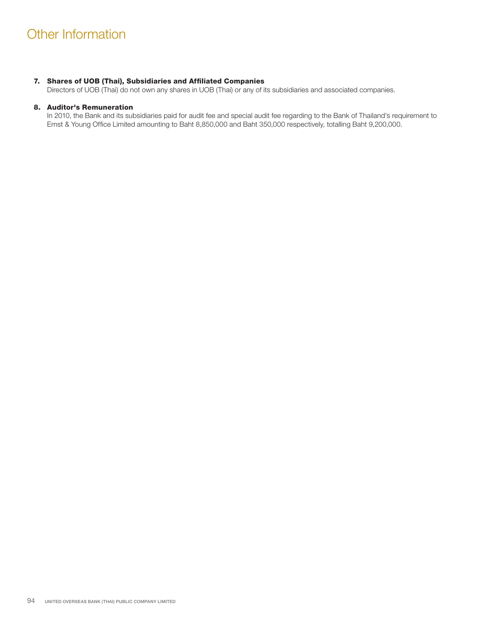# **7. Shares of UOB (Thai), Subsidiaries and Affiliated Companies**

Directors of UOB (Thai) do not own any shares in UOB (Thai) or any of its subsidiaries and associated companies.

# **8. Auditor's Remuneration**

In 2010, the Bank and its subsidiaries paid for audit fee and special audit fee regarding to the Bank of Thailand's requirement to Ernst & Young Office Limited amounting to Baht 8,850,000 and Baht 350,000 respectively, totalling Baht 9,200,000.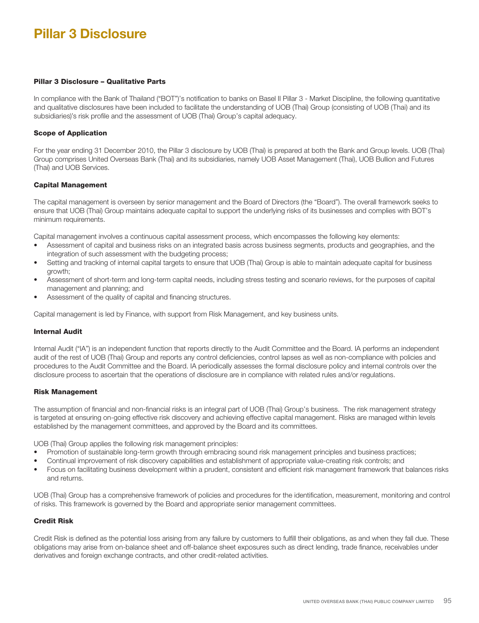# **Pillar 3 Disclosure**

# **Pillar 3 Disclosure – Qualitative Parts**

In compliance with the Bank of Thailand ("BOT")'s notification to banks on Basel II Pillar 3 - Market Discipline, the following quantitative and qualitative disclosures have been included to facilitate the understanding of UOB (Thai) Group (consisting of UOB (Thai) and its subsidiaries)'s risk profile and the assessment of UOB (Thai) Group's capital adequacy.

#### **Scope of Application**

For the year ending 31 December 2010, the Pillar 3 disclosure by UOB (Thai) is prepared at both the Bank and Group levels. UOB (Thai) Group comprises United Overseas Bank (Thai) and its subsidiaries, namely UOB Asset Management (Thai), UOB Bullion and Futures (Thai) and UOB Services.

# **Capital Management**

The capital management is overseen by senior management and the Board of Directors (the "Board"). The overall framework seeks to ensure that UOB (Thai) Group maintains adequate capital to support the underlying risks of its businesses and complies with BOT's minimum requirements.

Capital management involves a continuous capital assessment process, which encompasses the following key elements:

- Assessment of capital and business risks on an integrated basis across business segments, products and geographies, and the integration of such assessment with the budgeting process;
- Setting and tracking of internal capital targets to ensure that UOB (Thai) Group is able to maintain adequate capital for business growth;
- Assessment of short-term and long-term capital needs, including stress testing and scenario reviews, for the purposes of capital management and planning; and
- Assessment of the quality of capital and financing structures.

Capital management is led by Finance, with support from Risk Management, and key business units.

# **Internal Audit**

Internal Audit ("IA") is an independent function that reports directly to the Audit Committee and the Board. IA performs an independent audit of the rest of UOB (Thai) Group and reports any control deficiencies, control lapses as well as non-compliance with policies and procedures to the Audit Committee and the Board. IA periodically assesses the formal disclosure policy and internal controls over the disclosure process to ascertain that the operations of disclosure are in compliance with related rules and/or regulations.

#### **Risk Management**

The assumption of financial and non-financial risks is an integral part of UOB (Thai) Group's business. The risk management strategy is targeted at ensuring on-going effective risk discovery and achieving effective capital management. Risks are managed within levels established by the management committees, and approved by the Board and its committees.

UOB (Thai) Group applies the following risk management principles:

- Promotion of sustainable long-term growth through embracing sound risk management principles and business practices;
- Continual improvement of risk discovery capabilities and establishment of appropriate value-creating risk controls; and
- Focus on facilitating business development within a prudent, consistent and efficient risk management framework that balances risks and returns.

UOB (Thai) Group has a comprehensive framework of policies and procedures for the identification, measurement, monitoring and control of risks. This framework is governed by the Board and appropriate senior management committees.

### **Credit Risk**

Credit Risk is defined as the potential loss arising from any failure by customers to fulfill their obligations, as and when they fall due. These obligations may arise from on-balance sheet and off-balance sheet exposures such as direct lending, trade finance, receivables under derivatives and foreign exchange contracts, and other credit-related activities.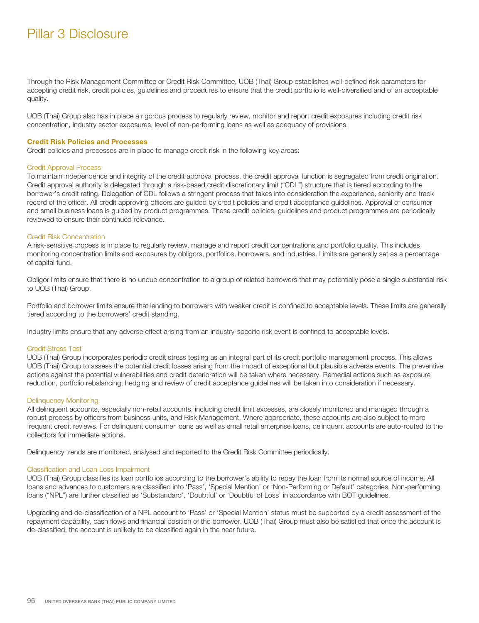# Pillar 3 Disclosure

Through the Risk Management Committee or Credit Risk Committee, UOB (Thai) Group establishes well-defined risk parameters for accepting credit risk, credit policies, guidelines and procedures to ensure that the credit portfolio is well-diversified and of an acceptable quality.

UOB (Thai) Group also has in place a rigorous process to regularly review, monitor and report credit exposures including credit risk concentration, industry sector exposures, level of non-performing loans as well as adequacy of provisions.

#### **Credit Risk Policies and Processes**

Credit policies and processes are in place to manage credit risk in the following key areas:

#### Credit Approval Process

To maintain independence and integrity of the credit approval process, the credit approval function is segregated from credit origination. Credit approval authority is delegated through a risk-based credit discretionary limit ("CDL") structure that is tiered according to the borrower's credit rating. Delegation of CDL follows a stringent process that takes into consideration the experience, seniority and track record of the officer. All credit approving officers are guided by credit policies and credit acceptance guidelines. Approval of consumer and small business loans is guided by product programmes. These credit policies, guidelines and product programmes are periodically reviewed to ensure their continued relevance.

#### Credit Risk Concentration

A risk-sensitive process is in place to regularly review, manage and report credit concentrations and portfolio quality. This includes monitoring concentration limits and exposures by obligors, portfolios, borrowers, and industries. Limits are generally set as a percentage of capital fund.

Obligor limits ensure that there is no undue concentration to a group of related borrowers that may potentially pose a single substantial risk to UOB (Thai) Group.

Portfolio and borrower limits ensure that lending to borrowers with weaker credit is confined to acceptable levels. These limits are generally tiered according to the borrowers' credit standing.

Industry limits ensure that any adverse effect arising from an industry-specific risk event is confined to acceptable levels.

#### Credit Stress Test

UOB (Thai) Group incorporates periodic credit stress testing as an integral part of its credit portfolio management process. This allows UOB (Thai) Group to assess the potential credit losses arising from the impact of exceptional but plausible adverse events. The preventive actions against the potential vulnerabilities and credit deterioration will be taken where necessary. Remedial actions such as exposure reduction, portfolio rebalancing, hedging and review of credit acceptance guidelines will be taken into consideration if necessary.

#### Delinquency Monitoring

All delinquent accounts, especially non-retail accounts, including credit limit excesses, are closely monitored and managed through a robust process by officers from business units, and Risk Management. Where appropriate, these accounts are also subject to more frequent credit reviews. For delinquent consumer loans as well as small retail enterprise loans, delinquent accounts are auto-routed to the collectors for immediate actions.

Delinquency trends are monitored, analysed and reported to the Credit Risk Committee periodically.

#### Classification and Loan Loss Impairment

UOB (Thai) Group classifies its loan portfolios according to the borrower's ability to repay the loan from its normal source of income. All loans and advances to customers are classified into 'Pass', 'Special Mention' or 'Non-Performing or Default' categories. Non-performing loans ("NPL") are further classified as 'Substandard', 'Doubtful' or 'Doubtful of Loss' in accordance with BOT guidelines.

Upgrading and de-classification of a NPL account to 'Pass' or 'Special Mention' status must be supported by a credit assessment of the repayment capability, cash flows and financial position of the borrower. UOB (Thai) Group must also be satisfied that once the account is de-classified, the account is unlikely to be classified again in the near future.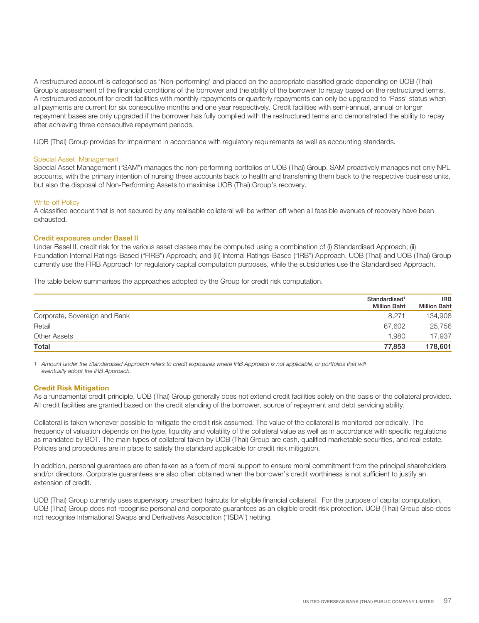A restructured account is categorised as 'Non-performing' and placed on the appropriate classified grade depending on UOB (Thai) Group's assessment of the financial conditions of the borrower and the ability of the borrower to repay based on the restructured terms. A restructured account for credit facilities with monthly repayments or quarterly repayments can only be upgraded to 'Pass' status when all payments are current for six consecutive months and one year respectively. Credit facilities with semi-annual, annual or longer repayment bases are only upgraded if the borrower has fully complied with the restructured terms and demonstrated the ability to repay after achieving three consecutive repayment periods.

UOB (Thai) Group provides for impairment in accordance with regulatory requirements as well as accounting standards.

#### Special Asset Management

Special Asset Management ("SAM") manages the non-performing portfolios of UOB (Thai) Group. SAM proactively manages not only NPL accounts, with the primary intention of nursing these accounts back to health and transferring them back to the respective business units, but also the disposal of Non-Performing Assets to maximise UOB (Thai) Group's recovery.

#### Write-off Policy

A classified account that is not secured by any realisable collateral will be written off when all feasible avenues of recovery have been exhausted.

#### **Credit exposures under Basel II**

Under Basel II, credit risk for the various asset classes may be computed using a combination of (i) Standardised Approach; (ii) Foundation Internal Ratings-Based ("FIRB") Approach; and (iii) Internal Ratings-Based ("IRB") Approach. UOB (Thai) and UOB (Thai) Group currently use the FIRB Approach for regulatory capital computation purposes, while the subsidiaries use the Standardised Approach.

The table below summarises the approaches adopted by the Group for credit risk computation.

|                               | Standardised <sup>1</sup><br><b>Million Baht</b> | <b>IRB</b><br><b>Million Baht</b> |
|-------------------------------|--------------------------------------------------|-----------------------------------|
| Corporate, Sovereign and Bank | 8.271                                            | 134,908                           |
| Retail                        | 67,602                                           | 25,756                            |
| Other Assets                  | 1.980                                            | 17,937                            |
| Total                         | 77.853                                           | 178,601                           |

*1 Amount under the Standardised Approach refers to credit exposures where IRB Approach is not applicable, or portfolios that will eventually adopt the IRB Approach.*

#### **Credit Risk Mitigation**

As a fundamental credit principle, UOB (Thai) Group generally does not extend credit facilities solely on the basis of the collateral provided. All credit facilities are granted based on the credit standing of the borrower, source of repayment and debt servicing ability.

Collateral is taken whenever possible to mitigate the credit risk assumed. The value of the collateral is monitored periodically. The frequency of valuation depends on the type, liquidity and volatility of the collateral value as well as in accordance with specific regulations as mandated by BOT. The main types of collateral taken by UOB (Thai) Group are cash, qualified marketable securities, and real estate. Policies and procedures are in place to satisfy the standard applicable for credit risk mitigation.

In addition, personal guarantees are often taken as a form of moral support to ensure moral commitment from the principal shareholders and/or directors. Corporate guarantees are also often obtained when the borrower's credit worthiness is not sufficient to justify an extension of credit.

UOB (Thai) Group currently uses supervisory prescribed haircuts for eligible financial collateral. For the purpose of capital computation, UOB (Thai) Group does not recognise personal and corporate guarantees as an eligible credit risk protection. UOB (Thai) Group also does not recognise International Swaps and Derivatives Association ("ISDA") netting.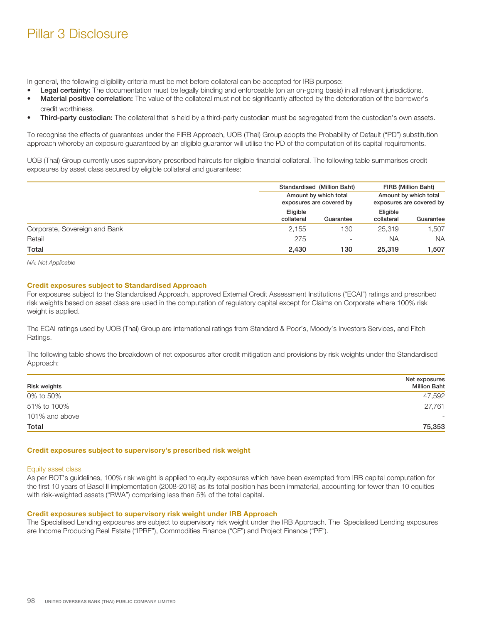# Pillar 3 Disclosure

In general, the following eligibility criteria must be met before collateral can be accepted for IRB purpose:

- **Legal certainty:** The documentation must be legally binding and enforceable (on an on-going basis) in all relevant jurisdictions.
- Material positive correlation: The value of the collateral must not be significantly affected by the deterioration of the borrower's credit worthiness.
- **Third-party custodian:** The collateral that is held by a third-party custodian must be segregated from the custodian's own assets.

To recognise the effects of guarantees under the FIRB Approach, UOB (Thai) Group adopts the Probability of Default ("PD") substitution approach whereby an exposure guaranteed by an eligible guarantor will utilise the PD of the computation of its capital requirements.

UOB (Thai) Group currently uses supervisory prescribed haircuts for eligible financial collateral. The following table summarises credit exposures by asset class secured by eligible collateral and guarantees:

|                               |                        | Standardised (Million Baht)<br>Amount by which total<br>exposures are covered by | FIRB (Million Baht)<br>Amount by which total<br>exposures are covered by |           |
|-------------------------------|------------------------|----------------------------------------------------------------------------------|--------------------------------------------------------------------------|-----------|
|                               | Eligible<br>collateral | Guarantee                                                                        | Eligible<br>collateral                                                   | Guarantee |
| Corporate, Sovereign and Bank | 2,155                  | 130                                                                              | 25,319                                                                   | 1.507     |
| Retail                        | 275                    | $\overline{\phantom{a}}$                                                         | NА                                                                       | <b>NA</b> |
| Total                         | 2,430                  | 130                                                                              | 25,319                                                                   | 1,507     |

*NA: Not Applicable*

#### **Credit exposures subject to Standardised Approach**

For exposures subject to the Standardised Approach, approved External Credit Assessment Institutions ("ECAI") ratings and prescribed risk weights based on asset class are used in the computation of regulatory capital except for Claims on Corporate where 100% risk weight is applied.

The ECAI ratings used by UOB (Thai) Group are international ratings from Standard & Poor's, Moody's Investors Services, and Fitch Ratings.

The following table shows the breakdown of net exposures after credit mitigation and provisions by risk weights under the Standardised Approach:

| Risk weights   | Net exposures<br><b>Million Baht</b> |
|----------------|--------------------------------------|
| 0% to 50%      | 47,592                               |
| 51% to 100%    | 27,761                               |
| 101% and above | $\overline{\phantom{a}}$             |
| Total          | 75,353                               |

# **Credit exposures subject to supervisory's prescribed risk weight**

#### Equity asset class

As per BOT's guidelines, 100% risk weight is applied to equity exposures which have been exempted from IRB capital computation for the first 10 years of Basel II implementation (2008-2018) as its total position has been immaterial, accounting for fewer than 10 equities with risk-weighted assets ("RWA") comprising less than 5% of the total capital.

# **Credit exposures subject to supervisory risk weight under IRB Approach**

The Specialised Lending exposures are subject to supervisory risk weight under the IRB Approach. The Specialised Lending exposures are Income Producing Real Estate ("IPRE"), Commodities Finance ("CF") and Project Finance ("PF").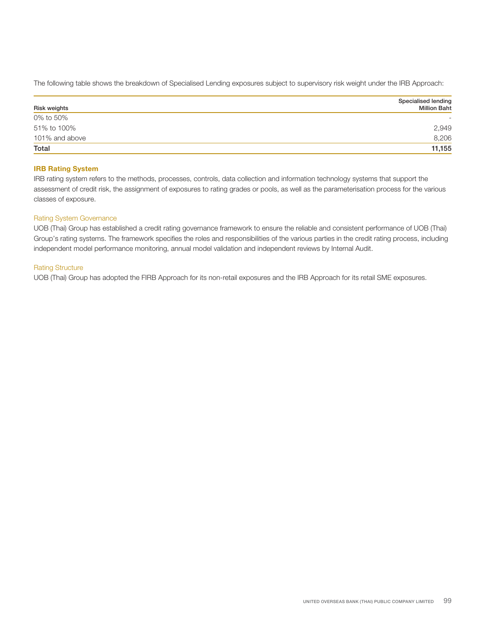The following table shows the breakdown of Specialised Lending exposures subject to supervisory risk weight under the IRB Approach:

| Risk weights   | <b>Specialised lending</b><br><b>Million Baht</b> |
|----------------|---------------------------------------------------|
| 0% to 50%      | $\overline{\phantom{0}}$                          |
| 51% to 100%    | 2,949                                             |
| 101% and above | 8,206                                             |
| Total          | 11,155                                            |

# **IRB Rating System**

IRB rating system refers to the methods, processes, controls, data collection and information technology systems that support the assessment of credit risk, the assignment of exposures to rating grades or pools, as well as the parameterisation process for the various classes of exposure.

# Rating System Governance

UOB (Thai) Group has established a credit rating governance framework to ensure the reliable and consistent performance of UOB (Thai) Group's rating systems. The framework specifies the roles and responsibilities of the various parties in the credit rating process, including independent model performance monitoring, annual model validation and independent reviews by Internal Audit.

# Rating Structure

UOB (Thai) Group has adopted the FIRB Approach for its non-retail exposures and the IRB Approach for its retail SME exposures.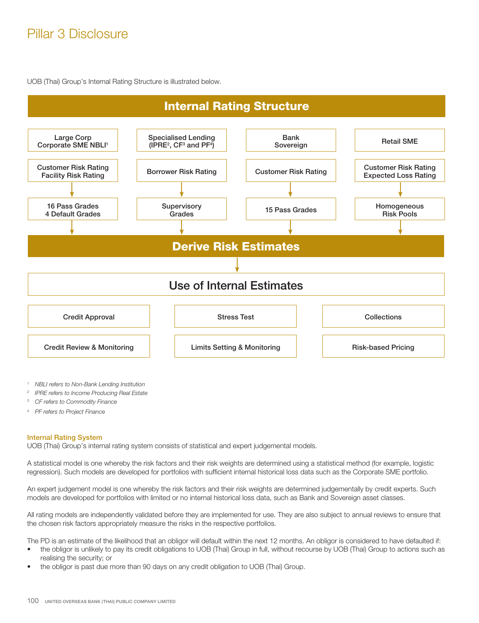# Pillar 3 Disclosure

UOB (Thai) Group's Internal Rating Structure is illustrated below.



*1 NBLI refers to Non-Bank Lending Institution*

- *2 IPRE refers to Income Producing Real Estate*
- *3 CF refers to Commodity Finance*
- *4 PF refers to Project Finance*

# **Internal Rating System**

UOB (Thai) Group's internal rating system consists of statistical and expert judgemental models.

A statistical model is one whereby the risk factors and their risk weights are determined using a statistical method (for example, logistic regression). Such models are developed for portfolios with sufficient internal historical loss data such as the Corporate SME portfolio.

An expert judgement model is one whereby the risk factors and their risk weights are determined judgementally by credit experts. Such models are developed for portfolios with limited or no internal historical loss data, such as Bank and Sovereign asset classes.

All rating models are independently validated before they are implemented for use. They are also subject to annual reviews to ensure that the chosen risk factors appropriately measure the risks in the respective portfolios.

The PD is an estimate of the likelihood that an obligor will default within the next 12 months. An obligor is considered to have defaulted if:

- the obligor is unlikely to pay its credit obligations to UOB (Thai) Group in full, without recourse by UOB (Thai) Group to actions such as realising the security; or
- the obligor is past due more than 90 days on any credit obligation to UOB (Thai) Group.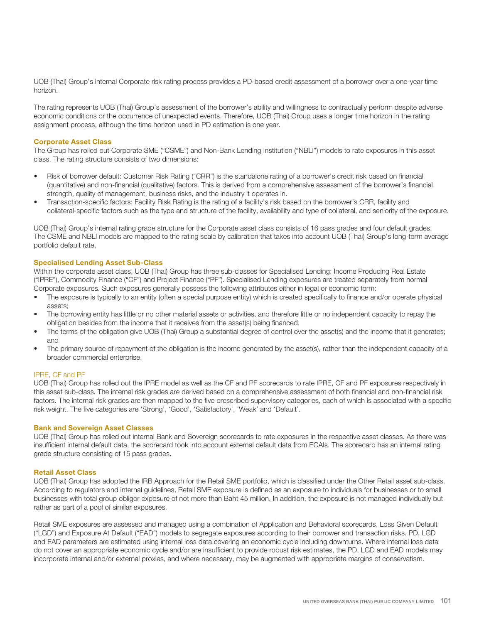UOB (Thai) Group's internal Corporate risk rating process provides a PD-based credit assessment of a borrower over a one-year time horizon.

The rating represents UOB (Thai) Group's assessment of the borrower's ability and willingness to contractually perform despite adverse economic conditions or the occurrence of unexpected events. Therefore, UOB (Thai) Group uses a longer time horizon in the rating assignment process, although the time horizon used in PD estimation is one year.

#### **Corporate Asset Class**

The Group has rolled out Corporate SME ("CSME") and Non-Bank Lending Institution ("NBLI") models to rate exposures in this asset class. The rating structure consists of two dimensions:

- Risk of borrower default: Customer Risk Rating ("CRR") is the standalone rating of a borrower's credit risk based on financial (quantitative) and non-financial (qualitative) factors. This is derived from a comprehensive assessment of the borrower's financial strength, quality of management, business risks, and the industry it operates in.
- Transaction-specific factors: Facility Risk Rating is the rating of a facility's risk based on the borrower's CRR, facility and collateral-specific factors such as the type and structure of the facility, availability and type of collateral, and seniority of the exposure.

UOB (Thai) Group's internal rating grade structure for the Corporate asset class consists of 16 pass grades and four default grades. The CSME and NBLI models are mapped to the rating scale by calibration that takes into account UOB (Thai) Group's long-term average portfolio default rate.

#### **Specialised Lending Asset Sub-Class**

Within the corporate asset class, UOB (Thai) Group has three sub-classes for Specialised Lending: Income Producing Real Estate ("IPRE"), Commodity Finance ("CF") and Project Finance ("PF"). Specialised Lending exposures are treated separately from normal Corporate exposures. Such exposures generally possess the following attributes either in legal or economic form:

- The exposure is typically to an entity (often a special purpose entity) which is created specifically to finance and/or operate physical assets;
- The borrowing entity has little or no other material assets or activities, and therefore little or no independent capacity to repay the obligation besides from the income that it receives from the asset(s) being financed;
- The terms of the obligation give UOB (Thai) Group a substantial degree of control over the asset(s) and the income that it generates; and
- The primary source of repayment of the obligation is the income generated by the asset(s), rather than the independent capacity of a broader commercial enterprise.

### IPRE, CF and PF

UOB (Thai) Group has rolled out the IPRE model as well as the CF and PF scorecards to rate IPRE, CF and PF exposures respectively in this asset sub-class. The internal risk grades are derived based on a comprehensive assessment of both financial and non-financial risk factors. The internal risk grades are then mapped to the five prescribed supervisory categories, each of which is associated with a specific risk weight. The five categories are 'Strong', 'Good', 'Satisfactory', 'Weak' and 'Default'.

#### **Bank and Sovereign Asset Classes**

UOB (Thai) Group has rolled out internal Bank and Sovereign scorecards to rate exposures in the respective asset classes. As there was insufficient internal default data, the scorecard took into account external default data from ECAIs. The scorecard has an internal rating grade structure consisting of 15 pass grades.

# **Retail Asset Class**

UOB (Thai) Group has adopted the IRB Approach for the Retail SME portfolio, which is classified under the Other Retail asset sub-class. According to regulators and internal guidelines, Retail SME exposure is defined as an exposure to individuals for businesses or to small businesses with total group obligor exposure of not more than Baht 45 million. In addition, the exposure is not managed individually but rather as part of a pool of similar exposures.

Retail SME exposures are assessed and managed using a combination of Application and Behavioral scorecards, Loss Given Default ("LGD") and Exposure At Default ("EAD") models to segregate exposures according to their borrower and transaction risks. PD, LGD and EAD parameters are estimated using internal loss data covering an economic cycle including downturns. Where internal loss data do not cover an appropriate economic cycle and/or are insufficient to provide robust risk estimates, the PD, LGD and EAD models may incorporate internal and/or external proxies, and where necessary, may be augmented with appropriate margins of conservatism.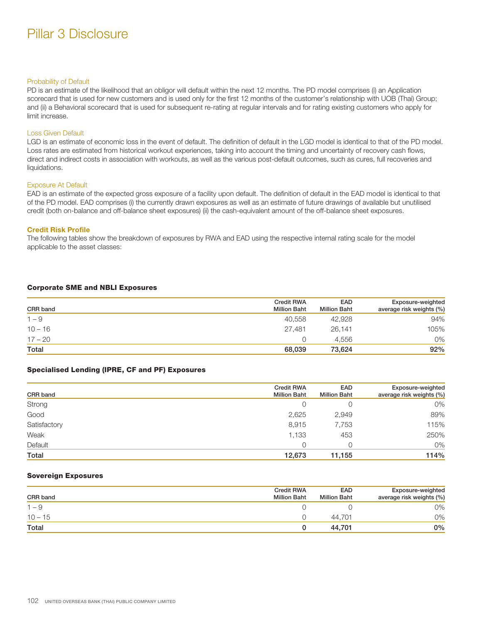#### Probability of Default

PD is an estimate of the likelihood that an obligor will default within the next 12 months. The PD model comprises (i) an Application scorecard that is used for new customers and is used only for the first 12 months of the customer's relationship with UOB (Thai) Group; and (ii) a Behavioral scorecard that is used for subsequent re-rating at regular intervals and for rating existing customers who apply for limit increase.

## Loss Given Default

LGD is an estimate of economic loss in the event of default. The definition of default in the LGD model is identical to that of the PD model. Loss rates are estimated from historical workout experiences, taking into account the timing and uncertainty of recovery cash flows, direct and indirect costs in association with workouts, as well as the various post-default outcomes, such as cures, full recoveries and liquidations.

#### Exposure At Default

EAD is an estimate of the expected gross exposure of a facility upon default. The definition of default in the EAD model is identical to that of the PD model. EAD comprises (i) the currently drawn exposures as well as an estimate of future drawings of available but unutilised credit (both on-balance and off-balance sheet exposures) (ii) the cash-equivalent amount of the off-balance sheet exposures.

#### **Credit Risk Profile**

The following tables show the breakdown of exposures by RWA and EAD using the respective internal rating scale for the model applicable to the asset classes:

#### **Corporate SME and NBLI Exposures**

| CRR band  | <b>Credit RWA</b><br><b>Million Baht</b> | <b>EAD</b><br><b>Million Baht</b> | Exposure-weighted<br>average risk weights (%) |
|-----------|------------------------------------------|-----------------------------------|-----------------------------------------------|
| $1 - 9$   | 40.558                                   | 42.928                            | 94%                                           |
| $10 - 16$ | 27.481                                   | 26.141                            | 105%                                          |
| $17 - 20$ |                                          | 4.556                             | 0%                                            |
| Total     | 68,039                                   | 73.624                            | 92%                                           |

# **Specialised Lending (IPRE, CF and PF) Exposures**

| CRR band     | <b>Credit RWA</b><br><b>Million Baht</b> | <b>EAD</b><br><b>Million Baht</b> | Exposure-weighted<br>average risk weights (%) |
|--------------|------------------------------------------|-----------------------------------|-----------------------------------------------|
| Strong       |                                          | 0                                 | 0%                                            |
| Good         | 2,625                                    | 2,949                             | 89%                                           |
| Satisfactory | 8,915                                    | 7,753                             | 115%                                          |
| Weak         | 1,133                                    | 453                               | 250%                                          |
| Default      |                                          | 0                                 | 0%                                            |
| Total        | 12,673                                   | 11.155                            | 114%                                          |

# **Sovereign Exposures**

| CRR band  | <b>Credit RWA</b><br><b>Million Baht</b> | <b>EAD</b><br><b>Million Baht</b> | Exposure-weighted<br>average risk weights (%) |
|-----------|------------------------------------------|-----------------------------------|-----------------------------------------------|
| $1 - 9$   |                                          |                                   | 0%                                            |
| $10 - 15$ |                                          | 44.701                            | $0\%$                                         |
| Total     |                                          | 44.701                            | 0%                                            |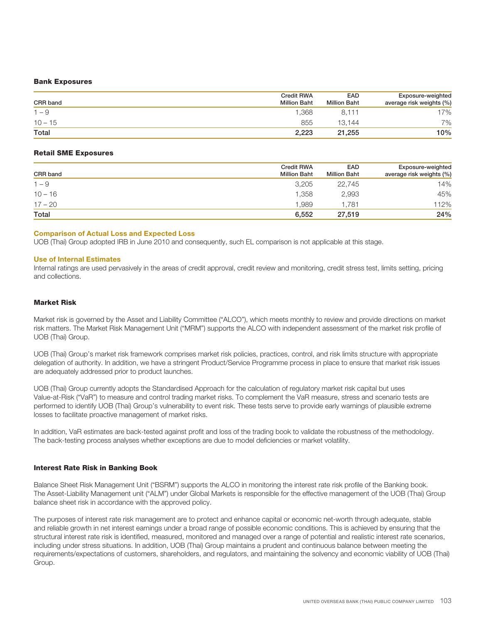#### **Bank Exposures**

| CRR band  | <b>Credit RWA</b><br><b>Million Baht</b> | <b>EAD</b><br><b>Million Baht</b> | Exposure-weighted<br>average risk weights (%) |
|-----------|------------------------------------------|-----------------------------------|-----------------------------------------------|
| $1 - 9$   | 1.368                                    | 8.111                             | 17%                                           |
| $10 - 15$ | 855                                      | 13.144                            | 7%                                            |
| Total     | 2.223                                    | 21.255                            | 10%                                           |

#### **Retail SME Exposures**

| CRR band  | <b>Credit RWA</b><br><b>Million Baht</b> | <b>EAD</b><br><b>Million Baht</b> | Exposure-weighted<br>average risk weights (%) |
|-----------|------------------------------------------|-----------------------------------|-----------------------------------------------|
| $1 - 9$   | 3.205                                    | 22,745                            | 14%                                           |
| $10 - 16$ | 1.358                                    | 2,993                             | 45%                                           |
| $17 - 20$ | 1.989                                    | .781                              | 112%                                          |
| Total     | 6.552                                    | 27,519                            | 24%                                           |

# **Comparison of Actual Loss and Expected Loss**

UOB (Thai) Group adopted IRB in June 2010 and consequently, such EL comparison is not applicable at this stage.

#### **Use of Internal Estimates**

Internal ratings are used pervasively in the areas of credit approval, credit review and monitoring, credit stress test, limits setting, pricing and collections.

# **Market Risk**

Market risk is governed by the Asset and Liability Committee ("ALCO"), which meets monthly to review and provide directions on market risk matters. The Market Risk Management Unit ("MRM") supports the ALCO with independent assessment of the market risk profile of UOB (Thai) Group.

UOB (Thai) Group's market risk framework comprises market risk policies, practices, control, and risk limits structure with appropriate delegation of authority. In addition, we have a stringent Product/Service Programme process in place to ensure that market risk issues are adequately addressed prior to product launches.

UOB (Thai) Group currently adopts the Standardised Approach for the calculation of regulatory market risk capital but uses Value-at-Risk ("VaR") to measure and control trading market risks. To complement the VaR measure, stress and scenario tests are performed to identify UOB (Thai) Group's vulnerability to event risk. These tests serve to provide early warnings of plausible extreme losses to facilitate proactive management of market risks.

In addition, VaR estimates are back-tested against profit and loss of the trading book to validate the robustness of the methodology. The back-testing process analyses whether exceptions are due to model deficiencies or market volatility.

# **Interest Rate Risk in Banking Book**

Balance Sheet Risk Management Unit ("BSRM") supports the ALCO in monitoring the interest rate risk profile of the Banking book. The Asset-Liability Management unit ("ALM") under Global Markets is responsible for the effective management of the UOB (Thai) Group balance sheet risk in accordance with the approved policy.

The purposes of interest rate risk management are to protect and enhance capital or economic net-worth through adequate, stable and reliable growth in net interest earnings under a broad range of possible economic conditions. This is achieved by ensuring that the structural interest rate risk is identified, measured, monitored and managed over a range of potential and realistic interest rate scenarios, including under stress situations. In addition, UOB (Thai) Group maintains a prudent and continuous balance between meeting the requirements/expectations of customers, shareholders, and regulators, and maintaining the solvency and economic viability of UOB (Thai) Group.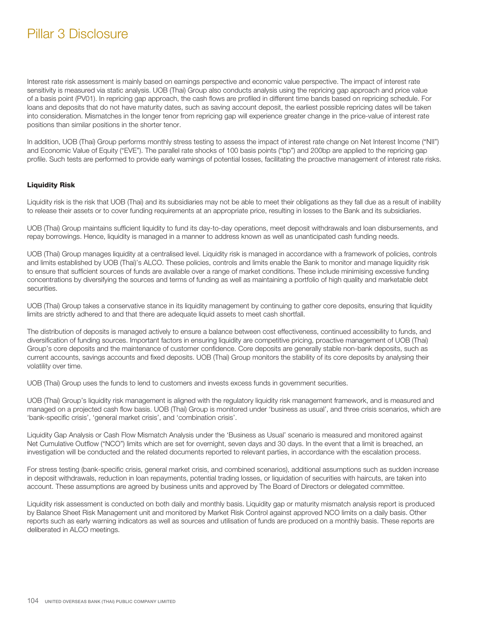# Pillar 3 Disclosure

Interest rate risk assessment is mainly based on earnings perspective and economic value perspective. The impact of interest rate sensitivity is measured via static analysis. UOB (Thai) Group also conducts analysis using the repricing gap approach and price value of a basis point (PV01). In repricing gap approach, the cash flows are profiled in different time bands based on repricing schedule. For loans and deposits that do not have maturity dates, such as saving account deposit, the earliest possible repricing dates will be taken into consideration. Mismatches in the longer tenor from repricing gap will experience greater change in the price-value of interest rate positions than similar positions in the shorter tenor.

In addition, UOB (Thai) Group performs monthly stress testing to assess the impact of interest rate change on Net Interest Income ("NII") and Economic Value of Equity ("EVE"). The parallel rate shocks of 100 basis points ("bp") and 200bp are applied to the repricing gap profile. Such tests are performed to provide early warnings of potential losses, facilitating the proactive management of interest rate risks.

# **Liquidity Risk**

Liquidity risk is the risk that UOB (Thai) and its subsidiaries may not be able to meet their obligations as they fall due as a result of inability to release their assets or to cover funding requirements at an appropriate price, resulting in losses to the Bank and its subsidiaries.

UOB (Thai) Group maintains sufficient liquidity to fund its day-to-day operations, meet deposit withdrawals and loan disbursements, and repay borrowings. Hence, liquidity is managed in a manner to address known as well as unanticipated cash funding needs.

UOB (Thai) Group manages liquidity at a centralised level. Liquidity risk is managed in accordance with a framework of policies, controls and limits established by UOB (Thai)'s ALCO. These policies, controls and limits enable the Bank to monitor and manage liquidity risk to ensure that sufficient sources of funds are available over a range of market conditions. These include minimising excessive funding concentrations by diversifying the sources and terms of funding as well as maintaining a portfolio of high quality and marketable debt securities.

UOB (Thai) Group takes a conservative stance in its liquidity management by continuing to gather core deposits, ensuring that liquidity limits are strictly adhered to and that there are adequate liquid assets to meet cash shortfall.

The distribution of deposits is managed actively to ensure a balance between cost effectiveness, continued accessibility to funds, and diversification of funding sources. Important factors in ensuring liquidity are competitive pricing, proactive management of UOB (Thai) Group's core deposits and the maintenance of customer confidence. Core deposits are generally stable non-bank deposits, such as current accounts, savings accounts and fixed deposits. UOB (Thai) Group monitors the stability of its core deposits by analysing their volatility over time.

UOB (Thai) Group uses the funds to lend to customers and invests excess funds in government securities.

UOB (Thai) Group's liquidity risk management is aligned with the regulatory liquidity risk management framework, and is measured and managed on a projected cash flow basis. UOB (Thai) Group is monitored under 'business as usual', and three crisis scenarios, which are 'bank-specific crisis', 'general market crisis', and 'combination crisis'.

Liquidity Gap Analysis or Cash Flow Mismatch Analysis under the 'Business as Usual' scenario is measured and monitored against Net Cumulative Outflow ("NCO") limits which are set for overnight, seven days and 30 days. In the event that a limit is breached, an investigation will be conducted and the related documents reported to relevant parties, in accordance with the escalation process.

For stress testing (bank-specific crisis, general market crisis, and combined scenarios), additional assumptions such as sudden increase in deposit withdrawals, reduction in loan repayments, potential trading losses, or liquidation of securities with haircuts, are taken into account. These assumptions are agreed by business units and approved by The Board of Directors or delegated committee.

Liquidity risk assessment is conducted on both daily and monthly basis. Liquidity gap or maturity mismatch analysis report is produced by Balance Sheet Risk Management unit and monitored by Market Risk Control against approved NCO limits on a daily basis. Other reports such as early warning indicators as well as sources and utilisation of funds are produced on a monthly basis. These reports are deliberated in ALCO meetings.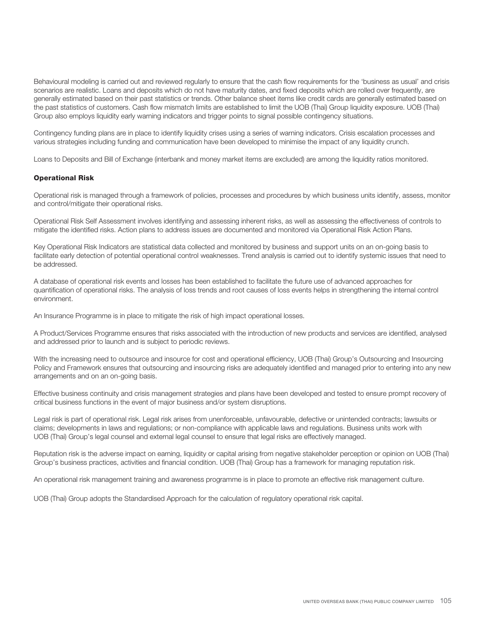Behavioural modeling is carried out and reviewed regularly to ensure that the cash flow requirements for the 'business as usual' and crisis scenarios are realistic. Loans and deposits which do not have maturity dates, and fixed deposits which are rolled over frequently, are generally estimated based on their past statistics or trends. Other balance sheet items like credit cards are generally estimated based on the past statistics of customers. Cash flow mismatch limits are established to limit the UOB (Thai) Group liquidity exposure. UOB (Thai) Group also employs liquidity early warning indicators and trigger points to signal possible contingency situations.

Contingency funding plans are in place to identify liquidity crises using a series of warning indicators. Crisis escalation processes and various strategies including funding and communication have been developed to minimise the impact of any liquidity crunch.

Loans to Deposits and Bill of Exchange (interbank and money market items are excluded) are among the liquidity ratios monitored.

#### **Operational Risk**

Operational risk is managed through a framework of policies, processes and procedures by which business units identify, assess, monitor and control/mitigate their operational risks.

Operational Risk Self Assessment involves identifying and assessing inherent risks, as well as assessing the effectiveness of controls to mitigate the identified risks. Action plans to address issues are documented and monitored via Operational Risk Action Plans.

Key Operational Risk Indicators are statistical data collected and monitored by business and support units on an on-going basis to facilitate early detection of potential operational control weaknesses. Trend analysis is carried out to identify systemic issues that need to be addressed.

A database of operational risk events and losses has been established to facilitate the future use of advanced approaches for quantification of operational risks. The analysis of loss trends and root causes of loss events helps in strengthening the internal control environment.

An Insurance Programme is in place to mitigate the risk of high impact operational losses.

A Product/Services Programme ensures that risks associated with the introduction of new products and services are identified, analysed and addressed prior to launch and is subject to periodic reviews.

With the increasing need to outsource and insource for cost and operational efficiency, UOB (Thai) Group's Outsourcing and Insourcing Policy and Framework ensures that outsourcing and insourcing risks are adequately identified and managed prior to entering into any new arrangements and on an on-going basis.

Effective business continuity and crisis management strategies and plans have been developed and tested to ensure prompt recovery of critical business functions in the event of major business and/or system disruptions.

Legal risk is part of operational risk. Legal risk arises from unenforceable, unfavourable, defective or unintended contracts; lawsuits or claims; developments in laws and regulations; or non-compliance with applicable laws and regulations. Business units work with UOB (Thai) Group's legal counsel and external legal counsel to ensure that legal risks are effectively managed.

Reputation risk is the adverse impact on earning, liquidity or capital arising from negative stakeholder perception or opinion on UOB (Thai) Group's business practices, activities and financial condition. UOB (Thai) Group has a framework for managing reputation risk.

An operational risk management training and awareness programme is in place to promote an effective risk management culture.

UOB (Thai) Group adopts the Standardised Approach for the calculation of regulatory operational risk capital.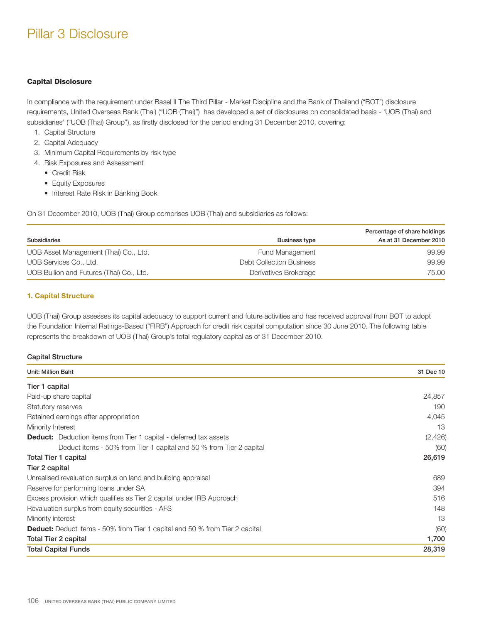# Pillar 3 Disclosure

# **Capital Disclosure**

In compliance with the requirement under Basel II The Third Pillar - Market Discipline and the Bank of Thailand ("BOT") disclosure requirements, United Overseas Bank (Thai) ("UOB (Thai)") has developed a set of disclosures on consolidated basis - 'UOB (Thai) and subsidiaries' ("UOB (Thai) Group"), as firstly disclosed for the period ending 31 December 2010, covering:

- 1. Capital Structure
- 2. Capital Adequacy
- 3. Minimum Capital Requirements by risk type
- 4. Risk Exposures and Assessment
	- Credit Risk
	- Equity Exposures
	- Interest Rate Risk in Banking Book

On 31 December 2010, UOB (Thai) Group comprises UOB (Thai) and subsidiaries as follows:

|                                          |                                 | Percentage of share holdings |
|------------------------------------------|---------------------------------|------------------------------|
| Subsidiaries                             | Business type                   | As at 31 December 2010       |
| UOB Asset Management (Thai) Co., Ltd.    | <b>Fund Management</b>          | 99.99                        |
| UOB Services Co., Ltd.                   | <b>Debt Collection Business</b> | 99.99                        |
| UOB Bullion and Futures (Thai) Co., Ltd. | Derivatives Brokerage           | 75.00                        |

# **1. Capital Structure**

UOB (Thai) Group assesses its capital adequacy to support current and future activities and has received approval from BOT to adopt the Foundation Internal Ratings-Based ("FIRB") Approach for credit risk capital computation since 30 June 2010. The following table represents the breakdown of UOB (Thai) Group's total regulatory capital as of 31 December 2010.

# **Capital Structure**

| Unit: Million Baht                                                                 | 31 Dec 10 |
|------------------------------------------------------------------------------------|-----------|
| Tier 1 capital                                                                     |           |
| Paid-up share capital                                                              | 24,857    |
| Statutory reserves                                                                 | 190       |
| Retained earnings after appropriation                                              | 4,045     |
| Minority Interest                                                                  | 13        |
| <b>Deduct:</b> Deduction items from Tier 1 capital - deferred tax assets           | (2,426)   |
| Deduct items - 50% from Tier 1 capital and 50 % from Tier 2 capital                | (60)      |
| <b>Total Tier 1 capital</b>                                                        | 26,619    |
| Tier 2 capital                                                                     |           |
| Unrealised revaluation surplus on land and building appraisal                      | 689       |
| Reserve for performing loans under SA                                              | 394       |
| Excess provision which qualifies as Tier 2 capital under IRB Approach              | 516       |
| Revaluation surplus from equity securities - AFS                                   | 148       |
| Minority interest                                                                  | 13        |
| <b>Deduct:</b> Deduct items - 50% from Tier 1 capital and 50 % from Tier 2 capital | (60)      |
| <b>Total Tier 2 capital</b>                                                        | 1,700     |
| <b>Total Capital Funds</b>                                                         | 28,319    |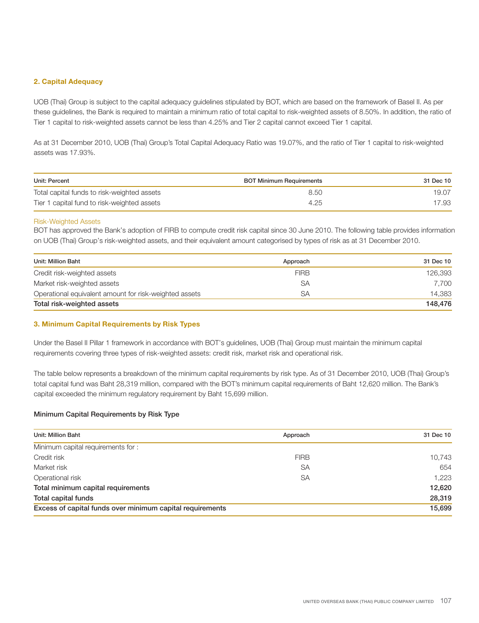# **2. Capital Adequacy**

UOB (Thai) Group is subject to the capital adequacy guidelines stipulated by BOT, which are based on the framework of Basel II. As per these guidelines, the Bank is required to maintain a minimum ratio of total capital to risk-weighted assets of 8.50%. In addition, the ratio of Tier 1 capital to risk-weighted assets cannot be less than 4.25% and Tier 2 capital cannot exceed Tier 1 capital.

As at 31 December 2010, UOB (Thai) Group's Total Capital Adequacy Ratio was 19.07%, and the ratio of Tier 1 capital to risk-weighted assets was 17.93%.

| Unit: Percent                               | <b>BOT Minimum Requirements</b> | 31 Dec 10 |
|---------------------------------------------|---------------------------------|-----------|
| Total capital funds to risk-weighted assets | 8.50                            | 19.07     |
| Tier 1 capital fund to risk-weighted assets | 4.25                            | '7.93     |

# Risk-Weighted Assets

BOT has approved the Bank's adoption of FIRB to compute credit risk capital since 30 June 2010. The following table provides information on UOB (Thai) Group's risk-weighted assets, and their equivalent amount categorised by types of risk as at 31 December 2010.

| Unit: Million Baht                                     | Approach    | 31 Dec 10 |
|--------------------------------------------------------|-------------|-----------|
| Credit risk-weighted assets                            | <b>FIRB</b> | 126.393   |
| Market risk-weighted assets                            | SA          | 7.700     |
| Operational equivalent amount for risk-weighted assets | SА          | 14.383    |
| Total risk-weighted assets                             |             | 148.476   |

# **3. Minimum Capital Requirements by Risk Types**

Under the Basel II Pillar 1 framework in accordance with BOT's guidelines, UOB (Thai) Group must maintain the minimum capital requirements covering three types of risk-weighted assets: credit risk, market risk and operational risk.

The table below represents a breakdown of the minimum capital requirements by risk type. As of 31 December 2010, UOB (Thai) Group's total capital fund was Baht 28,319 million, compared with the BOT's minimum capital requirements of Baht 12,620 million. The Bank's capital exceeded the minimum regulatory requirement by Baht 15,699 million.

# **Minimum Capital Requirements by Risk Type**

| Unit: Million Baht                                        | Approach    | 31 Dec 10 |
|-----------------------------------------------------------|-------------|-----------|
| Minimum capital requirements for :                        |             |           |
| Credit risk                                               | <b>FIRB</b> | 10,743    |
| Market risk                                               | SA          | 654       |
| Operational risk                                          | SA          | 1,223     |
| Total minimum capital requirements                        |             | 12.620    |
| Total capital funds                                       |             | 28,319    |
| Excess of capital funds over minimum capital requirements |             | 15.699    |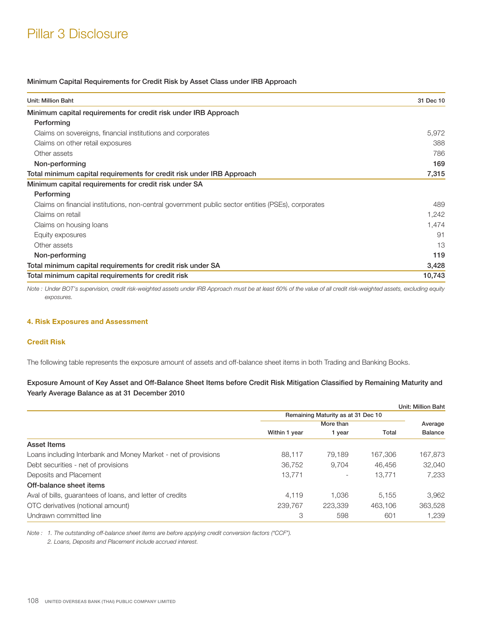# Pillar 3 Disclosure

# **Minimum Capital Requirements for Credit Risk by Asset Class under IRB Approach**

| Unit: Million Baht                                                                                 | 31 Dec 10 |
|----------------------------------------------------------------------------------------------------|-----------|
| Minimum capital requirements for credit risk under IRB Approach                                    |           |
| Performing                                                                                         |           |
| Claims on sovereigns, financial institutions and corporates                                        | 5,972     |
| Claims on other retail exposures                                                                   | 388       |
| Other assets                                                                                       | 786       |
| Non-performing                                                                                     | 169       |
| Total minimum capital requirements for credit risk under IRB Approach                              | 7,315     |
| Minimum capital requirements for credit risk under SA                                              |           |
| Performing                                                                                         |           |
| Claims on financial institutions, non-central government public sector entities (PSEs), corporates | 489       |
| Claims on retail                                                                                   | 1,242     |
| Claims on housing loans                                                                            | 1,474     |
| Equity exposures                                                                                   | 91        |
| Other assets                                                                                       | 13        |
| Non-performing                                                                                     | 119       |
| Total minimum capital requirements for credit risk under SA                                        | 3,428     |
| Total minimum capital requirements for credit risk                                                 | 10,743    |

*Note : Under BOT's supervision, credit risk-weighted assets under IRB Approach must be at least 60% of the value of all credit risk-weighted assets, excluding equity exposures.*

# **4. Risk Exposures and Assessment**

# **Credit Risk**

The following table represents the exposure amount of assets and off-balance sheet items in both Trading and Banking Books.

# Exposure Amount of Key Asset and Off-Balance Sheet Items before Credit Risk Mitigation Classified by Remaining Maturity and **Yearly Average Balance as at 31 December 2010**

|                                                                |               |                                    |         | <b>Unit: Million Baht</b> |
|----------------------------------------------------------------|---------------|------------------------------------|---------|---------------------------|
|                                                                |               | Remaining Maturity as at 31 Dec 10 |         |                           |
|                                                                |               | More than                          |         | Average                   |
|                                                                | Within 1 year | 1 year                             | Total   | Balance                   |
| Asset Items                                                    |               |                                    |         |                           |
| Loans including Interbank and Money Market - net of provisions | 88.117        | 79.189                             | 167,306 | 167,873                   |
| Debt securities - net of provisions                            | 36.752        | 9.704                              | 46.456  | 32.040                    |
| Deposits and Placement                                         | 13.771        |                                    | 13.771  | 7.233                     |
| Off-balance sheet items                                        |               |                                    |         |                           |
| Aval of bills, guarantees of loans, and letter of credits      | 4.119         | 1.036                              | 5.155   | 3.962                     |
| OTC derivatives (notional amount)                              | 239,767       | 223.339                            | 463.106 | 363,528                   |
| Undrawn committed line                                         | 3             | 598                                | 601     | 1.239                     |

*Note : 1. The outstanding off-balance sheet items are before applying credit conversion factors ("CCF").*

 *2. Loans, Deposits and Placement include accrued interest.*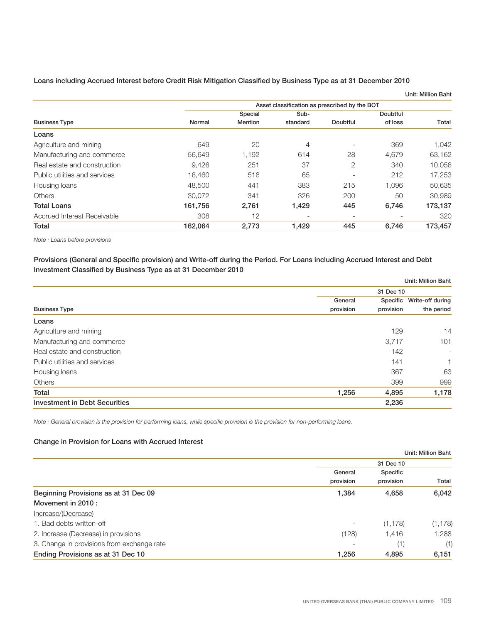Loans including Accrued Interest before Credit Risk Mitigation Classified by Business Type as at 31 December 2010

|                               |         |         |                                               |                 |                 | Unit: Million Baht |
|-------------------------------|---------|---------|-----------------------------------------------|-----------------|-----------------|--------------------|
|                               |         |         | Asset classification as prescribed by the BOT |                 |                 |                    |
|                               |         | Special | Sub-                                          |                 | <b>Doubtful</b> |                    |
| <b>Business Type</b>          | Normal  | Mention | standard                                      | <b>Doubtful</b> | of loss         | Total              |
| Loans                         |         |         |                                               |                 |                 |                    |
| Agriculture and mining        | 649     | 20      | 4                                             |                 | 369             | 1,042              |
| Manufacturing and commerce    | 56,649  | 1,192   | 614                                           | 28              | 4.679           | 63,162             |
| Real estate and construction  | 9.426   | 251     | 37                                            | 2               | 340             | 10,056             |
| Public utilities and services | 16.460  | 516     | 65                                            |                 | 212             | 17,253             |
| Housing loans                 | 48,500  | 441     | 383                                           | 215             | 1.096           | 50,635             |
| <b>Others</b>                 | 30,072  | 341     | 326                                           | 200             | 50              | 30,989             |
| <b>Total Loans</b>            | 161,756 | 2,761   | 1,429                                         | 445             | 6,746           | 173,137            |
| Accrued Interest Receivable   | 308     | 12      | $\overline{\phantom{a}}$                      |                 |                 | 320                |
| Total                         | 162,064 | 2,773   | 1,429                                         | 445             | 6,746           | 173,457            |

*Note : Loans before provisions*

Provisions (General and Specific provision) and Write-off during the Period. For Loans including Accrued Interest and Debt **Investment Classified by Business Type as at 31 December 2010** 

|                                      |           |           | Unit: Million Baht        |
|--------------------------------------|-----------|-----------|---------------------------|
|                                      |           | 31 Dec 10 |                           |
|                                      | General   |           | Specific Write-off during |
| <b>Business Type</b>                 | provision | provision | the period                |
| Loans                                |           |           |                           |
| Agriculture and mining               |           | 129       | 14                        |
| Manufacturing and commerce           |           | 3,717     | 101                       |
| Real estate and construction         |           | 142       | $\overline{\phantom{0}}$  |
| Public utilities and services        |           | 141       |                           |
| Housing loans                        |           | 367       | 63                        |
| <b>Others</b>                        |           | 399       | 999                       |
| Total                                | 1,256     | 4,895     | 1,178                     |
| <b>Investment in Debt Securities</b> |           | 2,236     |                           |

*Note : General provision is the provision for performing loans, while specific provision is the provision for non-performing loans.* 

# **Change in Provision for Loans with Accrued Interest**

|                                            |                          |                       | <b>Unit: Million Baht</b> |
|--------------------------------------------|--------------------------|-----------------------|---------------------------|
|                                            |                          | 31 Dec 10             |                           |
|                                            | General                  | Specific<br>provision |                           |
|                                            | provision                |                       | Total                     |
| Beginning Provisions as at 31 Dec 09       | 1,384                    | 4,658                 | 6,042                     |
| Movement in 2010 :                         |                          |                       |                           |
| Increase/(Decrease)                        |                          |                       |                           |
| 1. Bad debts written-off                   |                          | (1, 178)              | (1, 178)                  |
| 2. Increase (Decrease) in provisions       | (128)                    | 1,416                 | 1,288                     |
| 3. Change in provisions from exchange rate | $\overline{\phantom{0}}$ | (1)                   | (1)                       |
| Ending Provisions as at 31 Dec 10          | 1,256                    | 4,895                 | 6,151                     |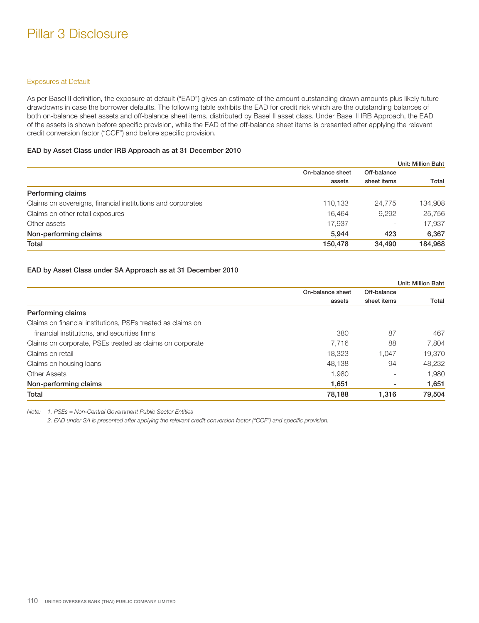# Exposures at Default

As per Basel II definition, the exposure at default ("EAD") gives an estimate of the amount outstanding drawn amounts plus likely future drawdowns in case the borrower defaults. The following table exhibits the EAD for credit risk which are the outstanding balances of both on-balance sheet assets and off-balance sheet items, distributed by Basel II asset class. Under Basel II IRB Approach, the EAD of the assets is shown before specific provision, while the EAD of the off-balance sheet items is presented after applying the relevant credit conversion factor ("CCF") and before specific provision.

# **EAD by Asset Class under IRB Approach as at 31 December 2010**

|                  |             | Unit: Million Baht |
|------------------|-------------|--------------------|
| On-balance sheet | Off-balance |                    |
| assets           | sheet items | Total              |
|                  |             |                    |
| 110.133          | 24.775      | 134,908            |
| 16.464           | 9.292       | 25,756             |
| 17,937           |             | 17,937             |
| 5.944            | 423         | 6,367              |
| 150,478          | 34.490      | 184,968            |
|                  |             |                    |

# **EAD by Asset Class under SA Approach as at 31 December 2010**

|                                                             |                  |             | <b>Unit: Million Baht</b> |
|-------------------------------------------------------------|------------------|-------------|---------------------------|
|                                                             | On-balance sheet | Off-balance |                           |
|                                                             | assets           | sheet items | Total                     |
| Performing claims                                           |                  |             |                           |
| Claims on financial institutions, PSEs treated as claims on |                  |             |                           |
| financial institutions, and securities firms                | 380              | 87          | 467                       |
| Claims on corporate, PSEs treated as claims on corporate    | 7.716            | 88          | 7,804                     |
| Claims on retail                                            | 18,323           | 1.047       | 19,370                    |
| Claims on housing loans                                     | 48.138           | 94          | 48,232                    |
| Other Assets                                                | 1,980            |             | 1,980                     |
| Non-performing claims                                       | 1.651            |             | 1,651                     |
| Total                                                       | 78,188           | 1.316       | 79,504                    |

*Note: 1. PSEs = Non-Central Government Public Sector Entities* 

2. EAD under SA is presented after applying the relevant credit conversion factor ("CCF") and specific provision.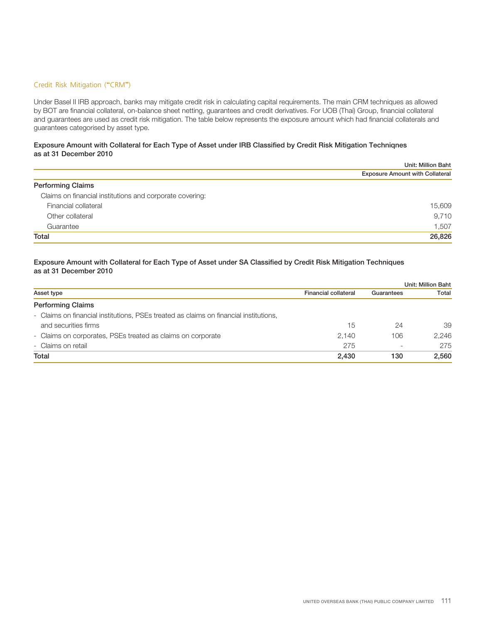# Credit Risk Mitigation ("CRM")

Under Basel II IRB approach, banks may mitigate credit risk in calculating capital requirements. The main CRM techniques as allowed by BOT are financial collateral, on-balance sheet netting, guarantees and credit derivatives. For UOB (Thai) Group, financial collateral and guarantees are used as credit risk mitigation. The table below represents the exposure amount which had financial collaterals and guarantees categorised by asset type.

# Exposure Amount with Collateral for Each Type of Asset under IRB Classified by Credit Risk Mitigation Techniqnes **as at 31 December 2010**

|                                                          | Unit: Million Baht                     |
|----------------------------------------------------------|----------------------------------------|
|                                                          | <b>Exposure Amount with Collateral</b> |
| <b>Performing Claims</b>                                 |                                        |
| Claims on financial institutions and corporate covering: |                                        |
| Financial collateral                                     | 15,609                                 |
| Other collateral                                         | 9,710                                  |
| Guarantee                                                | 1,507                                  |
| Total                                                    | 26,826                                 |

# Exposure Amount with Collateral for Each Type of Asset under SA Classified by Credit Risk Mitigation Techniques **as at 31 December 2010**

|                                                                                       |                             |            | <b>Unit: Million Baht</b> |
|---------------------------------------------------------------------------------------|-----------------------------|------------|---------------------------|
| Asset type                                                                            | <b>Financial collateral</b> | Guarantees | Total                     |
| <b>Performing Claims</b>                                                              |                             |            |                           |
| - Claims on financial institutions, PSEs treated as claims on financial institutions, |                             |            |                           |
| and securities firms                                                                  | 15                          | 24         | 39                        |
| - Claims on corporates, PSEs treated as claims on corporate                           | 2.140                       | 106        | 2.246                     |
| - Claims on retail                                                                    | 275                         |            | 275                       |
| Total                                                                                 | 2,430                       | 130        | 2.560                     |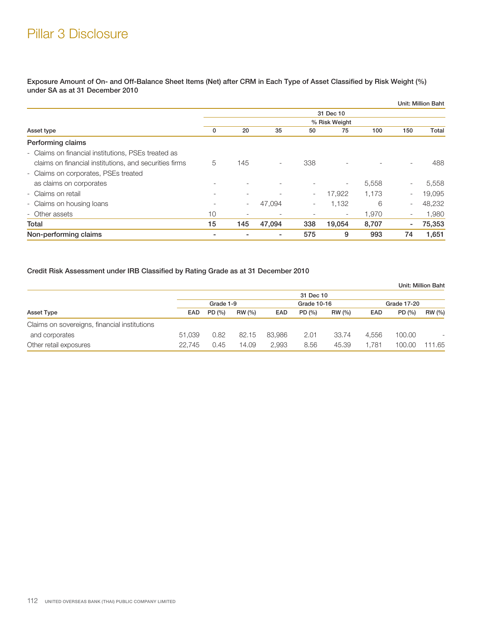# Pillar 3 Disclosure

Exposure Amount of On- and Off-Balance Sheet Items (Net) after CRM in Each Type of Asset Classified by Risk Weight (%) **under SA as at 31 December 2010**

|                                                        |                          |                          |                          |                          |                          |       |                          | Unit: Million Baht |
|--------------------------------------------------------|--------------------------|--------------------------|--------------------------|--------------------------|--------------------------|-------|--------------------------|--------------------|
|                                                        |                          |                          |                          |                          | 31 Dec 10                |       |                          |                    |
|                                                        | % Risk Weight            |                          |                          |                          |                          |       |                          |                    |
| Asset type                                             | 0                        | 20                       | 35                       | 50                       | 75                       | 100   | 150                      | Total              |
| Performing claims                                      |                          |                          |                          |                          |                          |       |                          |                    |
| - Claims on financial institutions, PSEs treated as    |                          |                          |                          |                          |                          |       |                          |                    |
| claims on financial institutions, and securities firms | 5                        | 145                      |                          | 338                      |                          |       | $\overline{\phantom{0}}$ | 488                |
| - Claims on corporates, PSEs treated                   |                          |                          |                          |                          |                          |       |                          |                    |
| as claims on corporates                                |                          | $\overline{\phantom{a}}$ |                          |                          | $\overline{\phantom{a}}$ | 5,558 | $\overline{\phantom{a}}$ | 5,558              |
| - Claims on retail                                     | $\overline{\phantom{a}}$ | $\overline{\phantom{a}}$ |                          | $\overline{\phantom{a}}$ | 17.922                   | 1.173 | $\overline{\phantom{a}}$ | 19,095             |
| - Claims on housing loans                              |                          | $\overline{\phantom{a}}$ | 47,094                   | $\overline{\phantom{a}}$ | 1,132                    | 6     | $\overline{\phantom{a}}$ | 48,232             |
| - Other assets                                         | 10                       | $\overline{\phantom{a}}$ | $\overline{\phantom{a}}$ | $\overline{\phantom{a}}$ | $\qquad \qquad -$        | 1,970 | $\overline{\phantom{a}}$ | 1,980              |
| Total                                                  | 15                       | 145                      | 47,094                   | 338                      | 19.054                   | 8,707 | ٠                        | 75,353             |
| Non-performing claims                                  |                          |                          |                          | 575                      | 9                        | 993   | 74                       | 1.651              |

# Credit Risk Assessment under IRB Classified by Rating Grade as at 31 December 2010

|                                              |           |        |             |            |             |        |            |        | <b>Unit: Million Baht</b> |
|----------------------------------------------|-----------|--------|-------------|------------|-------------|--------|------------|--------|---------------------------|
|                                              |           |        |             |            | 31 Dec 10   |        |            |        |                           |
|                                              | Grade 1-9 |        | Grade 10-16 |            | Grade 17-20 |        |            |        |                           |
| Asset Type                                   | EAD       | PD (%) | RW (%)      | <b>EAD</b> | PD (%)      | RW (%) | <b>EAD</b> | PD (%) | RW (%)                    |
| Claims on sovereigns, financial institutions |           |        |             |            |             |        |            |        |                           |
| and corporates                               | 51.039    | 0.82   | 82.15       | 83.986     | 2.01        | 33.74  | 4.556      | 100.00 |                           |
| Other retail exposures                       | 22.745    | 0.45   | 14.09       | 2.993      | 8.56        | 45.39  | 1.781      | 100.00 | 11.65                     |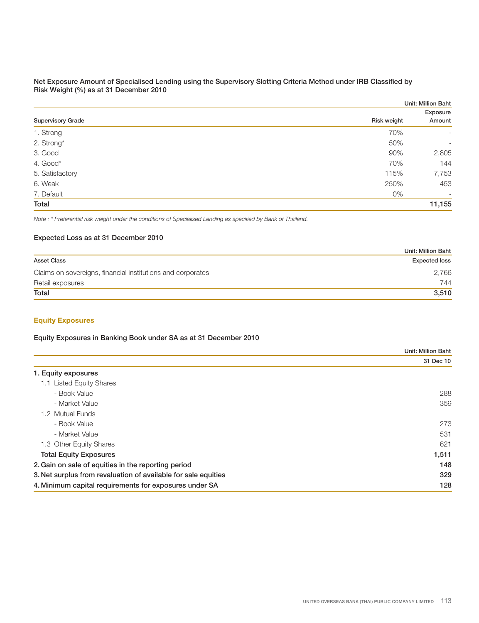# Net Exposure Amount of Specialised Lending using the Supervisory Slotting Criteria Method under IRB Classified by **Risk Weight (%) as at 31 December 2010**

|                          |             | Unit: Million Baht       |  |  |  |
|--------------------------|-------------|--------------------------|--|--|--|
|                          |             | Exposure                 |  |  |  |
| <b>Supervisory Grade</b> | Risk weight | Amount                   |  |  |  |
| 1. Strong                | 70%         | $\overline{\phantom{0}}$ |  |  |  |
| 2. Strong*               | 50%         | $\overline{\phantom{0}}$ |  |  |  |
| 3. Good                  | 90%         | 2,805                    |  |  |  |
| 4. Good*                 | 70%         | 144                      |  |  |  |
| 5. Satisfactory          | 115%        | 7,753                    |  |  |  |
| 6. Weak                  | 250%        | 453                      |  |  |  |
| 7. Default               | 0%          | $\overline{\phantom{0}}$ |  |  |  |
| Total                    |             | 11,155                   |  |  |  |

*Note : \* Preferential risk weight under the conditions of Specialised Lending as specified by Bank of Thailand.* 

# **Expected Loss as at 31 December 2010**

|                                                             | <b>Unit: Million Baht</b> |
|-------------------------------------------------------------|---------------------------|
| <b>Asset Class</b>                                          | <b>Expected loss</b>      |
| Claims on sovereigns, financial institutions and corporates | 2,766                     |
| Retail exposures                                            | 744                       |
| Total                                                       | 3,510                     |

# **Equity Exposures**

# **Equity Exposures in Banking Book under SA as at 31 December 2010**

|                                                                | <b>Unit: Million Baht</b> |
|----------------------------------------------------------------|---------------------------|
|                                                                | 31 Dec 10                 |
| 1. Equity exposures                                            |                           |
| 1.1 Listed Equity Shares                                       |                           |
| - Book Value                                                   | 288                       |
| - Market Value                                                 | 359                       |
| 1.2 Mutual Funds                                               |                           |
| - Book Value                                                   | 273                       |
| - Market Value                                                 | 531                       |
| 1.3 Other Equity Shares                                        | 621                       |
| <b>Total Equity Exposures</b>                                  | 1,511                     |
| 2. Gain on sale of equities in the reporting period            | 148                       |
| 3. Net surplus from revaluation of available for sale equities | 329                       |
| 4. Minimum capital requirements for exposures under SA         | 128                       |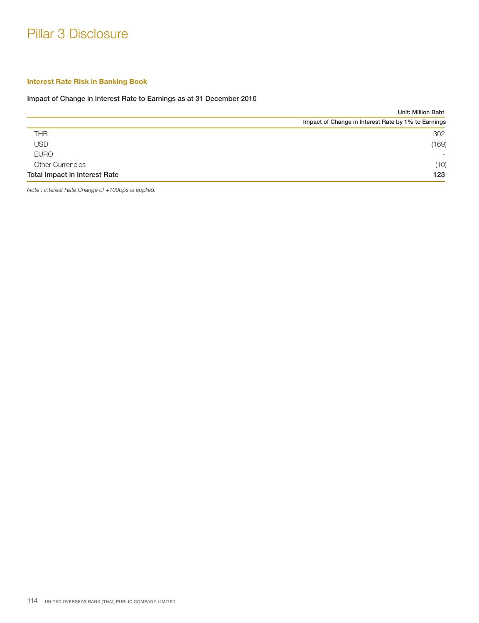# Pillar 3 Disclosure

# **Interest Rate Risk in Banking Book**

**Impact of Change in Interest Rate to Earnings as at 31 December 2010**

|                                      | Unit: Million Baht                                  |
|--------------------------------------|-----------------------------------------------------|
|                                      | Impact of Change in Interest Rate by 1% to Earnings |
| <b>THB</b>                           | 302                                                 |
| <b>USD</b>                           | (169)                                               |
| <b>EURO</b>                          | $\overline{\phantom{0}}$                            |
| <b>Other Currencies</b>              | (10)                                                |
| <b>Total Impact in Interest Rate</b> | 123                                                 |

*Note : Interest Rate Change of +100bps is applied.*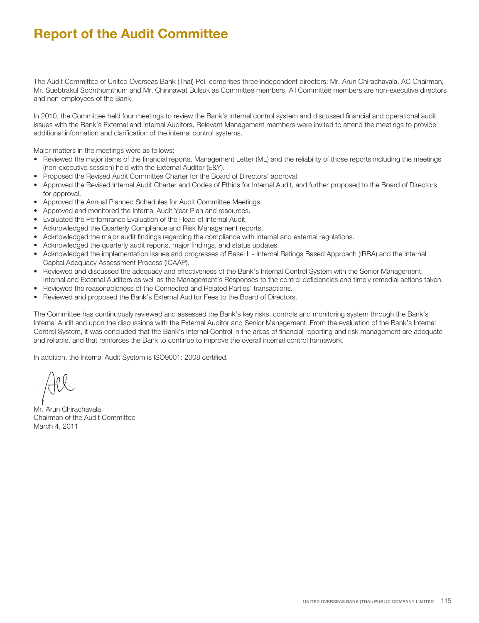# **Report of the Audit Committee**

The Audit Committee of United Overseas Bank (Thai) Pcl. comprises three independent directors: Mr. Arun Chirachavala, AC Chairman, Mr. Suebtrakul Soonthornthum and Mr. Chinnawat Bulsuk as Committee members. All Committee members are non-executive directors and non-employees of the Bank.

In 2010, the Committee held four meetings to review the Bank's internal control system and discussed financial and operational audit issues with the Bank's External and Internal Auditors. Relevant Management members were invited to attend the meetings to provide additional information and clarification of the internal control systems.

Major matters in the meetings were as follows:

- Reviewed the major items of the financial reports, Management Letter (ML) and the reliability of those reports including the meetings (non-executive session) held with the External Auditor (E&Y).
- Proposed the Revised Audit Committee Charter for the Board of Directors' approval.
- Approved the Revised Internal Audit Charter and Codes of Ethics for Internal Audit, and further proposed to the Board of Directors for approval.
- Approved the Annual Planned Schedules for Audit Committee Meetings.
- Approved and monitored the Internal Audit Year Plan and resources.
- Evaluated the Performance Evaluation of the Head of Internal Audit.
- Acknowledged the Quarterly Compliance and Risk Management reports.
- Acknowledged the major audit findings regarding the compliance with internal and external regulations.
- Acknowledged the quarterly audit reports, major findings, and status updates.
- Acknowledged the implementation issues and progresses of Basel II Internal Ratings Based Approach (IRBA) and the Internal Capital Adequacy Assessment Process (ICAAP).
- Reviewed and discussed the adequacy and effectiveness of the Bank's Internal Control System with the Senior Management, Internal and External Auditors as well as the Management's Responses to the control deficiencies and timely remedial actions taken.
- Reviewed the reasonableness of the Connected and Related Parties' transactions.
- Reviewed and proposed the Bank's External Auditor Fees to the Board of Directors.

The Committee has continuously reviewed and assessed the Bank's key risks, controls and monitoring system through the Bank's Internal Audit and upon the discussions with the External Auditor and Senior Management. From the evaluation of the Bank's Internal Control System, it was concluded that the Bank's Internal Control in the areas of financial reporting and risk management are adequate and reliable, and that reinforces the Bank to continue to improve the overall internal control framework.

In addition, the Internal Audit System is ISO9001: 2008 certified.

Mr. Arun Chirachavala Chairman of the Audit Committee March 4, 2011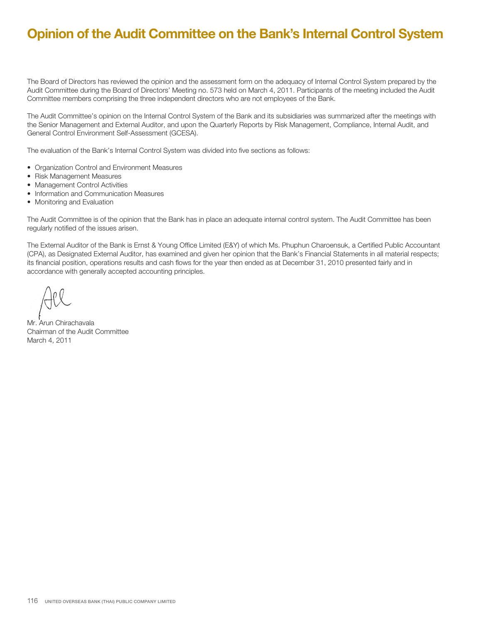# **Opinion of the Audit Committee on the Bank's Internal Control System**

The Board of Directors has reviewed the opinion and the assessment form on the adequacy of Internal Control System prepared by the Audit Committee during the Board of Directors' Meeting no. 573 held on March 4, 2011. Participants of the meeting included the Audit Committee members comprising the three independent directors who are not employees of the Bank.

The Audit Committee's opinion on the Internal Control System of the Bank and its subsidiaries was summarized after the meetings with the Senior Management and External Auditor, and upon the Quarterly Reports by Risk Management, Compliance, Internal Audit, and General Control Environment Self-Assessment (GCESA).

The evaluation of the Bank's Internal Control System was divided into five sections as follows:

- Organization Control and Environment Measures
- Risk Management Measures
- Management Control Activities
- Information and Communication Measures
- Monitoring and Evaluation

The Audit Committee is of the opinion that the Bank has in place an adequate internal control system. The Audit Committee has been regularly notified of the issues arisen.

The External Auditor of the Bank is Ernst & Young Office Limited (E&Y) of which Ms. Phuphun Charoensuk, a Certified Public Accountant (CPA), as Designated External Auditor, has examined and given her opinion that the Bank's Financial Statements in all material respects; its financial position, operations results and cash flows for the year then ended as at December 31, 2010 presented fairly and in accordance with generally accepted accounting principles.

Mr. Arun Chirachavala Chairman of the Audit Committee March 4, 2011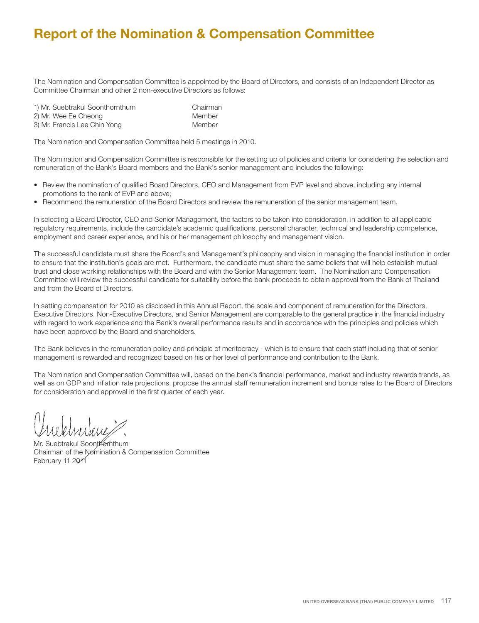# **Report of the Nomination & Compensation Committee**

The Nomination and Compensation Committee is appointed by the Board of Directors, and consists of an Independent Director as Committee Chairman and other 2 non-executive Directors as follows:

| 1) Mr. Suebtrakul Soonthornthum | Chairman |
|---------------------------------|----------|
| 2) Mr. Wee Ee Cheong            | Member   |
| 3) Mr. Francis Lee Chin Yong    | Member   |

The Nomination and Compensation Committee held 5 meetings in 2010.

The Nomination and Compensation Committee is responsible for the setting up of policies and criteria for considering the selection and remuneration of the Bank's Board members and the Bank's senior management and includes the following:

- Review the nomination of qualified Board Directors, CEO and Management from EVP level and above, including any internal promotions to the rank of EVP and above;
- Recommend the remuneration of the Board Directors and review the remuneration of the senior management team.

In selecting a Board Director, CEO and Senior Management, the factors to be taken into consideration, in addition to all applicable regulatory requirements, include the candidate's academic qualifications, personal character, technical and leadership competence, employment and career experience, and his or her management philosophy and management vision.

The successful candidate must share the Board's and Management's philosophy and vision in managing the financial institution in order to ensure that the institution's goals are met. Furthermore, the candidate must share the same beliefs that will help establish mutual trust and close working relationships with the Board and with the Senior Management team. The Nomination and Compensation Committee will review the successful candidate for suitability before the bank proceeds to obtain approval from the Bank of Thailand and from the Board of Directors.

In setting compensation for 2010 as disclosed in this Annual Report, the scale and component of remuneration for the Directors, Executive Directors, Non-Executive Directors, and Senior Management are comparable to the general practice in the financial industry with regard to work experience and the Bank's overall performance results and in accordance with the principles and policies which have been approved by the Board and shareholders.

The Bank believes in the remuneration policy and principle of meritocracy - which is to ensure that each staff including that of senior management is rewarded and recognized based on his or her level of performance and contribution to the Bank.

The Nomination and Compensation Committee will, based on the bank's financial performance, market and industry rewards trends, as well as on GDP and inflation rate projections, propose the annual staff remuneration increment and bonus rates to the Board of Directors for consideration and approval in the first quarter of each year.

Mr. Suebtrakul Soonthornthum Chairman of the Nomination & Compensation Committee February 11 2011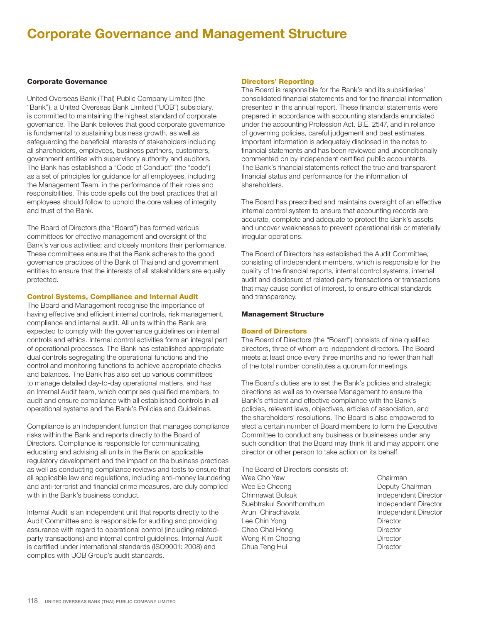# **Corporate Governance and Management Structure**

# **Corporate Governance**

United Overseas Bank (Thai) Public Company Limited (the "Bank"), a United Overseas Bank Limited ("UOB") subsidiary, is committed to maintaining the highest standard of corporate governance. The Bank believes that good corporate governance is fundamental to sustaining business growth, as well as safeguarding the beneficial interests of stakeholders including all shareholders, employees, business partners, customers, government entities with supervisory authority and auditors. The Bank has established a "Code of Conduct" (the "code") as a set of principles for guidance for all employees, including the Management Team, in the performance of their roles and responsibilities. This code spells out the best practices that all employees should follow to uphold the core values of integrity and trust of the Bank.

The Board of Directors (the "Board") has formed various committees for effective management and oversight of the Bank's various activities; and closely monitors their performance. These committees ensure that the Bank adheres to the good governance practices of the Bank of Thailand and government entities to ensure that the interests of all stakeholders are equally protected.

# **Control Systems, Compliance and Internal Audit**

The Board and Management recognise the importance of having effective and efficient internal controls, risk management, compliance and internal audit. All units within the Bank are expected to comply with the governance guidelines on internal controls and ethics. Internal control activities form an integral part of operational processes. The Bank has established appropriate dual controls segregating the operational functions and the control and monitoring functions to achieve appropriate checks and balances. The Bank has also set up various committees to manage detailed day-to-day operational matters, and has an Internal Audit team, which comprises qualified members, to audit and ensure compliance with all established controls in all operational systems and the Bank's Policies and Guidelines.

Compliance is an independent function that manages compliance risks within the Bank and reports directly to the Board of Directors. Compliance is responsible for communicating, educating and advising all units in the Bank on applicable regulatory development and the impact on the business practices as well as conducting compliance reviews and tests to ensure that all applicable law and regulations, including anti-money laundering and anti-terrorist and financial crime measures, are duly complied with in the Bank's business conduct.

Internal Audit is an independent unit that reports directly to the Audit Committee and is responsible for auditing and providing assurance with regard to operational control (including relatedparty transactions) and internal control guidelines. Internal Audit is certified under international standards (ISO9001: 2008) and complies with UOB Group's audit standards.

# **Directors' Reporting**

The Board is responsible for the Bank's and its subsidiaries' consolidated financial statements and for the financial information presented in this annual report. These financial statements were prepared in accordance with accounting standards enunciated under the accounting Profession Act. B.E. 2547, and in reliance of governing policies, careful judgement and best estimates. Important information is adequately disclosed in the notes to financial statements and has been reviewed and unconditionally commented on by independent certified public accountants. The Bank's financial statements reflect the true and transparent financial status and performance for the information of shareholders.

The Board has prescribed and maintains oversight of an effective internal control system to ensure that accounting records are accurate, complete and adequate to protect the Bank's assets and uncover weaknesses to prevent operational risk or materially irregular operations.

The Board of Directors has established the Audit Committee, consisting of independent members, which is responsible for the quality of the financial reports, internal control systems, internal audit and disclosure of related-party transactions or transactions that may cause conflict of interest, to ensure ethical standards and transparency.

# **Management Structure**

# **Board of Directors**

The Board of Directors (the "Board") consists of nine qualified directors, three of whom are independent directors. The Board meets at least once every three months and no fewer than half of the total number constitutes a quorum for meetings.

The Board's duties are to set the Bank's policies and strategic directions as well as to oversee Management to ensure the Bank's efficient and effective compliance with the Bank's policies, relevant laws, objectives, articles of association, and the shareholders' resolutions. The Board is also empowered to elect a certain number of Board members to form the Executive Committee to conduct any business or businesses under any such condition that the Board may think fit and may appoint one director or other person to take action on its behalf.

- The Board of Directors consists of: Wee Cho Yaw **Chairman** Wee Ee Cheong **Deputy Chairman** Chinnawat Bulsuk **Independent Director** Suebtrakul Soonthornthum Independent Director Arun Chirachavala **Independent Director** Lee Chin Yong Director Cheo Chai Hong Director Wong Kim Choong **Director** Chua Teng Hui **Director** 
	-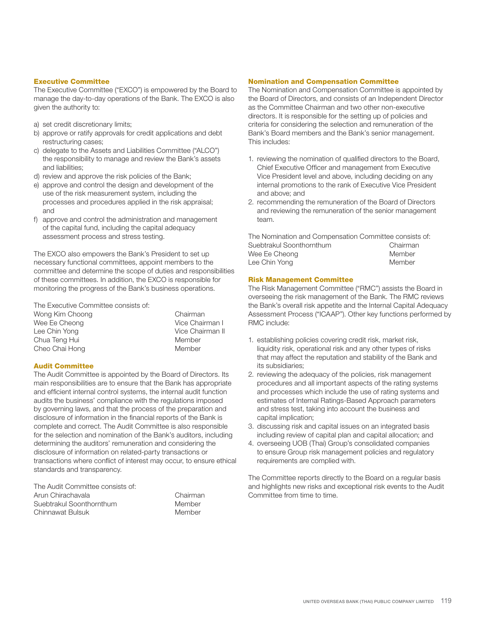# **Executive Committee**

The Executive Committee ("EXCO") is empowered by the Board to manage the day-to-day operations of the Bank. The EXCO is also given the authority to:

- a) set credit discretionary limits;
- b) approve or ratify approvals for credit applications and debt restructuring cases;
- c) delegate to the Assets and Liabilities Committee ("ALCO") the responsibility to manage and review the Bank's assets and liabilities;
- d) review and approve the risk policies of the Bank;
- e) approve and control the design and development of the use of the risk measurement system, including the processes and procedures applied in the risk appraisal; and
- f) approve and control the administration and management of the capital fund, including the capital adequacy assessment process and stress testing.

The EXCO also empowers the Bank's President to set up necessary functional committees, appoint members to the committee and determine the scope of duties and responsibilities of these committees. In addition, the EXCO is responsible for monitoring the progress of the Bank's business operations.

The Executive Committee consists of:

| Wong Kim Choong | Chairman         |
|-----------------|------------------|
| Wee Ee Cheong   | Vice Chairman I  |
| Lee Chin Yong   | Vice Chairman II |
| Chua Teng Hui   | Member           |
| Cheo Chai Hong  | Member           |

# **Audit Committee**

The Audit Committee is appointed by the Board of Directors. Its main responsibilities are to ensure that the Bank has appropriate and efficient internal control systems, the internal audit function audits the business' compliance with the regulations imposed by governing laws, and that the process of the preparation and disclosure of information in the financial reports of the Bank is complete and correct. The Audit Committee is also responsible for the selection and nomination of the Bank's auditors, including determining the auditors' remuneration and considering the disclosure of information on related-party transactions or transactions where conflict of interest may occur, to ensure ethical standards and transparency.

Chairman Member Member

# **Nomination and Compensation Committee**

The Nomination and Compensation Committee is appointed by the Board of Directors, and consists of an Independent Director as the Committee Chairman and two other non-executive directors. It is responsible for the setting up of policies and criteria for considering the selection and remuneration of the Bank's Board members and the Bank's senior management. This includes:

- 1. reviewing the nomination of qualified directors to the Board, Chief Executive Officer and management from Executive Vice President level and above, including deciding on any internal promotions to the rank of Executive Vice President and above; and
- 2. recommending the remuneration of the Board of Directors and reviewing the remuneration of the senior management team.

The Nomination and Compensation Committee consists of: Suebtrakul Soonthornthum Chairman<br>
Wee Ee Cheong Chairman Member Wee Ee Cheong Lee Chin Yong **Member** 

# **Risk Management Committee**

The Risk Management Committee ("RMC") assists the Board in overseeing the risk management of the Bank. The RMC reviews the Bank's overall risk appetite and the Internal Capital Adequacy Assessment Process ("ICAAP"). Other key functions performed by RMC include:

- 1. establishing policies covering credit risk, market risk, liquidity risk, operational risk and any other types of risks that may affect the reputation and stability of the Bank and its subsidiaries;
- 2. reviewing the adequacy of the policies, risk management procedures and all important aspects of the rating systems and processes which include the use of rating systems and estimates of Internal Ratings-Based Approach parameters and stress test, taking into account the business and capital implication;
- 3. discussing risk and capital issues on an integrated basis including review of capital plan and capital allocation; and
- 4. overseeing UOB (Thai) Group's consolidated companies to ensure Group risk management policies and regulatory requirements are complied with.

The Committee reports directly to the Board on a regular basis and highlights new risks and exceptional risk events to the Audit Committee from time to time.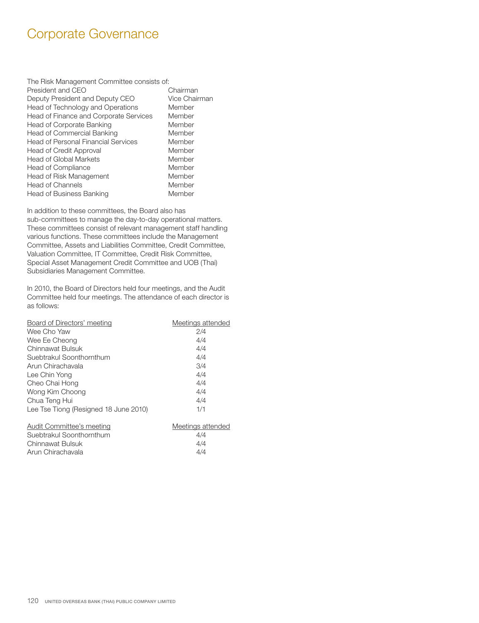# Corporate Governance

The Risk Management Committee consists of: President and CEO Chairman<br>
Deputy President and Deputy CEO Vice Chairman Deputy President and Deputy CEO Head of Technology and Operations Member Head of Finance and Corporate Services Member Head of Corporate Banking Member Head of Commercial Banking Member Head of Personal Financial Services Member<br>Head of Credit Approval Member Head of Credit Approval Head of Global Markets Member Head of Compliance Member Head of Risk Management Member Head of Channels **Member** Head of Business Banking Member

In addition to these committees, the Board also has sub-committees to manage the day-to-day operational matters. These committees consist of relevant management staff handling various functions. These committees include the Management Committee, Assets and Liabilities Committee, Credit Committee, Valuation Committee, IT Committee, Credit Risk Committee, Special Asset Management Credit Committee and UOB (Thai) Subsidiaries Management Committee.

In 2010, the Board of Directors held four meetings, and the Audit Committee held four meetings. The attendance of each director is as follows:

| <b>Board of Directors' meeting</b>    | Meetings attended |
|---------------------------------------|-------------------|
| Wee Cho Yaw                           | 2/4               |
| Wee Ee Cheong                         | 4/4               |
| Chinnawat Bulsuk                      | 4/4               |
| Suebtrakul Soonthornthum              | 4/4               |
| Arun Chirachavala                     | 3/4               |
| Lee Chin Yong                         | 4/4               |
| Cheo Chai Hong                        | 4/4               |
| Wong Kim Choong                       | 4/4               |
| Chua Teng Hui                         | 4/4               |
| Lee Tse Tiong (Resigned 18 June 2010) | 1/1               |
| Audit Committee's meeting             | Meetings attended |
| Suebtrakul Soonthornthum              | 4/4               |
| Chinnawat Bulsuk                      | 4/4               |
| Arun Chirachavala                     | 4/4               |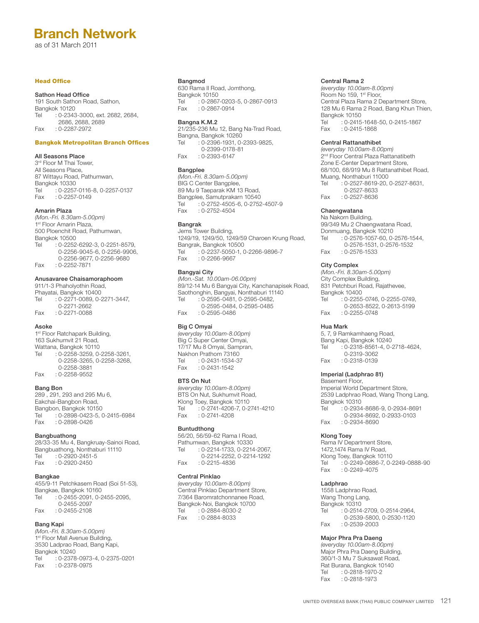# **Branch Network**

as of 31 March 2011

# **Head Office**

# **Sathon Head Office**

191 South Sathon Road, Sathon, Bangkok 10120 Tel : 0-2343-3000, ext. 2682, 2684, 2686, 2688, 2689<br>Fax : 0-2287-2972  $: 0 - 2287 - 2972$ 

## **Bangkok Metropolitan Branch Offices**

#### **All Seasons Place**

3<sup>rd</sup> Floor M Thai Tower. All Seasons Place, 87 Wittayu Road, Pathumwan, Bangkok 10330 Tel : 0-2257-0116-8, 0-2257-0137 Fax : 0-2257-0149

### **Amarin Plaza**

*(Mon.-Fri. 8.30am-5.00pm)* 1<sup>st</sup> Floor Amarin Plaza, 500 Ploenchit Road, Pathumwan, Bangkok 10500 Tel : 0-2252-6292-3, 0-2251-8579, 0-2256-9045-6, 0-2256-9906, 0-2256-9677, 0-2256-9680<br>Fax: 0-2252-7871  $: 0 - 2252 - 7871$ 

#### **Anusavaree Chaisamoraphoom**

911/1-3 Phaholyothin Road, Phayatai, Bangkok 10400<br>Tel : 0-2271-0089, 0-2  $: 0 - 2271 - 0089, 0 - 2271 - 3447,$  0-2271-2662 Fax : 0-2271-0088

### **Asoke**

1st Floor Ratchapark Building, 163 Sukhumvit 21 Road, Wattana, Bangkok 10110 Tel : 0-2258-3259, 0-2258-3261, 0-2258-3265, 0-2258-3268, 0-2258-3881 Fax : 0-2258-9552

### **Bang Bon**

289 , 291, 293 and 295 Mu 6, Eakchai-Bangbon Road, Bangbon, Bangkok 10150 Tel : 0-2898-0423-5, 0-2415-6984<br>Fax : 0-2898-0426  $: 0 - 2898 - 0426$ 

## **Bangbuathong**

28/33-35 Mu 4, Bangkruay-Sainoi Road, Bangbuathong, Nonthaburi 11110 Tel : 0-2920-2451-5 Fax : 0-2920-2450

## **Bangkae**

455/9-11 Petchkasem Road (Soi 51-53), Bangkae, Bangkok 10160 Tel : 0-2455-2091, 0-2455-2095. 0-2455-2097<br>0-2455-2108 Fax  $: 0 - 2455 - 2108$ 

#### **Bang Kapi**

*(Mon.-Fri. 8.30am-5.00pm)* 1<sup>st</sup> Floor Mall Avenue Building, 3530 Ladprao Road, Bang Kapi, Bangkok 10240 Tel : 0-2378-0973-4, 0-2375-0201<br>Fax : 0-2378-0975  $: 0 - 2378 - 0975$ 

#### **Bangmod**

630 Rama II Road, Jomthong, Bangkok 10150<br>Tel : 0-2867 Tel : 0-2867-0203-5, 0-2867-0913<br>Fax : 0-2867-0914  $: 0 - 2867 - 0914$ 

#### **Bangna K.M.2**

21/235-236 Mu 12, Bang Na-Trad Road, Bangna, Bangkok 10260 Tel : 0-2396-1931, 0-2393-9825, 0-2399-0178-81<br>Eax : 0-2393-6147  $: 0 - 2393 - 6147$ 

#### **Bangplee**

*(Mon.-Fri. 8.30am-5.00pm)* **BIG C Center Bangplee,** 89 Mu 9 Taeparak KM 13 Road, Bangplee, Samutprakarn 10540<br>Tel : 0-2752-4505-6, 0-2752 : 0-2752-4505-6, 0-2752-4507-9 Fax : 0-2752-4504

# **Bangrak**

Jems Tower Building, 1249/19, 1249/50, 1249/59 Charoen Krung Road, Bangrak, Bangkok 10500<br>Tel : 0-2237-5050-1.  $: 0 - 2237 - 5050 - 1, 0 - 2266 - 9896 - 7$ Fax : 0-2266-9667

# **Bangyai City**

*(Mon.-Sat. 10.00am-06.00pm)* 89/12-14 Mu 6 Bangyai City, Kanchanapisek Road, Saothonghin, Bangyai, Nonthaburi 11140<br>Tel : 0-2595-0481, 0-2595-0482,  $: 0 - 2595 - 0481, 0 - 2595 - 0482,$  0-2595-0484, 0-2595-0485 Fax : 0-2595-0486

### **Big C Omyai**

*(everyday 10.00am-8.00pm)* Big C Super Center Omyai, 17/17 Mu 8 Omyai, Sampran, Nakhon Prathom 73160 Tel : 0-2431-1534-37<br>Fax : 0-2431-1542  $: 0 - 2431 - 1542$ 

#### **BTS On Nut**

*(everyday 10.00am-8.00pm)* BTS On Nut, Sukhumvit Road, Klong Toey, Bangkok 10110<br>Tel : 0-2741-4206-7, 0-2 Tel : 0-2741-4206-7, 0-2741-4210<br>Fax : 0-2741-4208  $: 0 - 2741 - 4208$ 

#### **Buntudthong**

56/20, 56/59-62 Rama I Road, Pathumwan, Bangkok 10330 Tel : 0-2214-1733, 0-2214-2067, 0-2214-2252, 0-2214-1292<br>Fax : 0-2215-4836  $: 0 - 2215 - 4836$ 

### **Central Pinklao**

*(everyday 10.00am-8.00pm)* Central Pinklao Department Store, 7/364 Baromratchonnanee Road, Bangkok-Noi, Bangkok 10700<br>Tel : 0-2884-8030-2 Tel : 0-2884-8030-2<br>Fax : 0-2884-8033  $: 0 - 2884 - 8033$ 

#### **Central Rama 2**

*(everyday 10.00am-8.00pm)* Room No 159, 1st Floor, Central Plaza Rama 2 Department Store, 128 Mu 6 Rama 2 Road, Bang Khun Thien, Bangkok 10150 Tel : 0-2415-1648-50, 0-2415-1867<br>Fax : 0-2415-1868  $: 0 - 2415 - 1868$ 

# **Central Rattanathibet**

*(everyday 10.00am-8.00pm)* 2<sup>nd</sup> Floor Central Plaza Rattanatibeth Zone E-Center Department Store, 68/100, 68/919 Mu 8 Rattanathibet Road, Muang, Nonthaburi 11000<br>Tel : 0-2527-8619-20 : 0-2527-8619-20, 0-2527-8631, 0-2527-8633<br>0-2527-8636 Fax  $: 0 - 2527 - 8636$ 

#### **Chaengwatana**

Na Nakorn Building, 99/349 Mu 2 Chaengwatana Road, Donmuang, Bangkok 10210 Tel : 0-2576-1057-60, 0-2576-1544, 0-2576-1531, 0-2576-1532 Fax : 0-2576-1533

### **City Complex**

*(Mon.-Fri. 8.30am-5.00pm)* City Complex Building, 831 Petchburi Road, Rajathevee, Bangkok 10400<br>Tel : 0-2255  $: 0 - 2255 - 0746, 0 - 2255 - 0749,$ 0-2653-8522, 0-2613-5199<br>Fax : 0-2255-0748  $: 0 - 2255 - 0748$ 

## **Hua Mark**

5, 7, 9 Ramkamhaeng Road, Bang Kapi, Bangkok 10240 Tel : 0-2318-8561-4, 0-2718-4624, 0-2319-3062 Fax : 0-2318-0139

# **Imperial (Ladphrao 81)**

Basement Floor, Imperial World Department Store, 2539 Ladphrao Road, Wang Thong Lang, Bangkok 10310 Tel : 0-2934-8686-9, 0-2934-8691 0-2934-8692, 0-2933-0103<br>Cax : 0-2934-8690  $: 0 - 2934 - 8690$ 

## **Klong Toey**

Rama IV Department Store, 1472,1474 Rama IV Road, Klong Toey, Bangkok 10110 Tel : 0-2249-0886-7, 0-2249-0888-90<br>Fax : 0-2249-4075  $: 0 - 2249 - 4075$ 

#### **Ladphrao**

1558 Ladphrao Road, Wang Thong Lang, Bangkok 10310<br>Tel : 0-2514 : 0-2514-2709, 0-2514-2964, 0-2539-5800, 0-2530-1120 Fax : 0-2539-2003

## **Major Phra Pra Daeng**

*(everyday 10.00am-8.00pm)* Major Phra Pra Daeng Building, 360/1-3 Mu 7 Suksawat Road, Rat Burana, Bangkok 10140 Tel : 0-2818-1970-2 Fax : 0-2818-1973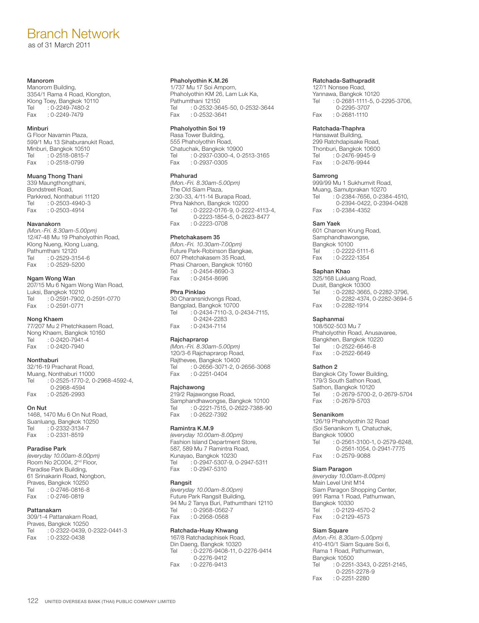# Branch Network

as of 31 March 2011

# **Manorom**

Manorom Building, 3354/1 Rama 4 Road, Klongton, Klong Toey, Bangkok 10110 Tel : 0-2249-7480-2<br>Fax : 0-2249-7479  $: 0 - 2249 - 7479$ 

# **Minburi**

G Floor Navamin Plaza, 599/1 Mu 13 Sihaburanukit Road, Minburi, Bangkok 10510<br>Tel 0-2518-0815-7 Tel : 0-2518-0815-7<br>Fax : 0-2518-0799  $: 0 - 2518 - 0799$ 

# **Muang Thong Thani**

339 Maungthongthani, Bondstreet Road, Parkkred, Nonthaburi 11120<br>Tel : 0-2503-4940-3 Tel : 0-2503-4940-3<br>Fax : 0-2503-4914  $: 0 - 2503 - 4914$ 

# **Navanakorn**

*(Mon.-Fri. 8.30am-5.00pm)* 12/47-48 Mu 19 Phaholyothin Road, Klong Nueng, Klong Luang, Pathumthani 12120<br>Tel 0-2529-31  $: 0 - 2529 - 3154 - 6$ Fax : 0-2529-5200

# **Ngam Wong Wan**

207/15 Mu 6 Ngam Wong Wan Road, Luksi, Bangkok 10210 Tel : 0-2591-7902, 0-2591-0770<br>Fax : 0-2591-0771  $: 0 - 2591 - 0771$ 

# **Nong Khaem**

77/207 Mu 2 Phetchkasem Road, Nong Khaem, Bangkok 10160 Tel : 0-2420-7941-4<br>Fax : 0-2420-7940  $\cdot$  0-2420-7940

## **Nonthaburi**

32/16-19 Pracharat Road, Muang, Nonthaburi 11000 Tel : 0-2525-1770-2, 0-2968-4592-4, 0-2968-4594<br>0-2526-2993 Fax  $\cdot$  0-2526-2993

## **On Nut**

1468, 1470 Mu 6 On Nut Road, Suanluang, Bangkok 10250<br>Tel 0-2332-3134-7  $: 0 - 2332 - 3134 - 7$ Fax : 0-2331-8519

## **Paradise Park**

*(everyday 10.00am-8.00pm)* Room No 2C004, 2nd Floor, Paradise Park Building, 61 Srinakarin Road, Nongbon, Praves, Bangkok 10250<br>Tel : 0-2746-0816-8 Tel : 0-2746-0816-8<br>Fax : 0-2746-0819 Fax : 0-2746-0819

# **Pattanakarn**

309/1-4 Pattanakarn Road, Praves, Bangkok 10250 Tel : 0-2322-0439, 0-2322-0441-3 Fax : 0-2322-0438

# **Phaholyothin K.M.26**

1/737 Mu 17 Soi Amporn, Phaholyothin KM 26, Lam Luk Ka, Pathumthani 12150<br>Tel : 0-2532-36 Tel : 0-2532-3645-50, 0-2532-3644<br>Fax : 0-2532-3641  $: 0 - 2532 - 3641$ 

# **Phaholyothin Soi 19**

Rasa Tower Building, 555 Phaholyothin Road, Chatuchak, Bangkok 10900 Tel : 0-2937-0300-4, 0-2513-3165<br>Fax : 0-2937-0305  $: 0 - 2937 - 0305$ 

## **Phahurad**

*(Mon.-Fri. 8.30am-5.00pm)* The Old Siam Plaza, 2/30-33, 4/11-14 Burapa Road, Phra Nakhon, Bangkok 10200<br>Tel : 0-2222-0176-9, 0-222  $: 0 - 2222 - 0176 - 9, 0 - 2222 - 4113 - 4,$  0-2223-1854-5, 0-2623-8477 Fax : 0-2223-0708

# **Phetchakasem 35**

*(Mon.-Fri. 10.30am-7.00pm)* Future Park-Robinson Bangkae, 607 Phetchakasem 35 Road, Phasi Charoen, Bangkok 10160<br>Tel : 0-2454-8690-3 : 0-2454-8690-3 Fax : 0-2454-8696

## **Phra Pinklao**

30 Charansnidvongs Road, Bangplad, Bangkok 10700 Tel : 0-2434-7110-3, 0-2434-7115, 0-2424-2283 Fax : 0-2434-7114

# **Rajchaprarop**

*(Mon.-Fri. 8.30am-5.00pm)* 120/3-6 Rajchaprarop Road, Rajthevee, Bangkok 10400 Tel : 0-2656-3071-2, 0-2656-3068<br>Fax : 0-2251-0404  $: 0 - 2251 - 0404$ 

## **Rajchawong**

219/2 Rajawongse Road, Samphandhawongse, Bangkok 10100<br>Tel 0-2221-7515 0-2622-7388-90  $: 0 - 2221 - 7515, 0 - 2622 - 7388 - 90$ Fax : 0-2622-7392

# **Ramintra K.M.9**

*(everyday 10.00am-8.00pm)* Fashion Island Department Store, 587, 589 Mu 7 Ramintra Road, Kunayao, Bangkok 10230 Tel : 0-2947-5307-9, 0-2947-5311 Fax : 0-2947-5310

## **Rangsit**

*(everyday 10.00am-8.00pm)* Future Park Rangsit Building, 94 Mu 2 Tanya Buri, Pathumthani 12110<br>Tel : 0-2958-0562-7  $: 0 - 2958 - 0562 - 7$ Fax : 0-2958-0568

# **Ratchada-Huay Khwang**

167/8 Ratchadaphisek Road, Din Daeng, Bangkok 10320<br>Tel : 0-2276-9408-11, 0  $: 0 - 2276 - 9408 - 11, 0 - 2276 - 9414$ 0-2276-9412<br>10-2276-9413 Fax  $: 0 - 2276 - 9413$ 

# **Ratchada-Sathupradit**

127/1 Nonsee Road, Yannawa, Bangkok 10120<br>Tel : 0-2681-1111-5, 0 : 0-2681-1111-5, 0-2295-3706, 0-2295-3707<br>
60-2681-1110 Fax  $: 0 - 2681 - 1110$ 

# **Ratchada-Thaphra**

Hansawat Building, 299 Ratchdapisake Road, Thonburi, Bangkok 10600<br>Tel 0-2476-9945-9 Tel : 0-2476-9945-9<br>Fax : 0-2476-9944  $: 0 - 2476 - 9944$ 

# **Samrong**

999/99 Mu 1 Sukhumvit Road, Muang, Samutprakan 10270 Tel : 0-2384-7656, 0-2384-4510, 0-2394-0422, 0-2394-0428<br>Fax: 0-2384-4352  $: 0 - 2384 - 4352$ 

# **Sam Yaek**

601 Charoen Krung Road, Samphandhawongse, Bangkok 10100 Tel : 0-2222-5111-6<br>Fax : 0-2222-1354  $: 0 - 2222 - 1354$ 

# **Saphan Khao**

325/168 Lukluang Road, Dusit, Bangkok 10300 Tel : 0-2282-3665, 0-2282-3796, 0-2282-4374, 0-2282-3694-5<br>Eax: 0-2282-1914  $: 0 - 2282 - 1914$ 

# **Saphanmai**

108/502-503 Mu 7 Phaholyothin Road, Anusavaree, Bangkhen, Bangkok 10220<br>Tel (0-2522-6646-8) Tel : 0-2522-6646-8<br>Fax : 0-2522-6649  $: 0 - 2522 - 6649$ 

# **Sathon 2**

Bangkok City Tower Building, 179/3 South Sathon Road, Sathon, Bangkok 10120 Tel : 0-2679-5700-2, 0-2679-5704<br>Fax : 0-2679-5703  $: 0 - 2679 - 5703$ 

## **Senanikom**

126/19 Phaholyothin 32 Road (Soi Senanikom 1), Chatuchak, Bangkok 10900 Tel : 0-2561-3100-1, 0-2579-6248, 0-2561-1054, 0-2941-7775 Fax : 0-2579-9088

## **Siam Paragon**

*(everyday 10.00am-8.00pm)* Main Level Unit M14 Siam Paragon Shopping Center, 991 Rama 1 Road, Pathumwan, Bangkok 10330<br>Tel : 0-2129 Tel : 0-2129-4570-2 Fax : 0-2129-4573

# **Siam Square**

*(Mon.-Fri. 8.30am-5.00pm)* 410-410/1 Siam Square Soi 6, Rama 1 Road, Pathumwan, Bangkok 10500<br>Tel : 0-2251-: 0-2251-3343, 0-2251-2145, 0-2251-2278-9 Fax : 0-2251-2280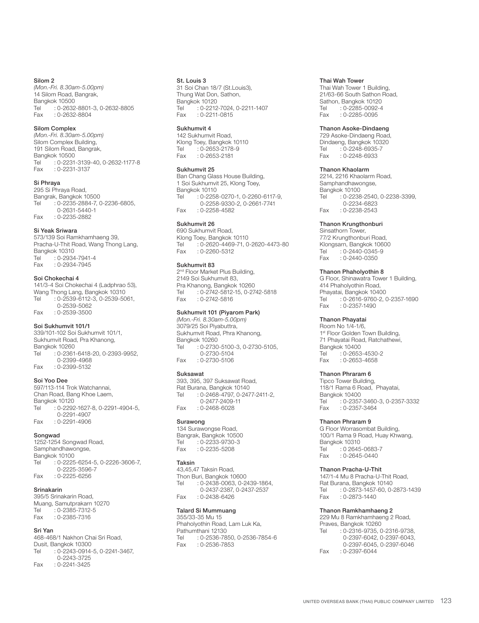### **Silom 2**

*(Mon.-Fri. 8.30am-5.00pm)* 14 Silom Road, Bangrak, Bangkok 10500 Tel : 0-2632-8801-3, 0-2632-8805 Fax : 0-2632-8804

# **Silom Complex**

*(Mon.-Fri. 8.30am-5.00pm)* Silom Complex Building, 191 Silom Road, Bangrak, Bangkok 10500<br>Tel : 0-2231 : 0-2231-3139-40, 0-2632-1177-8 Fax : 0-2231-3137

# **Si Phraya**

295 Si Phraya Road, Bangrak, Bangkok 10500<br>Tel : 0-2235-2884-7.0  $: 0 - 2235 - 2884 - 7, 0 - 2236 - 6805,$  0-2631-5440-1 Fax : 0-2235-2882

#### **Si Yeak Sriwara**

573/139 Soi Ramkhamhaeng 39, Pracha-U-Thit Road, Wang Thong Lang, Bangkok 10310<br>Tel : 0-2934  $: 0 - 2934 - 7941 - 4$ Fax : 0-2934-7945

#### **Soi Chokechai 4**

141/3-4 Soi Chokechai 4 (Ladphrao 53), Wang Thong Lang, Bangkok 10310 Tel : 0-2539-6112-3, 0-2539-5061, 0-2539-5062<br>Co-2539-3500<br>Co-2539-3500  $\cdot$  0-2539-3500

#### **Soi Sukhumvit 101/1**

339/101-102 Soi Sukhumvit 101/1, Sukhumvit Road, Pra Khanong, Bangkok 10260<br>Tel : 0-2361 : 0-2361-6418-20, 0-2393-9952, 0-2399-4968 Fax : 0-2399-5132

#### **Soi Yoo Dee**

597/113-114 Trok Watchannai, Chan Road, Bang Khoe Laem, Bangkok 10120 Tel : 0-2292-1627-8, 0-2291-4904-5, 0-2291-4907<br>0-2291-4906: Fax  $: 0 - 2291 - 4906$ 

#### **Songwad**

1252-1254 Songwad Road, Samphandhawongse, Bangkok 10100 Tel : 0-2225-6254-5, 0-2226-3606-7, 0-2225-3596-7 Fax : 0-2225-6256

#### **Srinakarin**

395/5 Srinakarin Road, Muang, Samutprakarn 10270<br>Tel 0-2385-7312-5 Tel : 0-2385-7312-5 Fax : 0-2385-7316

#### **Sri Yan**

468-468/1 Nakhon Chai Sri Road, Dusit, Bangkok 10300 Tel : 0-2243-0914-5, 0-2241-3467, 0-2243-3725 Fax : 0-2241-3425

## **St. Louis 3**

31 Soi Chan 18/7 (St.Louis3), Thung Wat Don, Sathon, Bangkok 10120<br>Tel : 0-2212 : 0-2212-7024, 0-2211-1407 Fax : 0-2211-0815

#### **Sukhumvit 4**

142 Sukhumvit Road, Klong Toey, Bangkok 10110 Tel : 0-2653-2178-9 Fax : 0-2653-2181

#### **Sukhumvit 25**

Ban Chang Glass House Building, 1 Soi Sukhumvit 25, Klong Toey, Bangkok 10110 Tel : 0-2258-0270-1, 0-2260-6117-9, 0-2258-9330-2, 0-2661-7741 Fax : 0-2258-4582

# **Sukhumvit 26**

690 Sukhumvit Road, Klong Toey, Bangkok 10110 Tel : 0-2620-4469-71, 0-2620-4473-80 Fax : 0-2260-5312

#### **Sukhumvit 83**

2<sup>nd</sup> Floor Market Plus Building, 2149 Soi Sukhumvit 83, Pra Khanong, Bangkok 10260<br>Tel (0-2742-5812-15, 0-27 Tel : 0-2742-5812-15, 0-2742-5818<br>Fax : 0-2742-5816  $: 0 - 2742 - 5816$ 

#### **Sukhumvit 101 (Piyarom Park)**

*(Mon.-Fri. 8.30am-5.00pm)* 3079/25 Soi Piyabuttra, Sukhumvit Road, Phra Khanong, Bangkok 10260 Tel : 0-2730-5100-3, 0-2730-5105, 0-2730-5104 Fax : 0-2730-5106

#### **Suksawat**

393, 395, 397 Suksawat Road, Rat Burana, Bangkok 10140<br>Tel : 0-2468-4797, 0-247 : 0-2468-4797, 0-2477-2411-2, 0-2477-2409-11 Fax : 0-2468-6028

## **Surawong**

134 Surawongse Road, Bangrak, Bangkok 10500 Tel : 0-2233-9730-3 Fax : 0-2235-5208

### **Taksin**

43,45,47 Taksin Road, Thon Buri, Bangkok 10600 Tel : 0-2438-0063, 0-2439-1864, 0-2437-2387, 0-2437-2537<br>Co-2438-6426  $: 0 - 2438 - 6426$ 

### **Talard Si Mummuang**

355/33-35 Mu 15 Phaholyothin Road, Lam Luk Ka, Pathumthani 12130<br>Tel : 0-2536-78 : 0-2536-7850, 0-2536-7854-6 Fax : 0-2536-7853

#### **Thai Wah Tower**

Thai Wah Tower 1 Building, 21/63-66 South Sathon Road, Sathon, Bangkok 10120<br>Tel : 0-2285-0092-4 Tel : 0-2285-0092-4<br>Fax : 0-2285-0095  $: 0 - 2285 - 0095$ 

#### **Thanon Asoke-Dindaeng**

729 Asoke-Dindaeng Road, Dindaeng, Bangkok 10320 Tel : 0-2248-6935-7<br>Fax : 0-2248-6933  $: 0 - 2248 - 6933$ 

#### **Thanon Khaolarm**

2214, 2216 Khaolarm Road, Samphandhawongse, Bangkok 10100<br>Tel 0-2238 : 0-2238-2540, 0-2238-3399, 0-2234-6823<br>10-2238-2543 Fax  $: 0 - 2238 - 2543$ 

# **Thanon Krungthonburi**

Sinsathorn Tower, 77/2 Krungthonburi Road, Klongsarn, Bangkok 10600 Tel : 0-2440-0345-9 Fax : 0-2440-0350

## **Thanon Phaholyothin 8**

G Floor, Shinawatra Tower 1 Building, 414 Phaholyothin Road, Phayatai, Bangkok 10400<br>Tel : 0-2616-9760-2, 0 Tel : 0-2616-9760-2, 0-2357-1690<br>Fax : 0-2357-1490  $: 0 - 2357 - 1490$ 

### **Thanon Phayatai**

Room No 1/4-1/6, 1<sup>st</sup> Floor Golden Town Building, 71 Phayatai Road, Ratchathewi, Bangkok 10400<br>Tel : 0-2653  $: 0 - 2653 - 4530 - 2$ Fax : 0-2653-4658

#### **Thanon Phraram 6**

Tipco Tower Building, 118/1 Rama 6 Road, Phayatai, Bangkok 10400<br>Tel 0-2357 : 0-2357-3460-3, 0-2357-3332 Fax : 0-2357-3464

#### **Thanon Phraram 9**

G Floor Worrasombat Building, 100/1 Rama 9 Road, Huay Khwang, Bangkok 10310<br>Tel : 0 2645 : 0 2645-0683-7 Fax : 0-2645-0440

#### **Thanon Pracha-U-Thit**

147/1-4 Mu 8 Pracha-U-Thit Road, Rat Burana, Bangkok 10140 Tel : 0-2873-1457-60, 0-2873-1439<br>Fax : 0-2873-1440  $: 0 - 2873 - 1440$ 

### **Thanon Ramkhamhaeng 2**

229 Mu 8 Ramkhamhaeng 2 Road, Praves, Bangkok 10260 Tel : 0-2316-9735, 0-2316-9738, 0-2397-6042, 0-2397-6043, 0-2397-6045, 0-2397-6046<br>Co-2397-6044

 $: 0 - 2397 - 6044$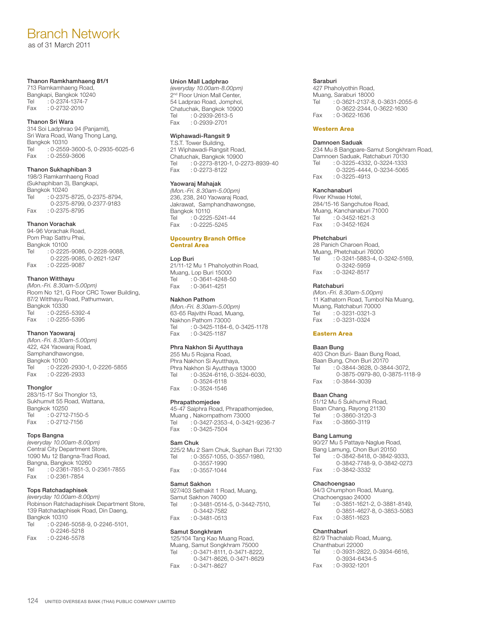# Branch Network

as of 31 March 2011

## **Thanon Ramkhamhaeng 81/1**

713 Ramkamhaeng Road, Bangkapi, Bangkok 10240 Tel : 0-2374-1374-7<br>Fax : 0-2732-2010  $: 0 - 2732 - 2010$ 

# **Thanon Sri Wara**

314 Soi Ladphrao 94 (Panjamit), Sri Wara Road, Wang Thong Lang, Bangkok 10310<br>Tel 0-2559 Tel : 0-2559-3600-5, 0-2935-6025-6<br>Fax : 0-2559-3606  $: 0 - 2559 - 3606$ 

# **Thanon Sukhaphiban 3**

198/3 Ramkamhaeng Road (Sukhaphiban 3), Bangkapi, Bangkok 10240 Tel : 0-2375-8725, 0-2375-8794, 0-2375-8799, 0-2377-9183<br>Cax : 0-2375-8795  $: 0 - 2375 - 8795$ 

# **Thanon Vorachak**

94-96 Vorachak Road, Pom Prap Sattru Phai, Bangkok 10100<br>Tel : 0-2225 : 0-2225-9086, 0-2228-9088, 0-2225-9085, 0-2621-1247<br>Fax: : 0-2225-9087  $: 0 - 2225 - 9087$ 

# **Thanon Witthayu**

*(Mon.-Fri. 8.30am-5.00pm)* Room No 121, G Floor CRC Tower Building, 87/2 Witthayu Road, Pathumwan, Bangkok 10330 Tel : 0-2255-5392-4<br>Fax : 0-2255-5395  $: 0 - 2255 - 5395$ 

# **Thanon Yaowaraj**

*(Mon.-Fri. 8.30am-5.00pm)* 422, 424 Yaowaraj Road, Samphandhawongse, Bangkok 10100<br>Tel : 0-2226 Tel : 0-2226-2930-1, 0-2226-5855<br>Fax : 0-2226-2933  $: 0 - 2226 - 2933$ 

# **Thonglor**

283/15-17 Soi Thonglor 13, Sukhumvit 55 Road, Wattana, Bangkok 10250 Tel : 0-2712-7150-5 Fax : 0-2712-7156

# **Tops Bangna**

*(everyday 10.00am-8.00pm)* Central City Department Store, 1090 Mu 12 Bangna-Trad Road, Bangna, Bangkok 10260<br>Tel : 0-2361-7851-3,  $: 0 - 2361 - 7851 - 3, 0 - 2361 - 7855$ Fax : 0-2361-7854

## **Tops Ratchadaphisek**

*(everyday 10.00am-8.00pm)* Robinson Ratchadaphisek Department Store, 139 Ratchadaphisek Road, Din Daeng, Bangkok 10310 Tel : 0-2246-5058-9, 0-2246-5101, 0-2246-5218<br>Cax : 0-2246-5578  $: 0 - 2246 - 5578$ 

## **Union Mall Ladphrao**

*(everyday 10.00am-8.00pm)* 2<sup>nd</sup> Floor Union Mall Center, 54 Ladprao Road, Jomphol, Chatuchak, Bangkok 10900<br>Tel 0-2939-2613-5  $: 0 - 2939 - 2613 - 5$ Fax : 0-2939-2701

# **Wiphawadi-Rangsit 9**

T.S.T. Tower Building, 21 Wiphawadi-Rangsit Road, Chatuchak, Bangkok 10900<br>Tel : 0-2273-8120-1, 0-21 : 0-2273-8120-1, 0-2273-8939-40 Fax : 0-2273-8122

# **Yaowaraj Mahajak**

*(Mon.-Fri. 8.30am-5.00pm)*  236, 238, 240 Yaowaraj Road, Jakrawat, Samphandhawongse, Bangkok 10110<br>Tel : 0-2225 Tel : 0-2225-5241-44<br>Fax : 0-2225-5245  $: 0 - 2225 - 5245$ 

### **Upcountry Branch Office Central Area**

## **Lop Buri**

21/11-12 Mu 1 Phaholyothin Road, Muang, Lop Buri 15000<br>Tel 10-3641-4248-5 Tel : 0-3641-4248-50<br>Fax : 0-3641-4251  $: 0 - 3641 - 4251$ 

# **Nakhon Pathom**

*(Mon.-Fri. 8.30am-5.00pm)*  63-65 Rajvithi Road, Muang, Nakhon Pathom 73000 Tel : 0-3425-1184-6, 0-3425-1178 Fax : 0-3425-1187

# **Phra Nakhon Si Ayutthaya**

255 Mu 5 Rojana Road, Phra Nakhon Si Ayutthaya, Phra Nakhon Si Ayutthaya 13000 Tel : 0-3524-6116, 0-3524-6030, 0-3524-6118<br>0-3524-1546 : Fax  $: 0 - 3524 - 1546$ 

## **Phrapathomjedee**

45-47 Saiphra Road, Phrapathomjedee, Muang, Nakornpathom 73000<br>Tel 0-3427-2353-4 0-342  $: 0 - 3427 - 2353 - 4, 0 - 3421 - 9236 - 7$ Fax : 0-3425-7504

# **Sam Chuk**

225/2 Mu 2 Sam Chuk, Suphan Buri 72130<br>Tel : 0-3557-1055, 0-3557-1980.  $: 0 - 3557 - 1055, 0 - 3557 - 1980,$ 0-3557-1990<br>0-3557-1044 Pax  $: 0 - 3557 - 1044$ 

# **Samut Sakhon**

927/403 Sethakit 1 Road, Muang, Samut Sakhon 74000 Tel : 0-3481-0514-5, 0-3442-7510, 0-3442-7582<br>10-3481-0513 Fax  $: 0 - 3481 - 0513$ 

# **Samut Songkhram**

125/104 Tang Kao Muang Road, Muang, Samut Songkhram 75000<br>Tel : 0-3471-8111, 0-3471-822 : 0-3471-8111, 0-3471-8222, 0-3471-8626, 0-3471-8629 Fax : 0-3471-8627

## **Saraburi**

427 Phaholyothin Road, Muang, Saraburi 18000<br>Tel : 0-3621-2137-8 : 0-3621-2137-8, 0-3631-2055-6 0-3622-2344, 0-3622-1630 Fax : 0-3622-1636

# **Western Area**

## **Damnoen Saduak**

234 Mu 8 Bangpare-Samut Songkhram Road, Damnoen Saduak, Ratchaburi 70130 Tel : 0-3225-4332, 0-3224-1333 0-3225-4444, 0-3234-5065<br>Cax 0-3225-4913  $: 0 - 3225 - 4913$ 

# **Kanchanaburi**

River Khwae Hotel, 284/15-16 Sangchutoe Road, Muang, Kanchanaburi 71000<br>Tel : 0-3452-1621-3 Tel : 0-3452-1621-3<br>Fax : 0-3452-1624  $: 0 - 3452 - 1624$ 

# **Phetchaburi**

28 Panich Charoen Road, Muang, Phetchaburi 76000 Tel : 0-3241-5883-4, 0-3242-5169, 0-3242-5959<br>Cax : 0-3242-8517  $: 0 - 3242 - 8517$ 

# **Ratchaburi**

*(Mon.-Fri. 8.30am-5.00pm)* 11 Kathatorn Road, Tumbol Na Muang, Muang, Ratchaburi 70000 Tel : 0-3231-0321-3<br>Fax : 0-3231-0324  $: 0 - 3231 - 0324$ 

## **Eastern Area**

# **Baan Bung**

403 Chon Buri- Baan Bung Road, Baan Bung, Chon Buri 20170<br>Tel : 0-3844-3628, 0-384  $: 0 - 3844 - 3628, 0 - 3844 - 3072,$ 0-3875-0979-80, 0-3875-1118-9<br>Fax: 0-3844-3039  $: 0 - 3844 - 3039$ 

# **Baan Chang**

51/12 Mu 5 Sukhumvit Road, Baan Chang, Rayong 21130 Tel : 0-3860-3120-3<br>Fax : 0-3860-3119  $: 0 - 3860 - 3119$ 

# **Bang Lamung**

90/27 Mu 5 Pattaya-Naglue Road, Bang Lamung, Chon Buri 20150 Tel : 0-3842-8418, 0-3842-9333, 0-3842-7748-9, 0-3842-0273<br>Fax: : 0-3842-3332  $: 0 - 3842 - 3332$ 

## **Chachoengsao**

94/3 Chumphon Road, Muang, Chachoengsao 24000 Tel : 0-3851-1621-2, 0-3881-8149, 0-3851-4627-8, 0-3853-5083<br>Fax: : 0-3851-1623  $: 0 - 3851 - 1623$ 

# **Chanthaburi**

82/9 Thachalab Road, Muang, Chanthaburi 22000 Tel : 0-3931-2822, 0-3934-6616, 0-3934-6434-5<br>co-3932-1201  $: 0 - 3932 - 1201$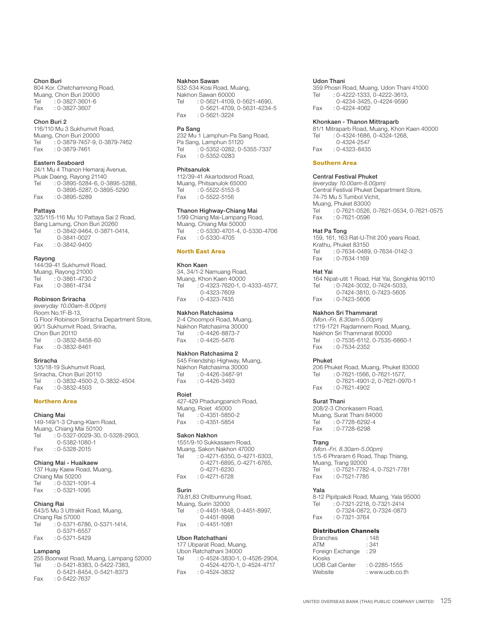#### **Chon Buri**

804 Kor. Chetchamnong Road, Muang, Chon Buri 20000 Tel : 0-3827-3601-6 Fax : 0-3827-3607

#### **Chon Buri 2**

116/110 Mu 3 Sukhumvit Road, Muang, Chon Buri 20000 Tel : 0-3879-7457-9, 0-3879-7462<br>Fax : 0-3879-7461  $: 0 - 3879 - 7461$ 

# **Eastern Seaboard**

24/1 Mu 4 Thanon Hemaraj Avenue, Pluak Daeng, Rayong 21140<br>Tel : 0-3895-5284-6, 0-3  $: 0 - 3895 - 5284 - 6, 0 - 3895 - 5288,$  0-3895-5287, 0-3895-5290 Fax : 0-3895-5289

#### **Pattaya**

325/115-116 Mu 10 Pattaya Sai 2 Road, Bang Lamung, Chon Buri 20260 Tel : 0-3842-9464, 0-3871-0414, 0-3841-0027 Fax : 0-3842-9400

#### **Rayong**

144/39-41 Sukhumvit Road, Muang, Rayong 21000<br>Tel : 0-3861-4730-3  $: 0 - 3861 - 4730 - 2$ Fax : 0-3861-4734

#### **Robinson Sriracha**

*(everyday 10.00am-8.00pm)* Room No.1F-B-13, G Floor Robinson Sriracha Department Store, 90/1 Sukhumvit Road, Sriracha, Chon Buri 20110 Tel : 0-3832-8458-60 Fax : 0-3832-8461

#### **Sriracha**

135/18-19 Sukhumvit Road, Sriracha, Chon Buri 20110 Tel : 0-3832-4500-2, 0-3832-4504 Fax : 0-3832-4503

#### **Northern Area**

**Chiang Mai**  149-149/1-3 Chang-Klarn Road, Muang, Chiang Mai 50100 Tel : 0-5327-0029-30, 0-5328-2903, 0-5382-1080-1

Fax : 0-5328-2015

# **Chiang Mai - Huaikaew**

137 Huay Kaew Road, Muang, Chiang Mai 50200 Tel : 0-5321-1091-4 Fax : 0-5321-1095

## **Chiang Rai**

643/5 Mu 3 Uttrakit Road, Muang, Chiang Rai 57000 Tel : 0-5371-6786, 0-5371-1414, 0-5371-6557<br>0-5371-5429 : Fax  $: 0 - 5371 - 5429$ 

#### **Lampang**

255 Boonwat Road, Muang, Lampang 52000  $: 0.5421 - 8383, 0.5422 - 7383,$  0-5421-8454, 0-5421-8373 Fax : 0-5422-7637

#### **Nakhon Sawan**

532-534 Kosi Road, Muang, Nakhon Sawan 60000 Tel : 0-5621-4109, 0-5621-4690, 0-5621-4709, 0-5631-4234-5<br>Fax: 0-5621-3224  $\cdot$  0-5621-3224

# **Pa Sang**

232 Mu 1 Lamphun-Pa Sang Road, Pa Sang, Lamphun 51120<br>Tel : 0-5352-0282, 0-8  $: 0 - 5352 - 0282, 0 - 5355 - 7337$ Fax : 0-5352-0283

#### **Phitsanulok**

112/39-41 Akartodsrod Road, Muang, Phitsanulok 65000 Tel : 0-5522-5153-5 Fax : 0-5522-5156

## **Thanon Highway-Chiang Mai**

1/99 Chiang Mai-Lampang Road, Muang, Chiang Mai 50000 Tel : 0-5330-4701-4, 0-5330-4706 Fax : 0-5330-4705

#### **North East Area**

#### **Khon Kaen**

34, 34/1-2 Namuang Road, Muang, Khon Kaen 40000 Tel : 0-4323-7620-1, 0-4333-4577, 0-4323-7609<br>0-4323-7435 Fax  $: 0 - 4323 - 7435$ 

#### **Nakhon Ratchasima**

2-4 Choompol Road, Muang, Nakhon Ratchasima 30000 Tel : 0-4426-8873-7 Fax : 0-4425-5476

#### **Nakhon Ratchasima 2**

545 Friendship Highway, Muang, Nakhon Ratchasima 30000 Tel : 0-4426-3487-91 Fax : 0-4426-3493

### **Roiet**

427-429 Phadungpanich Road, Muang, Roiet 45000 Tel : 0-4351-5850-2 Fax : 0-4351-5854

## **Sakon Nakhon**

1551/9-10 Sukkasaem Road, Muang, Sakon Nakhon 47000 Tel : 0-4271-6350, 0-4271-6303, 0-4271-6895, 0-4271-6765, 0-4271-6230 Fax : 0-4271-6728

#### **Surin**

79,81,83 Chitbumrung Road, Muang, Surin 32000 Tel : 0-4451-1848, 0-4451-8997, 0-4451-8998 Fax : 0-4451-1081

#### **Ubon Ratchathani**

177 Ubparat Road, Muang, Ubon Ratchathani 34000 Tel : 0-4524-3830-1, 0-4526-2904, 0-4524-4270-1, 0-4524-4717<br>Eax: : 0-4524-3832  $: 0 - 4524 - 3832$ 

#### **Udon Thani**

359 Phosri Road, Muang, Udon Thani 41000 Tel : 0-4222-1333, 0-4222-3613, 0-4234-3425, 0-4224-9590 Fax : 0-4224-4062

#### **Khonkaen - Thanon Mittraparb**

81/1 Mitraparb Road, Muang, Khon Kaen 40000 Tel : 0-4324-1686, 0-4324-1268, 0-4324-2547<br>0-4323-8435: Fax  $: 0 - 4323 - 8435$ 

## **Southern Area**

# **Central Festival Phuket**

*(everyday 10.00am-8.00pm)* Central Festival Phuket Department Store, 74-75 Mu 5 Tumbol Vichit, Muang, Phuket 83000 Tel : 0-7621-0526, 0-7621-0534, 0-7621-0575<br>Fax : 0-7621-0596  $: 0 - 7621 - 0596$ 

## **Hat Pa Tong**

159, 161, 163 Rat-U-Thit 200 years Road, Krathu, Phuket 83150<br>Tel : 0-7634-0489 Tel : 0-7634-0489, 0-7634-0142-3<br>Fax : 0-7634-1169  $: 0 - 7634 - 1169$ 

#### **Hat Yai**

164 Nipat-utit 1 Road, Hat Yai, Songkhla 90110 Tel : 0-7424-3032, 0-7424-5033, 0-7424-3810, 0-7423-5605 Fax : 0-7423-5606

#### **Nakhon Sri Thammarat**

*(Mon.-Fri. 8.30am-5.00pm)* 1719-1721 Rajdamnern Road, Muang, Nakhon Sri Thammarat 80000 Tel : 0-7535-6112, 0-7535-6860-1  $: 0 - 7534 - 2352$ 

#### **Phuket**

206 Phuket Road, Muang, Phuket 83000 Tel : 0-7621-1566, 0-7621-1577, 0-7621-4901-2, 0-7621-0970-1 Fax : 0-7621-4902

#### **Surat Thani**

208/2-3 Chonkasem Road, Muang, Surat Thani 84000<br>Tel : 0-7728-6292-4  $: 0 - 7728 - 6292 - 4$ Fax : 0-7728-6298

## **Trang**

*(Mon.-Fri. 8.30am-5.00pm)* 1/5-6 Phraram 6 Road, Thap Thiang, Muang, Trang 92000 Tel : 0-7521-7782-4, 0-7521-7781 Fax : 0-7521-7785

#### **Yala**

8-12 Pipitpakdi Road, Muang, Yala 95000 Tel : 0-7321-2218, 0-7321-2414 0-7324-0872, 0-7324-0873 Fax : 0-7321-3764

# **Distribution Channels**

**Branches** ATM : 341 Foreign Exchange : 29 Kiosks UOB Call Center : 0-2285-1555 Website : www.uob.co.th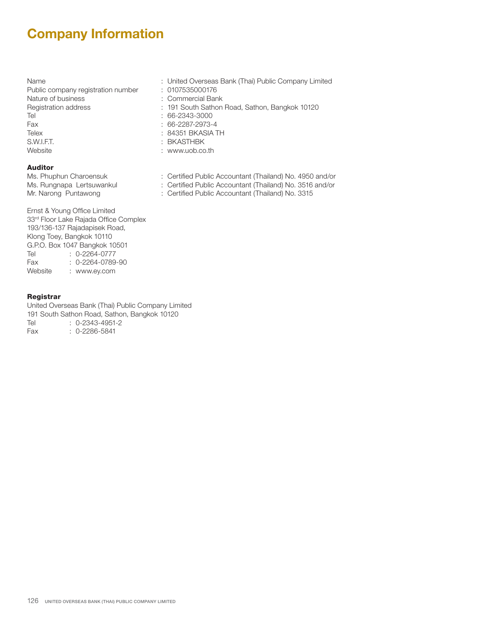# **Company Information**

Public company registration number<br>Nature of business Tel : 66-2343-3000 Fax : 66-2287-2973-4 Telex : 84351 BKASIA TH S.W.I.F.T. : BKASTHBK

# **Auditor**

Name : United Overseas Bank (Thai) Public Company Limited<br>
Public company registration number : 0107535000176 : Commercial Bank Registration address : 191 South Sathon Road, Sathon, Bangkok 10120

- 
- 
- : www.uob.co.th
- Ms. Phuphun Charoensuk : Certifi ed Public Accountant (Thailand) No. 4950 and/or
- Ms. Rungnapa Lertsuwankul : Certifi ed Public Accountant (Thailand) No. 3516 and/or
- Mr. Narong Puntawong : Certified Public Accountant (Thailand) No. 3315

Ernst & Young Office Limited 33<sup>rd</sup> Floor Lake Rajada Office Complex 193/136-137 Rajadapisek Road, Klong Toey, Bangkok 10110 G.P.O. Box 1047 Bangkok 10501<br>Tel : 0-2264-0777  $: 0-2264-0777$ Fax : 0-2264-0789-90 Website : www.ey.com

# **Registrar**

United Overseas Bank (Thai) Public Company Limited 191 South Sathon Road, Sathon, Bangkok 10120 Tel : 0-2343-4951-2<br>Fax : 0-2286-5841  $: 0 - 2286 - 5841$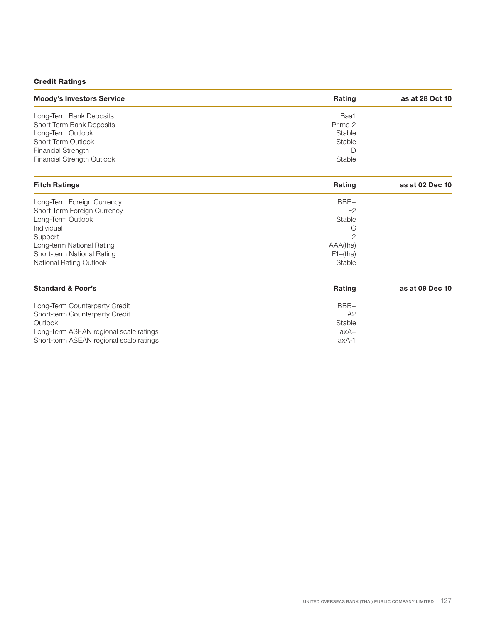# **Credit Ratings**

| <b>Moody's Investors Service</b> | Rating         | as at 28 Oct 10 |
|----------------------------------|----------------|-----------------|
| Long-Term Bank Deposits          | Baa1           |                 |
| Short-Term Bank Deposits         | Prime-2        |                 |
| Long-Term Outlook                | Stable         |                 |
| Short-Term Outlook               | Stable         |                 |
| <b>Financial Strength</b>        | D              |                 |
| Financial Strength Outlook       | Stable         |                 |
| <b>Fitch Ratings</b>             | Rating         | as at 02 Dec 10 |
| Long-Term Foreign Currency       | BBB+           |                 |
| Short-Term Foreign Currency      | F <sub>2</sub> |                 |
| Long-Term Outlook                | Stable         |                 |
| Individual                       | С              |                 |
| Support                          | 2              |                 |
| Long-term National Rating        | AAA(tha)       |                 |
| Short-term National Rating       | $F1+(tha)$     |                 |
| National Rating Outlook          | Stable         |                 |
| <b>Standard &amp; Poor's</b>     | Rating         | as at 09 Dec 10 |
| Long-Term Counterparty Credit    | BBB+           |                 |
| Short-term Counterparty Credit   | A2             |                 |

Outlook Stable Long-Term ASEAN regional scale ratings and the control of the control of the control of the control of the control of the control of the control of the control of the control of the control of the control of the control of Short-term ASEAN regional scale ratings axases are axases and axases are axases and axases axases are axases axases axases axases are axases and axases are axases are axases are axases are as a sensual axases are as a sens